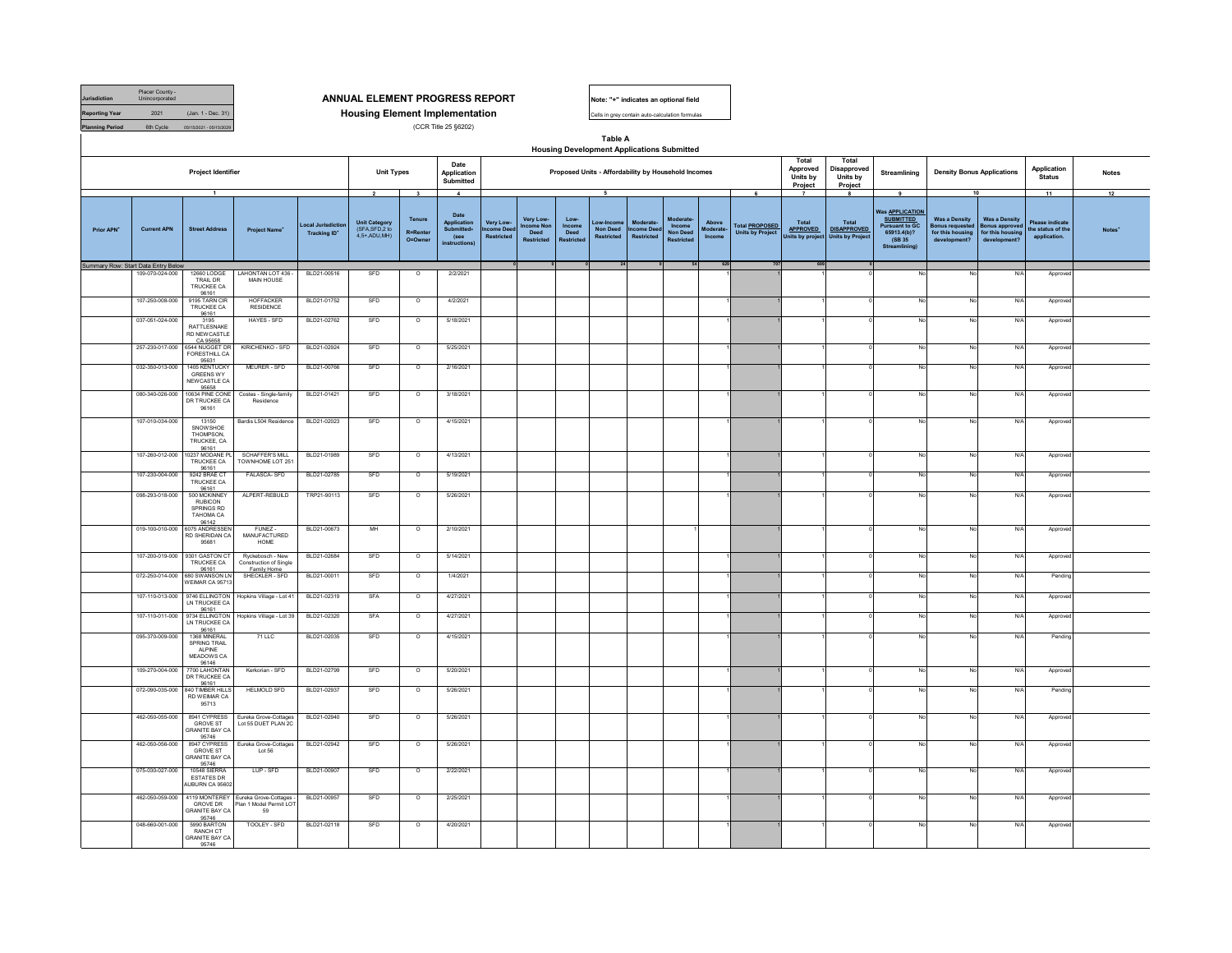| <b>Jurisdiction</b>    | Placer County -<br>Unincorporated |                         |
|------------------------|-----------------------------------|-------------------------|
| <b>Reporting Year</b>  | 2021                              | (Jan. 1 - Dec. 31)      |
| <b>Planning Period</b> | 6th Cycle                         | 05/15/2021 - 05/15/2029 |

## ANNUAL ELEMENT PROGRESS REPORT<br> **Housing Element Implementation**<br>
(CR Title 25 §6202)<br>
(CR Title 25 §6202) **Housing Element Implementation**

(CCR Title 25 §6202)



Cells in grey contain auto-calculation form

## **Table A Housing Development Applications Submitted**

|                        |                                     | Project Identifier                                                          |                                                                        |                                          | <b>Unit Types</b>                                       |                               | Date<br>Application<br>Submitted                                               |                                       |                                             |                                      |                                                  | Proposed Units - Affordability by Household Incomes |                                                            |                              |                                                  | Total<br>Approved<br>Units by<br>Project    | Total<br>Disapproved<br>Units by<br>Project                   | Streamlining                                                                                                   | <b>Density Bonus Applications</b>                                                  |                                                                                   | Application<br><b>Status</b>                               | <b>Notes</b> |
|------------------------|-------------------------------------|-----------------------------------------------------------------------------|------------------------------------------------------------------------|------------------------------------------|---------------------------------------------------------|-------------------------------|--------------------------------------------------------------------------------|---------------------------------------|---------------------------------------------|--------------------------------------|--------------------------------------------------|-----------------------------------------------------|------------------------------------------------------------|------------------------------|--------------------------------------------------|---------------------------------------------|---------------------------------------------------------------|----------------------------------------------------------------------------------------------------------------|------------------------------------------------------------------------------------|-----------------------------------------------------------------------------------|------------------------------------------------------------|--------------|
|                        |                                     | $\overline{1}$                                                              |                                                                        |                                          | $\overline{2}$                                          | $\overline{\mathbf{3}}$       | $\blacktriangle$                                                               |                                       |                                             |                                      | - 5                                              |                                                     |                                                            |                              | 6                                                |                                             |                                                               | 9                                                                                                              | 10                                                                                 |                                                                                   | 11                                                         | 12           |
| Prior APN <sup>*</sup> | <b>Current APN</b>                  | <b>Street Address</b>                                                       | Project Name <sup>*</sup>                                              | Local Jurisdictio<br><b>Tracking ID*</b> | <b>Unit Category</b><br>(SFA.SFD.2 to<br>$4.5+$ ADU MH) | Tenure<br>R=Renter<br>O=Owner | Date<br><b>Application</b><br><b>Submitted</b><br>(see<br><i>instructions)</i> | Very Low-<br>ncome Deel<br>Restricted | Very Low-<br>come Nor<br>Deed<br>Restricted | Low-<br>Income<br>Deed<br>Restricter | ow-Incom<br><b>Non Deed</b><br><b>Restricted</b> | <b>Moderate</b><br><b>Income Dee</b><br>Restricted  | Moderate<br>Income<br><b>Non Deed</b><br><b>Restricted</b> | Above<br>Moderate-<br>Income | <b>Total PROPOSED</b><br><b>Units by Project</b> | Total<br><b>APPROVED</b><br>Jnits by projec | <b>Total</b><br><b>DISAPPROVED</b><br><b>Units by Project</b> | <b>Nas APPLICATION</b><br><b>SUBMITTED</b><br><b>Pursuant to GC</b><br>65913.4(b)?<br>(SB 35)<br>Streamlining) | <b>Was a Density</b><br><b>Bonus requested</b><br>for this housing<br>development? | <b>Was a Density</b><br><b>Bonus approved</b><br>for this housing<br>development? | <b>Please indicat</b><br>the status of the<br>application. |              |
|                        | Summary Row: Start Data Entry Below |                                                                             |                                                                        |                                          |                                                         |                               |                                                                                |                                       |                                             |                                      | 24                                               |                                                     |                                                            | 629                          |                                                  | 695                                         |                                                               |                                                                                                                |                                                                                    |                                                                                   |                                                            |              |
|                        | 109-070-024-000<br>107-250-008-000  | 12660 LODGE<br>TRAIL DR<br>TRUCKEE CA<br>96161<br>9195 TARN CIF             | LAHONTAN LOT 436 -<br><b>MAIN HOUSE</b><br><b>HOFFACKER</b>            | BLD21-00516<br>BLD21-01752               | SFD<br>SFD                                              | $\circ$<br>$\overline{\circ}$ | 2/2/2021<br>4/2/2021                                                           |                                       |                                             |                                      |                                                  |                                                     |                                                            |                              |                                                  |                                             |                                                               |                                                                                                                | No<br>No                                                                           | N/A<br>N/A                                                                        | Approve<br>Approve                                         |              |
|                        |                                     | TRUCKEE CA<br>96161                                                         | RESIDENCE                                                              |                                          |                                                         |                               |                                                                                |                                       |                                             |                                      |                                                  |                                                     |                                                            |                              |                                                  |                                             |                                                               |                                                                                                                |                                                                                    |                                                                                   |                                                            |              |
|                        | 037-051-024-000                     | 3195<br>RATTLESNAKE<br>RD NEW CASTLE<br>CA 95658                            | HAYES - SFD                                                            | BLD21-02762                              | SFD                                                     | $\circ$                       | 5/18/2021                                                                      |                                       |                                             |                                      |                                                  |                                                     |                                                            |                              |                                                  |                                             |                                                               |                                                                                                                | No                                                                                 | N/A                                                                               | Approve                                                    |              |
|                        | 257-230-017-000                     | 6544 NUGGET DR<br><b>FORESTHILL CA</b>                                      | KIRICHENKO - SFD                                                       | BLD21-02924                              | SFD                                                     | $\circ$                       | 5/25/2021                                                                      |                                       |                                             |                                      |                                                  |                                                     |                                                            |                              |                                                  |                                             |                                                               |                                                                                                                | No                                                                                 | N/A                                                                               | Approved                                                   |              |
|                        | 032-350-013-000                     | 95631<br>1405 KENTUCKY<br><b>GREENS WY</b><br>NEW CASTLE CA<br>95658        | MEURER - SFD                                                           | BLD21-00766                              | SFD                                                     | $\circ$                       | 2/16/2021                                                                      |                                       |                                             |                                      |                                                  |                                                     |                                                            |                              |                                                  |                                             |                                                               |                                                                                                                | No                                                                                 | N/A                                                                               | Approv                                                     |              |
|                        | 080-340-026-000                     | 10634 PINE CONE<br>DR TRUCKEE CA<br>96161                                   | Costes - Single-family<br>Residence                                    | BLD21-01421                              | SFD                                                     | $\circ$                       | 3/18/2021                                                                      |                                       |                                             |                                      |                                                  |                                                     |                                                            |                              |                                                  |                                             |                                                               |                                                                                                                | No                                                                                 | N/A                                                                               | Approve                                                    |              |
|                        | 107-010-034-000                     | 13150<br><b>SNOW SHOE</b><br><b>THOMPSON</b><br>TRUCKEE, CA<br>96161        | Bardis L504 Residence                                                  | BLD21-02023                              | SFD                                                     | $\circ$                       | 4/15/2021                                                                      |                                       |                                             |                                      |                                                  |                                                     |                                                            |                              |                                                  |                                             |                                                               |                                                                                                                | No                                                                                 | N/A                                                                               | Approved                                                   |              |
|                        | 107-260-012-000                     | 10237 MODANE P<br>TRUCKEE CA<br>96161                                       | <b>SCHAFFER'S MILL</b><br>TOWNHOME LOT 251                             | BLD21-01989                              | SFD                                                     | $\circ$                       | 4/13/2021                                                                      |                                       |                                             |                                      |                                                  |                                                     |                                                            |                              |                                                  |                                             |                                                               |                                                                                                                | No                                                                                 | N/A                                                                               | Approve                                                    |              |
|                        | 107-230-004-000                     | 9242 BRAE CT<br><b>TRUCKEE CA</b>                                           | FALASCA-SFD                                                            | BLD21-02785                              | SFD                                                     | $\circ$                       | 5/19/2021                                                                      |                                       |                                             |                                      |                                                  |                                                     |                                                            |                              |                                                  |                                             |                                                               |                                                                                                                | No                                                                                 | N/A                                                                               | Approve                                                    |              |
|                        | 098-293-018-000                     | 96161<br>500 MCKINNEY<br><b>RUBICON</b><br>SPRINGS RD<br>TAHOMA CA<br>96142 | ALPERT-REBUILD                                                         | TRP21-90113                              | SFD                                                     | $\circ$                       | 5/26/2021                                                                      |                                       |                                             |                                      |                                                  |                                                     |                                                            |                              |                                                  |                                             |                                                               |                                                                                                                | No                                                                                 | N/A                                                                               | Approved                                                   |              |
|                        | 019-100-010-000                     | 6075 ANDRESSEN<br>RD SHERIDAN CA<br>95681                                   | FUNEZ-<br>MANUFACTURED<br>HOME                                         | BLD21-00673                              | MH                                                      | $\circ$                       | 2/10/2021                                                                      |                                       |                                             |                                      |                                                  |                                                     |                                                            |                              |                                                  |                                             |                                                               | No                                                                                                             | No                                                                                 | N/A                                                                               | Approve                                                    |              |
|                        | 107-200-019-000                     | 9301 GASTON CT<br>TRUCKEE CA<br>96161                                       | Ryckebosch - New<br>Construction of Single<br>Family Home              | BLD21-02684                              | SFD                                                     | $\circ$                       | 5/14/2021                                                                      |                                       |                                             |                                      |                                                  |                                                     |                                                            |                              |                                                  |                                             |                                                               |                                                                                                                | No                                                                                 | N/A                                                                               | Approved                                                   |              |
|                        | 072-250-014-000                     | 680 SWANSON LN<br>VEIMAR CA 9571                                            | SHECKLER-SED                                                           | BLD21-00011                              | SFD                                                     | $\Omega$                      | 1/4/2021                                                                       |                                       |                                             |                                      |                                                  |                                                     |                                                            |                              |                                                  |                                             |                                                               | N <sub>c</sub>                                                                                                 | N <sub>0</sub>                                                                     | N/A                                                                               | Pendin                                                     |              |
|                        | 107-110-013-000                     | 9746 ELLINGTON<br>LN TRUCKEE CA<br>96161                                    | Hopkins Village - Lot 41                                               | BLD21-02319                              | SFA                                                     | $\circ$                       | 4/27/2021                                                                      |                                       |                                             |                                      |                                                  |                                                     |                                                            |                              |                                                  |                                             |                                                               |                                                                                                                | <b>No</b>                                                                          | N/A                                                                               | Approve                                                    |              |
|                        | 107-110-011-000                     | 9734 ELLINGTON<br>LN TRUCKEE CA<br>96161                                    | Hopkins Village - Lot 39                                               | BLD21-02320                              | SFA                                                     | $\circ$                       | 4/27/2021                                                                      |                                       |                                             |                                      |                                                  |                                                     |                                                            |                              |                                                  |                                             |                                                               |                                                                                                                | No                                                                                 | N/A                                                                               | Approv                                                     |              |
|                        | 095-370-009-000                     | 1368 MINERAL<br>SPRING TRAIL<br>ALPINE<br>MEADOWS CA<br>96146               | 71 LLC                                                                 | BLD21-02035                              | SFD                                                     | $\circ$                       | 4/15/2021                                                                      |                                       |                                             |                                      |                                                  |                                                     |                                                            |                              |                                                  |                                             |                                                               |                                                                                                                | No                                                                                 | N/A                                                                               | Pending                                                    |              |
|                        | 109-270-004-000                     | 7700 LAHONTAN<br>DR TRUCKEE CA<br>96161                                     | Kerkorian - SFD                                                        | BLD21-02799                              | SFD                                                     | $\circ$                       | 5/20/2021                                                                      |                                       |                                             |                                      |                                                  |                                                     |                                                            |                              |                                                  |                                             |                                                               |                                                                                                                | No                                                                                 | N/A                                                                               | Approve                                                    |              |
|                        | 072-090-035-000                     | 840 TIMBER HILLS<br><b>RD WEIMAR CA</b><br>95713                            | <b>HELMOLD SFD</b>                                                     | BLD21-02937                              | SFD                                                     | $\circ$                       | 5/26/2021                                                                      |                                       |                                             |                                      |                                                  |                                                     |                                                            |                              |                                                  |                                             |                                                               |                                                                                                                | No                                                                                 | N/A                                                                               | Pendin                                                     |              |
|                        | 462-050-055-000                     | 8941 CYPRESS<br>GROVE ST<br>GRANITE BAY C<br>95746                          | Eureka Grove-Cottages<br>Lot 55 DUET PLAN 2C                           | BLD21-02940                              | SFD                                                     | $\circ$                       | 5/26/2021                                                                      |                                       |                                             |                                      |                                                  |                                                     |                                                            |                              |                                                  |                                             |                                                               | N <sub>c</sub>                                                                                                 | No                                                                                 | N/A                                                                               | Approved                                                   |              |
|                        | 462-050-056-000                     | 8947 CYPRESS<br><b>GROVE ST</b><br>GRANITE BAY CA<br>95746                  | Eureka Grove-Cottages<br>Lot 56                                        | BLD21-02942                              | SFD                                                     | $\circ$                       | 5/26/2021                                                                      |                                       |                                             |                                      |                                                  |                                                     |                                                            |                              |                                                  |                                             |                                                               |                                                                                                                | No                                                                                 | N/A                                                                               | Approve                                                    |              |
|                        | 075-030-027-000                     | <b>10548 SIERRA</b><br><b>ESTATES DR</b><br>ALIBURN CA 95602                | LUP - SFD                                                              | BLD21-00907                              | SFD                                                     | $\circ$                       | 2/22/2021                                                                      |                                       |                                             |                                      |                                                  |                                                     |                                                            |                              |                                                  |                                             |                                                               | No                                                                                                             | No                                                                                 | N/A                                                                               | Approve                                                    |              |
|                        | 462-050-059-000                     | <b>GROVE DR</b><br>GRANITE BAY CA<br>95746                                  | 4119 MONTEREY Eureka Grove-Cottages -<br>Plan 1 Model Permit LO'<br>59 | BLD21-00957                              | SFD                                                     | $\circ$                       | 2/25/2021                                                                      |                                       |                                             |                                      |                                                  |                                                     |                                                            |                              |                                                  |                                             |                                                               | No                                                                                                             | No                                                                                 | N/A                                                                               | Approve                                                    |              |
|                        | 048-660-001-000                     | 5990 BARTON<br>RANCH CT<br><b>GRANITE BAY CA</b><br>95746                   | TOOLEY - SFD                                                           | BLD21-02118                              | SFD                                                     | $\circ$                       | 4/20/2021                                                                      |                                       |                                             |                                      |                                                  |                                                     |                                                            |                              |                                                  |                                             |                                                               |                                                                                                                | No                                                                                 | N/A                                                                               | Approve                                                    |              |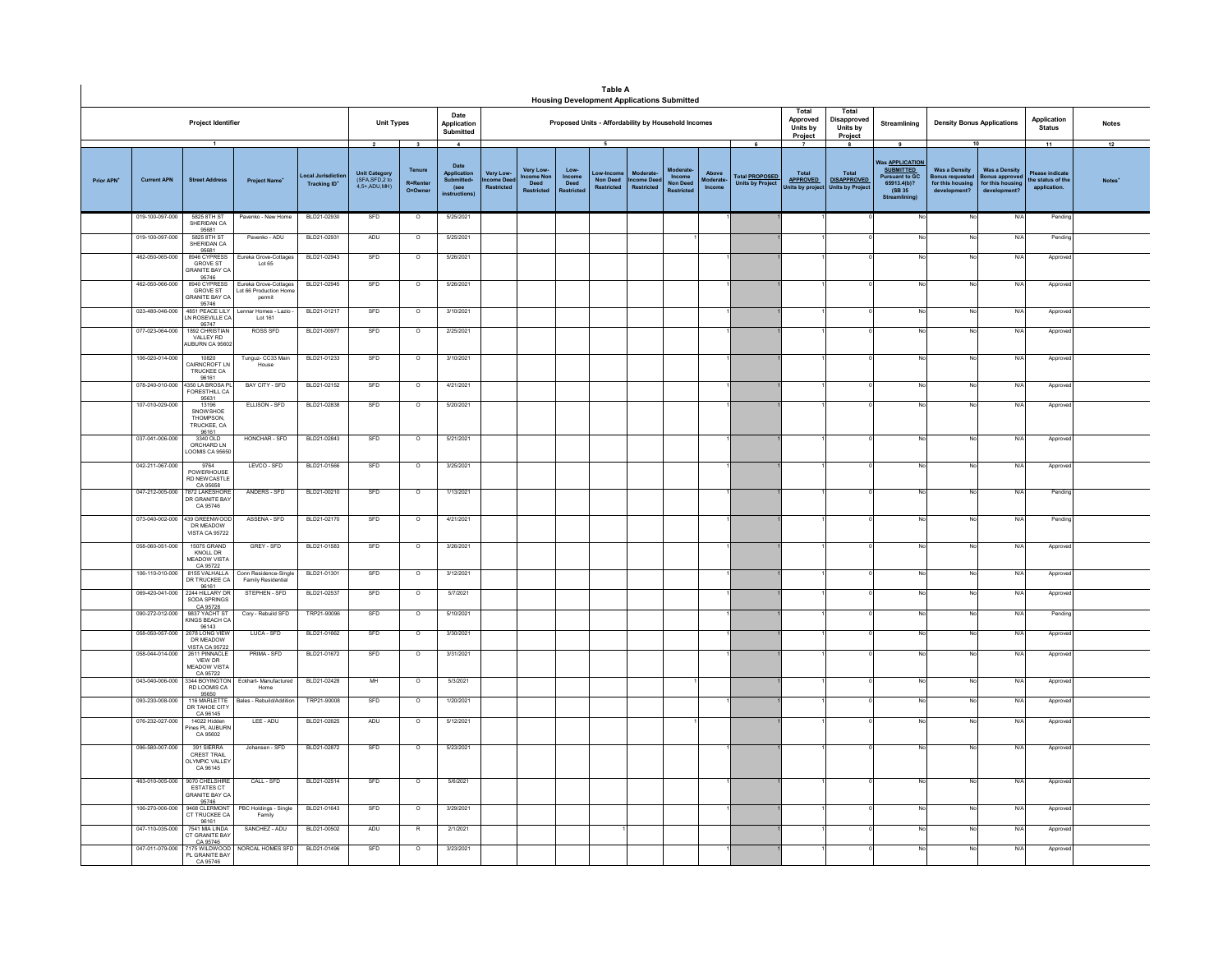| Total<br>Total<br>Date<br>Approved<br>Disapproved<br>Application<br>Project Identifier<br><b>Unit Types</b><br>Proposed Units - Affordability by Household Incomes<br><b>Density Bonus Applications</b><br>Application<br>Streamlining<br><b>Notes</b><br>Units by<br>Units by<br><b>Status</b><br>Submitted<br>Project<br>Project<br>5<br>10<br>11<br>12<br>$\overline{\mathbf{3}}$<br>$\overline{4}$<br>9<br>Vas APPLICATION<br>Date<br>Tenure<br>Very Low-<br>Low-<br><b>SUBMITTED</b><br><b>Was a Density</b><br><b>Was a Density</b><br>Moderat<br>Very Low-<br>Total<br>Total<br>Above<br>ase indicat<br>Unit Category<br>(SFA,SFD,2 to<br>ow-Incor<br><b>Applicatio</b><br>ocal Jurisdict<br><b>Total PROPOSED</b><br>ncome Nor<br>Income<br>Income<br><b>Pursuant to GC</b><br>onus requested<br>onus approv<br>Prior APN <sup>+</sup><br><b>Current APN</b><br><b>Street Address</b><br><b>Submitted</b><br>ome Dee<br><b>Non Deed</b><br>come Dee<br>loderate<br><b>APPROVED</b><br><b>DISAPPROVED</b><br>the status of the<br>Notes'<br><b>Project Name</b><br><b>Deed</b><br>Deed<br>Non Deer<br><b>Units by Project</b><br>65913.4(b)?<br><b>R=Rente</b><br>for this housing<br>for this hou<br><b>Tracking ID</b><br>4.5+ ADU.MH)<br>(see<br>Restricted<br><b>Restricted</b><br><b>Restricted</b><br>Income<br>nits by project<br><b>Units by Project</b><br>application.<br>O=Owne<br>Restricte<br>(SB 35)<br>development'<br><b>Restricte</b><br><b>Restricte</b><br>development?<br>instruction<br><b>Stre</b><br>BLD21-02930<br>019-100-097-000<br>5825 8TH ST<br>Pavenko - New Home<br>SFD<br>$\circ$<br>5/25/2021<br>N/f<br>Pendin<br>No<br>SHERIDAN CA<br>95681<br>BLD21-02931<br>ADU<br>5/25/2021<br>019-100-097-000<br>5825 8TH ST<br>Pavenko - ADU<br>$\circ$<br>N<br>Pending<br>No<br>SHERIDAN CA<br>95681<br>462-050-065-000<br>946 CYPRESS<br>BLD21-02943<br>SFD<br>5/26/2021<br>Eureka Grove-Cottages<br>$\circ$<br>N/<br>No<br>Approve<br>GROVE ST<br>Lot 65<br>RANITE BAY CA<br>95746<br>8940 CYPRESS<br>SFD<br>462-050-066-000<br>Eureka Grove-Cottages<br>BLD21-02945<br>5/26/2021<br>$\overline{\phantom{a}}$<br>N/f<br>No<br>No<br>Approve<br>GROVE ST<br>Lot 66 Production Hom<br><b>GRANITE BAY CA</b><br>permit<br>95746<br>023-480-046-000<br>4851 PEACE LILY<br>Lennar Homes - Lazio -<br>BLD21-01217<br>SFD<br>$\circ$<br>3/10/2021<br>No<br>No<br>N/f<br>Approve<br>LN ROSEVILLE CA<br>Lot 161<br>95747<br>95747<br>1892 CHRISTIAN<br><b>ROSS SFD</b><br>SFD<br>077-023-064-000<br>BLD21-00977<br>2/25/2021<br>$\circ$<br>N/<br>Approve<br>No<br>No<br>VALLEY RD<br>UBURN CA 95602<br>106-020-014-000<br>10820<br>Tunguz- CC33 Main<br>BLD21-01233<br>SFD<br>3/10/2021<br>$\circ$<br>N/f<br>Approve<br>Nr<br>No<br>CAIRNCROFT LN<br>House<br>TRUCKEE CA<br>96161<br>BAY CITY - SFD<br>BLD21-02152<br>SFD<br>078-240-010-000<br>4350 LA BROSA P<br>$\overline{\circ}$<br>4/21/2021<br>N/f<br>Approve<br>No<br>No<br>FORESTHILL CA<br>95631<br>107-010-029-000<br>ELLISON - SFD<br>BLD21-02838<br>SFD<br>5/20/2021<br>13196<br>$\circ$<br>N/f<br>Approve<br>Nr<br>No<br>SNOWSHOE<br>THOMPSON.<br>TRUCKEE, CA<br>96161<br>3340 OLD<br>HONCHAR - SFD<br>BLD21-02843<br>SFD<br>5/21/2021<br>037-041-006-000<br>$\circ$<br>N/f<br><b>No</b><br>Approv<br>No<br>ORCHARD IN<br>OOMIS CA 95650<br>042-211-067-000<br>9764<br>LEVCO - SFD<br>BLD21-01566<br>SFD<br>3/25/2021<br>$\circ$<br>N/f<br>Approve<br>N٥<br>POWERHOUSE<br><b>RD NEW CASTLE</b><br>CA 95658<br>047-212-005-000<br>7872 LAKESHORE<br>ANDERS - SFD<br>BLD21-00210<br>SFD<br>$\circ$<br>1/13/2021<br>No<br>No<br>N/f<br>Pending<br>R GRANITE BAY<br>CA 95746<br>073-040-002-000<br>39 GREENWOOD<br>ASSENA - SFD<br>BLD21-02170<br>SFD<br>$\circ$<br>4/21/2021<br>N/A<br>No<br>No<br>Pending<br>DR MEADOW<br>VISTA CA 95722<br>058-060-051-000<br>15075 GRAND<br>GREY - SFD<br>BLD21-01583<br>SFD<br>3/26/2021<br>$\circ$<br>No<br>N/A<br>No<br>Approve<br>KNOLL DR<br><b>MEADOW VISTA</b><br>CA 95722<br>BLD21-01301<br>SFD<br>3/12/2021<br>106-110-010-000<br>8155 VALHALLA<br>Conn Residence-Single<br>$\overline{\circ}$<br>N/f<br>Approve<br>No<br>DR TRUCKEE CA<br>Family Residential<br>96161<br>2244 HILLARY DR<br>069-420-041-000<br>STEPHEN - SFD<br>BLD21-02537<br>SFD<br>$\overline{\circ}$<br>5/7/2021<br>N/A<br>No<br>Approv<br>SODA SPRINGS<br>CA 95728<br>SFD<br>090-272-012-000<br>9837 YACHT ST<br>Cory - Rebuild SFD<br>TRP21-90096<br>$\overline{\circ}$<br>5/10/2021<br>N/f<br>Pendin<br>No<br><b>INGS BEACH CA</b><br>96143<br>2078 LONG VIEW<br>SFD<br>058-050-057-000<br>LUCA - SFD<br>BLD21-01662<br>3/30/2021<br>N/f<br>$\circ$<br>No<br>Approve<br>No<br>DR MEADOW<br>VISTA CA 95722<br>2611 PINNACLE<br>058-044-014-000<br>PRIMA - SFD<br>BLD21-01672<br>SFD<br>3/31/2021<br>N/A<br>$\circ$<br>No<br>Approv<br>VIEW DR<br>MEADOW VISTA<br>CA 95722<br>3344 BOYINGTON<br>Eckhart- Manufactured<br>BLD21-02428<br>MH<br>5/3/2021<br>043-040-006-000<br>$\circ$<br>N/<br>Approve<br>No<br>RD LOOMIS CA<br>Home<br>95650<br>093-230-008-000<br>116 MARLETTE<br>ales - Rebuild/Additio<br>TRP21-90008<br>SFD<br>1/20/2021<br>N/A<br>$\circ$<br>No<br>No<br>Approve<br>DR TAHOE CITY<br>CA 96145<br>LEE - ADU<br>BLD21-02625<br>ADU<br>076-232-027-000<br>14022 Hidder<br>$\Omega$<br>5/12/2021<br>No<br>N/L<br>Approve<br>No<br>ines PL AUBURN<br>CA 95602<br>096-580-007-000<br>391 SIERRA<br>Johansen - SFD<br>BLD21-02872<br>SFD<br>$\circ$<br>5/23/2021<br>N/f<br>Appro<br>CREST TRAIL<br><b>LYMPIC VALLEY</b><br>CA 96145<br>9070 CHELSHIRE<br>463-010-005-000<br>CALL - SFD<br>BLD21-02514<br>SFD<br>$\circ$<br>5/6/2021<br>N/f<br>Approve<br>No<br>No<br>ESTATES CT<br><b>GRANITE BAY CA</b><br>95746<br>106-270-006-000<br>9468 CLERMONT<br>PBC Holdings - Single<br>BLD21-01643<br>SFD<br>$\circ$<br>3/29/2021<br>N/f<br>No<br>No<br>Approv<br>CT TRUCKEE CA<br>Family<br>96161<br>047-110-035-000<br>7541 MIA I INDA<br>SANCHEZ - ADU<br>BLD21-00502<br>ADU<br>$\mathbb{R}$<br>2/1/2021<br>No<br>No<br>N/L<br>Approved<br>T GRANITE BAY<br>CA 95746<br>NORCAL HOMES SFD<br>SFD<br>047-011-079-000<br>BLD21-01496<br>3/23/2021<br>N/f<br>7175 WILDWOOD<br>$\circ$<br>No<br>No<br>Approve<br>PL GRANITE BAY |  |          |  |  |  |  | Table A<br><b>Housing Development Applications Submitted</b> |  |  |  |  |  |  |
|---------------------------------------------------------------------------------------------------------------------------------------------------------------------------------------------------------------------------------------------------------------------------------------------------------------------------------------------------------------------------------------------------------------------------------------------------------------------------------------------------------------------------------------------------------------------------------------------------------------------------------------------------------------------------------------------------------------------------------------------------------------------------------------------------------------------------------------------------------------------------------------------------------------------------------------------------------------------------------------------------------------------------------------------------------------------------------------------------------------------------------------------------------------------------------------------------------------------------------------------------------------------------------------------------------------------------------------------------------------------------------------------------------------------------------------------------------------------------------------------------------------------------------------------------------------------------------------------------------------------------------------------------------------------------------------------------------------------------------------------------------------------------------------------------------------------------------------------------------------------------------------------------------------------------------------------------------------------------------------------------------------------------------------------------------------------------------------------------------------------------------------------------------------------------------------------------------------------------------------------------------------------------------------------------------------------------------------------------------------------------------------------------------------------------------------------------------------------------------------------------------------------------------------------------------------------------------------------------------------------------------------------------------------------------------------------------------------------------------------------------------------------------------------------------------------------------------------------------------------------------------------------------------------------------------------------------------------------------------------------------------------------------------------------------------------------------------------------------------------------------------------------------------------------------------------------------------------------------------------------------------------------------------------------------------------------------------------------------------------------------------------------------------------------------------------------------------------------------------------------------------------------------------------------------------------------------------------------------------------------------------------------------------------------------------------------------------------------------------------------------------------------------------------------------------------------------------------------------------------------------------------------------------------------------------------------------------------------------------------------------------------------------------------------------------------------------------------------------------------------------------------------------------------------------------------------------------------------------------------------------------------------------------------------------------------------------------------------------------------------------------------------------------------------------------------------------------------------------------------------------------------------------------------------------------------------------------------------------------------------------------------------------------------------------------------------------------------------------------------------------------------------------------------------------------------------------------------------------------------------------------------------------------------------------------------------------------------------------------------------------------------------------------------------------------------------------------------------------------------------------------------------------------------------------------------------------------------------------------------------------------------------------------------------------------------------------------------------------------------------------------------------------------------------------------------------------------------------------------------------------------------------------------------------------------------------------------------------------------------------------------------------------------------------------------------------------------------------------------------------------------------------------------------------------------------------------------------------------------------------------------------------------------------------------------------------------------------------------------------------------------------------------------------------------------------------------------------------------------------------------------------------------------------------------------------------------------------------------------------------|--|----------|--|--|--|--|--------------------------------------------------------------|--|--|--|--|--|--|
|                                                                                                                                                                                                                                                                                                                                                                                                                                                                                                                                                                                                                                                                                                                                                                                                                                                                                                                                                                                                                                                                                                                                                                                                                                                                                                                                                                                                                                                                                                                                                                                                                                                                                                                                                                                                                                                                                                                                                                                                                                                                                                                                                                                                                                                                                                                                                                                                                                                                                                                                                                                                                                                                                                                                                                                                                                                                                                                                                                                                                                                                                                                                                                                                                                                                                                                                                                                                                                                                                                                                                                                                                                                                                                                                                                                                                                                                                                                                                                                                                                                                                                                                                                                                                                                                                                                                                                                                                                                                                                                                                                                                                                                                                                                                                                                                                                                                                                                                                                                                                                                                                                                                                                                                                                                                                                                                                                                                                                                                                                                                                                                                                                                                                                                                                                                                                                                                                                                                                                                                                                                                                                                                                                                                                                             |  |          |  |  |  |  |                                                              |  |  |  |  |  |  |
|                                                                                                                                                                                                                                                                                                                                                                                                                                                                                                                                                                                                                                                                                                                                                                                                                                                                                                                                                                                                                                                                                                                                                                                                                                                                                                                                                                                                                                                                                                                                                                                                                                                                                                                                                                                                                                                                                                                                                                                                                                                                                                                                                                                                                                                                                                                                                                                                                                                                                                                                                                                                                                                                                                                                                                                                                                                                                                                                                                                                                                                                                                                                                                                                                                                                                                                                                                                                                                                                                                                                                                                                                                                                                                                                                                                                                                                                                                                                                                                                                                                                                                                                                                                                                                                                                                                                                                                                                                                                                                                                                                                                                                                                                                                                                                                                                                                                                                                                                                                                                                                                                                                                                                                                                                                                                                                                                                                                                                                                                                                                                                                                                                                                                                                                                                                                                                                                                                                                                                                                                                                                                                                                                                                                                                             |  |          |  |  |  |  |                                                              |  |  |  |  |  |  |
|                                                                                                                                                                                                                                                                                                                                                                                                                                                                                                                                                                                                                                                                                                                                                                                                                                                                                                                                                                                                                                                                                                                                                                                                                                                                                                                                                                                                                                                                                                                                                                                                                                                                                                                                                                                                                                                                                                                                                                                                                                                                                                                                                                                                                                                                                                                                                                                                                                                                                                                                                                                                                                                                                                                                                                                                                                                                                                                                                                                                                                                                                                                                                                                                                                                                                                                                                                                                                                                                                                                                                                                                                                                                                                                                                                                                                                                                                                                                                                                                                                                                                                                                                                                                                                                                                                                                                                                                                                                                                                                                                                                                                                                                                                                                                                                                                                                                                                                                                                                                                                                                                                                                                                                                                                                                                                                                                                                                                                                                                                                                                                                                                                                                                                                                                                                                                                                                                                                                                                                                                                                                                                                                                                                                                                             |  |          |  |  |  |  |                                                              |  |  |  |  |  |  |
|                                                                                                                                                                                                                                                                                                                                                                                                                                                                                                                                                                                                                                                                                                                                                                                                                                                                                                                                                                                                                                                                                                                                                                                                                                                                                                                                                                                                                                                                                                                                                                                                                                                                                                                                                                                                                                                                                                                                                                                                                                                                                                                                                                                                                                                                                                                                                                                                                                                                                                                                                                                                                                                                                                                                                                                                                                                                                                                                                                                                                                                                                                                                                                                                                                                                                                                                                                                                                                                                                                                                                                                                                                                                                                                                                                                                                                                                                                                                                                                                                                                                                                                                                                                                                                                                                                                                                                                                                                                                                                                                                                                                                                                                                                                                                                                                                                                                                                                                                                                                                                                                                                                                                                                                                                                                                                                                                                                                                                                                                                                                                                                                                                                                                                                                                                                                                                                                                                                                                                                                                                                                                                                                                                                                                                             |  |          |  |  |  |  |                                                              |  |  |  |  |  |  |
|                                                                                                                                                                                                                                                                                                                                                                                                                                                                                                                                                                                                                                                                                                                                                                                                                                                                                                                                                                                                                                                                                                                                                                                                                                                                                                                                                                                                                                                                                                                                                                                                                                                                                                                                                                                                                                                                                                                                                                                                                                                                                                                                                                                                                                                                                                                                                                                                                                                                                                                                                                                                                                                                                                                                                                                                                                                                                                                                                                                                                                                                                                                                                                                                                                                                                                                                                                                                                                                                                                                                                                                                                                                                                                                                                                                                                                                                                                                                                                                                                                                                                                                                                                                                                                                                                                                                                                                                                                                                                                                                                                                                                                                                                                                                                                                                                                                                                                                                                                                                                                                                                                                                                                                                                                                                                                                                                                                                                                                                                                                                                                                                                                                                                                                                                                                                                                                                                                                                                                                                                                                                                                                                                                                                                                             |  |          |  |  |  |  |                                                              |  |  |  |  |  |  |
|                                                                                                                                                                                                                                                                                                                                                                                                                                                                                                                                                                                                                                                                                                                                                                                                                                                                                                                                                                                                                                                                                                                                                                                                                                                                                                                                                                                                                                                                                                                                                                                                                                                                                                                                                                                                                                                                                                                                                                                                                                                                                                                                                                                                                                                                                                                                                                                                                                                                                                                                                                                                                                                                                                                                                                                                                                                                                                                                                                                                                                                                                                                                                                                                                                                                                                                                                                                                                                                                                                                                                                                                                                                                                                                                                                                                                                                                                                                                                                                                                                                                                                                                                                                                                                                                                                                                                                                                                                                                                                                                                                                                                                                                                                                                                                                                                                                                                                                                                                                                                                                                                                                                                                                                                                                                                                                                                                                                                                                                                                                                                                                                                                                                                                                                                                                                                                                                                                                                                                                                                                                                                                                                                                                                                                             |  |          |  |  |  |  |                                                              |  |  |  |  |  |  |
|                                                                                                                                                                                                                                                                                                                                                                                                                                                                                                                                                                                                                                                                                                                                                                                                                                                                                                                                                                                                                                                                                                                                                                                                                                                                                                                                                                                                                                                                                                                                                                                                                                                                                                                                                                                                                                                                                                                                                                                                                                                                                                                                                                                                                                                                                                                                                                                                                                                                                                                                                                                                                                                                                                                                                                                                                                                                                                                                                                                                                                                                                                                                                                                                                                                                                                                                                                                                                                                                                                                                                                                                                                                                                                                                                                                                                                                                                                                                                                                                                                                                                                                                                                                                                                                                                                                                                                                                                                                                                                                                                                                                                                                                                                                                                                                                                                                                                                                                                                                                                                                                                                                                                                                                                                                                                                                                                                                                                                                                                                                                                                                                                                                                                                                                                                                                                                                                                                                                                                                                                                                                                                                                                                                                                                             |  |          |  |  |  |  |                                                              |  |  |  |  |  |  |
|                                                                                                                                                                                                                                                                                                                                                                                                                                                                                                                                                                                                                                                                                                                                                                                                                                                                                                                                                                                                                                                                                                                                                                                                                                                                                                                                                                                                                                                                                                                                                                                                                                                                                                                                                                                                                                                                                                                                                                                                                                                                                                                                                                                                                                                                                                                                                                                                                                                                                                                                                                                                                                                                                                                                                                                                                                                                                                                                                                                                                                                                                                                                                                                                                                                                                                                                                                                                                                                                                                                                                                                                                                                                                                                                                                                                                                                                                                                                                                                                                                                                                                                                                                                                                                                                                                                                                                                                                                                                                                                                                                                                                                                                                                                                                                                                                                                                                                                                                                                                                                                                                                                                                                                                                                                                                                                                                                                                                                                                                                                                                                                                                                                                                                                                                                                                                                                                                                                                                                                                                                                                                                                                                                                                                                             |  |          |  |  |  |  |                                                              |  |  |  |  |  |  |
|                                                                                                                                                                                                                                                                                                                                                                                                                                                                                                                                                                                                                                                                                                                                                                                                                                                                                                                                                                                                                                                                                                                                                                                                                                                                                                                                                                                                                                                                                                                                                                                                                                                                                                                                                                                                                                                                                                                                                                                                                                                                                                                                                                                                                                                                                                                                                                                                                                                                                                                                                                                                                                                                                                                                                                                                                                                                                                                                                                                                                                                                                                                                                                                                                                                                                                                                                                                                                                                                                                                                                                                                                                                                                                                                                                                                                                                                                                                                                                                                                                                                                                                                                                                                                                                                                                                                                                                                                                                                                                                                                                                                                                                                                                                                                                                                                                                                                                                                                                                                                                                                                                                                                                                                                                                                                                                                                                                                                                                                                                                                                                                                                                                                                                                                                                                                                                                                                                                                                                                                                                                                                                                                                                                                                                             |  |          |  |  |  |  |                                                              |  |  |  |  |  |  |
|                                                                                                                                                                                                                                                                                                                                                                                                                                                                                                                                                                                                                                                                                                                                                                                                                                                                                                                                                                                                                                                                                                                                                                                                                                                                                                                                                                                                                                                                                                                                                                                                                                                                                                                                                                                                                                                                                                                                                                                                                                                                                                                                                                                                                                                                                                                                                                                                                                                                                                                                                                                                                                                                                                                                                                                                                                                                                                                                                                                                                                                                                                                                                                                                                                                                                                                                                                                                                                                                                                                                                                                                                                                                                                                                                                                                                                                                                                                                                                                                                                                                                                                                                                                                                                                                                                                                                                                                                                                                                                                                                                                                                                                                                                                                                                                                                                                                                                                                                                                                                                                                                                                                                                                                                                                                                                                                                                                                                                                                                                                                                                                                                                                                                                                                                                                                                                                                                                                                                                                                                                                                                                                                                                                                                                             |  |          |  |  |  |  |                                                              |  |  |  |  |  |  |
|                                                                                                                                                                                                                                                                                                                                                                                                                                                                                                                                                                                                                                                                                                                                                                                                                                                                                                                                                                                                                                                                                                                                                                                                                                                                                                                                                                                                                                                                                                                                                                                                                                                                                                                                                                                                                                                                                                                                                                                                                                                                                                                                                                                                                                                                                                                                                                                                                                                                                                                                                                                                                                                                                                                                                                                                                                                                                                                                                                                                                                                                                                                                                                                                                                                                                                                                                                                                                                                                                                                                                                                                                                                                                                                                                                                                                                                                                                                                                                                                                                                                                                                                                                                                                                                                                                                                                                                                                                                                                                                                                                                                                                                                                                                                                                                                                                                                                                                                                                                                                                                                                                                                                                                                                                                                                                                                                                                                                                                                                                                                                                                                                                                                                                                                                                                                                                                                                                                                                                                                                                                                                                                                                                                                                                             |  |          |  |  |  |  |                                                              |  |  |  |  |  |  |
|                                                                                                                                                                                                                                                                                                                                                                                                                                                                                                                                                                                                                                                                                                                                                                                                                                                                                                                                                                                                                                                                                                                                                                                                                                                                                                                                                                                                                                                                                                                                                                                                                                                                                                                                                                                                                                                                                                                                                                                                                                                                                                                                                                                                                                                                                                                                                                                                                                                                                                                                                                                                                                                                                                                                                                                                                                                                                                                                                                                                                                                                                                                                                                                                                                                                                                                                                                                                                                                                                                                                                                                                                                                                                                                                                                                                                                                                                                                                                                                                                                                                                                                                                                                                                                                                                                                                                                                                                                                                                                                                                                                                                                                                                                                                                                                                                                                                                                                                                                                                                                                                                                                                                                                                                                                                                                                                                                                                                                                                                                                                                                                                                                                                                                                                                                                                                                                                                                                                                                                                                                                                                                                                                                                                                                             |  |          |  |  |  |  |                                                              |  |  |  |  |  |  |
|                                                                                                                                                                                                                                                                                                                                                                                                                                                                                                                                                                                                                                                                                                                                                                                                                                                                                                                                                                                                                                                                                                                                                                                                                                                                                                                                                                                                                                                                                                                                                                                                                                                                                                                                                                                                                                                                                                                                                                                                                                                                                                                                                                                                                                                                                                                                                                                                                                                                                                                                                                                                                                                                                                                                                                                                                                                                                                                                                                                                                                                                                                                                                                                                                                                                                                                                                                                                                                                                                                                                                                                                                                                                                                                                                                                                                                                                                                                                                                                                                                                                                                                                                                                                                                                                                                                                                                                                                                                                                                                                                                                                                                                                                                                                                                                                                                                                                                                                                                                                                                                                                                                                                                                                                                                                                                                                                                                                                                                                                                                                                                                                                                                                                                                                                                                                                                                                                                                                                                                                                                                                                                                                                                                                                                             |  |          |  |  |  |  |                                                              |  |  |  |  |  |  |
|                                                                                                                                                                                                                                                                                                                                                                                                                                                                                                                                                                                                                                                                                                                                                                                                                                                                                                                                                                                                                                                                                                                                                                                                                                                                                                                                                                                                                                                                                                                                                                                                                                                                                                                                                                                                                                                                                                                                                                                                                                                                                                                                                                                                                                                                                                                                                                                                                                                                                                                                                                                                                                                                                                                                                                                                                                                                                                                                                                                                                                                                                                                                                                                                                                                                                                                                                                                                                                                                                                                                                                                                                                                                                                                                                                                                                                                                                                                                                                                                                                                                                                                                                                                                                                                                                                                                                                                                                                                                                                                                                                                                                                                                                                                                                                                                                                                                                                                                                                                                                                                                                                                                                                                                                                                                                                                                                                                                                                                                                                                                                                                                                                                                                                                                                                                                                                                                                                                                                                                                                                                                                                                                                                                                                                             |  |          |  |  |  |  |                                                              |  |  |  |  |  |  |
|                                                                                                                                                                                                                                                                                                                                                                                                                                                                                                                                                                                                                                                                                                                                                                                                                                                                                                                                                                                                                                                                                                                                                                                                                                                                                                                                                                                                                                                                                                                                                                                                                                                                                                                                                                                                                                                                                                                                                                                                                                                                                                                                                                                                                                                                                                                                                                                                                                                                                                                                                                                                                                                                                                                                                                                                                                                                                                                                                                                                                                                                                                                                                                                                                                                                                                                                                                                                                                                                                                                                                                                                                                                                                                                                                                                                                                                                                                                                                                                                                                                                                                                                                                                                                                                                                                                                                                                                                                                                                                                                                                                                                                                                                                                                                                                                                                                                                                                                                                                                                                                                                                                                                                                                                                                                                                                                                                                                                                                                                                                                                                                                                                                                                                                                                                                                                                                                                                                                                                                                                                                                                                                                                                                                                                             |  |          |  |  |  |  |                                                              |  |  |  |  |  |  |
|                                                                                                                                                                                                                                                                                                                                                                                                                                                                                                                                                                                                                                                                                                                                                                                                                                                                                                                                                                                                                                                                                                                                                                                                                                                                                                                                                                                                                                                                                                                                                                                                                                                                                                                                                                                                                                                                                                                                                                                                                                                                                                                                                                                                                                                                                                                                                                                                                                                                                                                                                                                                                                                                                                                                                                                                                                                                                                                                                                                                                                                                                                                                                                                                                                                                                                                                                                                                                                                                                                                                                                                                                                                                                                                                                                                                                                                                                                                                                                                                                                                                                                                                                                                                                                                                                                                                                                                                                                                                                                                                                                                                                                                                                                                                                                                                                                                                                                                                                                                                                                                                                                                                                                                                                                                                                                                                                                                                                                                                                                                                                                                                                                                                                                                                                                                                                                                                                                                                                                                                                                                                                                                                                                                                                                             |  |          |  |  |  |  |                                                              |  |  |  |  |  |  |
|                                                                                                                                                                                                                                                                                                                                                                                                                                                                                                                                                                                                                                                                                                                                                                                                                                                                                                                                                                                                                                                                                                                                                                                                                                                                                                                                                                                                                                                                                                                                                                                                                                                                                                                                                                                                                                                                                                                                                                                                                                                                                                                                                                                                                                                                                                                                                                                                                                                                                                                                                                                                                                                                                                                                                                                                                                                                                                                                                                                                                                                                                                                                                                                                                                                                                                                                                                                                                                                                                                                                                                                                                                                                                                                                                                                                                                                                                                                                                                                                                                                                                                                                                                                                                                                                                                                                                                                                                                                                                                                                                                                                                                                                                                                                                                                                                                                                                                                                                                                                                                                                                                                                                                                                                                                                                                                                                                                                                                                                                                                                                                                                                                                                                                                                                                                                                                                                                                                                                                                                                                                                                                                                                                                                                                             |  |          |  |  |  |  |                                                              |  |  |  |  |  |  |
|                                                                                                                                                                                                                                                                                                                                                                                                                                                                                                                                                                                                                                                                                                                                                                                                                                                                                                                                                                                                                                                                                                                                                                                                                                                                                                                                                                                                                                                                                                                                                                                                                                                                                                                                                                                                                                                                                                                                                                                                                                                                                                                                                                                                                                                                                                                                                                                                                                                                                                                                                                                                                                                                                                                                                                                                                                                                                                                                                                                                                                                                                                                                                                                                                                                                                                                                                                                                                                                                                                                                                                                                                                                                                                                                                                                                                                                                                                                                                                                                                                                                                                                                                                                                                                                                                                                                                                                                                                                                                                                                                                                                                                                                                                                                                                                                                                                                                                                                                                                                                                                                                                                                                                                                                                                                                                                                                                                                                                                                                                                                                                                                                                                                                                                                                                                                                                                                                                                                                                                                                                                                                                                                                                                                                                             |  |          |  |  |  |  |                                                              |  |  |  |  |  |  |
|                                                                                                                                                                                                                                                                                                                                                                                                                                                                                                                                                                                                                                                                                                                                                                                                                                                                                                                                                                                                                                                                                                                                                                                                                                                                                                                                                                                                                                                                                                                                                                                                                                                                                                                                                                                                                                                                                                                                                                                                                                                                                                                                                                                                                                                                                                                                                                                                                                                                                                                                                                                                                                                                                                                                                                                                                                                                                                                                                                                                                                                                                                                                                                                                                                                                                                                                                                                                                                                                                                                                                                                                                                                                                                                                                                                                                                                                                                                                                                                                                                                                                                                                                                                                                                                                                                                                                                                                                                                                                                                                                                                                                                                                                                                                                                                                                                                                                                                                                                                                                                                                                                                                                                                                                                                                                                                                                                                                                                                                                                                                                                                                                                                                                                                                                                                                                                                                                                                                                                                                                                                                                                                                                                                                                                             |  |          |  |  |  |  |                                                              |  |  |  |  |  |  |
|                                                                                                                                                                                                                                                                                                                                                                                                                                                                                                                                                                                                                                                                                                                                                                                                                                                                                                                                                                                                                                                                                                                                                                                                                                                                                                                                                                                                                                                                                                                                                                                                                                                                                                                                                                                                                                                                                                                                                                                                                                                                                                                                                                                                                                                                                                                                                                                                                                                                                                                                                                                                                                                                                                                                                                                                                                                                                                                                                                                                                                                                                                                                                                                                                                                                                                                                                                                                                                                                                                                                                                                                                                                                                                                                                                                                                                                                                                                                                                                                                                                                                                                                                                                                                                                                                                                                                                                                                                                                                                                                                                                                                                                                                                                                                                                                                                                                                                                                                                                                                                                                                                                                                                                                                                                                                                                                                                                                                                                                                                                                                                                                                                                                                                                                                                                                                                                                                                                                                                                                                                                                                                                                                                                                                                             |  |          |  |  |  |  |                                                              |  |  |  |  |  |  |
|                                                                                                                                                                                                                                                                                                                                                                                                                                                                                                                                                                                                                                                                                                                                                                                                                                                                                                                                                                                                                                                                                                                                                                                                                                                                                                                                                                                                                                                                                                                                                                                                                                                                                                                                                                                                                                                                                                                                                                                                                                                                                                                                                                                                                                                                                                                                                                                                                                                                                                                                                                                                                                                                                                                                                                                                                                                                                                                                                                                                                                                                                                                                                                                                                                                                                                                                                                                                                                                                                                                                                                                                                                                                                                                                                                                                                                                                                                                                                                                                                                                                                                                                                                                                                                                                                                                                                                                                                                                                                                                                                                                                                                                                                                                                                                                                                                                                                                                                                                                                                                                                                                                                                                                                                                                                                                                                                                                                                                                                                                                                                                                                                                                                                                                                                                                                                                                                                                                                                                                                                                                                                                                                                                                                                                             |  |          |  |  |  |  |                                                              |  |  |  |  |  |  |
|                                                                                                                                                                                                                                                                                                                                                                                                                                                                                                                                                                                                                                                                                                                                                                                                                                                                                                                                                                                                                                                                                                                                                                                                                                                                                                                                                                                                                                                                                                                                                                                                                                                                                                                                                                                                                                                                                                                                                                                                                                                                                                                                                                                                                                                                                                                                                                                                                                                                                                                                                                                                                                                                                                                                                                                                                                                                                                                                                                                                                                                                                                                                                                                                                                                                                                                                                                                                                                                                                                                                                                                                                                                                                                                                                                                                                                                                                                                                                                                                                                                                                                                                                                                                                                                                                                                                                                                                                                                                                                                                                                                                                                                                                                                                                                                                                                                                                                                                                                                                                                                                                                                                                                                                                                                                                                                                                                                                                                                                                                                                                                                                                                                                                                                                                                                                                                                                                                                                                                                                                                                                                                                                                                                                                                             |  |          |  |  |  |  |                                                              |  |  |  |  |  |  |
|                                                                                                                                                                                                                                                                                                                                                                                                                                                                                                                                                                                                                                                                                                                                                                                                                                                                                                                                                                                                                                                                                                                                                                                                                                                                                                                                                                                                                                                                                                                                                                                                                                                                                                                                                                                                                                                                                                                                                                                                                                                                                                                                                                                                                                                                                                                                                                                                                                                                                                                                                                                                                                                                                                                                                                                                                                                                                                                                                                                                                                                                                                                                                                                                                                                                                                                                                                                                                                                                                                                                                                                                                                                                                                                                                                                                                                                                                                                                                                                                                                                                                                                                                                                                                                                                                                                                                                                                                                                                                                                                                                                                                                                                                                                                                                                                                                                                                                                                                                                                                                                                                                                                                                                                                                                                                                                                                                                                                                                                                                                                                                                                                                                                                                                                                                                                                                                                                                                                                                                                                                                                                                                                                                                                                                             |  |          |  |  |  |  |                                                              |  |  |  |  |  |  |
|                                                                                                                                                                                                                                                                                                                                                                                                                                                                                                                                                                                                                                                                                                                                                                                                                                                                                                                                                                                                                                                                                                                                                                                                                                                                                                                                                                                                                                                                                                                                                                                                                                                                                                                                                                                                                                                                                                                                                                                                                                                                                                                                                                                                                                                                                                                                                                                                                                                                                                                                                                                                                                                                                                                                                                                                                                                                                                                                                                                                                                                                                                                                                                                                                                                                                                                                                                                                                                                                                                                                                                                                                                                                                                                                                                                                                                                                                                                                                                                                                                                                                                                                                                                                                                                                                                                                                                                                                                                                                                                                                                                                                                                                                                                                                                                                                                                                                                                                                                                                                                                                                                                                                                                                                                                                                                                                                                                                                                                                                                                                                                                                                                                                                                                                                                                                                                                                                                                                                                                                                                                                                                                                                                                                                                             |  |          |  |  |  |  |                                                              |  |  |  |  |  |  |
|                                                                                                                                                                                                                                                                                                                                                                                                                                                                                                                                                                                                                                                                                                                                                                                                                                                                                                                                                                                                                                                                                                                                                                                                                                                                                                                                                                                                                                                                                                                                                                                                                                                                                                                                                                                                                                                                                                                                                                                                                                                                                                                                                                                                                                                                                                                                                                                                                                                                                                                                                                                                                                                                                                                                                                                                                                                                                                                                                                                                                                                                                                                                                                                                                                                                                                                                                                                                                                                                                                                                                                                                                                                                                                                                                                                                                                                                                                                                                                                                                                                                                                                                                                                                                                                                                                                                                                                                                                                                                                                                                                                                                                                                                                                                                                                                                                                                                                                                                                                                                                                                                                                                                                                                                                                                                                                                                                                                                                                                                                                                                                                                                                                                                                                                                                                                                                                                                                                                                                                                                                                                                                                                                                                                                                             |  |          |  |  |  |  |                                                              |  |  |  |  |  |  |
|                                                                                                                                                                                                                                                                                                                                                                                                                                                                                                                                                                                                                                                                                                                                                                                                                                                                                                                                                                                                                                                                                                                                                                                                                                                                                                                                                                                                                                                                                                                                                                                                                                                                                                                                                                                                                                                                                                                                                                                                                                                                                                                                                                                                                                                                                                                                                                                                                                                                                                                                                                                                                                                                                                                                                                                                                                                                                                                                                                                                                                                                                                                                                                                                                                                                                                                                                                                                                                                                                                                                                                                                                                                                                                                                                                                                                                                                                                                                                                                                                                                                                                                                                                                                                                                                                                                                                                                                                                                                                                                                                                                                                                                                                                                                                                                                                                                                                                                                                                                                                                                                                                                                                                                                                                                                                                                                                                                                                                                                                                                                                                                                                                                                                                                                                                                                                                                                                                                                                                                                                                                                                                                                                                                                                                             |  |          |  |  |  |  |                                                              |  |  |  |  |  |  |
|                                                                                                                                                                                                                                                                                                                                                                                                                                                                                                                                                                                                                                                                                                                                                                                                                                                                                                                                                                                                                                                                                                                                                                                                                                                                                                                                                                                                                                                                                                                                                                                                                                                                                                                                                                                                                                                                                                                                                                                                                                                                                                                                                                                                                                                                                                                                                                                                                                                                                                                                                                                                                                                                                                                                                                                                                                                                                                                                                                                                                                                                                                                                                                                                                                                                                                                                                                                                                                                                                                                                                                                                                                                                                                                                                                                                                                                                                                                                                                                                                                                                                                                                                                                                                                                                                                                                                                                                                                                                                                                                                                                                                                                                                                                                                                                                                                                                                                                                                                                                                                                                                                                                                                                                                                                                                                                                                                                                                                                                                                                                                                                                                                                                                                                                                                                                                                                                                                                                                                                                                                                                                                                                                                                                                                             |  |          |  |  |  |  |                                                              |  |  |  |  |  |  |
|                                                                                                                                                                                                                                                                                                                                                                                                                                                                                                                                                                                                                                                                                                                                                                                                                                                                                                                                                                                                                                                                                                                                                                                                                                                                                                                                                                                                                                                                                                                                                                                                                                                                                                                                                                                                                                                                                                                                                                                                                                                                                                                                                                                                                                                                                                                                                                                                                                                                                                                                                                                                                                                                                                                                                                                                                                                                                                                                                                                                                                                                                                                                                                                                                                                                                                                                                                                                                                                                                                                                                                                                                                                                                                                                                                                                                                                                                                                                                                                                                                                                                                                                                                                                                                                                                                                                                                                                                                                                                                                                                                                                                                                                                                                                                                                                                                                                                                                                                                                                                                                                                                                                                                                                                                                                                                                                                                                                                                                                                                                                                                                                                                                                                                                                                                                                                                                                                                                                                                                                                                                                                                                                                                                                                                             |  |          |  |  |  |  |                                                              |  |  |  |  |  |  |
|                                                                                                                                                                                                                                                                                                                                                                                                                                                                                                                                                                                                                                                                                                                                                                                                                                                                                                                                                                                                                                                                                                                                                                                                                                                                                                                                                                                                                                                                                                                                                                                                                                                                                                                                                                                                                                                                                                                                                                                                                                                                                                                                                                                                                                                                                                                                                                                                                                                                                                                                                                                                                                                                                                                                                                                                                                                                                                                                                                                                                                                                                                                                                                                                                                                                                                                                                                                                                                                                                                                                                                                                                                                                                                                                                                                                                                                                                                                                                                                                                                                                                                                                                                                                                                                                                                                                                                                                                                                                                                                                                                                                                                                                                                                                                                                                                                                                                                                                                                                                                                                                                                                                                                                                                                                                                                                                                                                                                                                                                                                                                                                                                                                                                                                                                                                                                                                                                                                                                                                                                                                                                                                                                                                                                                             |  | CA 95746 |  |  |  |  |                                                              |  |  |  |  |  |  |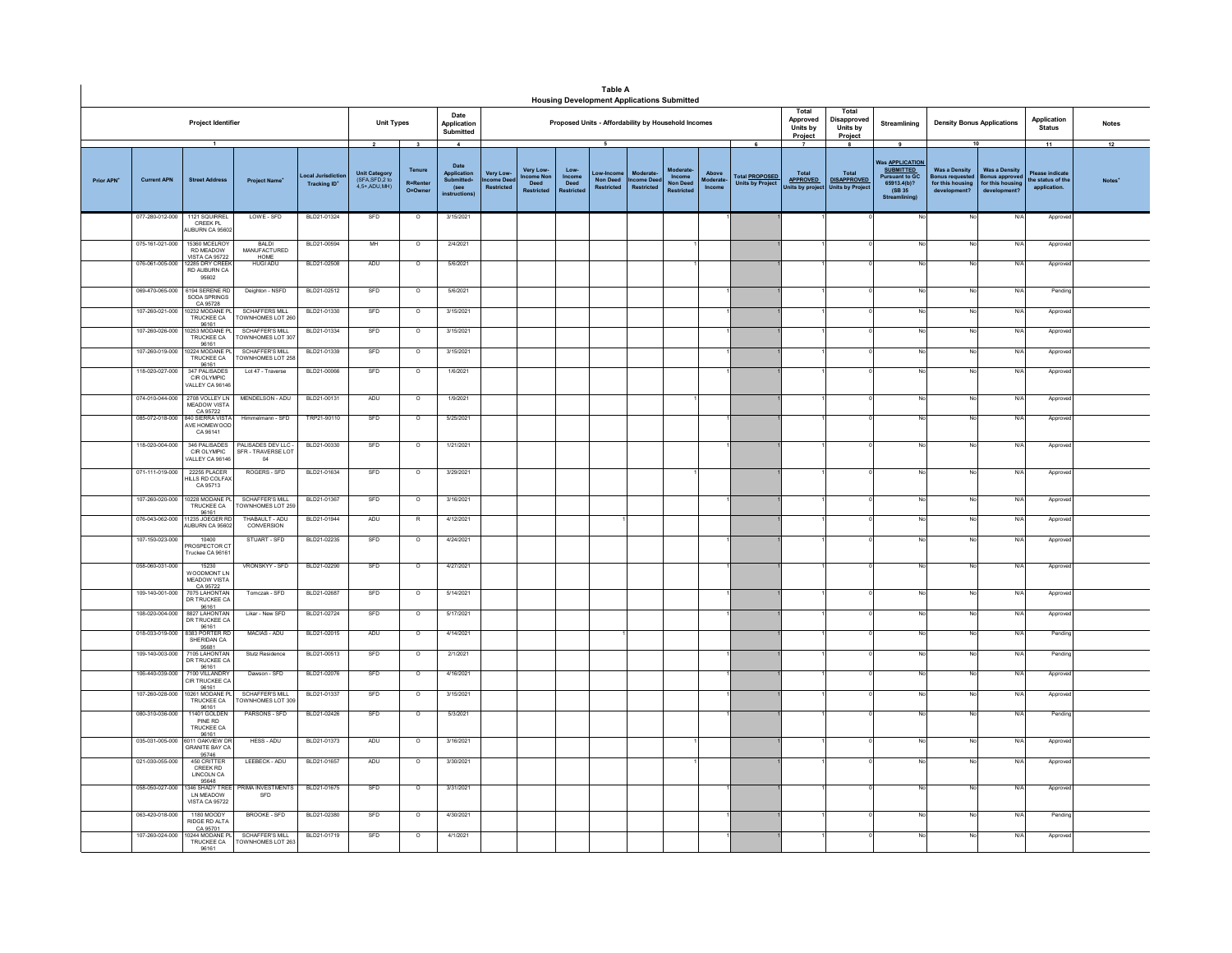|                        |                                    |                                                                                |                                                                       |                                                      |                                                                               |                                      |                                                    |                                             |                                               |                                      | <b>Table A</b><br><b>Housing Development Applications Submitted</b> |                             |                                                       |                                           |                                                      |                                                                                                             |                                                                                 |                                                                         |                                                           |                          |                              |              |
|------------------------|------------------------------------|--------------------------------------------------------------------------------|-----------------------------------------------------------------------|------------------------------------------------------|-------------------------------------------------------------------------------|--------------------------------------|----------------------------------------------------|---------------------------------------------|-----------------------------------------------|--------------------------------------|---------------------------------------------------------------------|-----------------------------|-------------------------------------------------------|-------------------------------------------|------------------------------------------------------|-------------------------------------------------------------------------------------------------------------|---------------------------------------------------------------------------------|-------------------------------------------------------------------------|-----------------------------------------------------------|--------------------------|------------------------------|--------------|
|                        |                                    | Project Identifier                                                             |                                                                       |                                                      | <b>Unit Types</b>                                                             |                                      | Date<br>Application<br>Submitted                   |                                             |                                               |                                      | Proposed Units - Affordability by Household Incomes                 |                             |                                                       |                                           |                                                      | Total<br>Approved<br>Units by<br>Project                                                                    | Total<br>Disapproved<br>Units by<br>Project                                     | Streamlining                                                            | <b>Density Bonus Applications</b>                         |                          | Application<br><b>Status</b> | <b>Notes</b> |
| Prior APN <sup>+</sup> | <b>Current APN</b>                 | ocal Jurisdictio<br><b>Tracking ID*</b>                                        | $\overline{2}$<br>Unit Category<br>(SFA, SFD, 2 to<br>$4,5+$ ADU, MH) | $\mathbf{3}$<br>Tenure<br><b>R=Renter</b><br>O=Owner | $\blacktriangle$<br>Date<br>Application<br>Submitted+<br>(see<br>instructions | Very Low-<br>ncome Dee<br>Restricted | Very Low-<br>tcome No<br>Deed<br><b>Restricted</b> | Low-<br><b>Income</b><br>Deed<br>Restricted | 5<br>ow-Inco<br><b>Non Deed</b><br>Restricted | Moderate<br>ncome Deed<br>Restricted | Moderate<br>Income<br><b>Non Deed</b><br>Restricted                 | Above<br>Moderate<br>Income | 6<br>Total <b>PROPOSED</b><br><b>Units by Project</b> | Total<br><b>APPROVED</b><br>nits by proje | -8<br>Total<br><b>DISAPPROVED</b><br>Jnits by Projec | 9<br>Vas <u>APPLICATION</u><br><b>SUBMITTED</b><br>Pursuant to GC<br>65913.4(b)?<br>(SB 35<br>Streamlining) | 10<br><b>Was a Density</b><br>onus requeste<br>for this housing<br>development? | <b>Was a Density</b><br>onus approve<br>for this housin<br>development? | 11<br>Please indicate<br>he status of the<br>application. | 12<br>Notes <sup>*</sup> |                              |              |
|                        | 077-280-012-000                    | 1121 SQUIRREL<br>CREEK PL<br>UBURN CA 9560                                     | LOWE - SFD                                                            | BLD21-01324                                          | SFD                                                                           | $\circ$                              | 3/15/2021                                          |                                             |                                               |                                      |                                                                     |                             |                                                       |                                           |                                                      |                                                                                                             |                                                                                 |                                                                         | No                                                        | N/A                      | Approved                     |              |
|                        | 075-161-021-000                    | 5360 MCELRO<br><b>RD MEADOW</b><br>VISTA CA 95722                              | BALDI<br>MANUFACTURED<br>HOME                                         | BLD21-00594                                          | MH                                                                            | $\overline{\circ}$                   | 2/4/2021                                           |                                             |                                               |                                      |                                                                     |                             |                                                       |                                           |                                                      |                                                                                                             |                                                                                 |                                                                         |                                                           | N/f                      | Approved                     |              |
|                        | 076-061-005-000                    | 2285 DRY CREEK<br><b>RD AUBURN CA</b><br>95602                                 | <b>HUGI ADU</b>                                                       | BLD21-02508                                          | ADU                                                                           | $\overline{\circ}$                   | 5/6/2021                                           |                                             |                                               |                                      |                                                                     |                             |                                                       |                                           |                                                      |                                                                                                             |                                                                                 |                                                                         |                                                           | N/f                      | Approv                       |              |
|                        | 069-470-065-000<br>107-260-021-000 | 6194 SERENE RD<br>SODA SPRINGS<br>CA 95728<br>10232 MODANE PL<br>TRUCKEE CA    | Deighton - NSFD<br>SCHAFFERS MILL<br>TOWNHOMES LOT 260                | BLD21-02512<br>BLD21-01330                           | SFD<br>SFD                                                                    | $\overline{\phantom{a}}$<br>$\circ$  | 5/6/2021<br>3/15/2021                              |                                             |                                               |                                      |                                                                     |                             |                                                       |                                           |                                                      |                                                                                                             |                                                                                 | No<br>No                                                                | No<br>No                                                  | N/A<br>N/A               | Pending<br>Approved          |              |
|                        | 107-260-026-000                    | 96161<br>0253 MODANE P<br>TRUCKEE CA<br>96161                                  | <b>SCHAFFER'S MILL</b><br>TOWNHOMES LOT 307                           | BLD21-01334                                          | SFD                                                                           | $\circ$                              | 3/15/2021                                          |                                             |                                               |                                      |                                                                     |                             |                                                       |                                           |                                                      |                                                                                                             |                                                                                 | No                                                                      |                                                           | N/A                      | Approve                      |              |
|                        | 107-260-019-000                    | 10224 MODANE PL<br>TRUCKEE CA<br>96161                                         | SCHAFFFR'S MILL<br>TOWNHOMES LOT 258                                  | BLD21-01339                                          | SFD                                                                           | $\circ$                              | 3/15/2021                                          |                                             |                                               |                                      |                                                                     |                             |                                                       |                                           |                                                      |                                                                                                             |                                                                                 | <b>No</b>                                                               | N                                                         | N/A                      | Approve                      |              |
|                        | 118-020-027-000                    | 347 PALISADES<br>CIR OLYMPIC<br>VALLEY CA 96146                                | Lot 47 - Traverse                                                     | BLD21-00066                                          | SFD                                                                           | $\Omega$                             | 1/6/2021                                           |                                             |                                               |                                      |                                                                     |                             |                                                       |                                           |                                                      |                                                                                                             |                                                                                 | No                                                                      | N.                                                        | N/A                      | Approve                      |              |
|                        | 074-010-044-000                    | 2708 VOLLEY LN<br><b>MEADOW VISTA</b><br>CA 95722                              | MENDELSON - ADU                                                       | BLD21-00131                                          | ADU                                                                           | $\overline{\circ}$                   | 1/9/2021                                           |                                             |                                               |                                      |                                                                     |                             |                                                       |                                           |                                                      |                                                                                                             |                                                                                 |                                                                         |                                                           | N/A                      | Approve                      |              |
|                        | 085-072-018-000                    | 840 SIERRA VISTA<br>AVE HOMEWOOD<br>CA 96141                                   | Himmelmann - SFD                                                      | TRP21-90110                                          | SFD                                                                           | $\overline{\circ}$                   | 5/25/2021                                          |                                             |                                               |                                      |                                                                     |                             |                                                       |                                           |                                                      |                                                                                                             |                                                                                 | No                                                                      |                                                           | N/A                      | Approve                      |              |
|                        | 118-020-004-000                    | 346 PALISADES<br>CIR OLYMPIC<br>VALLEY CA 96146                                | PALISADES DEV LLC -<br>SFR - TRAVERSE LOT<br>04                       | BLD21-00330                                          | SFD                                                                           | $\circ$                              | 1/21/2021                                          |                                             |                                               |                                      |                                                                     |                             |                                                       |                                           |                                                      |                                                                                                             |                                                                                 | No                                                                      | No                                                        | N/A                      | Approved                     |              |
|                        | 071-111-019-000                    | 22255 PLACER<br>HILLS RD COLFAX<br>CA 95713                                    | ROGERS - SFD                                                          | BLD21-01634                                          | SFD                                                                           | $\circ$                              | 3/29/2021                                          |                                             |                                               |                                      |                                                                     |                             |                                                       |                                           |                                                      |                                                                                                             |                                                                                 | No                                                                      | No                                                        | N/A                      | Approve                      |              |
|                        | 107-260-020-000                    | 0228 MODANE PI<br>TRUCKEE CA<br>96161                                          | SCHAFFER'S MILL<br>OWNHOMES LOT 259                                   | BLD21-01367                                          | SFD                                                                           | $\circ$                              | 3/16/2021                                          |                                             |                                               |                                      |                                                                     |                             |                                                       |                                           |                                                      |                                                                                                             |                                                                                 | No                                                                      |                                                           | N/A                      | Approve                      |              |
|                        | 076-043-062-000                    | 11235 JOEGER RD<br>AUBURN CA 95602                                             | THABAULT - ADU<br>CONVERSION                                          | BLD21-01944                                          | ADU                                                                           | $\mathsf{R}$                         | 4/12/2021                                          |                                             |                                               |                                      |                                                                     |                             |                                                       |                                           |                                                      |                                                                                                             |                                                                                 | No                                                                      | N                                                         | N/A                      | Approve                      |              |
|                        | 107-150-023-000                    | 10400<br>PROSPECTOR CT<br>Truckee CA 96161                                     | STUART - SFD                                                          | BLD21-02235                                          | SFD                                                                           | $\circ$                              | 4/24/2021                                          |                                             |                                               |                                      |                                                                     |                             |                                                       |                                           |                                                      |                                                                                                             |                                                                                 | No                                                                      | No                                                        | N/A                      | Approve                      |              |
|                        | 058-060-031-000                    | 15230<br><b>MOODMONT IN</b><br>MEADOW VISTA<br>CA 95722<br>7075 LAHONTAN       | VRONSKYY - SFD                                                        | BLD21-02290                                          | SFD                                                                           | $\circ$                              | 4/27/2021                                          |                                             |                                               |                                      |                                                                     |                             |                                                       |                                           |                                                      |                                                                                                             |                                                                                 |                                                                         |                                                           | N/A                      | Approve                      |              |
|                        | 109-140-001-000                    | DR TRUCKEE CA<br>96161<br>8827 LAHONTAN                                        | Tomczak - SFD<br>Likar - New SFD                                      | BLD21-02687<br>BLD21-02724                           | SFD<br>SFD                                                                    | $\circ$                              | 5/14/2021<br>5/17/2021                             |                                             |                                               |                                      |                                                                     |                             |                                                       |                                           |                                                      |                                                                                                             |                                                                                 | No                                                                      | No                                                        | N/A                      | Approve                      |              |
|                        | 108-020-004-000<br>018-033-019-000 | DR TRUCKEE CA<br>96161<br>8383 PORTER R                                        | MACIAS - ADU                                                          | BLD21-02015                                          | ADU                                                                           | $\circ$<br>$\circ$                   | 4/14/2021                                          |                                             |                                               |                                      |                                                                     |                             |                                                       |                                           |                                                      |                                                                                                             |                                                                                 | No                                                                      | No                                                        | N/A<br>N/A               | Approve<br>Pending           |              |
|                        | 109-140-003-000                    | SHERIDAN CA<br>95681<br>7105 LAHONTAN                                          | Stutz Residence                                                       | BLD21-00513                                          | SFD                                                                           | $\circ$                              | 2/1/2021                                           |                                             |                                               |                                      |                                                                     |                             |                                                       |                                           |                                                      |                                                                                                             |                                                                                 | No                                                                      | Ñ                                                         | N/A                      | Pendin                       |              |
|                        | 106-440-039-000                    | DR TRUCKEE CA<br>96161<br>7100 VILLANDRY                                       | Dawson - SFD                                                          | BLD21-02076                                          | SFD                                                                           | $\circ$                              | 4/16/2021                                          |                                             |                                               |                                      |                                                                     |                             |                                                       |                                           |                                                      |                                                                                                             |                                                                                 | No                                                                      | N <sub>c</sub>                                            | N/A                      | Approve                      |              |
|                        | 107-260-028-000                    | CIR TRUCKEE CA<br>96161<br>10261 MODANE F                                      | SCHAFFFR'S MILL                                                       | BLD21-01337                                          | SFD                                                                           | $\circ$                              | 3/15/2021                                          |                                             |                                               |                                      |                                                                     |                             |                                                       |                                           |                                                      |                                                                                                             |                                                                                 | No                                                                      | No                                                        | N/A                      | Approve                      |              |
|                        | 080-310-036-000                    | TRUCKEE CA<br>96161<br>11401 GOLDEN<br>PINE RD                                 | TOWNHOMES LOT 309<br>PARSONS - SFD                                    | BLD21-02426                                          | SFD                                                                           | $\circ$                              | 5/3/2021                                           |                                             |                                               |                                      |                                                                     |                             |                                                       |                                           |                                                      |                                                                                                             |                                                                                 | No                                                                      | No                                                        | N/A                      | Pending                      |              |
|                        | 035-031-005-000                    | <b>TRUCKEE CA</b><br>96161<br>011 OAKVIEW D                                    | HESS - ADU                                                            | BLD21-01373                                          | ADU                                                                           | $\circ$                              | 3/16/2021                                          |                                             |                                               |                                      |                                                                     |                             |                                                       |                                           |                                                      |                                                                                                             |                                                                                 | No                                                                      |                                                           | N/A                      | Approve                      |              |
|                        | 021-030-055-000                    | <b>GRANITE BAY CA</b><br>95746<br>450 CRITTER<br>CREEK RD<br><b>LINCOLN CA</b> | LEEBECK - ADU                                                         | BLD21-01657                                          | ADU                                                                           | $\circ$                              | 3/30/2021                                          |                                             |                                               |                                      |                                                                     |                             |                                                       |                                           |                                                      |                                                                                                             |                                                                                 | No                                                                      | N.                                                        | N/A                      | Approve                      |              |
|                        | 058-050-027-000                    | 95648<br>346 SHADY TREE<br>I N MEADOW<br><b>VISTA CA 95722</b>                 | PRIMA INVESTMENTS<br>SFD                                              | BLD21-01675                                          | SFD                                                                           | $\overline{\circ}$                   | 3/31/2021                                          |                                             |                                               |                                      |                                                                     |                             |                                                       |                                           |                                                      |                                                                                                             |                                                                                 | No                                                                      |                                                           | N/A                      | Approv                       |              |
|                        | 063-420-018-000                    | 1180 MOODY<br>RIDGE RD ALTA                                                    | <b>BROOKE - SFD</b>                                                   | BLD21-02380                                          | SED                                                                           | $\circ$                              | 4/30/2021                                          |                                             |                                               |                                      |                                                                     |                             |                                                       |                                           |                                                      |                                                                                                             |                                                                                 | No                                                                      | No                                                        | N/A                      | Pending                      |              |
|                        | 107-260-024-000                    | CA 95701<br>10244 MODANE PL<br>TRUCKEE CA<br>96161                             | SCHAFFER'S MILL<br>TOWNHOMES LOT 263                                  | BLD21-01719                                          | SFD                                                                           | $\circ$                              | 4/1/2021                                           |                                             |                                               |                                      |                                                                     |                             |                                                       |                                           |                                                      |                                                                                                             |                                                                                 |                                                                         |                                                           | N/A                      | Approved                     |              |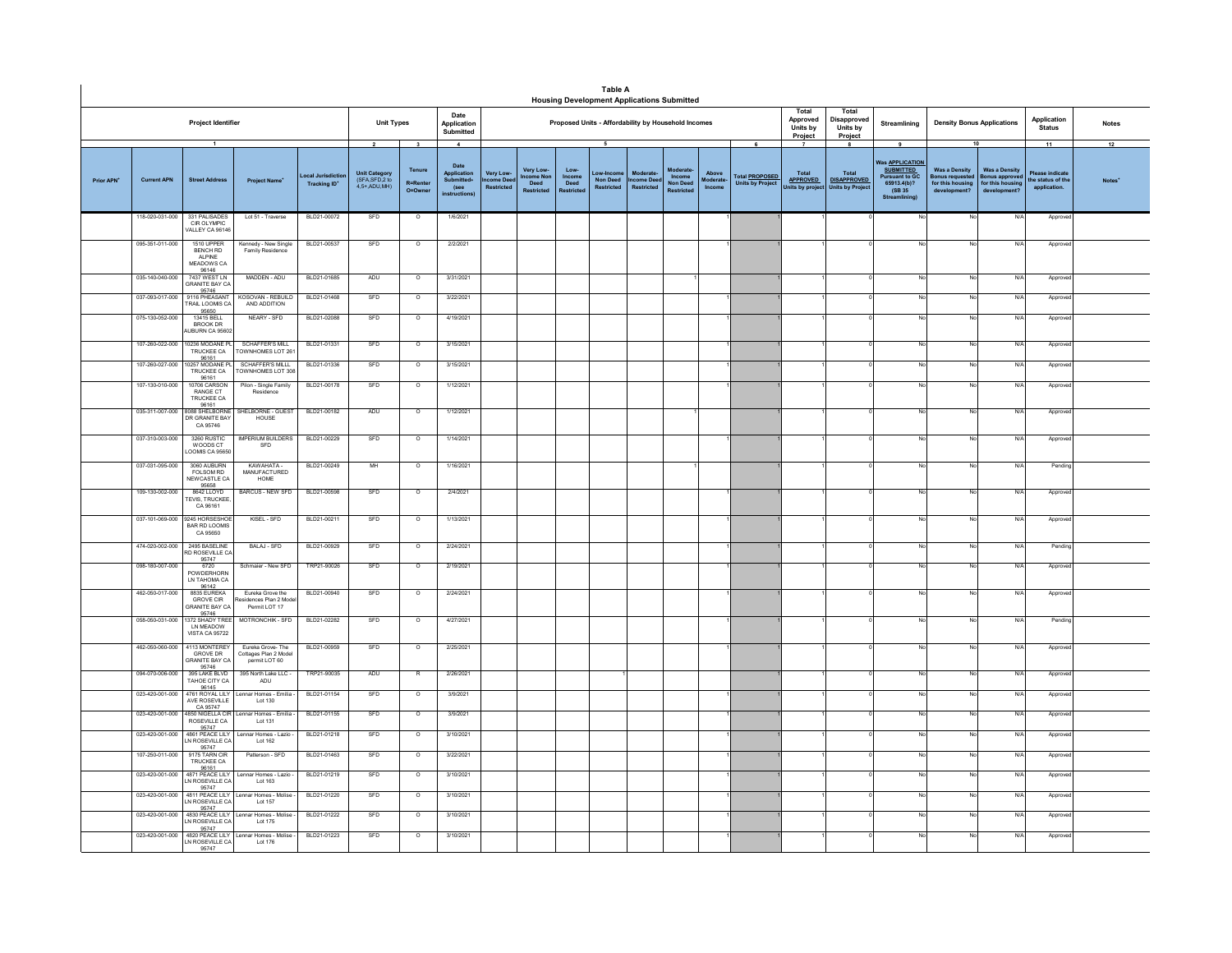|                        |                                    |                                                                                            |                                                             |                                     |                                                                    |                                                              |                                                                                |                                             |                                                    |                                             | <b>Table A</b><br><b>Housing Development Applications Submitted</b> |                                                   |                                                     |                             |                                                       |                                                                         |                                                                        |                                                                                                                     |                                                                                    |                                                                                 |                                                                   |                    |
|------------------------|------------------------------------|--------------------------------------------------------------------------------------------|-------------------------------------------------------------|-------------------------------------|--------------------------------------------------------------------|--------------------------------------------------------------|--------------------------------------------------------------------------------|---------------------------------------------|----------------------------------------------------|---------------------------------------------|---------------------------------------------------------------------|---------------------------------------------------|-----------------------------------------------------|-----------------------------|-------------------------------------------------------|-------------------------------------------------------------------------|------------------------------------------------------------------------|---------------------------------------------------------------------------------------------------------------------|------------------------------------------------------------------------------------|---------------------------------------------------------------------------------|-------------------------------------------------------------------|--------------------|
|                        |                                    | Project Identifier                                                                         |                                                             |                                     | <b>Unit Types</b>                                                  |                                                              | Date<br>Application<br>Submitted                                               |                                             |                                                    |                                             | Proposed Units - Affordability by Household Incomes                 |                                                   |                                                     |                             |                                                       | Total<br>Approved<br>Units by<br>Project                                | Total<br>Disapproved<br>Units by<br>Project                            | Streamlining                                                                                                        | <b>Density Bonus Applications</b>                                                  |                                                                                 | Application<br><b>Status</b>                                      | <b>Notes</b>       |
| Prior APN <sup>+</sup> | <b>Current APN</b>                 | $\overline{1}$<br><b>Street Address</b>                                                    | <b>Project Name*</b>                                        | ocal Jurisdic<br><b>Tracking ID</b> | $\overline{2}$<br>Unit Category<br>(SFA, SFD, 2 to<br>4,5+,ADU,MH) | $\overline{\mathbf{3}}$<br>Tenure<br>R=Rente<br>$Q = Q$ wner | $\mathbf{A}$<br>Date<br>Application<br><b>Submitted</b><br>(see<br>nstructions | Very Low-<br>ncome Dee<br><b>Restricted</b> | Very Low-<br>come Nor<br>Deed<br><b>Restricted</b> | Low-<br>Income<br>Deed<br><b>Restricted</b> | 5<br>Non Deed<br><b>Restricted</b>                                  | <b>Moderat</b><br>ncome Deec<br><b>Restricted</b> | Moderate<br>Income<br>Non Deed<br><b>Restricted</b> | Above<br>Moderate<br>Income | 6<br><b>Total PROPOSED</b><br><b>Units by Project</b> | $\overline{\phantom{a}}$<br>Total<br><b>APPROVED</b><br>Inits by projec | $\mathbf{a}$<br>Total<br><b>DISAPPROVED</b><br><b>Units by Project</b> | 9<br>Was <b>APPLICATION</b><br><b>SUBMITTED</b><br><b>Pursuant to GC</b><br>65913.4(b)?<br>(SB 35)<br>Streamlining) | <b>Was a Density</b><br><b>Bonus requester</b><br>for this housing<br>development? | 10<br><b>Was a Density</b><br>onus approver<br>for this housing<br>development? | 11<br><b>Please indicate</b><br>the status of the<br>application. | 12<br><b>Notes</b> |
|                        | 118-020-031-000                    | 331 PALISADES<br>CIR OI YMPIC<br>ALLEY CA 96146                                            | Lot 51 - Traverse                                           | BLD21-00072                         | SFD                                                                | $\circ$                                                      | 1/6/2021                                                                       |                                             |                                                    |                                             |                                                                     |                                                   |                                                     |                             |                                                       |                                                                         |                                                                        |                                                                                                                     | No                                                                                 | N/f                                                                             | Appro                                                             |                    |
|                        | 095-351-011-000<br>035-140-040-000 | 1510 UPPER<br>BENCH RD<br>AI PINE<br>MEADOWS CA<br>96146<br>7437 WEST LN<br>SRANITE BAY CA | Kennedy - New Single<br>Family Residence<br>MADDEN - ADU    | BLD21-00537<br>BLD21-01685          | SFD<br>ADU                                                         | $\overline{\circ}$<br>$\circ$                                | 2/2/2021<br>3/31/2021                                                          |                                             |                                                    |                                             |                                                                     |                                                   |                                                     |                             |                                                       |                                                                         |                                                                        |                                                                                                                     | No<br>No                                                                           | $N$ /<br>N/f                                                                    | Approve<br>Approv                                                 |                    |
|                        | 037-093-017-000                    | 95746<br>9116 PHEASANT<br>RAIL LOOMIS CA                                                   | KOSOVAN - REBUILD<br>AND ADDITION                           | BLD21-01468                         | SFD                                                                | $\circ$                                                      | 3/22/2021                                                                      |                                             |                                                    |                                             |                                                                     |                                                   |                                                     |                             |                                                       |                                                                         |                                                                        |                                                                                                                     | No                                                                                 | N/                                                                              | Approv                                                            |                    |
|                        | 075-130-052-000                    | 95650<br>13415 BELL<br>BROOK DR<br>UBURN CA 95602                                          | NEARY - SFD                                                 | BLD21-02088                         | SFD                                                                | $\circ$                                                      | 4/19/2021                                                                      |                                             |                                                    |                                             |                                                                     |                                                   |                                                     |                             |                                                       |                                                                         |                                                                        |                                                                                                                     | No                                                                                 | N/                                                                              | Approv                                                            |                    |
|                        | 107-260-022-000                    | 0236 MODANE PL<br>TRUCKEE CA                                                               | SCHAFFFR'S MILL<br>OWNHOMES LOT 261                         | BLD21-01331                         | SFD                                                                | $\overline{0}$                                               | 3/15/2021                                                                      |                                             |                                                    |                                             |                                                                     |                                                   |                                                     |                             |                                                       |                                                                         |                                                                        |                                                                                                                     | N <sub>0</sub>                                                                     | N/I                                                                             | Approv                                                            |                    |
|                        | 107-260-027-000                    | 96161<br>0257 MODANE PL<br>TRUCKEE CA                                                      | SCHAFFER'S MILLL<br>OWNHOMES LOT 308                        | BLD21-01336                         | SED                                                                | $\Omega$                                                     | 3/15/2021                                                                      |                                             |                                                    |                                             |                                                                     |                                                   |                                                     |                             |                                                       |                                                                         |                                                                        |                                                                                                                     | No                                                                                 | N/l                                                                             | Approve                                                           |                    |
|                        | 107-130-010-000                    | 96161<br>10706 CARSON<br>RANGE CT<br><b>TRUCKEE CA</b>                                     | Pilon - Single Family<br>Residence                          | BLD21-00178                         | SFD                                                                | $\circ$                                                      | 1/12/2021                                                                      |                                             |                                                    |                                             |                                                                     |                                                   |                                                     |                             |                                                       |                                                                         |                                                                        |                                                                                                                     | No                                                                                 | N/                                                                              | Approv                                                            |                    |
|                        | 035-311-007-000                    | 96161<br>8088 SHELBORNE<br>DR GRANITE BAY<br>CA 95746                                      | SHELBORNE - GUEST<br>HOUSE                                  | BLD21-00182                         | ADU                                                                | $\circ$                                                      | 1/12/2021                                                                      |                                             |                                                    |                                             |                                                                     |                                                   |                                                     |                             |                                                       |                                                                         |                                                                        |                                                                                                                     | No                                                                                 | N/f                                                                             | Approv                                                            |                    |
|                        | 037-310-003-000                    | 3260 RUSTIC<br>WOODS CT<br>OOMIS CA 95650                                                  | <b>MPERIUM BUILDERS</b><br>SFD                              | BLD21-00229                         | SFD                                                                | $\overline{\circ}$                                           | 1/14/2021                                                                      |                                             |                                                    |                                             |                                                                     |                                                   |                                                     |                             |                                                       |                                                                         |                                                                        |                                                                                                                     | <b>No</b>                                                                          | N/                                                                              | Approve                                                           |                    |
|                        | 037-031-095-000                    | 3060 AURURN<br>FOLSOM RD<br>NEW CASTLE CA<br>95658                                         | KAWAHATA-<br>MANUFACTURED<br>HOME                           | BLD21-00249                         | MH                                                                 | $\overline{0}$                                               | 1/16/2021                                                                      |                                             |                                                    |                                             |                                                                     |                                                   |                                                     |                             |                                                       |                                                                         |                                                                        |                                                                                                                     | No                                                                                 | N/f                                                                             | Pending                                                           |                    |
|                        | 109-130-002-000                    | 8642 LLOYD<br><b>FEVIS, TRUCKEE</b><br>CA 96161                                            | BARCUS - NEW SFD                                            | BLD21-00598                         | SFD                                                                | $\circ$                                                      | 2/4/2021                                                                       |                                             |                                                    |                                             |                                                                     |                                                   |                                                     |                             |                                                       |                                                                         |                                                                        |                                                                                                                     | No.                                                                                | N/l                                                                             | Approv                                                            |                    |
|                        | 037-101-069-000                    | 9245 HORSESHOF<br><b>BAR RD LOOMIS</b><br>CA 95650                                         | KISEL - SFD                                                 | BLD21-00211                         | SFD                                                                | $\circ$                                                      | 1/13/2021                                                                      |                                             |                                                    |                                             |                                                                     |                                                   |                                                     |                             |                                                       |                                                                         |                                                                        |                                                                                                                     | No                                                                                 | N/f                                                                             | Approv                                                            |                    |
|                        | 474-020-002-000                    | 2495 BASELINE<br>RD ROSEVILLE CA<br>95747                                                  | BALAJ - SFD                                                 | BLD21-00929                         | SFD                                                                | $\overline{\circ}$                                           | 2/24/2021                                                                      |                                             |                                                    |                                             |                                                                     |                                                   |                                                     |                             |                                                       |                                                                         |                                                                        |                                                                                                                     | No.                                                                                | N                                                                               | Pending                                                           |                    |
|                        | 098-180-007-000                    | 6720<br>POWDERHORN<br>LN TAHOMA CA                                                         | Schmaier - New SFD                                          | TRP21-90026                         | SFD                                                                | $\overline{\circ}$                                           | 2/19/2021                                                                      |                                             |                                                    |                                             |                                                                     |                                                   |                                                     |                             |                                                       |                                                                         |                                                                        |                                                                                                                     | No                                                                                 | N/4                                                                             | Approv                                                            |                    |
|                        | 462-050-017-000                    | 96142<br>8835 EUREKA<br><b>GROVE CIR</b><br>GRANITE BAY CA<br>95746                        | Eureka Grove the<br>sidences Plan 2 Model<br>Permit I OT 17 | BLD21-00940                         | SFD                                                                | $\circ$                                                      | 2/24/2021                                                                      |                                             |                                                    |                                             |                                                                     |                                                   |                                                     |                             |                                                       |                                                                         |                                                                        |                                                                                                                     | No                                                                                 | N/                                                                              | Approve                                                           |                    |
|                        | 058-050-031-000                    | 1372 SHADY TRFF<br>LN MEADOW<br>VISTA CA 95722                                             | MOTRONCHIK - SFD                                            | BLD21-02282                         | SFD                                                                | $\circ$                                                      | 4/27/2021                                                                      |                                             |                                                    |                                             |                                                                     |                                                   |                                                     |                             |                                                       |                                                                         |                                                                        |                                                                                                                     | No                                                                                 | N/4                                                                             | Pending                                                           |                    |
|                        | 462-050-060-000                    | 4113 MONTEREY<br><b>GROVE DR</b><br><b>GRANITE BAY CA</b><br>95746                         | Eureka Grove-The<br>Cottages Plan 2 Model<br>permit LOT 60  | BLD21-00959                         | SFD                                                                | $\circ$                                                      | 2/25/2021                                                                      |                                             |                                                    |                                             |                                                                     |                                                   |                                                     |                             |                                                       |                                                                         |                                                                        |                                                                                                                     | No                                                                                 | N/f                                                                             | Approve                                                           |                    |
|                        | 094-070-006-000                    | 395 LAKE BLVD<br>TAHOE CITY CA<br>96145                                                    | 395 North Lake LLC -<br>ADU                                 | TRP21-90035                         | ADU                                                                | $\mathsf{R}$                                                 | 2/26/2021                                                                      |                                             |                                                    |                                             |                                                                     |                                                   |                                                     |                             |                                                       |                                                                         |                                                                        |                                                                                                                     | No                                                                                 | N/f                                                                             | Approv                                                            |                    |
|                        | 023-420-001-000                    | 4761 ROYAL LILY<br>AVE ROSEVILLE<br>CA 95747                                               | Lennar Homes - Emilia<br>Lot 130                            | BLD21-01154                         | SFD                                                                | $\overline{0}$                                               | 3/9/2021                                                                       |                                             |                                                    |                                             |                                                                     |                                                   |                                                     |                             |                                                       |                                                                         |                                                                        |                                                                                                                     | <b>No</b>                                                                          | N/I                                                                             | Approv                                                            |                    |
|                        | 023-420-001-000                    | 4850 NIGELLA CIR.<br>ROSEVILLE CA                                                          | Lennar Homes - Emilia -<br>Lot 131                          | BLD21-01155                         | SFD                                                                | $\Omega$                                                     | 3/9/2021                                                                       |                                             |                                                    |                                             |                                                                     |                                                   |                                                     |                             |                                                       |                                                                         |                                                                        | No                                                                                                                  | No                                                                                 | N/L                                                                             | Approve                                                           |                    |
|                        | 023-420-001-000                    | 95747<br>4861 PEACE LILY<br>N ROSEVILLE CA<br>95747                                        | Lennar Homes - Lazio<br>Lot 162                             | BLD21-01218                         | SFD                                                                | $\circ$                                                      | 3/10/2021                                                                      |                                             |                                                    |                                             |                                                                     |                                                   |                                                     |                             |                                                       |                                                                         |                                                                        |                                                                                                                     | No                                                                                 | N/                                                                              | Approv                                                            |                    |
|                        | 107-250-011-000                    | 9175 TARN CIR<br>TRUCKEE CA<br>96161                                                       | Patterson - SFD                                             | BLD21-01463                         | SFD                                                                | $\circ$                                                      | 3/22/2021                                                                      |                                             |                                                    |                                             |                                                                     |                                                   |                                                     |                             |                                                       |                                                                         |                                                                        |                                                                                                                     | No                                                                                 | N/                                                                              | Approv                                                            |                    |
|                        | 023-420-001-000                    | 4871 PEACE LILY<br><b>N ROSEVILLE CA</b><br>95747                                          | ennar Homes - Lazio<br>Lot 163                              | BLD21-01219                         | SFD                                                                | $\circ$                                                      | 3/10/2021                                                                      |                                             |                                                    |                                             |                                                                     |                                                   |                                                     |                             |                                                       |                                                                         |                                                                        |                                                                                                                     | No                                                                                 | N/f                                                                             | Appro                                                             |                    |
|                        | 023-420-001-000                    | 4811 PEACE LILY<br><b>N ROSEVILLE CA</b><br>95747                                          | ennar Homes - Molise<br>Lot 157                             | BLD21-01220                         | SFD                                                                | $\circ$                                                      | 3/10/2021                                                                      |                                             |                                                    |                                             |                                                                     |                                                   |                                                     |                             |                                                       |                                                                         |                                                                        |                                                                                                                     | No                                                                                 | N/f                                                                             | Approv                                                            |                    |
|                        | 023-420-001-000                    | 4830 PEACE LILY<br>N ROSEVILLE CA<br>95747                                                 | Lennar Homes - Molise<br>Lot 175                            | BLD21-01222                         | SFD                                                                | $\circ$                                                      | 3/10/2021                                                                      |                                             |                                                    |                                             |                                                                     |                                                   |                                                     |                             |                                                       |                                                                         |                                                                        | No                                                                                                                  | No                                                                                 | N/A                                                                             | Approv                                                            |                    |
|                        | 023-420-001-000                    | IN ROSEVILLE CA<br>95747                                                                   | 4820 PEACE LILY Lennar Homes - Molise<br>Lot 176            | BLD21-01223                         | SFD                                                                | $\circ$                                                      | 3/10/2021                                                                      |                                             |                                                    |                                             |                                                                     |                                                   |                                                     |                             |                                                       |                                                                         |                                                                        |                                                                                                                     | No                                                                                 | N/f                                                                             | Approv                                                            |                    |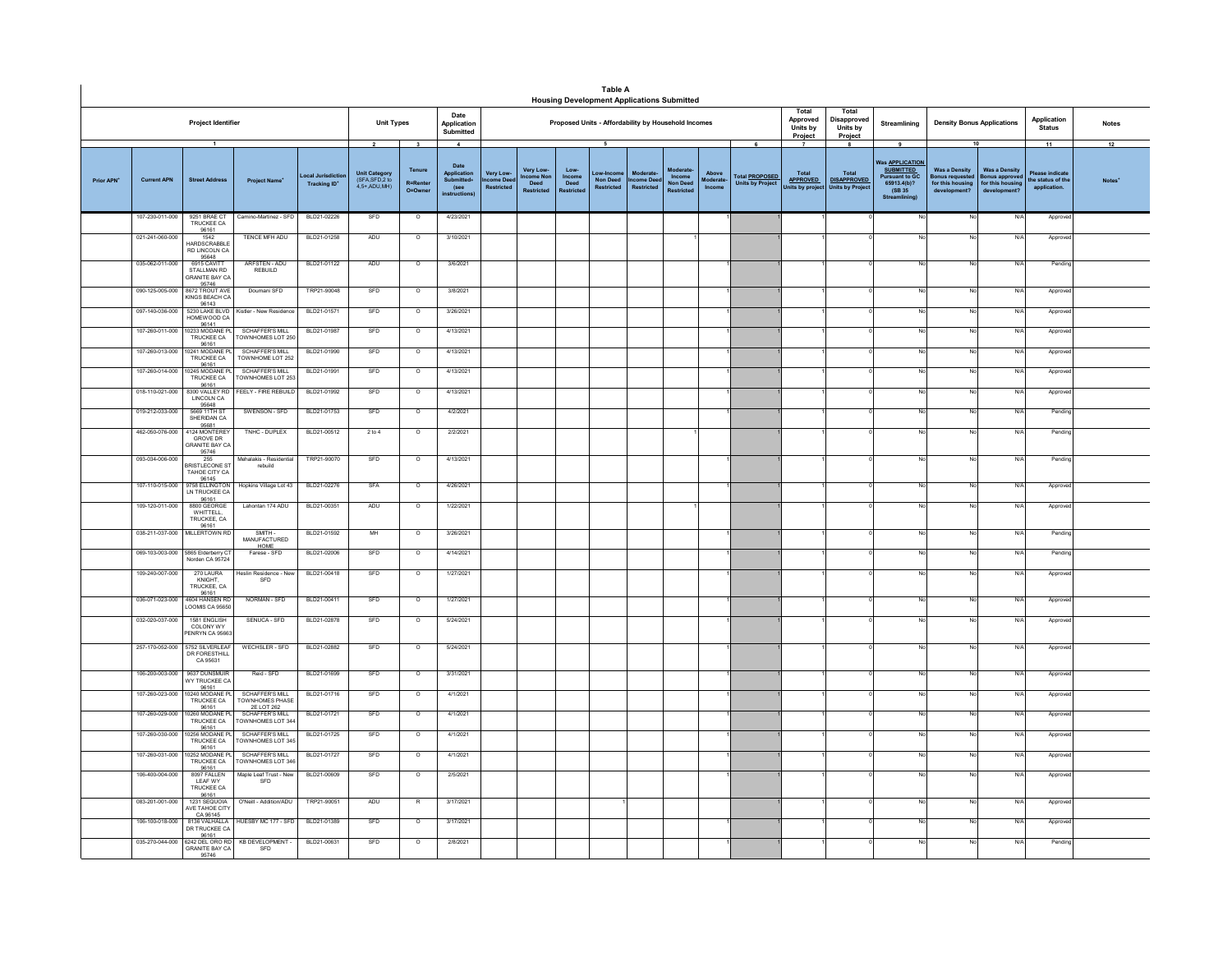|            |                               |                                                                |                                                         |                                               |                                                                |                                                                |                                                                             |                                            |                                           |                                     | <b>Table A</b><br><b>Housing Development Applications Submitted</b> |                                                   |                                               |                            |                                                       |                                                            |                                                  |                                                                                                            |                                                                                 |                                                                 |                                                          |              |
|------------|-------------------------------|----------------------------------------------------------------|---------------------------------------------------------|-----------------------------------------------|----------------------------------------------------------------|----------------------------------------------------------------|-----------------------------------------------------------------------------|--------------------------------------------|-------------------------------------------|-------------------------------------|---------------------------------------------------------------------|---------------------------------------------------|-----------------------------------------------|----------------------------|-------------------------------------------------------|------------------------------------------------------------|--------------------------------------------------|------------------------------------------------------------------------------------------------------------|---------------------------------------------------------------------------------|-----------------------------------------------------------------|----------------------------------------------------------|--------------|
|            |                               | <b>Project Identifier</b>                                      |                                                         |                                               | <b>Unit Types</b>                                              |                                                                | Date<br>Application<br>Submitted                                            |                                            |                                           |                                     | Proposed Units - Affordability by Household Incomes                 |                                                   |                                               |                            |                                                       | Total<br>Approved<br>Units by<br>Project                   | Total<br>Disapproved<br>Units by<br>Project      | Streamlining                                                                                               | <b>Density Bonus Applications</b>                                               |                                                                 | Application<br><b>Status</b>                             | <b>Notes</b> |
| Prior APN' | <b>Current APN</b>            | $\overline{1}$<br><b>Street Address</b>                        | <b>Project Name</b>                                     | ocal Jurisdiction<br>Tracking ID <sup>+</sup> | $\mathbf{2}$<br>Unit Category<br>(SFA,SFD,2 to<br>4,5+,ADU,MH) | $\overline{\mathbf{3}}$<br>Tenure<br><b>R=Rente</b><br>O=Owner | $\overline{4}$<br>Date<br>Application<br>Submitted+<br>(see<br>instructions | Very Low-<br>come Dee<br><b>Restricted</b> | Very Low-<br>come Non<br>Deed<br>Restrict | Low-<br>Income<br>Deed<br>testricte | 5<br>ow-Incon<br>Non Deed<br><b>Restricted</b>                      | <b>Moderate</b><br>come Deed<br><b>Restricted</b> | Income<br><b>Non Deed</b><br><b>Restricte</b> | Above<br>oderate<br>Income | 6<br><b>Total PROPOSED</b><br><b>Units by Project</b> | $\overline{7}$<br>Total<br><b>APPROVED</b><br>nits by proj | 8<br>Total<br><b>DISAPPROVED</b><br>Units by Pro | 9<br><b>Was APPLICATION</b><br><b>SUBMITTED</b><br><b>Pursuant to GC</b><br>65913,4(b)?<br>(SB 35)<br>Stre | 10<br><b>Was a Density</b><br>onus requeste<br>for this housing<br>development? | Was a Density<br>onus approv<br>for this housin<br>development' | 11<br>Please indicate<br>he status of the<br>application | 12<br>Notes' |
|            | 107-230-011-000               | 9251 BRAE CT<br>TRUCKEE CA                                     | Camino-Martinez - SFD                                   | BLD21-02226                                   | SFD                                                            | $\circ$                                                        | 4/23/2021                                                                   |                                            |                                           |                                     |                                                                     |                                                   |                                               |                            |                                                       |                                                            |                                                  | No                                                                                                         | No                                                                              | N/4                                                             | Approv                                                   |              |
|            | 021-241-060-000               | 96161<br>1542<br><b>IARDSCRABBLE</b><br>RD LINCOLN CA<br>95648 | TENCE MFH ADU                                           | BLD21-01258                                   | ADU                                                            | $\circ$                                                        | 3/10/2021                                                                   |                                            |                                           |                                     |                                                                     |                                                   |                                               |                            |                                                       |                                                            |                                                  |                                                                                                            | No                                                                              | $N$ /                                                           | Approv                                                   |              |
|            | 035-062-011-000               | 6915 CAVITT<br>STALLMAN RD<br><b>GRANITE BAY CA</b>            | ARFSTEN - ADU<br>REBUILD                                | BLD21-01122                                   | ADU                                                            | $\circ$                                                        | 3/6/2021                                                                    |                                            |                                           |                                     |                                                                     |                                                   |                                               |                            |                                                       |                                                            |                                                  | Nr                                                                                                         | No                                                                              | N/f                                                             | Pending                                                  |              |
|            | 090-125-005-000               | 95746<br>8672 TROUT AVE<br>KINGS BEACH CA                      | Doumani SFD                                             | TRP21-90048                                   | SFD                                                            | $\overline{0}$                                                 | 3/8/2021                                                                    |                                            |                                           |                                     |                                                                     |                                                   |                                               |                            |                                                       |                                                            |                                                  | No                                                                                                         | No                                                                              | N/I                                                             | Approve                                                  |              |
|            | 097-140-036-000               | 96143<br>5230 LAKE BLVD<br>HOMEWOOD CA<br>96141                | Kistler - New Residence                                 | BLD21-01571                                   | SFD                                                            | $\circ$                                                        | 3/26/2021                                                                   |                                            |                                           |                                     |                                                                     |                                                   |                                               |                            |                                                       |                                                            |                                                  | No                                                                                                         | No                                                                              | N/A                                                             | Approve                                                  |              |
|            | 107-260-011-000               | 0233 MODANE F<br>TRUCKEE CA                                    | SCHAFFER'S MILL<br><b>FOWNHOMES LOT 250</b>             | BLD21-01987                                   | SFD                                                            | $\overline{\circ}$                                             | 4/13/2021                                                                   |                                            |                                           |                                     |                                                                     |                                                   |                                               |                            |                                                       |                                                            |                                                  | No                                                                                                         | <b>No</b>                                                                       | N/A                                                             | Approv                                                   |              |
|            | 107-260-013-000               | 96161<br>10241 MODANE F<br>TRUCKEE CA                          | SCHAFFER'S MILL<br>TOWNHOME LOT 252                     | BLD21-01990                                   | SFD                                                            | $\circ$                                                        | 4/13/2021                                                                   |                                            |                                           |                                     |                                                                     |                                                   |                                               |                            |                                                       |                                                            |                                                  | No                                                                                                         | No                                                                              | N/A                                                             | Approve                                                  |              |
|            | 107-260-014-000               | 96161<br>10245 MODANE P<br>TRUCKEE CA                          | SCHAFFER'S MILL<br>OWNHOMES LOT 253                     | BLD21-01991                                   | SFD                                                            | $\circ$                                                        | 4/13/2021                                                                   |                                            |                                           |                                     |                                                                     |                                                   |                                               |                            |                                                       |                                                            |                                                  |                                                                                                            |                                                                                 | N/f                                                             | Approver                                                 |              |
|            | 018-110-021-000               | 96161<br>8300 VALLEY RD<br>LINCOLN CA<br>95648                 | FEELY - FIRE REBUILD                                    | BLD21-01992                                   | SFD                                                            | $\circ$                                                        | 4/13/2021                                                                   |                                            |                                           |                                     |                                                                     |                                                   |                                               |                            |                                                       |                                                            |                                                  |                                                                                                            |                                                                                 | N/f                                                             | Approve                                                  |              |
|            | 019-212-033-000               | 5669 11TH ST<br>SHERIDAN CA<br>95681                           | SWENSON - SFD                                           | BLD21-01753                                   | SFD                                                            | $\overline{\circ}$                                             | 4/2/2021                                                                    |                                            |                                           |                                     |                                                                     |                                                   |                                               |                            |                                                       |                                                            |                                                  |                                                                                                            |                                                                                 | N/A                                                             | Pending                                                  |              |
|            | 462-050-076-000               | 1124 MONTEREY<br><b>GROVE DR</b><br>SRANITE BAY CA<br>95746    | TNHC - DUPLEX                                           | BLD21-00512                                   | 2 to 4                                                         | $\overline{\circ}$                                             | 2/2/2021                                                                    |                                            |                                           |                                     |                                                                     |                                                   |                                               |                            |                                                       |                                                            |                                                  |                                                                                                            |                                                                                 | N/f                                                             | Pendin                                                   |              |
|            | 093-034-006-000               | 255<br><b>RRISTI FCONE S</b><br>TAHOE CITY CA<br>96145         | ehalakis - Residentia<br>rebuild                        | TRP21-90070                                   | SFD                                                            | $\circ$                                                        | 4/13/2021                                                                   |                                            |                                           |                                     |                                                                     |                                                   |                                               |                            |                                                       |                                                            |                                                  | No                                                                                                         | No                                                                              | N/f                                                             | Pending                                                  |              |
|            | 107-110-015-000               | 9758 ELLINGTON<br>LN TRUCKEE CA<br>96161                       | Hopkins Village Lot 43                                  | BLD21-02276                                   | <b>SFA</b>                                                     | $\circ$                                                        | 4/26/2021                                                                   |                                            |                                           |                                     |                                                                     |                                                   |                                               |                            |                                                       |                                                            |                                                  | No                                                                                                         | No                                                                              | N/f                                                             | Approver                                                 |              |
|            | 109-120-011-000               | 8800 GEORGE<br>WHITTELL.<br>TRUCKEE, CA<br>96161               | Lahontan 174 ADU                                        | BLD21-00351                                   | ADU                                                            | $\circ$                                                        | 1/22/2021                                                                   |                                            |                                           |                                     |                                                                     |                                                   |                                               |                            |                                                       |                                                            |                                                  | No                                                                                                         | No                                                                              | N/f                                                             | Approver                                                 |              |
|            | 038-211-037-000 MILLERTOWN RD |                                                                | SMITH-<br>MANUFACTURED<br>HOME                          | BLD21-01592                                   | MH                                                             | $\circ$                                                        | 3/26/2021                                                                   |                                            |                                           |                                     |                                                                     |                                                   |                                               |                            |                                                       |                                                            |                                                  | No                                                                                                         | No                                                                              | N/A                                                             | Pending                                                  |              |
|            | 069-103-003-000               | 5865 Elderberry C<br>Vorden CA 95724                           | Farese - SFD                                            | BLD21-02006                                   | SFD                                                            | $\circ$                                                        | 4/14/2021                                                                   |                                            |                                           |                                     |                                                                     |                                                   |                                               |                            |                                                       |                                                            |                                                  | No                                                                                                         | No                                                                              | N/A                                                             | Pending                                                  |              |
|            | 109-240-007-000               | 270 LAURA<br>KNIGHT.<br>TRUCKEE, CA<br>96161<br>4604 HANSEN RD | slin Residence - Ne<br>SFD                              | BLD21-00418                                   | SFD                                                            | $\overline{\circ}$                                             | 1/27/2021                                                                   |                                            |                                           |                                     |                                                                     |                                                   |                                               |                            |                                                       |                                                            |                                                  | No                                                                                                         |                                                                                 | N/A                                                             | Approve                                                  |              |
|            | 036-071-023-000               | LOOMIS CA 95650                                                | NORMAN - SFD                                            | BLD21-00411                                   | SFD                                                            | $\circ$                                                        | 1/27/2021                                                                   |                                            |                                           |                                     |                                                                     |                                                   |                                               |                            |                                                       |                                                            |                                                  | No                                                                                                         | No                                                                              | N/f                                                             | Approve                                                  |              |
|            | 032-020-037-000               | 1581 ENGLISH<br>COLONY WY<br>ENRYN CA 9566                     | SENUCA - SFD                                            | BLD21-02878                                   | SFD                                                            | $\overline{\circ}$                                             | 5/24/2021                                                                   |                                            |                                           |                                     |                                                                     |                                                   |                                               |                            |                                                       |                                                            |                                                  |                                                                                                            |                                                                                 | N/A                                                             | Approve                                                  |              |
|            | 257-170-052-000               | 5752 SILVERLEAF<br>DR FORESTHILL<br>CA 95631                   | WECHSLER - SFD                                          | BLD21-02882                                   | SFD                                                            | $\circ$                                                        | 5/24/2021                                                                   |                                            |                                           |                                     |                                                                     |                                                   |                                               |                            |                                                       |                                                            |                                                  | No                                                                                                         | No                                                                              | N/f                                                             | Approver                                                 |              |
|            | 106-200-003-000               | 9637 DUNSMUR<br>WY TRUCKEE CA<br>96161                         | Reid - SFD                                              | BLD21-01699                                   | SFD                                                            | $\circ$                                                        | 3/31/2021                                                                   |                                            |                                           |                                     |                                                                     |                                                   |                                               |                            |                                                       |                                                            |                                                  | No                                                                                                         | No                                                                              | N/A                                                             | Approve                                                  |              |
|            | 107-260-023-000               | 10240 MODANE PI<br>TRUCKEE CA<br>96161                         | <b>SCHAFFER'S MILL</b><br>TOWNHOMES PHASE<br>2E LOT 262 | BLD21-01716                                   | SFD                                                            | $\circ$                                                        | 4/1/2021                                                                    |                                            |                                           |                                     |                                                                     |                                                   |                                               |                            |                                                       |                                                            |                                                  | No                                                                                                         | No                                                                              | N/f                                                             | Approve                                                  |              |
|            | 107-260-029-000               | 10260 MODANE F<br>TRUCKEE CA<br>96161                          | OWNHOMES LOT 344                                        | BLD21-01721                                   | SFD                                                            | $\circ$                                                        | 4/1/2021                                                                    |                                            |                                           |                                     |                                                                     |                                                   |                                               |                            |                                                       |                                                            |                                                  | No                                                                                                         | No                                                                              | N/f                                                             | Approver                                                 |              |
|            | 107-260-030-000               | 0256 MODANE F<br>TRUCKEE CA<br>96161                           | <b>SCHAFFER'S MILL</b><br>OWNHOMES LOT 345              | BLD21-01725                                   | SFD                                                            | $\circ$                                                        | 4/1/2021                                                                    |                                            |                                           |                                     |                                                                     |                                                   |                                               |                            |                                                       |                                                            |                                                  |                                                                                                            | No                                                                              | N/A                                                             | Approve                                                  |              |
|            | 107-260-031-000               | 0252 MODANE F<br>TRUCKEE CA<br>96161<br>8097 FALLEN            | SCHAFFFR'S MILL<br>OWNHOMES LOT 346                     | BLD21-01727                                   | SFD                                                            | $\circ$                                                        | 4/1/2021                                                                    |                                            |                                           |                                     |                                                                     |                                                   |                                               |                            |                                                       |                                                            |                                                  |                                                                                                            | No                                                                              | N/f                                                             | Approve                                                  |              |
|            | 106-400-004-000               | LEAF WY<br><b>TRUCKEE CA</b><br>96161                          | Maple Leaf Trust - New<br>SFD                           | BLD21-00609                                   | SFD                                                            | $\circ$                                                        | 2/5/2021                                                                    |                                            |                                           |                                     |                                                                     |                                                   |                                               |                            |                                                       |                                                            |                                                  |                                                                                                            | N٥                                                                              | N/f                                                             | Approve                                                  |              |
|            | 083-201-001-000               | 1231 SEQUOIA<br>AVE TAHOE CITY<br>CA 96145                     | O'Neill - Addition/ADU                                  | TRP21-90051                                   | ADU                                                            | R                                                              | 3/17/2021                                                                   |                                            |                                           |                                     |                                                                     |                                                   |                                               |                            |                                                       |                                                            |                                                  | No                                                                                                         | <b>No</b>                                                                       | N/f                                                             | Approver                                                 |              |
|            | 106-100-018-000               | 8136 VALHALLA<br>DR TRUCKEE CA<br>96161                        | HUESBY MC 177 - SFD                                     | BLD21-01389                                   | SFD                                                            | $\circ$                                                        | 3/17/2021                                                                   |                                            |                                           |                                     |                                                                     |                                                   |                                               |                            |                                                       |                                                            |                                                  | No                                                                                                         | No                                                                              | N/f                                                             | Approve                                                  |              |
|            | 035-270-044-000               | 6242 DEL ORO RD<br><b>GRANITE BAY CA</b><br>95746              | <b>KB DEVELOPMENT -</b><br>SFD                          | BLD21-00631                                   | SFD                                                            | $\circ$                                                        | 2/8/2021                                                                    |                                            |                                           |                                     |                                                                     |                                                   |                                               |                            |                                                       |                                                            |                                                  | No                                                                                                         | No                                                                              | N/f                                                             | Pending                                                  |              |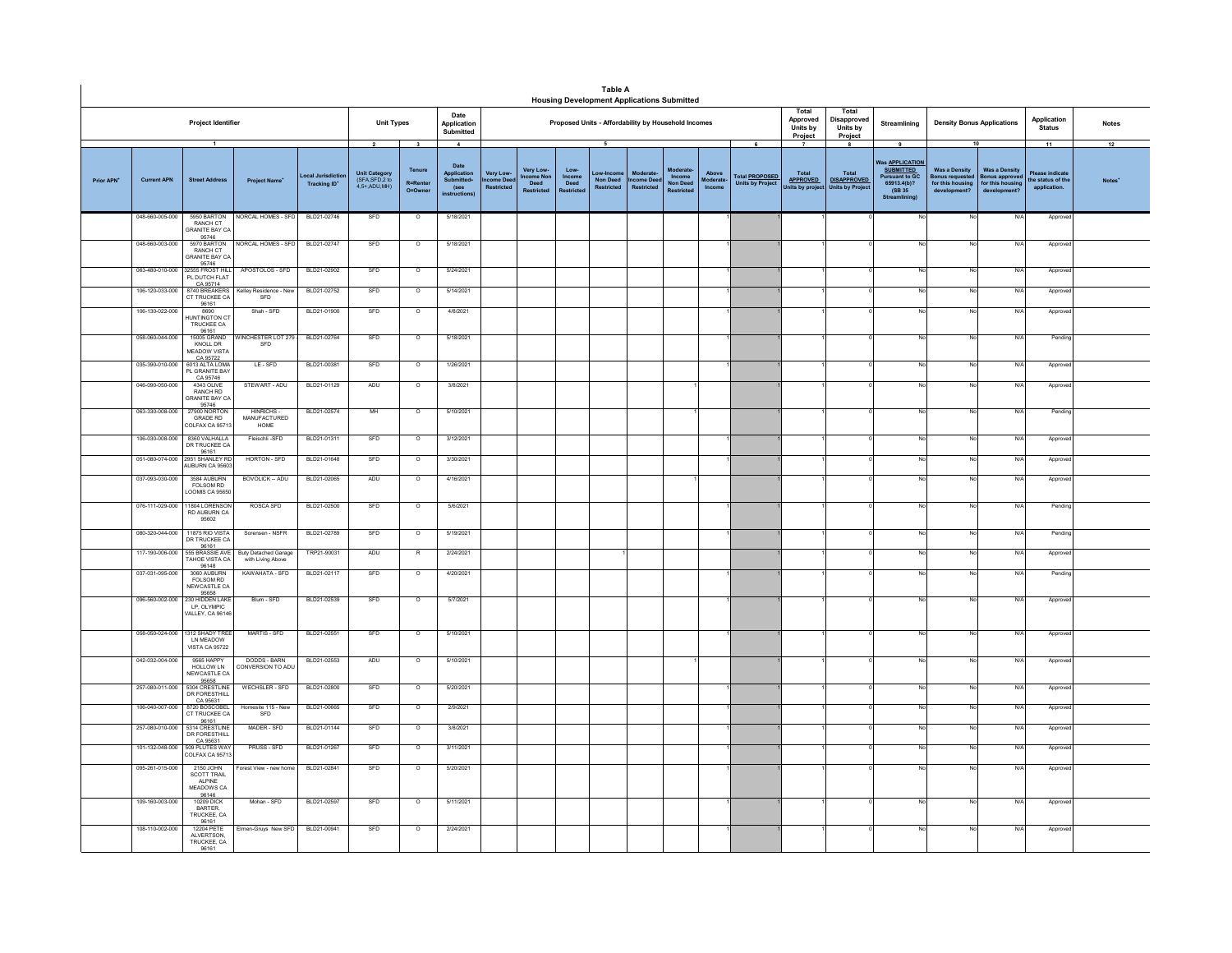|                        |                                                                                                                                                                                                 |                                                                    |                                                  |              |                                                                           |                                                             |                                                                                    |                                                    |                                                    |                                     | <b>Table A</b><br><b>Housing Development Applications Submitted</b>           |                                    |                                                     |                             |                                                       |                                                    |                                                        |                                                                                                                                  |                                                                                                |                                                                                  |                                                           |              |
|------------------------|-------------------------------------------------------------------------------------------------------------------------------------------------------------------------------------------------|--------------------------------------------------------------------|--------------------------------------------------|--------------|---------------------------------------------------------------------------|-------------------------------------------------------------|------------------------------------------------------------------------------------|----------------------------------------------------|----------------------------------------------------|-------------------------------------|-------------------------------------------------------------------------------|------------------------------------|-----------------------------------------------------|-----------------------------|-------------------------------------------------------|----------------------------------------------------|--------------------------------------------------------|----------------------------------------------------------------------------------------------------------------------------------|------------------------------------------------------------------------------------------------|----------------------------------------------------------------------------------|-----------------------------------------------------------|--------------|
|                        |                                                                                                                                                                                                 | Project Identifier                                                 |                                                  |              | <b>Unit Types</b>                                                         |                                                             | Date<br>Application<br>Submitted                                                   |                                                    |                                                    |                                     | Proposed Units - Affordability by Household Incomes                           |                                    |                                                     |                             |                                                       | Total<br>Approved<br>Units by<br>Project           | Total<br>Disapproved<br>Units by<br>Project            | Streamlining                                                                                                                     | <b>Density Bonus Applications</b>                                                              |                                                                                  | Application<br><b>Status</b>                              | <b>Notes</b> |
| Prior APN <sup>+</sup> | $\overline{1}$<br>ocal Jurisdic<br><b>Current APN</b><br><b>Street Address</b><br><b>Project Name</b><br><b>Tracking ID</b><br>048-660-005-000<br>5950 BARTON<br>NORCAL HOMES - SFD<br>RANCH CT |                                                                    |                                                  |              | $\overline{\mathbf{2}}$<br>Unit Category<br>(SFA,SFD,2 to<br>4.5+ ADU.MH) | $\overline{\mathbf{3}}$<br>Tenure<br>R=Renter<br>$O = Owne$ | $\overline{A}$<br>Date<br>Application<br>Submitted+<br>(see<br><b>instructions</b> | Very Low-<br><u>Icome Dee</u><br><b>Restricted</b> | Very Low-<br>come Nor<br>Deed<br><b>Restricted</b> | Low-<br>Income<br>Deed<br>Restricte | $\overline{\phantom{a}}$<br>Low-Incon<br><b>Non Deed</b><br><b>Restricted</b> | Moderate<br>come Dee<br>Restricted | Moderate<br>Income<br>Non Deed<br><b>Restricted</b> | Above<br>Moderate<br>Income | 6<br><b>Total PROPOSED</b><br><b>Units by Project</b> | Total<br><b>APPROVED</b><br><b>Jnits by projec</b> | Total<br><b>DISAPPROVED</b><br><b>Units by Project</b> | $\overline{9}$<br>Vas <b>APPLICATION</b><br><b>SUBMITTED</b><br><b>Pursuant to GC</b><br>65913.4(b)?<br>(SB 35)<br>Streamlining) | <b>Was a Density</b><br><b>Bonus requester</b><br>for this housing<br>development <sup>®</sup> | 10<br><b>Was a Density</b><br>sonus approver<br>for this housing<br>development? | 11<br>Please indicat<br>the status of the<br>application. | 12           |
|                        |                                                                                                                                                                                                 | <b>GRANITE BAY CA</b>                                              |                                                  | BLD21-02746  | SFD                                                                       | $\circ$                                                     | 5/18/2021                                                                          |                                                    |                                                    |                                     |                                                                               |                                    |                                                     |                             |                                                       |                                                    |                                                        |                                                                                                                                  | No                                                                                             | N/                                                                               | Approve                                                   |              |
|                        | 048-660-003-000                                                                                                                                                                                 | 95746<br>5970 BARTON<br>RANCH CT<br><b>SRANITE BAY CA</b><br>95746 | <b>VORCAL HOMES - SFD</b>                        | BLD21-02747  | SFD                                                                       | $\circ$                                                     | 5/18/2021                                                                          |                                                    |                                                    |                                     |                                                                               |                                    |                                                     |                             |                                                       |                                                    |                                                        |                                                                                                                                  | No                                                                                             | $N$ /                                                                            | Approv                                                    |              |
|                        | 063-480-010-000                                                                                                                                                                                 | 2555 FROST HILL<br>PL DUTCH FLAT<br>CA 95714                       | APOSTOLOS - SFD                                  | BLD21-02902  | SFD                                                                       | $\circ$                                                     | 5/24/2021                                                                          |                                                    |                                                    |                                     |                                                                               |                                    |                                                     |                             |                                                       |                                                    |                                                        |                                                                                                                                  | No                                                                                             | N/f                                                                              | Appro                                                     |              |
|                        | 106-120-033-000                                                                                                                                                                                 | 8740 BREAKERS<br>CT TRUCKEE CA<br>96161                            | Kelley Residence - Nev<br>SFD                    | BLD21-02752  | SFD                                                                       | $\circ$                                                     | 5/14/2021                                                                          |                                                    |                                                    |                                     |                                                                               |                                    |                                                     |                             |                                                       |                                                    |                                                        |                                                                                                                                  | No                                                                                             | N/f                                                                              | Approv                                                    |              |
|                        | 106-130-022-000                                                                                                                                                                                 | 8690<br>IUNTINGTON CT<br>TRUCKEE CA<br>96161                       | Shah - SFD                                       | BLD21-01900  | SFD                                                                       | $\circ$                                                     | 4/8/2021                                                                           |                                                    |                                                    |                                     |                                                                               |                                    |                                                     |                             |                                                       |                                                    |                                                        | No                                                                                                                               | No                                                                                             | N/A                                                                              | Approve                                                   |              |
|                        | 058-060-044-000                                                                                                                                                                                 | 15005 GRAND<br>KNOLL DR<br><b>MEADOW VISTA</b><br>CA 95722         | <b>VINCHESTER LOT 279</b><br>SFD                 | BLD21-02764  | SFD                                                                       | $\circ$                                                     | 5/18/2021                                                                          |                                                    |                                                    |                                     |                                                                               |                                    |                                                     |                             |                                                       |                                                    |                                                        |                                                                                                                                  | No.                                                                                            | N/f                                                                              | Pendin                                                    |              |
|                        | 035-390-010-000                                                                                                                                                                                 | 6013 ALTA LOMA<br>PL GRANITE BAY<br>CA 95746                       | LE-SFD                                           | BLD21-00381  | SFD                                                                       | $\circ$                                                     | 1/26/2021                                                                          |                                                    |                                                    |                                     |                                                                               |                                    |                                                     |                             |                                                       |                                                    |                                                        | No                                                                                                                               | No                                                                                             | N/L                                                                              | Approv                                                    |              |
|                        | 046-090-050-000                                                                                                                                                                                 | RANCH RD<br><b>RANITE BAY CA</b><br>95746                          | STEWART - ADU                                    | BLD21-01129  | ADU                                                                       | $\circ$                                                     | 3/8/2021                                                                           |                                                    |                                                    |                                     |                                                                               |                                    |                                                     |                             |                                                       |                                                    |                                                        |                                                                                                                                  | No                                                                                             | N/                                                                               | Approv                                                    |              |
|                        | 063-330-008-000                                                                                                                                                                                 | 27900 NORTON<br>GRADE RD<br>OLFAX CA 95713                         | <b>HINRICHS-</b><br>MANUFACTURED<br>HOME         | BLD21-02574  | MH                                                                        | $\overline{\circ}$                                          | 5/10/2021                                                                          |                                                    |                                                    |                                     |                                                                               |                                    |                                                     |                             |                                                       |                                                    |                                                        |                                                                                                                                  | <b>No</b>                                                                                      | N/4                                                                              | Pending                                                   |              |
|                        | 106-030-008-000                                                                                                                                                                                 | 8360 VALHALLA<br>DR TRUCKEE CA                                     | Fleischli-SFD                                    | BLD21-01311  | SFD                                                                       | $\circ$                                                     | 3/12/2021                                                                          |                                                    |                                                    |                                     |                                                                               |                                    |                                                     |                             |                                                       |                                                    |                                                        |                                                                                                                                  | No                                                                                             | N/                                                                               | Approve                                                   |              |
|                        | 051-080-074-000                                                                                                                                                                                 | 96161<br>2951 SHANLEY RD<br>UBURN CA 95603                         | HORTON - SFD                                     | BLD21-01648  | SFD                                                                       | $\circ$                                                     | 3/30/2021                                                                          |                                                    |                                                    |                                     |                                                                               |                                    |                                                     |                             |                                                       |                                                    |                                                        |                                                                                                                                  | No                                                                                             | N/                                                                               | Approve                                                   |              |
|                        | 037-093-030-000                                                                                                                                                                                 | 3584 AUBURN<br>FOI SOM RD<br>LOOMIS CA 95650                       | <b>BOVOLICK -- ADU</b>                           | BLD21-02065  | ADU                                                                       | $\overline{\circ}$                                          | 4/16/2021                                                                          |                                                    |                                                    |                                     |                                                                               |                                    |                                                     |                             |                                                       |                                                    |                                                        |                                                                                                                                  | No.                                                                                            | N                                                                                | Approve                                                   |              |
|                        | 076-111-029-000                                                                                                                                                                                 | 11804 LORENSON<br><b>RD AUBURN CA</b><br>95602                     | ROSCA SFD                                        | BLD21-02500  | SFD                                                                       | $\Omega$                                                    | 5/6/2021                                                                           |                                                    |                                                    |                                     |                                                                               |                                    |                                                     |                             |                                                       |                                                    |                                                        |                                                                                                                                  | No                                                                                             | N/A                                                                              | Pending                                                   |              |
|                        | 080-320-044-000                                                                                                                                                                                 | 11875 RIO VISTA<br>DR TRUCKEE CA                                   | Sorensen - NSFR                                  | BLD21-02789  | SFD                                                                       | $\circ$                                                     | 5/19/2021                                                                          |                                                    |                                                    |                                     |                                                                               |                                    |                                                     |                             |                                                       |                                                    |                                                        |                                                                                                                                  | No                                                                                             | N/                                                                               | Pending                                                   |              |
|                        | 117-190-006-000                                                                                                                                                                                 | 96161<br>555 BRASSIE AVE<br>TAHOE VISTA CA<br>96148                | <b>Buty Detached Garage</b><br>with Living Above | TRP21-90031  | ADU                                                                       |                                                             | 2/24/2021                                                                          |                                                    |                                                    |                                     |                                                                               |                                    |                                                     |                             |                                                       |                                                    |                                                        |                                                                                                                                  | No                                                                                             | N/                                                                               | Approv                                                    |              |
|                        | 037-031-095-000                                                                                                                                                                                 | 3060 AURURN<br>FOLSOM RD<br>NEWCASTLE CA<br>95658                  | KAWAHATA - SFD                                   | BLD21-02117  | SFD                                                                       | $\circ$                                                     | 4/20/2021                                                                          |                                                    |                                                    |                                     |                                                                               |                                    |                                                     |                             |                                                       |                                                    |                                                        |                                                                                                                                  | No                                                                                             | N/f                                                                              | Pendin                                                    |              |
|                        | 096-560-002-000                                                                                                                                                                                 | 230 HIDDEN LAKE<br><b>IP OF YMPIC</b><br>VALLEY, CA 96146          | Blum - SFD                                       | BLD21-02539  | SFD                                                                       | $\circ$                                                     | 5/7/2021                                                                           |                                                    |                                                    |                                     |                                                                               |                                    |                                                     |                             |                                                       |                                                    |                                                        |                                                                                                                                  | No                                                                                             | N/                                                                               | Approv                                                    |              |
|                        | 058-050-024-000                                                                                                                                                                                 | 1312 SHADY TREE<br>I N MEADOW<br><b>VISTA CA 95722</b>             | MARTIS - SFD                                     | BLD21-02551  | SFD                                                                       | $\circ$                                                     | 5/10/2021                                                                          |                                                    |                                                    |                                     |                                                                               |                                    |                                                     |                             |                                                       |                                                    |                                                        |                                                                                                                                  | No                                                                                             | N/4                                                                              | Approv                                                    |              |
|                        | 042-032-004-000                                                                                                                                                                                 | 9565 HAPPY<br>HOLLOW LN<br>NEW CASTLE CA<br>95658                  | DODDS - BARN<br>CONVERSION TO ADU                | BLD21-02553  | ADU                                                                       | $\circ$                                                     | 5/10/2021                                                                          |                                                    |                                                    |                                     |                                                                               |                                    |                                                     |                             |                                                       |                                                    |                                                        |                                                                                                                                  | No                                                                                             | N/f                                                                              | Approv                                                    |              |
|                        | 257-080-011-000                                                                                                                                                                                 | 5304 CRESTLINE<br>DR FORESTHILL<br>CA 95631                        | WECHSLER - SFD                                   | BLD21-02800  | SFD                                                                       | $\circ$                                                     | 5/20/2021                                                                          |                                                    |                                                    |                                     |                                                                               |                                    |                                                     |                             |                                                       |                                                    |                                                        |                                                                                                                                  | No.                                                                                            | N/f                                                                              | Approv                                                    |              |
|                        | 106-040-007-000                                                                                                                                                                                 | 8720 BOSCOBEL<br>CT TRUCKEE CA<br>96161                            | Homesite 115 - New<br><b>SED</b>                 | BLD21-00665  | SFD                                                                       | $\circ$                                                     | 2/9/2021                                                                           |                                                    |                                                    |                                     |                                                                               |                                    |                                                     |                             |                                                       |                                                    |                                                        |                                                                                                                                  | No                                                                                             | N/f                                                                              | Appro                                                     |              |
|                        | 257-080-010-000                                                                                                                                                                                 | 5314 CRESTI IN<br><b>DR FORESTHILL</b><br>CA 95631                 | MADER - SFD                                      | BLD21-01144  | SFD                                                                       | $\circ$                                                     | 3/8/2021                                                                           |                                                    |                                                    |                                     |                                                                               |                                    |                                                     |                             |                                                       |                                                    |                                                        |                                                                                                                                  | No                                                                                             | N/f                                                                              | Appro                                                     |              |
|                        | 101-132-048-000                                                                                                                                                                                 | 509 PLUTES WAY<br>COLFAX CA 95713                                  | PRUSS - SFD                                      | BI D21-01267 | SFD                                                                       | $\Omega$                                                    | 3/11/2021                                                                          |                                                    |                                                    |                                     |                                                                               |                                    |                                                     |                             |                                                       |                                                    |                                                        |                                                                                                                                  | No                                                                                             | N/L                                                                              | Approv                                                    |              |
|                        | 095-261-015-000                                                                                                                                                                                 | 2150 JOHN<br>SCOTT TRAIL<br>ALPINE<br>MEADOWS CA                   | Forest View - new home                           | BLD21-02841  | SFD                                                                       | $\circ$                                                     | 5/20/2021                                                                          |                                                    |                                                    |                                     |                                                                               |                                    |                                                     |                             |                                                       |                                                    |                                                        |                                                                                                                                  | No                                                                                             | N/f                                                                              | Approve                                                   |              |
|                        | 109-160-003-000                                                                                                                                                                                 | 96146<br>10209 DICK<br>BARTER,<br>TRUCKEE, CA                      | Mohan - SFD                                      | BLD21-02597  | SFD                                                                       | $\circ$                                                     | 5/11/2021                                                                          |                                                    |                                                    |                                     |                                                                               |                                    |                                                     |                             |                                                       |                                                    |                                                        | No                                                                                                                               | No                                                                                             | N/f                                                                              | Approve                                                   |              |
|                        | 108-110-002-000                                                                                                                                                                                 | 96161<br>12204 PETE<br>AI VERTSON<br>TRUCKEE, CA<br>9616           | Elmen-Gruys New SFD                              | BLD21-00941  | SFD                                                                       | $\circ$                                                     | 2/24/2021                                                                          |                                                    |                                                    |                                     |                                                                               |                                    |                                                     |                             |                                                       |                                                    |                                                        |                                                                                                                                  | <b>No</b>                                                                                      | N                                                                                | Approve                                                   |              |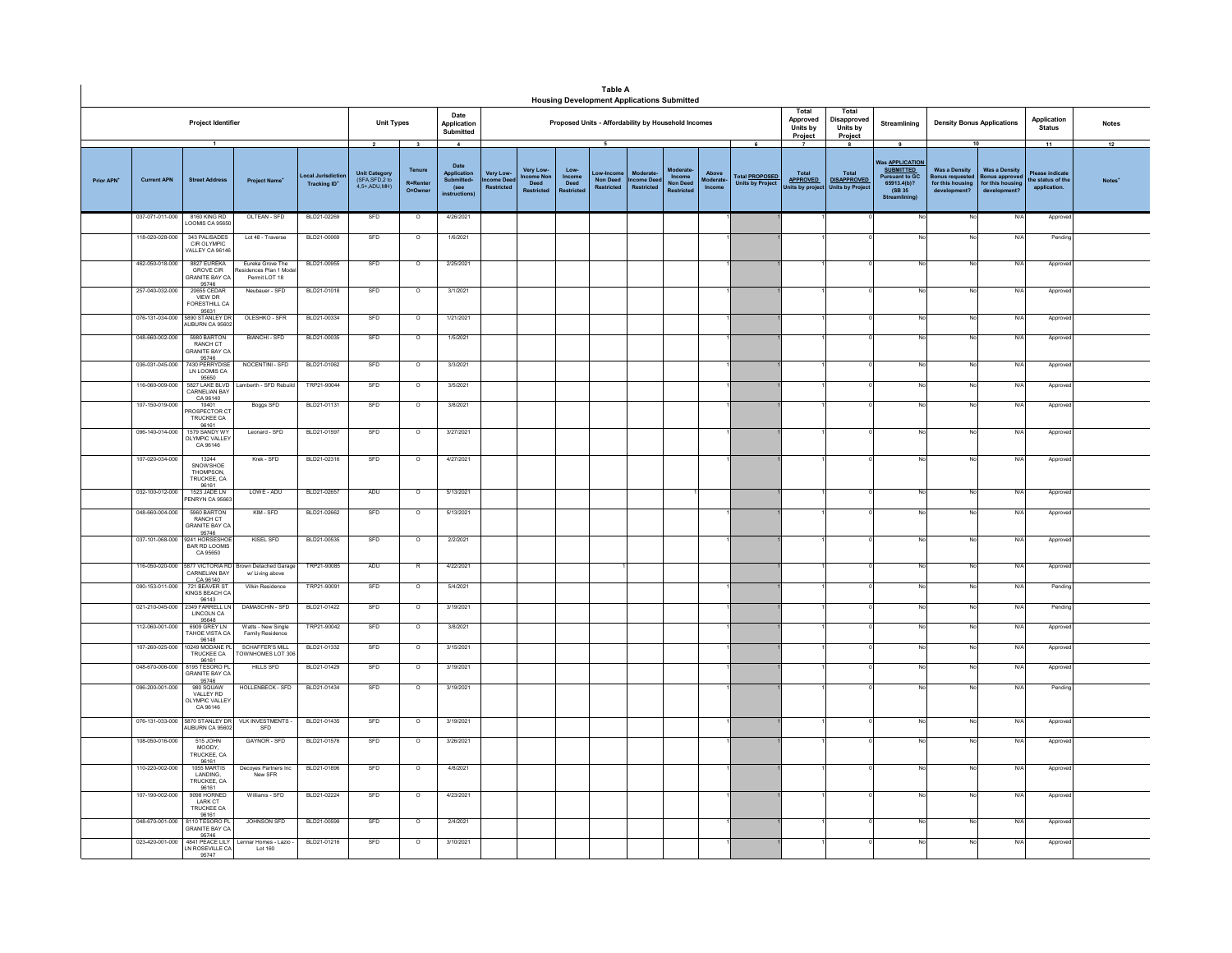|                        |                    |                                                                            |                                                         |                                         |                                                                    |                                    |                                                                            |                                                |                               |                                     | <b>Table A</b>                                   | <b>Housing Development Applications Submitted</b>   |                           |                            |                                                  |                                                                    |                                                                  |                                                                                                                             |                                                                             |                                                                        |                                                                  |                          |
|------------------------|--------------------|----------------------------------------------------------------------------|---------------------------------------------------------|-----------------------------------------|--------------------------------------------------------------------|------------------------------------|----------------------------------------------------------------------------|------------------------------------------------|-------------------------------|-------------------------------------|--------------------------------------------------|-----------------------------------------------------|---------------------------|----------------------------|--------------------------------------------------|--------------------------------------------------------------------|------------------------------------------------------------------|-----------------------------------------------------------------------------------------------------------------------------|-----------------------------------------------------------------------------|------------------------------------------------------------------------|------------------------------------------------------------------|--------------------------|
|                        |                    | Project Identifier                                                         |                                                         |                                         | <b>Unit Types</b>                                                  |                                    | Date<br>Application<br>Submitted                                           |                                                |                               |                                     |                                                  | Proposed Units - Affordability by Household Incomes |                           |                            |                                                  | Total<br>Approved<br>Units by<br>Project                           | Total<br>Disapproved<br>Units by<br>Project                      | Streamlining                                                                                                                | <b>Density Bonus Applications</b>                                           |                                                                        | Application<br><b>Status</b>                                     | <b>Notes</b>             |
| Prior APN <sup>+</sup> | <b>Current APN</b> | -1<br><b>Street Address</b>                                                | <b>Project Name</b>                                     | ocal Jurisdictio<br><b>Tracking ID*</b> | $\overline{2}$<br>Unit Category<br>(SFA, SFD, 2 to<br>4.5+.ADU.MH) | 3<br>Tenure<br>R=Renter<br>O=Owner | $\frac{4}{3}$<br>Date<br>Application<br>Submitted+<br>(see<br>instructions | <b>Very Low</b><br>me Dee<br><b>Restricted</b> | Very Low-<br>come Non<br>Deed | Low-<br>Income<br>Deed<br>testricte | - 5<br>Low-Incc<br>Non Deed<br><b>Restricted</b> | Moderate<br>come Dee<br><b>Restricted</b>           | Income<br><b>Non Deed</b> | Above<br>oderate<br>Income | <b>Total PROPOSED</b><br><b>Units by Project</b> | $\overline{7}$<br><b>Total</b><br><b>APPROVED</b><br>nits by proje | 8<br><b>Total</b><br><b>DISAPPROVED</b><br><b>Units by Proje</b> | 9<br><b>Was APPLICATION</b><br><b>SUBMITTED</b><br><b>Pursuant to GC.</b><br>65913.4(b)?<br>(SB 35)<br><b>Streamlining)</b> | 10<br><b>Was a Density</b><br>Bonus requeste<br>for this housing<br>develop | <b>Was a Density</b><br>Bonus appro<br>for this housing<br>development | 11<br><b>Please indicate</b><br>he status of the<br>application. | 12<br>Notes <sup>*</sup> |
|                        | 037-071-011-000    | 8160 KING RD<br><b>LOOMIS CA 95650</b>                                     | OLTEAN - SFD                                            | BLD21-02269                             | SFD                                                                | $\circ$                            | 4/26/2021                                                                  |                                                |                               |                                     |                                                  |                                                     |                           |                            |                                                  |                                                                    |                                                                  |                                                                                                                             | No                                                                          | N/A                                                                    | Approv                                                           |                          |
|                        | 118-020-028-000    | 343 PALISADES<br>CIR OLYMPIC<br>ALLEY CA 9614                              | Lot 48 - Traverse                                       | BLD21-00069                             | SFD                                                                | $\circ$                            | 1/6/2021                                                                   |                                                |                               |                                     |                                                  |                                                     |                           |                            |                                                  |                                                                    |                                                                  |                                                                                                                             |                                                                             | N/A                                                                    | Pending                                                          |                          |
|                        | 462-050-018-000    | 8827 EUREKA<br><b>GROVE CIR</b><br><b>SRANITE BAY CA</b><br>95746          | Eureka Grove The<br>idences Plan 1 Mod<br>Permit LOT 18 | BLD21-00955                             | SFD                                                                | $\circ$                            | 2/25/2021                                                                  |                                                |                               |                                     |                                                  |                                                     |                           |                            |                                                  |                                                                    |                                                                  |                                                                                                                             |                                                                             | N/A                                                                    | Approve                                                          |                          |
|                        | 257-040-032-000    | 20655 CEDAR<br>VIEW DR<br><b>FORESTHILL CA</b><br>95631<br>5890 STANLEY DR | Neubauer - SFD                                          | BLD21-01018                             | SFD                                                                | $\circ$                            | 3/1/2021                                                                   |                                                |                               |                                     |                                                  |                                                     |                           |                            |                                                  |                                                                    |                                                                  |                                                                                                                             |                                                                             | N/A                                                                    | Approve                                                          |                          |
|                        | 076-131-034-000    | AUBURN CA 95602                                                            | OLESHKO - SFR                                           | BLD21-00334                             | SFD                                                                | $\circ$                            | 1/21/2021                                                                  |                                                |                               |                                     |                                                  |                                                     |                           |                            |                                                  |                                                                    |                                                                  |                                                                                                                             |                                                                             | N/A                                                                    | Approve                                                          |                          |
|                        | 048-660-002-000    | 5980 BARTON<br>RANCH CT<br>RANITE BAY CA<br>95746                          | <b>BIANCHI - SFD</b>                                    | BLD21-00035                             | SFD                                                                | $\circ$                            | 1/5/2021                                                                   |                                                |                               |                                     |                                                  |                                                     |                           |                            |                                                  |                                                                    |                                                                  |                                                                                                                             | No                                                                          | N/A                                                                    | Approve                                                          |                          |
|                        | 036-031-045-000    | 7430 PERRYDISE<br>95650                                                    | NOCENTINI - SFD                                         | BLD21-01062                             | SFD                                                                | $\circ$                            | 3/3/2021                                                                   |                                                |                               |                                     |                                                  |                                                     |                           |                            |                                                  |                                                                    |                                                                  |                                                                                                                             | N <sub>i</sub>                                                              | N/A                                                                    | Approve                                                          |                          |
|                        | 116-060-009-000    | 5827 LAKE BLVD<br>CARNELIAN BAY<br>CA 96140                                | Lamberth - SFD Rebuild                                  | TRP21-90044                             | SFD                                                                | $\circ$                            | 3/5/2021                                                                   |                                                |                               |                                     |                                                  |                                                     |                           |                            |                                                  |                                                                    |                                                                  |                                                                                                                             |                                                                             | N/A                                                                    | Approve                                                          |                          |
|                        | 107-150-019-000    | 10401<br>ROSPECTOR CT<br>TRUCKEE CA<br>96161                               | Boggs SFD                                               | BLD21-01131                             | SFD                                                                | $\circ$                            | 3/8/2021                                                                   |                                                |                               |                                     |                                                  |                                                     |                           |                            |                                                  |                                                                    |                                                                  |                                                                                                                             |                                                                             | N/A                                                                    | Approve                                                          |                          |
|                        | 096-140-014-000    | 1579 SANDY WY<br>LYMPIC VALLEY<br>CA 96146                                 | Leonard - SFD                                           | BLD21-01597                             | SFD                                                                | $\circ$                            | 3/27/2021                                                                  |                                                |                               |                                     |                                                  |                                                     |                           |                            |                                                  |                                                                    |                                                                  |                                                                                                                             |                                                                             | N/A                                                                    | Approve                                                          |                          |
|                        | 107-020-034-000    | 13244<br><b>SNOW SHOE</b><br>THOMPSON,<br>TRUCKEE, CA                      | Krek - SFD                                              | BLD21-02316                             | SFD                                                                | $\circ$                            | 4/27/2021                                                                  |                                                |                               |                                     |                                                  |                                                     |                           |                            |                                                  |                                                                    |                                                                  |                                                                                                                             |                                                                             | N/A                                                                    | Approve                                                          |                          |
|                        | 032-100-012-000    | 96161<br>1523 JADE LN<br><b>ENRYN CA 95663</b>                             | LOWE - ADU                                              | BLD21-02657                             | ADU                                                                | $\circ$                            | 5/13/2021                                                                  |                                                |                               |                                     |                                                  |                                                     |                           |                            |                                                  |                                                                    |                                                                  |                                                                                                                             | N                                                                           | N/A                                                                    | Approve                                                          |                          |
|                        | 048-660-004-000    | 5960 BARTON<br>RANCH CT<br><b>RANITE BAY CA</b>                            | KIM - SFD                                               | BLD21-02662                             | SFD                                                                | $\circ$                            | 5/13/2021                                                                  |                                                |                               |                                     |                                                  |                                                     |                           |                            |                                                  |                                                                    |                                                                  |                                                                                                                             | No                                                                          | N/A                                                                    | Approve                                                          |                          |
|                        | 037-101-068-000    | 95746<br>2241 HORSESHOP<br><b>BAR RD LOOMIS</b><br>CA 95650                | KISEL SFD                                               | BLD21-00535                             | SFD                                                                | $\circ$                            | 2/2/2021                                                                   |                                                |                               |                                     |                                                  |                                                     |                           |                            |                                                  |                                                                    |                                                                  |                                                                                                                             |                                                                             | N/A                                                                    | Approve                                                          |                          |
|                        | 116-050-020-000    | 5877 VICTORIA RE<br>CARNELIAN BAY<br>CA 96140                              | own Detached Garage<br>w/ Living above                  | TRP21-90085                             | ADU                                                                | R                                  | 4/22/2021                                                                  |                                                |                               |                                     |                                                  |                                                     |                           |                            |                                                  |                                                                    |                                                                  |                                                                                                                             | No                                                                          | N/A                                                                    | Approve                                                          |                          |
|                        | 090-153-011-000    | 721 BEAVER ST<br>KINGS BEACH CA<br>96143<br>2349 FARRELL LN                | Vilkin Residence                                        | TRP21-90091                             | SFD                                                                | $\overline{\circ}$                 | 5/4/2021                                                                   |                                                |                               |                                     |                                                  |                                                     |                           |                            |                                                  |                                                                    |                                                                  |                                                                                                                             | N                                                                           | N/A                                                                    | Pendin                                                           |                          |
|                        | 021-210-045-000    | LINCOLN CA<br>95648<br>6909 GREY LN                                        | DAMASCHIN - SFD                                         | BLD21-01422                             | SFD                                                                | $\circ$                            | 3/19/2021                                                                  |                                                |                               |                                     |                                                  |                                                     |                           |                            |                                                  |                                                                    |                                                                  |                                                                                                                             | No                                                                          | N/A                                                                    | Pending                                                          |                          |
|                        | 112-060-001-000    | AHOE VISTA CA<br>96148                                                     | Watts - New Single<br>Family Residence                  | TRP21-90042                             | SFD                                                                | $\overline{\circ}$                 | 3/8/2021                                                                   |                                                |                               |                                     |                                                  |                                                     |                           |                            |                                                  |                                                                    |                                                                  |                                                                                                                             | No                                                                          | N/A                                                                    | Approve                                                          |                          |
|                        | 107-260-025-000    | 249 MODANE PL<br>TRUCKEE CA<br>96161<br>8195 TESORO PL                     | <b>SCHAFFER'S MILL</b><br><b>TOWNHOMES LOT 30</b>       | BLD21-01332                             | SFD                                                                | $\circ$                            | 3/15/2021                                                                  |                                                |                               |                                     |                                                  |                                                     |                           |                            |                                                  |                                                                    |                                                                  |                                                                                                                             | No                                                                          | N/A                                                                    | Approve                                                          |                          |
|                        | 048-670-006-000    | <b>GRANITE BAY CA</b><br>95746                                             | <b>HILLS SFD</b>                                        | BLD21-01429                             | SFD                                                                | $\circ$                            | 3/19/2021                                                                  |                                                |                               |                                     |                                                  |                                                     |                           |                            |                                                  |                                                                    |                                                                  |                                                                                                                             |                                                                             | N/A                                                                    | Approve                                                          |                          |
|                        | 096-200-001-000    | 980 SOUAW<br>VALLEY RD<br>LYMPIC VALLEY<br>CA 96146                        | HOLLENBECK - SFD                                        | BLD21-01434                             | SFD                                                                | $\circ$                            | 3/19/2021                                                                  |                                                |                               |                                     |                                                  |                                                     |                           |                            |                                                  |                                                                    |                                                                  |                                                                                                                             | No                                                                          | N/A                                                                    | Pendin                                                           |                          |
|                        | 076-131-033-000    | 5870 STANLEY DR<br>UBURN CA 95602                                          | VLK INVESTMENTS -<br>SFD                                | BLD21-01435                             | SFD                                                                | $\circ$                            | 3/19/2021                                                                  |                                                |                               |                                     |                                                  |                                                     |                           |                            |                                                  |                                                                    |                                                                  |                                                                                                                             | No                                                                          | N/A                                                                    | Approve                                                          |                          |
|                        | 108-050-016-000    | 515 JOHN<br><b>MOODY</b><br>TRUCKEE, CA                                    | GAYNOR - SFD                                            | BLD21-01576                             | SFD                                                                | $\circ$                            | 3/26/2021                                                                  |                                                |                               |                                     |                                                  |                                                     |                           |                            |                                                  |                                                                    |                                                                  |                                                                                                                             | N                                                                           | N/A                                                                    | Approve                                                          |                          |
|                        | 110-220-002-000    | 96161<br>1055 MARTIS<br>LANDING,<br>TRUCKEE CA                             | Decoyes Partners Inc<br>New SFR                         | BLD21-01896                             | SFD                                                                | $\circ$                            | 4/8/2021                                                                   |                                                |                               |                                     |                                                  |                                                     |                           |                            |                                                  |                                                                    |                                                                  |                                                                                                                             |                                                                             | N/A                                                                    | Approve                                                          |                          |
|                        | 107-190-002-000    | 96161<br>9098 HORNED<br>LARK CT<br>TRUCKEE CA                              | Williams - SFD                                          | BLD21-02224                             | SFD                                                                | $\circ$                            | 4/23/2021                                                                  |                                                |                               |                                     |                                                  |                                                     |                           |                            |                                                  |                                                                    |                                                                  |                                                                                                                             |                                                                             | N/A                                                                    | Approve                                                          |                          |
|                        | 048-670-001-000    | 96161<br>8110 TESORO PI<br><b>GRANITE BAY CA</b>                           | JOHNSON SFD                                             | BLD21-00599                             | SFD                                                                | $\circ$                            | 2/4/2021                                                                   |                                                |                               |                                     |                                                  |                                                     |                           |                            |                                                  |                                                                    |                                                                  |                                                                                                                             | N                                                                           | N/A                                                                    | Approve                                                          |                          |
|                        | 023-420-001-000    | 95746<br>4841 PEACE LILY<br>N ROSEVILLE CA<br>95747                        | Lennar Homes - Lazio<br>Lot 160                         | BLD21-01216                             | SFD                                                                | $\circ$                            | 3/10/2021                                                                  |                                                |                               |                                     |                                                  |                                                     |                           |                            |                                                  |                                                                    |                                                                  |                                                                                                                             |                                                                             | N/A                                                                    | Approved                                                         |                          |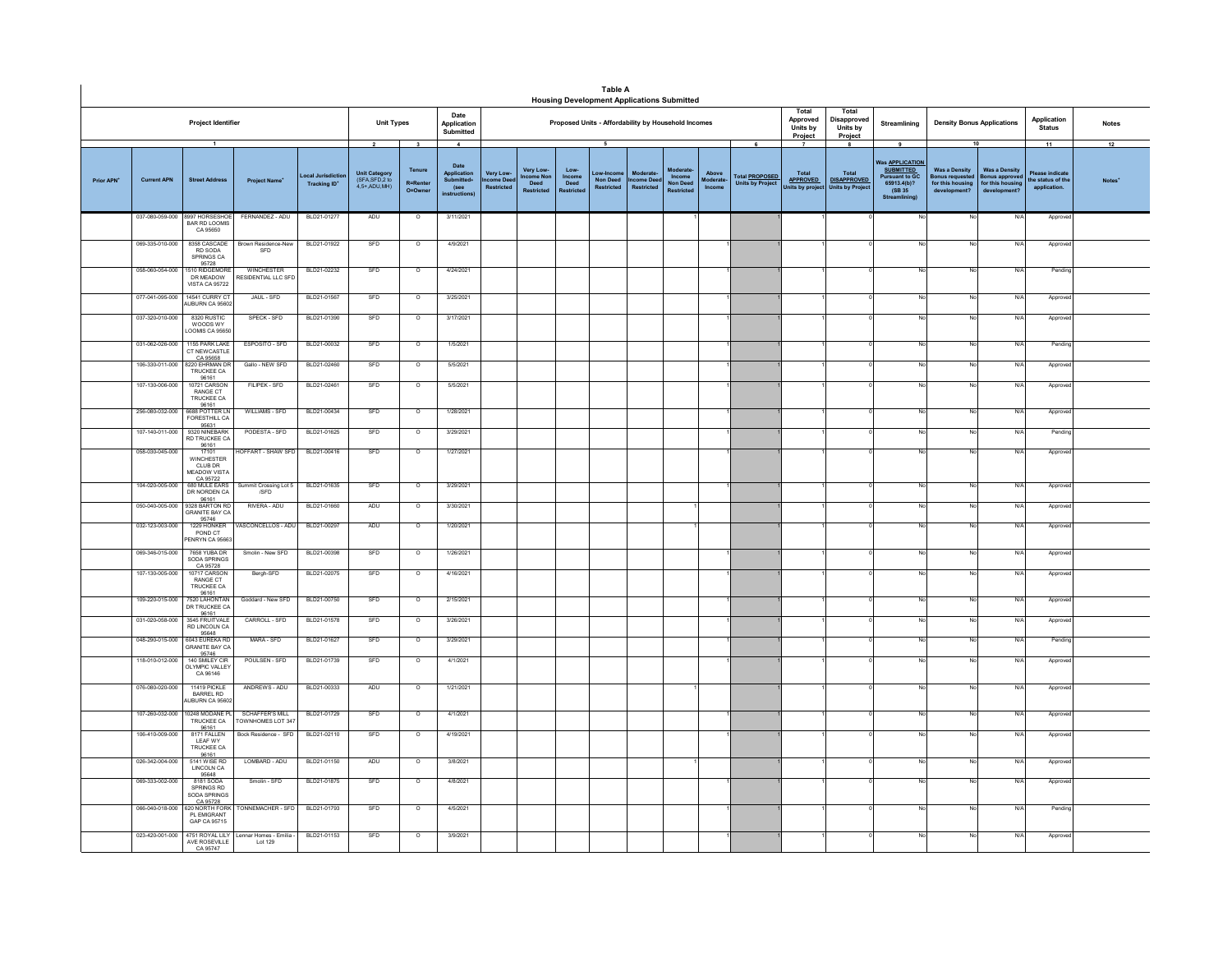|                        |                    |                                                                   |                                                  |                                     |                                                                    |                                                              |                                                                                |                                             |                                                   |                                             | <b>Table A</b><br><b>Housing Development Applications Submitted</b> |                                                         |                                                     |                             |                                                       |                                                                         |                                                                        |                                                                                                                     |                                                                            |                                                                                 |                                                                   |                    |
|------------------------|--------------------|-------------------------------------------------------------------|--------------------------------------------------|-------------------------------------|--------------------------------------------------------------------|--------------------------------------------------------------|--------------------------------------------------------------------------------|---------------------------------------------|---------------------------------------------------|---------------------------------------------|---------------------------------------------------------------------|---------------------------------------------------------|-----------------------------------------------------|-----------------------------|-------------------------------------------------------|-------------------------------------------------------------------------|------------------------------------------------------------------------|---------------------------------------------------------------------------------------------------------------------|----------------------------------------------------------------------------|---------------------------------------------------------------------------------|-------------------------------------------------------------------|--------------------|
|                        |                    | Project Identifier                                                |                                                  |                                     | <b>Unit Types</b>                                                  |                                                              | Date<br>Application<br>Submitted                                               |                                             |                                                   |                                             | Proposed Units - Affordability by Household Incomes                 |                                                         |                                                     |                             |                                                       | Total<br>Approved<br>Units by<br>Project                                | Total<br>Disapproved<br>Units by<br>Project                            | Streamlining                                                                                                        | <b>Density Bonus Applications</b>                                          |                                                                                 | Application<br><b>Status</b>                                      | <b>Notes</b>       |
| Prior APN <sup>+</sup> | <b>Current APN</b> | $\overline{1}$<br><b>Street Address</b>                           | <b>Project Name*</b>                             | ocal Jurisdic<br><b>Tracking ID</b> | $\overline{2}$<br>Unit Category<br>(SFA, SFD, 2 to<br>4,5+,ADU,MH) | $\overline{\mathbf{3}}$<br>Tenure<br>R=Rente<br>$Q = Q$ wner | $\mathbf{A}$<br>Date<br>Application<br><b>Submitted</b><br>(see<br>nstructions | Very Low-<br>ncome Dee<br><b>Restricted</b> | Very Low-<br>come No<br>Deed<br><b>Restricted</b> | Low-<br>Income<br>Deed<br><b>Restricted</b> | 5<br>Non Deed<br><b>Restricted</b>                                  | <b>Moderat</b><br><b>Come Deed</b><br><b>Restricted</b> | Moderate<br>Income<br>Non Deed<br><b>Restricted</b> | Above<br>Moderate<br>Income | 6<br><b>Total PROPOSED</b><br><b>Units by Project</b> | $\overline{\phantom{a}}$<br>Total<br><b>APPROVED</b><br>Inits by projec | $\mathbf{a}$<br>Total<br><b>DISAPPROVED</b><br><b>Units by Project</b> | 9<br>Was <u>APPLICATION</u><br><b>SUBMITTED</b><br><b>Pursuant to GC</b><br>65913.4(b)?<br>(SB 35)<br>Streamlining) | <b>Was a Density</b><br>Bonus requeste<br>for this housing<br>development? | 10<br><b>Was a Density</b><br>onus approver<br>for this housing<br>development? | 11<br><b>Please indicate</b><br>the status of the<br>application. | 12<br><b>Notes</b> |
|                        | 037-080-059-000    | 8997 HORSESHOE<br>BAR RD LOOMIS<br>CA 95650                       | FERNANDEZ - ADU                                  | BLD21-01277                         | ADU                                                                | $\circ$                                                      | 3/11/2021                                                                      |                                             |                                                   |                                             |                                                                     |                                                         |                                                     |                             |                                                       |                                                                         |                                                                        |                                                                                                                     | No                                                                         | N/f                                                                             | Appro                                                             |                    |
|                        | 069-335-010-000    | 8358 CASCADE<br>RD SODA<br>SPRINGS CA<br>95728<br>1510 RIDGEMORE  | Brown Residence-New<br>SFD                       | BLD21-01922                         | SFD                                                                | $\overline{\circ}$                                           | 4/9/2021                                                                       |                                             |                                                   |                                             |                                                                     |                                                         |                                                     |                             |                                                       |                                                                         |                                                                        |                                                                                                                     | No                                                                         | $N$ /                                                                           | Approve                                                           |                    |
|                        | 058-060-054-000    | DR MEADOW<br>VISTA CA 95722                                       | WINCHESTER<br><b>ESIDENTIAL LLC SFD</b>          | BLD21-02232                         | SFD                                                                | $\circ$                                                      | 4/24/2021                                                                      |                                             |                                                   |                                             |                                                                     |                                                         |                                                     |                             |                                                       |                                                                         |                                                                        |                                                                                                                     | No                                                                         | N/f                                                                             | Pending                                                           |                    |
|                        | 077-041-095-000    | 14541 CURRY CT<br>AUBURN CA 95602                                 | JAUL - SFD                                       | BLD21-01567                         | SFD                                                                | $\circ$                                                      | 3/25/2021                                                                      |                                             |                                                   |                                             |                                                                     |                                                         |                                                     |                             |                                                       |                                                                         |                                                                        |                                                                                                                     | No                                                                         | N/                                                                              | Approv                                                            |                    |
|                        | 037-320-010-000    | 8320 RUSTIC<br>WOODS WY<br>LOOMIS CA 95650                        | SPECK - SFD                                      | BLD21-01390                         | SFD                                                                | $\circ$                                                      | 3/17/2021                                                                      |                                             |                                                   |                                             |                                                                     |                                                         |                                                     |                             |                                                       |                                                                         |                                                                        |                                                                                                                     | No                                                                         | N/                                                                              | Approve                                                           |                    |
|                        | 031-062-026-000    | 1155 PARK LAKE<br>CT NEW CASTLE<br>CA 95658                       | ESPOSITO - SFD                                   | BLD21-00032                         | SFD                                                                | $\overline{0}$                                               | 1/5/2021                                                                       |                                             |                                                   |                                             |                                                                     |                                                         |                                                     |                             |                                                       |                                                                         |                                                                        | Nr                                                                                                                  | N <sub>0</sub>                                                             | N/I                                                                             | Pendin                                                            |                    |
|                        | 106-330-011-000    | 8220 FHRMAN DR<br>TRUCKEE CA                                      | Gallo - NEW SFD                                  | BLD21-02460                         | SFD                                                                | $\Omega$                                                     | 5/5/2021                                                                       |                                             |                                                   |                                             |                                                                     |                                                         |                                                     |                             |                                                       |                                                                         |                                                                        | No                                                                                                                  | No                                                                         | N/l                                                                             | Approve                                                           |                    |
|                        | 107-130-006-000    | 96161<br>10721 CARSON<br>RANGE CT<br><b>TRUCKEE CA</b><br>96161   | <b>FILIPEK - SFD</b>                             | BLD21-02461                         | SFD                                                                | $\circ$                                                      | 5/5/2021                                                                       |                                             |                                                   |                                             |                                                                     |                                                         |                                                     |                             |                                                       |                                                                         |                                                                        |                                                                                                                     | No                                                                         | N/                                                                              | Approv                                                            |                    |
|                        | 256-080-032-000    | 6688 POTTER LN<br>FORESTHILL CA<br>95631                          | WILLIAMS - SFD                                   | BLD21-00434                         | SFD                                                                | $\circ$                                                      | 1/28/2021                                                                      |                                             |                                                   |                                             |                                                                     |                                                         |                                                     |                             |                                                       |                                                                         |                                                                        |                                                                                                                     | No                                                                         | N/f                                                                             | Approv                                                            |                    |
|                        | 107-140-011-000    | 9320 NINERARK<br><b>RD TRUCKEE CA</b><br>96161                    | PODESTA - SFD                                    | BLD21-01625                         | SFD                                                                | $\overline{0}$                                               | 3/29/2021                                                                      |                                             |                                                   |                                             |                                                                     |                                                         |                                                     |                             |                                                       |                                                                         |                                                                        |                                                                                                                     | <b>No</b>                                                                  | N/I                                                                             | Pendin                                                            |                    |
|                        | 058-030-045-000    | 17101<br><b>WINCHESTER</b><br>CLUB DR<br>MEADOW VISTA<br>CA 95722 | <b>IOFFART - SHAW SFD</b>                        | BLD21-00416                         | SFD                                                                | $\circ$                                                      | 1/27/2021                                                                      |                                             |                                                   |                                             |                                                                     |                                                         |                                                     |                             |                                                       |                                                                         |                                                                        |                                                                                                                     | No                                                                         | N/                                                                              | Approv                                                            |                    |
|                        | 104-020-005-000    | 680 MULE FARS<br>DR NORDEN CA<br>96161                            | Summit Crossing Lot 5<br>/SFD                    | BLD21-01635                         | SFD                                                                | $\Omega$                                                     | 3/29/2021                                                                      |                                             |                                                   |                                             |                                                                     |                                                         |                                                     |                             |                                                       |                                                                         |                                                                        |                                                                                                                     | No                                                                         | N/f                                                                             | Approve                                                           |                    |
|                        | 050-040-005-000    | 9328 BARTON RD<br>RANITE BAY CA                                   | RIVERA - ADU                                     | BLD21-01660                         | ADU                                                                | $\circ$                                                      | 3/30/2021                                                                      |                                             |                                                   |                                             |                                                                     |                                                         |                                                     |                             |                                                       |                                                                         |                                                                        | No                                                                                                                  | No                                                                         | N/f                                                                             | Approve                                                           |                    |
|                        | 032-123-003-000    | 95746<br>1229 HONKER<br>POND CT<br>PENRYN CA 95663                | ASCONCELLOS - ADU                                | BLD21-00297                         | ADU                                                                | $\circ$                                                      | 1/20/2021                                                                      |                                             |                                                   |                                             |                                                                     |                                                         |                                                     |                             |                                                       |                                                                         |                                                                        |                                                                                                                     | No                                                                         | N/                                                                              | Approve                                                           |                    |
|                        | 069-346-015-000    | 7658 YURA DR<br>SODA SPRINGS<br>CA 95728                          | Smolin - New SFD                                 | BLD21-00398                         | SFD                                                                | $\circ$                                                      | 1/26/2021                                                                      |                                             |                                                   |                                             |                                                                     |                                                         |                                                     |                             |                                                       |                                                                         |                                                                        |                                                                                                                     | <b>No</b>                                                                  | N/f                                                                             | Approv                                                            |                    |
|                        | 107-130-005-000    | 10717 CARSON<br>RANGE CT<br><b>TRUCKEE CA</b><br>96161            | Bergh-SFD                                        | BLD21-02075                         | SFD                                                                | $\overline{\circ}$                                           | 4/16/2021                                                                      |                                             |                                                   |                                             |                                                                     |                                                         |                                                     |                             |                                                       |                                                                         |                                                                        |                                                                                                                     | No                                                                         | N/A                                                                             | Approv                                                            |                    |
|                        | 109-220-015-000    | 7520 LAHONTAN<br>DR TRUCKEE CA<br>96161                           | Goddard - New SFD                                | BLD21-00750                         | SFD                                                                | $\overline{\circ}$                                           | 2/15/2021                                                                      |                                             |                                                   |                                             |                                                                     |                                                         |                                                     |                             |                                                       |                                                                         |                                                                        |                                                                                                                     | No                                                                         | N                                                                               | Approv                                                            |                    |
|                        | 031-020-058-000    | 3545 FRUITVALE<br>RD LINCOLN CA<br>95648                          | CARROLL - SFD                                    | BLD21-01578                         | SFD                                                                | $\circ$                                                      | 3/26/2021                                                                      |                                             |                                                   |                                             |                                                                     |                                                         |                                                     |                             |                                                       |                                                                         |                                                                        |                                                                                                                     | No                                                                         | N/4                                                                             | Approv                                                            |                    |
|                        | 048-290-015-000    | 6043 EUREKA RD<br><b>GRANITE BAY CA</b><br>95746                  | MARA - SFD                                       | BLD21-01627                         | SFD                                                                | $\circ$                                                      | 3/29/2021                                                                      |                                             |                                                   |                                             |                                                                     |                                                         |                                                     |                             |                                                       |                                                                         |                                                                        |                                                                                                                     | No                                                                         | N/4                                                                             | Pendin                                                            |                    |
|                        | 118-010-012-000    | 140 SMILEY CIR<br><b>DLYMPIC VALLEY</b><br>CA 96146               | POULSEN - SFD                                    | BLD21-01739                         | SFD                                                                | $\circ$                                                      | 4/1/2021                                                                       |                                             |                                                   |                                             |                                                                     |                                                         |                                                     |                             |                                                       |                                                                         |                                                                        |                                                                                                                     | No                                                                         | N/f                                                                             | Approv                                                            |                    |
|                        | 076-080-020-000    | 11419 PICKLE<br>BARREL RD<br>UBURN CA 95602                       | ANDREWS - ADU                                    | BLD21-00333                         | ADU                                                                | $\circ$                                                      | 1/21/2021                                                                      |                                             |                                                   |                                             |                                                                     |                                                         |                                                     |                             |                                                       |                                                                         |                                                                        |                                                                                                                     | No                                                                         | N/f                                                                             | Approv                                                            |                    |
|                        | 107-260-032-000    | 0248 MODANE PL<br>TRUCKEE CA                                      | SCHAFFFR'S MILL<br>OWNHOMES LOT 347              | BLD21-01729                         | SFD                                                                | $\Omega$                                                     | 4/1/2021                                                                       |                                             |                                                   |                                             |                                                                     |                                                         |                                                     |                             |                                                       |                                                                         |                                                                        | No                                                                                                                  | No                                                                         | N/L                                                                             | Approve                                                           |                    |
|                        | 106-410-009-000    | 96161<br>8171 FALLEN<br>LEAF WY<br>TRUCKEE CA                     | Bock Residence - SFD                             | BLD21-02110                         | SFD                                                                | $\circ$                                                      | 4/19/2021                                                                      |                                             |                                                   |                                             |                                                                     |                                                         |                                                     |                             |                                                       |                                                                         |                                                                        |                                                                                                                     | No                                                                         | N/                                                                              | Approv                                                            |                    |
|                        | 026-342-004-000    | 96161<br>5141 WISE RD<br>LINCOLN CA                               | LOMBARD - ADU                                    | BLD21-01150                         | ADU                                                                | $\circ$                                                      | 3/8/2021                                                                       |                                             |                                                   |                                             |                                                                     |                                                         |                                                     |                             |                                                       |                                                                         |                                                                        |                                                                                                                     | No                                                                         | N/f                                                                             | Approv                                                            |                    |
|                        | 069-333-002-000    | 95648<br>8181 SODA<br>SPRINGS RD<br>SODA SPRINGS                  | Smolin - SFD                                     | BLD21-01875                         | SFD                                                                | $\circ$                                                      | 4/8/2021                                                                       |                                             |                                                   |                                             |                                                                     |                                                         |                                                     |                             |                                                       |                                                                         |                                                                        |                                                                                                                     | No                                                                         | N/A                                                                             | Approv                                                            |                    |
|                        | 066-040-018-000    | CA 95728<br>20 NORTH FOR<br>PL EMIGRANT<br>GAP CA 95715           | ONNEMACHER - SFD                                 | BLD21-01793                         | SFD                                                                | $\circ$                                                      | 4/5/2021                                                                       |                                             |                                                   |                                             |                                                                     |                                                         |                                                     |                             |                                                       |                                                                         |                                                                        |                                                                                                                     | No                                                                         | N/f                                                                             | Pending                                                           |                    |
|                        | 023-420-001-000    | AVE ROSEVILLE<br>CA 95747                                         | 4751 ROYAL LILY Lennar Homes - Emilia<br>Lot 129 | BLD21-01153                         | SFD                                                                | $\circ$                                                      | 3/9/2021                                                                       |                                             |                                                   |                                             |                                                                     |                                                         |                                                     |                             |                                                       |                                                                         |                                                                        |                                                                                                                     | No                                                                         | N/A                                                                             | Approve                                                           |                    |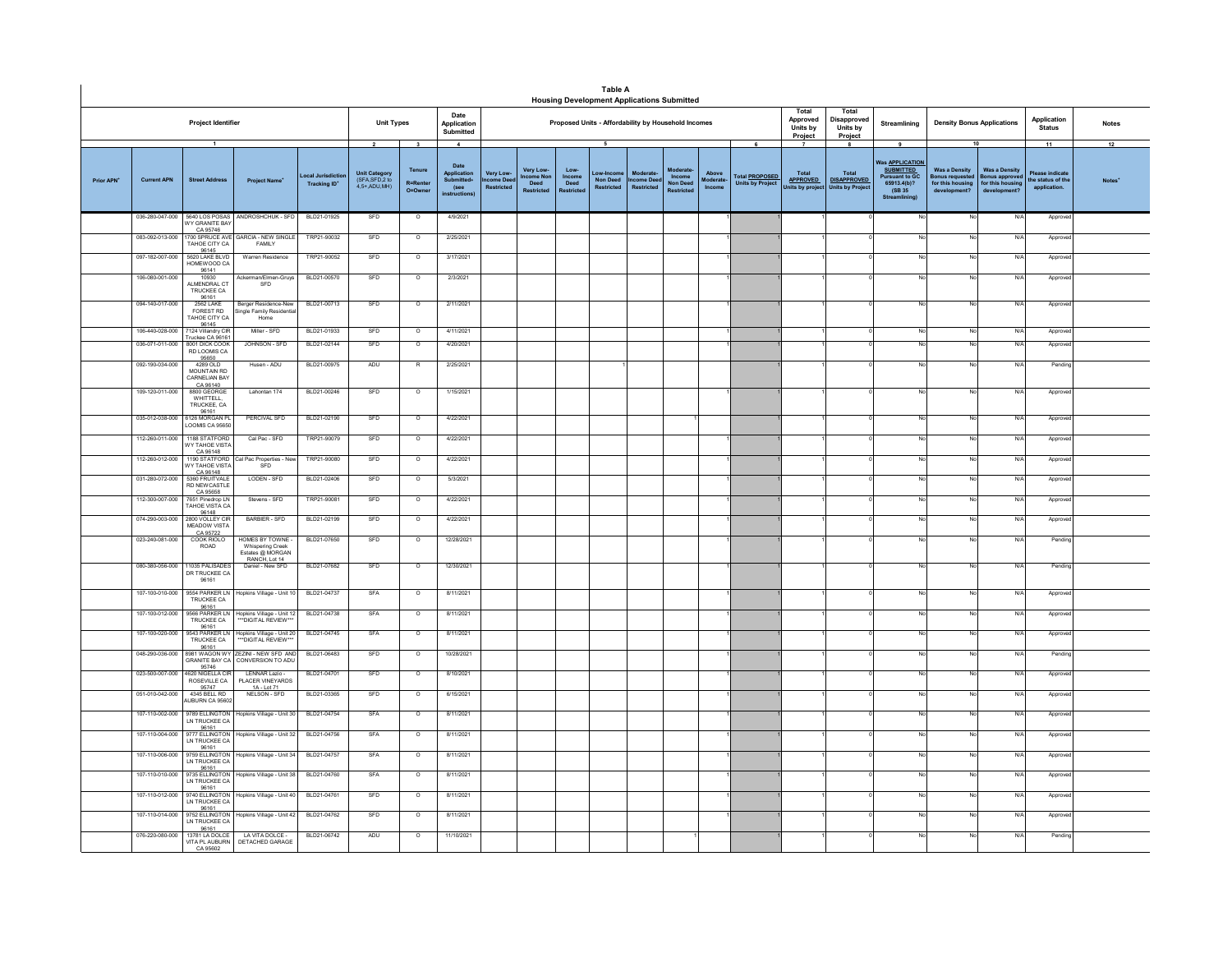|                  |                    |                                                                         |                                                                         |                                     |                                                                    |                                                   |                                                                                |                                     |                                                    |                                             | <b>Table A</b><br><b>Housing Development Applications Submitted</b> |                                                  |                                                     |                             |                                                       |                                                                         |                                                                        |                                                                                                                          |                                                                                    |                                                                                 |                                                                   |                    |
|------------------|--------------------|-------------------------------------------------------------------------|-------------------------------------------------------------------------|-------------------------------------|--------------------------------------------------------------------|---------------------------------------------------|--------------------------------------------------------------------------------|-------------------------------------|----------------------------------------------------|---------------------------------------------|---------------------------------------------------------------------|--------------------------------------------------|-----------------------------------------------------|-----------------------------|-------------------------------------------------------|-------------------------------------------------------------------------|------------------------------------------------------------------------|--------------------------------------------------------------------------------------------------------------------------|------------------------------------------------------------------------------------|---------------------------------------------------------------------------------|-------------------------------------------------------------------|--------------------|
|                  |                    | Project Identifier                                                      |                                                                         |                                     | <b>Unit Types</b>                                                  |                                                   | Date<br>Application<br>Submitted                                               |                                     |                                                    |                                             | Proposed Units - Affordability by Household Incomes                 |                                                  |                                                     |                             |                                                       | Total<br>Approved<br>Units by<br>Project                                | Total<br>Disapproved<br>Units by<br>Project                            | Streamlining                                                                                                             | <b>Density Bonus Applications</b>                                                  |                                                                                 | Application<br><b>Status</b>                                      | <b>Notes</b>       |
| <b>Prior APN</b> | <b>Current APN</b> | $\overline{1}$<br><b>Street Address</b>                                 | Project Name*                                                           | ocal Jurisdic<br><b>Tracking ID</b> | $\overline{2}$<br>Unit Category<br>(SFA, SFD, 2 to<br>4,5+,ADU,MH) | $\mathbf{3}$<br>Tenure<br>R=Rente<br>$Q = Q$ wner | $\mathbf{A}$<br>Date<br>Application<br><b>Submitted</b><br>(see<br>nstructions | Very Low<br>ncome Dee<br>Restricted | Very Low-<br>come Nor<br>Deed<br><b>Restricted</b> | Low-<br>Income<br>Deed<br><b>Restricted</b> | 5<br>Non Deed<br><b>Restricted</b>                                  | <b>Moderat</b><br><b>Come Deed</b><br>Restricted | Moderate<br>Income<br>Non Deed<br><b>Restricted</b> | Above<br>Moderate<br>Income | 6<br><b>Total PROPOSED</b><br><b>Units by Project</b> | $\overline{\phantom{a}}$<br>Total<br><b>APPROVED</b><br>Inits by projec | $\mathbf{a}$<br>Total<br><b>DISAPPROVED</b><br><b>Units by Project</b> | 9<br>Was <b>APPLICATION</b><br><b>SUBMITTED</b><br><b>Pursuant to GC</b><br>65913.4(b)?<br>(SB 35<br><b>Streamlining</b> | <b>Was a Density</b><br><b>Bonus requester</b><br>for this housing<br>development? | 10<br><b>Was a Density</b><br>onus approver<br>for this housing<br>development? | 11<br><b>Please indicate</b><br>the status of the<br>application. | 12<br><b>Notes</b> |
|                  | 036-280-047-000    | WY GRANITE BAY                                                          | 5640 LOS POSAS ANDROSHCHUK - SFD                                        | BLD21-01925                         | SFD                                                                | $\circ$                                           | 4/9/2021                                                                       |                                     |                                                    |                                             |                                                                     |                                                  |                                                     |                             |                                                       |                                                                         |                                                                        |                                                                                                                          | No                                                                                 | N/f                                                                             | Appro                                                             |                    |
|                  | 083-092-013-000    | CA 95746<br>TAHOE CITY CA                                               | 700 SPRUCE AVE GARCIA - NEW SINGLE<br>FAMILY                            | TRP21-90032                         | SFD                                                                | $\circ$                                           | 2/25/2021                                                                      |                                     |                                                    |                                             |                                                                     |                                                  |                                                     |                             |                                                       |                                                                         |                                                                        |                                                                                                                          | <b>No</b>                                                                          | N/4                                                                             | Approv                                                            |                    |
|                  | 097-182-007-000    | 96145<br>5620 LAKE BLVD<br>HOMEWOOD CA                                  | Warren Residence                                                        | TRP21-90052                         | SFD                                                                | $\Omega$                                          | 3/17/2021                                                                      |                                     |                                                    |                                             |                                                                     |                                                  |                                                     |                             |                                                       |                                                                         |                                                                        |                                                                                                                          | No                                                                                 | N/l                                                                             | Appro                                                             |                    |
|                  | 106-080-001-000    | 96141<br>10930<br><b>ALMENDRAL CT</b><br>TRUCKEE CA                     | Ackerman/Elmen-Gruys<br>SFD                                             | BLD21-00570                         | SFD                                                                | $\circ$                                           | 2/3/2021                                                                       |                                     |                                                    |                                             |                                                                     |                                                  |                                                     |                             |                                                       |                                                                         |                                                                        |                                                                                                                          | No                                                                                 | $N$ /                                                                           | Approv                                                            |                    |
|                  | 094-140-017-000    | 96161<br>2562 LAKE<br><b>FOREST RD</b><br><b>TAHOE CITY CA</b><br>96145 | Berger Residence-New<br>ingle Family Residential<br>Home                | BLD21-00713                         | SFD                                                                | $\overline{\circ}$                                | 2/11/2021                                                                      |                                     |                                                    |                                             |                                                                     |                                                  |                                                     |                             |                                                       |                                                                         |                                                                        |                                                                                                                          | No                                                                                 | N/f                                                                             | Approv                                                            |                    |
|                  | 106-440-028-000    | 124 Villandry CIF<br>ruckee CA 96161                                    | Miller - SFD                                                            | BLD21-01933                         | SFD                                                                | $\circ$                                           | 4/11/2021                                                                      |                                     |                                                    |                                             |                                                                     |                                                  |                                                     |                             |                                                       |                                                                         |                                                                        |                                                                                                                          | No                                                                                 | $N$ /                                                                           | Approve                                                           |                    |
|                  | 036-071-011-000    | 8001 DICK COOK<br>RD LOOMIS CA<br>95650                                 | JOHNSON - SED                                                           | BLD21-02144                         | SFD                                                                | $\overline{0}$                                    | 4/20/2021                                                                      |                                     |                                                    |                                             |                                                                     |                                                  |                                                     |                             |                                                       |                                                                         |                                                                        |                                                                                                                          | No                                                                                 | N/l                                                                             | Approv                                                            |                    |
|                  | 092-190-034-000    | 4289 OLD<br>MOUNTAIN RD<br>CARNELIAN BAY<br>CA 96140                    | Husen - ADU                                                             | BLD21-00975                         | ADU                                                                | $\mathbb{R}$                                      | 2/25/2021                                                                      |                                     |                                                    |                                             |                                                                     |                                                  |                                                     |                             |                                                       |                                                                         |                                                                        |                                                                                                                          | No                                                                                 | N/l                                                                             | Pendin                                                            |                    |
|                  | 109-120-011-000    | 8800 GEORGE<br>WHITTELL.<br>TRUCKEE, CA<br>96161                        | Lahontan 174                                                            | BLD21-00246                         | SFD                                                                | $\circ$                                           | 1/15/2021                                                                      |                                     |                                                    |                                             |                                                                     |                                                  |                                                     |                             |                                                       |                                                                         |                                                                        |                                                                                                                          | No                                                                                 | N/                                                                              | Approve                                                           |                    |
|                  | 035-012-038-000    | 6126 MORGAN PL<br>OOMIS CA 95650                                        | PERCIVAL SFD                                                            | BLD21-02190                         | SFD                                                                | $\circ$                                           | 4/22/2021                                                                      |                                     |                                                    |                                             |                                                                     |                                                  |                                                     |                             |                                                       |                                                                         |                                                                        |                                                                                                                          | No                                                                                 | N/f                                                                             | Approve                                                           |                    |
|                  | 112-260-011-000    | 1188 STATFORD<br>VY TAHOE VISTA<br>CA 96148                             | Cal Pac - SFD                                                           | TRP21-90079                         | SFD                                                                | $\circ$                                           | 4/22/2021                                                                      |                                     |                                                    |                                             |                                                                     |                                                  |                                                     |                             |                                                       |                                                                         |                                                                        |                                                                                                                          | No                                                                                 | N                                                                               | Approve                                                           |                    |
|                  | 112-260-012-000    | 190 STATFORD<br>WY TAHOF VISTA<br>CA 96148                              | al Pac Properties - Nev<br><b>SFD</b>                                   | TRP21-90080                         | SFD                                                                | $\circ$                                           | 4/22/2021                                                                      |                                     |                                                    |                                             |                                                                     |                                                  |                                                     |                             |                                                       |                                                                         |                                                                        |                                                                                                                          | No                                                                                 | N                                                                               | Approve                                                           |                    |
|                  | 031-280-072-000    | 5360 FRUITVALE<br>RD NEWCASTLE<br>CA 95658                              | LODEN - SFD                                                             | BLD21-02406                         | SFD                                                                | $\circ$                                           | 5/3/2021                                                                       |                                     |                                                    |                                             |                                                                     |                                                  |                                                     |                             |                                                       |                                                                         |                                                                        |                                                                                                                          | No                                                                                 | N                                                                               | Approve                                                           |                    |
|                  | 112-300-007-000    | 7651 Pinedrop LN<br>TAHOE VISTA CA<br>96148                             | Stevens - SFD                                                           | TRP21-90081                         | SFD                                                                | $\circ$                                           | 4/22/2021                                                                      |                                     |                                                    |                                             |                                                                     |                                                  |                                                     |                             |                                                       |                                                                         |                                                                        |                                                                                                                          | No                                                                                 | N/l                                                                             | Approv                                                            |                    |
|                  | 074-290-003-000    | 2800 VOLLEY CIR<br>MEADOW VISTA<br>CA 95722                             | BARBIER - SFD                                                           | BLD21-02199                         | SFD                                                                | $\circ$                                           | 4/22/2021                                                                      |                                     |                                                    |                                             |                                                                     |                                                  |                                                     |                             |                                                       |                                                                         |                                                                        |                                                                                                                          | No                                                                                 | N/                                                                              | Approv                                                            |                    |
|                  | 023-240-081-000    | COOK RIOLO<br>ROAD                                                      | HOMES BY TOWNE<br>Whispering Creek<br>Estates @ MORGAN<br>RANCH. Lot 14 | BLD21-07650                         | SFD                                                                | $\circ$                                           | 12/28/2021                                                                     |                                     |                                                    |                                             |                                                                     |                                                  |                                                     |                             |                                                       |                                                                         |                                                                        |                                                                                                                          | No                                                                                 | $N$ /                                                                           | Pending                                                           |                    |
|                  | 080-380-056-000    | 11035 PALISADES<br>DR TRUCKEE CA<br>96161                               | Daniel - New SFD                                                        | BLD21-07682                         | SFD                                                                | $\overline{\circ}$                                | 12/30/2021                                                                     |                                     |                                                    |                                             |                                                                     |                                                  |                                                     |                             |                                                       |                                                                         |                                                                        |                                                                                                                          | No                                                                                 | N/4                                                                             | Pending                                                           |                    |
|                  | 107-100-010-000    | 9554 PARKER LN<br>TRUCKEE CA<br>96161                                   | Hopkins Village - Unit 10                                               | BLD21-04737                         | SFA                                                                | $\circ$                                           | 8/11/2021                                                                      |                                     |                                                    |                                             |                                                                     |                                                  |                                                     |                             |                                                       |                                                                         |                                                                        |                                                                                                                          | No                                                                                 | N/                                                                              | Approve                                                           |                    |
|                  | 107-100-012-000    | 9566 PARKER LN<br>TRUCKEE CA<br>96161                                   | Hopkins Village - Unit 12<br>"*DIGITAL REVIEW***                        | BLD21-04738                         | SFA                                                                | $\circ$                                           | 8/11/2021                                                                      |                                     |                                                    |                                             |                                                                     |                                                  |                                                     |                             |                                                       |                                                                         |                                                                        |                                                                                                                          | No                                                                                 | N/                                                                              | Approve                                                           |                    |
|                  | 107-100-020-000    | 9543 PARKER LN<br>TRUCKEE CA<br>96161                                   | Hopkins Village - Unit 20<br>"*DIGITAL REVIEW***                        | BLD21-04745                         | SFA                                                                | $\circ$                                           | 8/11/2021                                                                      |                                     |                                                    |                                             |                                                                     |                                                  |                                                     |                             |                                                       |                                                                         |                                                                        |                                                                                                                          | No                                                                                 | N/                                                                              | Approv                                                            |                    |
|                  | 048-290-036-000    | 95746                                                                   | 981 WAGON WY ZEZINI - NEW SFD AND<br>GRANITE BAY CA CONVERSION TO ADU   | BLD21-06483                         | SFD                                                                | $\circ$                                           | 10/28/2021                                                                     |                                     |                                                    |                                             |                                                                     |                                                  |                                                     |                             |                                                       |                                                                         |                                                                        |                                                                                                                          | No                                                                                 | N/4                                                                             | Pending                                                           |                    |
|                  | 023-500-007-000    | 4620 NIGELLA CIR<br>ROSEVILLE CA<br>95747                               | LENNAR Lazio -<br>PLACER VINEYARDS<br>1A - Lot 71                       | BLD21-04701                         | SFD                                                                | $\overline{\circ}$                                | 8/10/2021                                                                      |                                     |                                                    |                                             |                                                                     |                                                  |                                                     |                             |                                                       |                                                                         |                                                                        |                                                                                                                          | No.                                                                                | N/f                                                                             | Approv                                                            |                    |
|                  | 051-010-042-000    | 4345 BELL RD<br><b>NUBURN CA 95602</b>                                  | NELSON - SFD                                                            | BLD21-03365                         | SFD                                                                | $\overline{0}$                                    | 6/15/2021                                                                      |                                     |                                                    |                                             |                                                                     |                                                  |                                                     |                             |                                                       |                                                                         |                                                                        |                                                                                                                          | <b>No</b>                                                                          | N/I                                                                             | Approve                                                           |                    |
|                  | 107-110-002-000    | LN TRUCKEE CA                                                           | 9789 ELLINGTON Hopkins Village - Unit 30                                | BLD21-04754                         | SFA                                                                | $\Omega$                                          | 8/11/2021                                                                      |                                     |                                                    |                                             |                                                                     |                                                  |                                                     |                             |                                                       |                                                                         |                                                                        | No                                                                                                                       | No                                                                                 | N/L                                                                             | Approve                                                           |                    |
|                  | 107-110-004-000    | LN TRUCKEE CA<br>96161                                                  | 96161<br>9777 ELLINGTON Hopkins Village - Unit 32                       | BLD21-04756                         | SFA                                                                | $\circ$                                           | 8/11/2021                                                                      |                                     |                                                    |                                             |                                                                     |                                                  |                                                     |                             |                                                       |                                                                         |                                                                        |                                                                                                                          | No                                                                                 | N/                                                                              | Approv                                                            |                    |
|                  | 107-110-006-000    | 9759 ELLINGTON<br>LN TRUCKEE CA<br>96161                                | Hopkins Village - Unit 34                                               | BLD21-04757                         | SFA                                                                | $\circ$                                           | 8/11/2021                                                                      |                                     |                                                    |                                             |                                                                     |                                                  |                                                     |                             |                                                       |                                                                         |                                                                        |                                                                                                                          | No                                                                                 | N/                                                                              | Approv                                                            |                    |
|                  | 107-110-010-000    | 9735 ELLINGTON<br>LN TRUCKEE CA<br>96161                                | Hopkins Village - Unit 38                                               | BLD21-04760                         | SFA                                                                | $\circ$                                           | 8/11/2021                                                                      |                                     |                                                    |                                             |                                                                     |                                                  |                                                     |                             |                                                       |                                                                         |                                                                        |                                                                                                                          | No                                                                                 | N/f                                                                             | Appro                                                             |                    |
|                  | 107-110-012-000    | 9740 ELLINGTON<br><b>LN TRUCKEE CA</b><br>96161                         | Hopkins Village - Unit 40                                               | BLD21-04761                         | SFD                                                                | $\circ$                                           | 8/11/2021                                                                      |                                     |                                                    |                                             |                                                                     |                                                  |                                                     |                             |                                                       |                                                                         |                                                                        |                                                                                                                          | No                                                                                 | N/                                                                              | Appro                                                             |                    |
|                  | 107-110-014-000    | 9752 ELLINGTON<br>LN TRUCKEE CA<br>96161                                | Hopkins Village - Unit 42                                               | BLD21-04762                         | SFD                                                                | $\circ$                                           | 8/11/2021                                                                      |                                     |                                                    |                                             |                                                                     |                                                  |                                                     |                             |                                                       |                                                                         |                                                                        | No                                                                                                                       | No.                                                                                | N/f                                                                             | Approv                                                            |                    |
|                  | 076-220-080-000    | 13781 LA DOLCE<br>VITA PL AUBURN<br>CA 95602                            | LA VITA DOLCE-<br>DETACHED GARAGE                                       | BLD21-06742                         | ADU                                                                | $\overline{\circ}$                                | 11/10/2021                                                                     |                                     |                                                    |                                             |                                                                     |                                                  |                                                     |                             |                                                       |                                                                         |                                                                        |                                                                                                                          | No                                                                                 | N/f                                                                             | Pendin                                                            |                    |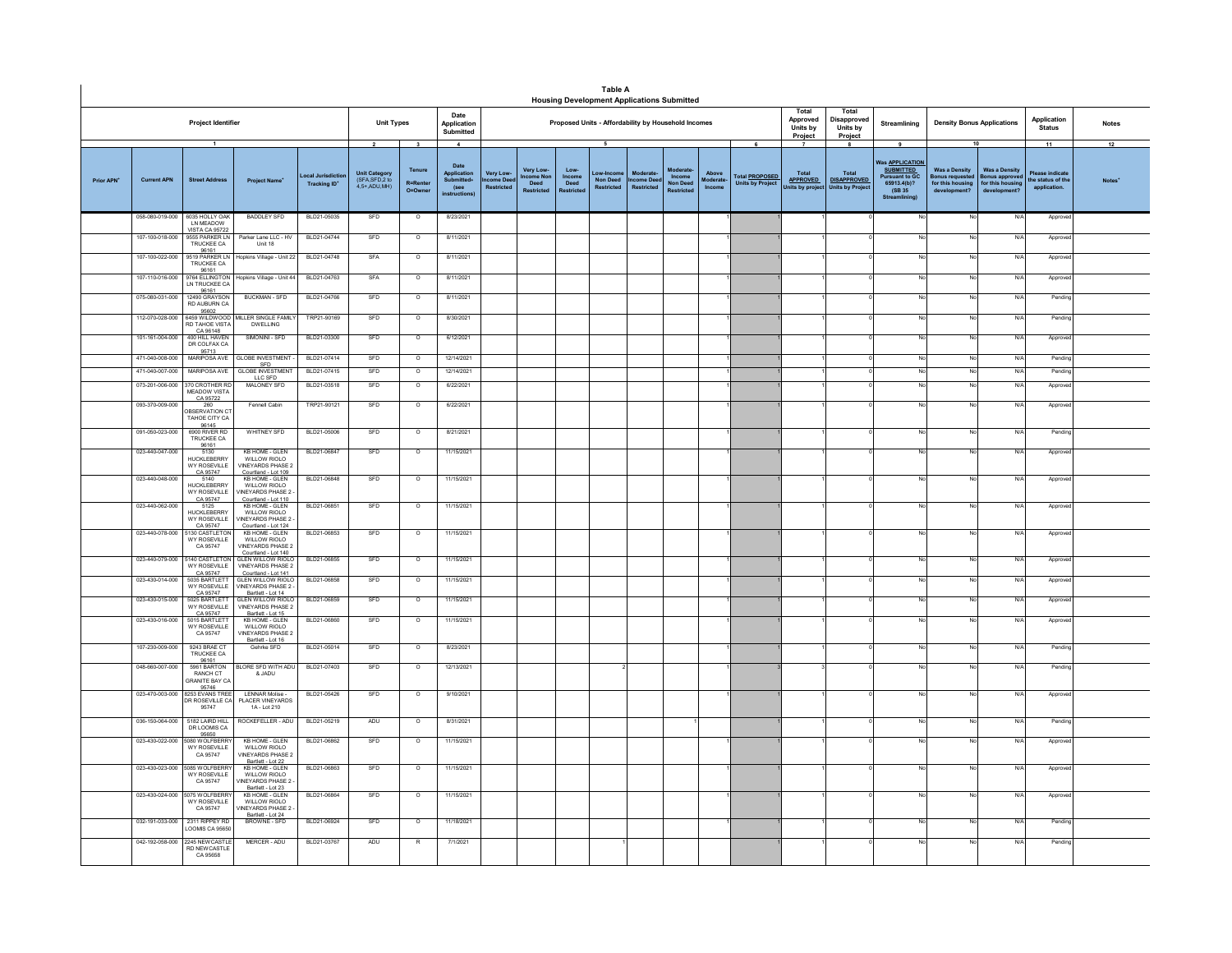|           |                                    |                                                                   |                                                                                          |                                        |                                                                  |                                               |                                                                                    |                                                           |                                  |                                    | <b>Table A</b><br><b>Housing Development Applications Submitted</b> |                                           |                                        |                             |                                                       |                                            |                                                                     |                                                                                                                   |                                                                                  |                                                                          |                                                           |                    |
|-----------|------------------------------------|-------------------------------------------------------------------|------------------------------------------------------------------------------------------|----------------------------------------|------------------------------------------------------------------|-----------------------------------------------|------------------------------------------------------------------------------------|-----------------------------------------------------------|----------------------------------|------------------------------------|---------------------------------------------------------------------|-------------------------------------------|----------------------------------------|-----------------------------|-------------------------------------------------------|--------------------------------------------|---------------------------------------------------------------------|-------------------------------------------------------------------------------------------------------------------|----------------------------------------------------------------------------------|--------------------------------------------------------------------------|-----------------------------------------------------------|--------------------|
|           |                                    | <b>Project Identifier</b>                                         |                                                                                          |                                        | <b>Unit Types</b>                                                |                                               | Date<br>Application<br>Submitted                                                   |                                                           |                                  |                                    | Proposed Units - Affordability by Household Incomes                 |                                           |                                        |                             |                                                       | Total<br>Approved<br>Units by<br>Project   | Total<br>Disapproved<br>Units by<br>Project                         | Streamlining                                                                                                      | <b>Density Bonus Applications</b>                                                |                                                                          | Application<br><b>Status</b>                              | <b>Notes</b>       |
| Prior APN | <b>Current APN</b>                 | $\mathbf{1}$<br><b>Street Address</b>                             | <b>Project Name</b>                                                                      | ocal Jurisdictio<br><b>Tracking ID</b> | $\overline{2}$<br>Unit Category<br>(SFA,SFD,2 to<br>4.5+ ADU MH) | $\mathbf{3}$<br>Tenure<br>R=Renter<br>O=Owner | $\overline{4}$<br>Date<br>Application<br>Submitted+<br>(see<br><b>instructions</b> | <b>Very Low</b><br><sub>me Dee</sub><br><b>Restricted</b> | <b>Very Low</b><br>ne No<br>Deed | Low-<br>Income<br>Deed<br>estricte | 5<br>Low-Incon<br><b>Non Deed</b><br><b>Restricted</b>              | Moderate<br>ome Dee:<br><b>Restricted</b> | Income<br><b>Non Deed</b><br>testricte | Above<br>loderate<br>Income | 6<br><b>Total PROPOSED</b><br><b>Units by Project</b> | Total<br><b>APPROVED</b><br>Units by proje | -8<br><b>Total</b><br><b>DISAPPROVED</b><br><b>Units by Project</b> | 9<br><b>Vas APPLICATION</b><br><b>SUBMITTED</b><br><b>Pursuant to GC</b><br>65913.4(b)?<br>(SB 35<br>Streamlining | 10<br><b>Was a Density</b><br>onus requested<br>for this housing<br>development? | <b>Was a Density</b><br>onus approve<br>for this housing<br>development? | 11<br>Please indicate<br>he status of the<br>application. | 12<br><b>Notes</b> |
|           | 058-080-019-000                    | 6035 HOLLY OAK<br>I N MEADOW                                      | <b>BADDLEY SFD</b>                                                                       | BLD21-05035                            | SFD                                                              | $\circ$                                       | 8/23/2021                                                                          |                                                           |                                  |                                    |                                                                     |                                           |                                        |                             |                                                       |                                            |                                                                     |                                                                                                                   | No                                                                               | N/                                                                       | Appro                                                     |                    |
|           | 107-100-018-000                    | /ISTA CA 95722<br>9555 PARKER IN<br>TRUCKEE CA                    | Parker Lane LLC - HV<br>Unit 18                                                          | BLD21-04744                            | SFD                                                              | $\circ$                                       | 8/11/2021                                                                          |                                                           |                                  |                                    |                                                                     |                                           |                                        |                             |                                                       |                                            |                                                                     |                                                                                                                   | No                                                                               | N/                                                                       | Appro                                                     |                    |
|           | 107-100-022-000                    | 96161<br>9519 PARKER LN<br>TRUCKEE CA                             | Hopkins Village - Unit 22                                                                | BLD21-04748                            | SFA                                                              | $\circ$                                       | 8/11/2021                                                                          |                                                           |                                  |                                    |                                                                     |                                           |                                        |                             |                                                       |                                            |                                                                     |                                                                                                                   | No                                                                               | $N$ /                                                                    | Approv                                                    |                    |
|           | 107-110-016-000                    | 96161<br>9764 ELLINGTON<br>LN TRUCKEE CA                          | Hopkins Village - Unit 44                                                                | BLD21-04763                            | SFA                                                              | $\circ$                                       | 8/11/2021                                                                          |                                                           |                                  |                                    |                                                                     |                                           |                                        |                             |                                                       |                                            |                                                                     |                                                                                                                   | No                                                                               | N/                                                                       | Approve                                                   |                    |
|           | 075-080-031-000                    | 96161<br>12490 GRAYSON<br>RD AUBURN CA                            | <b>BUCKMAN - SFD</b>                                                                     | BLD21-04766                            | SFD                                                              | $\overline{\circ}$                            | 8/11/2021                                                                          |                                                           |                                  |                                    |                                                                     |                                           |                                        |                             |                                                       |                                            |                                                                     |                                                                                                                   | No                                                                               | N                                                                        | Pendin                                                    |                    |
|           | 112-070-028-000                    | 95602<br>6459 WILDWOOD<br>RD TAHOE VISTA                          | MILLER SINGLE FAMILY<br><b>DWELLING</b>                                                  | TRP21-90169                            | SED                                                              | $\Omega$                                      | 8/30/2021                                                                          |                                                           |                                  |                                    |                                                                     |                                           |                                        |                             |                                                       |                                            |                                                                     |                                                                                                                   | No                                                                               | N/I                                                                      | Pendin                                                    |                    |
|           | 101-161-004-000                    | CA 96148<br>400 HILL HAVEN<br>DR COLFAX CA                        | SIMONINI - SED                                                                           | BLD21-03300                            | SED                                                              | $\Omega$                                      | 6/12/2021                                                                          |                                                           |                                  |                                    |                                                                     |                                           |                                        |                             |                                                       |                                            |                                                                     |                                                                                                                   | No                                                                               | N/l                                                                      | Approve                                                   |                    |
|           | 471-040-008-000                    | 95713<br>MARIPOSA AVE                                             | <b>GLOBE INVESTMENT</b><br>SFD<br>GLOBE INVESTMENT                                       | BLD21-07414                            | SFD                                                              | $\overline{\circ}$                            | 12/14/2021                                                                         |                                                           |                                  |                                    |                                                                     |                                           |                                        |                             |                                                       |                                            |                                                                     |                                                                                                                   | No                                                                               | N                                                                        | Pendin                                                    |                    |
|           | 471-040-007-000<br>073-201-006-000 | MARIPOSA AVE<br>370 CROTHER RD                                    | LLC SFD<br>MALONEY SFD                                                                   | BLD21-07415<br>BLD21-03518             | SFD<br>SFD                                                       | $\overline{\circ}$<br>$\circ$                 | 12/14/2021<br>6/22/2021                                                            |                                                           |                                  |                                    |                                                                     |                                           |                                        |                             |                                                       |                                            |                                                                     |                                                                                                                   | No<br>No                                                                         | N/<br>N/                                                                 | Pendin<br>Approv                                          |                    |
|           |                                    | MEADOW VISTA<br>CA 95722                                          |                                                                                          |                                        |                                                                  |                                               |                                                                                    |                                                           |                                  |                                    |                                                                     |                                           |                                        |                             |                                                       |                                            |                                                                     |                                                                                                                   |                                                                                  |                                                                          |                                                           |                    |
|           | 093-370-009-000                    | 260<br><b>RSERVATION CT</b><br>TAHOE CITY CA<br>96145             | Fennell Cabin                                                                            | TRP21-90121                            | SFD                                                              | $\circ$                                       | 6/22/2021                                                                          |                                                           |                                  |                                    |                                                                     |                                           |                                        |                             |                                                       |                                            |                                                                     |                                                                                                                   | No                                                                               | N/                                                                       | Approv                                                    |                    |
|           | 091-050-023-000                    | 6900 RIVER RD<br>TRUCKEE CA                                       | <b>WHITNEY SFD</b>                                                                       | BLD21-05006                            | SFD                                                              | $\circ$                                       | 8/21/2021                                                                          |                                                           |                                  |                                    |                                                                     |                                           |                                        |                             |                                                       |                                            |                                                                     |                                                                                                                   | No                                                                               | $N$ /                                                                    | Pendin                                                    |                    |
|           | 023-440-047-000                    | 96161<br>HUCKI FRERRY<br>WY ROSEVILLE                             | <b>KB HOME - GLEN</b><br>WILLOW RIOLO<br>VINEYARDS PHASE 2                               | BLD21-06847                            | SFD                                                              | $\overline{\circ}$                            | 11/15/2021                                                                         |                                                           |                                  |                                    |                                                                     |                                           |                                        |                             |                                                       |                                            |                                                                     |                                                                                                                   | No                                                                               | N                                                                        | Approv                                                    |                    |
|           | 023-440-048-000                    | CA 95747<br>5140<br><b>HUCKLEBERRY</b><br><b>WY ROSEVILLE</b>     | Courtland - Lot 109<br>KB HOME - GLEN<br>WILLOW RIOLO<br><b>INEYARDS PHASE 2</b>         | BLD21-06848                            | SFD                                                              | $\Omega$                                      | 11/15/2021                                                                         |                                                           |                                  |                                    |                                                                     |                                           |                                        |                             |                                                       |                                            |                                                                     | No                                                                                                                | No                                                                               | N/L                                                                      | Approv                                                    |                    |
|           | 023-440-062-000                    | CA 95747<br>5125<br><b>HUCKLEBERRY</b><br>WY ROSEVILLE            | Courtland - Lot 110<br><b>KB HOME - GLEN</b><br>WILLOW RIOLO<br>INEYARDS PHASE 2         | BLD21-06851                            | SFD                                                              | $\circ$                                       | 11/15/2021                                                                         |                                                           |                                  |                                    |                                                                     |                                           |                                        |                             |                                                       |                                            |                                                                     |                                                                                                                   | No.                                                                              | N/                                                                       | Approv                                                    |                    |
|           | 023-440-078-000                    | CA 95747<br>5130 CASTLETON<br><b>WY ROSEVILLE</b><br>CA 95747     | Courtland - Lot 124<br><b>KB HOME - GLEN</b><br>WILLOW RIOLO<br><b>VINEYARDS PHASE 2</b> | BLD21-06853                            | SFD                                                              | $\circ$                                       | 11/15/2021                                                                         |                                                           |                                  |                                    |                                                                     |                                           |                                        |                             |                                                       |                                            |                                                                     |                                                                                                                   | No                                                                               | N                                                                        | Approve                                                   |                    |
|           | 023-440-079-000                    | 5140 CASTLETON<br>WY ROSEVILLE                                    | Courtland - Lot 140<br><b>GLEN WILLOW RIOLO</b><br><b>VINEYARDS PHASE 2</b>              | BLD21-06855                            | SFD                                                              | $\circ$                                       | 11/15/2021                                                                         |                                                           |                                  |                                    |                                                                     |                                           |                                        |                             |                                                       |                                            |                                                                     |                                                                                                                   | No                                                                               | $N$ /                                                                    | Approv                                                    |                    |
|           | 023-430-014-000                    | CA 95747<br>5035 BARTLET<br>WY ROSEVILLE                          | Courtland - Lot 141<br>GLEN WILLOW RIOLO<br><b>VINEYARDS PHASE 2</b>                     | BLD21-06858                            | SFD                                                              | $\overline{\circ}$                            | 11/15/2021                                                                         |                                                           |                                  |                                    |                                                                     |                                           |                                        |                             |                                                       |                                            |                                                                     |                                                                                                                   | No                                                                               | N/                                                                       | Approv                                                    |                    |
|           | 023-430-015-000                    | CA 95747<br>5025 BARTLETT<br><b>WY ROSEVILLE</b>                  | Bartlett - Lot 14<br><b>GLEN WILLOW RIOLO</b><br><b>VINEYARDS PHASE 2</b>                | BLD21-06859                            | SFD                                                              | $\overline{\circ}$                            | 11/15/2021                                                                         |                                                           |                                  |                                    |                                                                     |                                           |                                        |                             |                                                       |                                            |                                                                     |                                                                                                                   | No                                                                               | N/4                                                                      | Approv                                                    |                    |
|           | 023-430-016-000                    | CA 95747<br>5015 BARTLETT<br>WY ROSEVILLE<br>CA 95747             | Bartlett - Lot 15<br><b>KB HOME - GLEN</b><br>WILLOW RIOLO<br><b>VINEYARDS PHASE 2</b>   | BLD21-06860                            | SFD                                                              | $\circ$                                       | 11/15/2021                                                                         |                                                           |                                  |                                    |                                                                     |                                           |                                        |                             |                                                       |                                            |                                                                     |                                                                                                                   | No                                                                               | $N$ /                                                                    | Appro                                                     |                    |
|           | 107-230-009-000                    | 9243 BRAE CT<br><b>TRUCKEE CA</b><br>96161                        | Bartlett - Lot 16<br>Gehrke SFD                                                          | BLD21-05014                            | SFD                                                              | $\circ$                                       | 8/23/2021                                                                          |                                                           |                                  |                                    |                                                                     |                                           |                                        |                             |                                                       |                                            |                                                                     |                                                                                                                   | No.                                                                              | N/l                                                                      | Pending                                                   |                    |
|           | 048-660-007-000                    | 5961 BARTON<br>RANCH CT<br><b>GRANITE BAY CA</b><br>95746         | BLORE SED WITH ADU<br>& JADU                                                             | BLD21-07403                            | SFD                                                              | $\Omega$                                      | 12/13/2021                                                                         |                                                           |                                  |                                    |                                                                     |                                           |                                        |                             |                                                       |                                            |                                                                     |                                                                                                                   | No                                                                               | N/I                                                                      | Pendin                                                    |                    |
|           | 023-470-003-000                    | 8253 EVANS TREE<br>DR ROSEVILLE CA<br>95747                       | I FNNAR Molise-<br>PLACER VINEYARDS<br>1A - Lot 210                                      | BLD21-05426                            | SFD                                                              | $\overline{\circ}$                            | 9/10/2021                                                                          |                                                           |                                  |                                    |                                                                     |                                           |                                        |                             |                                                       |                                            |                                                                     |                                                                                                                   | No                                                                               | $N$ /                                                                    | Approv                                                    |                    |
|           | 036-150-064-000                    | 5182 LAIRD HILL<br>DR LOOMIS CA                                   | ROCKEFELLER - ADU                                                                        | BLD21-05219                            | ADU                                                              | $\overline{\circ}$                            | 8/31/2021                                                                          |                                                           |                                  |                                    |                                                                     |                                           |                                        |                             |                                                       |                                            |                                                                     |                                                                                                                   | No                                                                               | N                                                                        | Pending                                                   |                    |
|           | 023-430-022-000                    | 95650<br>5080 WOLFBERR<br><b>WY ROSEVILLE</b><br>CA 95747         | <b>KB HOME - GLEN</b><br>WILLOW RIOLO<br><b>INEYARDS PHASE 2</b>                         | BLD21-06862                            | SFD                                                              | $\circ$                                       | 11/15/2021                                                                         |                                                           |                                  |                                    |                                                                     |                                           |                                        |                             |                                                       |                                            |                                                                     |                                                                                                                   | No                                                                               | N/                                                                       | Approv                                                    |                    |
|           | 023-430-023-000                    | 5085 WOLFBERR<br>WY ROSEVILLE<br>CA 95747                         | Bartlett - Lot 22<br>WILLOW RIOLO<br><b>INEYARDS PHASE 2</b><br>Bartlett - Lot 23        | BLD21-06863                            | SFD                                                              | $\circ$                                       | 11/15/2021                                                                         |                                                           |                                  |                                    |                                                                     |                                           |                                        |                             |                                                       |                                            |                                                                     |                                                                                                                   | No                                                                               | N/l                                                                      | Approve                                                   |                    |
|           | 023-430-024-000 5075 WOLFBERRY     | WY ROSEVILLE<br>CA 95747                                          | KB HOME - GLEN<br>WILLOW RIOLO<br><b>INFYARDS PHASE 2</b>                                | BLD21-06864                            | SFD                                                              | $\overline{0}$                                | 11/15/2021                                                                         |                                                           |                                  |                                    |                                                                     |                                           |                                        |                             |                                                       |                                            |                                                                     |                                                                                                                   | No                                                                               | N/I                                                                      | Approv                                                    |                    |
|           | 032-191-033-000                    | 2311 RIPPEY RD<br>LOOMIS CA 95650                                 | Bartlett - Lot 24<br>BROWNE - SFD                                                        | BLD21-06924                            | SFD                                                              | $\circ$                                       | 11/18/2021                                                                         |                                                           |                                  |                                    |                                                                     |                                           |                                        |                             |                                                       |                                            |                                                                     |                                                                                                                   | No                                                                               | N/                                                                       | Pending                                                   |                    |
|           |                                    | 042-192-058-000 2245 NEWCASTLE<br><b>RD NEWCASTLE</b><br>CA 95658 | MERCER - ADU                                                                             | BLD21-03767                            | ADU                                                              | R                                             | 7/1/2021                                                                           |                                                           |                                  |                                    |                                                                     |                                           |                                        |                             |                                                       |                                            |                                                                     |                                                                                                                   | No                                                                               | N/f                                                                      | Pendine                                                   |                    |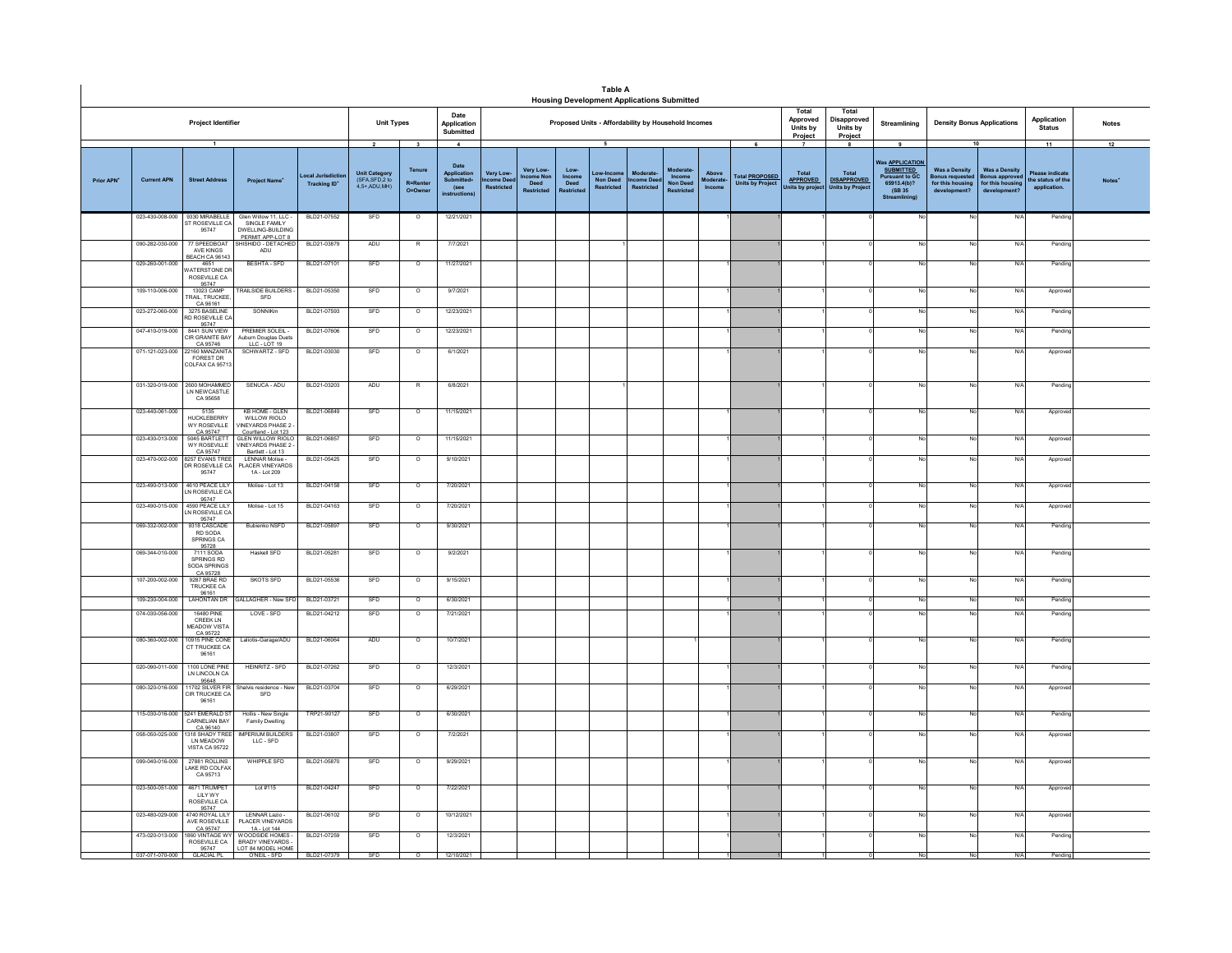|                        |                                    |                                                                         |                                                                                        |                                              |                                                                    |                                               |                                                                            | Table A                                    | <b>Housing Development Applications Submitted</b> |                                             |                                                 |                                                     |                                                    |                              |                                                       |                                                          |                                                           |                                                                                                                            |                                                                                    |                                                                                       |                                                                  |                          |
|------------------------|------------------------------------|-------------------------------------------------------------------------|----------------------------------------------------------------------------------------|----------------------------------------------|--------------------------------------------------------------------|-----------------------------------------------|----------------------------------------------------------------------------|--------------------------------------------|---------------------------------------------------|---------------------------------------------|-------------------------------------------------|-----------------------------------------------------|----------------------------------------------------|------------------------------|-------------------------------------------------------|----------------------------------------------------------|-----------------------------------------------------------|----------------------------------------------------------------------------------------------------------------------------|------------------------------------------------------------------------------------|---------------------------------------------------------------------------------------|------------------------------------------------------------------|--------------------------|
|                        |                                    | <b>Project Identifier</b>                                               |                                                                                        |                                              | <b>Unit Types</b>                                                  |                                               | Date<br>Application<br>Submitted                                           |                                            |                                                   |                                             |                                                 | Proposed Units - Affordability by Household Incomes |                                                    |                              |                                                       | Total<br>Approved<br>Units by<br>Project                 | Total<br>Disapproved<br>Units by<br>Project               | Streamlining                                                                                                               | <b>Density Bonus Applications</b>                                                  |                                                                                       | Application<br><b>Status</b>                                     | <b>Notes</b>             |
| Prior APN <sup>+</sup> | <b>Current APN</b>                 | $\overline{1}$<br><b>Street Address</b>                                 | <b>Project Name</b>                                                                    | ocal Jurisdictio<br>Tracking ID <sup>+</sup> | $\overline{2}$<br>Unit Category<br>(SFA, SFD, 2 to<br>4.5+ ADU MH) | $\mathbf{3}$<br>Tenure<br>R=Renter<br>O=Owner | $\sim$<br>Date<br>Application<br>Submitted+<br>(see<br><b>instructions</b> | Very Low-<br>come Dee<br><b>Restricted</b> | Very Low-<br>come Nor<br>Deed<br>Restricted       | Low-<br>Income<br>Deed<br><b>Restricted</b> | 5<br>Low-Incon<br>Non Deed<br><b>Postricted</b> | <b>Moderate</b><br>come Deed<br><b>Pastrictor</b>   | loderat<br>Income<br><b>Non Deed</b><br>Restricted | Above<br>foderate-<br>Income | 6<br><b>Total PROPOSED</b><br><b>Units by Project</b> | $\overline{7}$<br>Total<br><b>APPROVED</b><br>ts by proj | 8<br><b>Total</b><br><b>DISAPPROVED</b><br>Units by Proje | 9<br><b>Vas APPLICATION</b><br><b>SUBMITTED</b><br><b>Pursuant to GC</b><br>65913,4(b)?<br>(SB 35)<br><b>Streamlining)</b> | <b>Was a Density</b><br><b>Bonus requester</b><br>for this housing<br>development? | 10<br><b>Was a Density</b><br><b>Bonus approv</b><br>for this housing<br>development? | 11<br><b>Please indicate</b><br>the status of the<br>application | 12<br>Notes <sup>'</sup> |
|                        | 023-430-008-000                    | 9330 MIRABELLE<br>ST ROSEVILLE CA<br>95747                              | Glen Willow 11, LLC -<br>SINGLE FAMILY<br><b>DWELLING-BUILDING</b><br>PERMIT APP-LOT 8 | BLD21-07552                                  | SFD                                                                | $\circ$                                       | 12/21/2021                                                                 |                                            |                                                   |                                             |                                                 |                                                     |                                                    |                              |                                                       |                                                          |                                                           |                                                                                                                            | No                                                                                 | N/A                                                                                   | Pending                                                          |                          |
|                        | 090-282-030-000                    | 77 SPEEDBOAT<br>AVE KINGS<br>BEACH CA 9614                              | <b>IISHIDO - DETACHED</b><br>ADU                                                       | BLD21-03879                                  | ADU                                                                | $\mathbb{R}$                                  | 7/7/2021                                                                   |                                            |                                                   |                                             |                                                 |                                                     |                                                    |                              |                                                       |                                                          |                                                           | No                                                                                                                         |                                                                                    | N/A                                                                                   | Pendin                                                           |                          |
|                        | 029-260-001-000                    | 4651<br>ATERSTONE DR<br>ROSEVILLE CA                                    | BESHTA - SFD                                                                           | BLD21-07101                                  | SFD                                                                | $\circ$                                       | 11/27/2021                                                                 |                                            |                                                   |                                             |                                                 |                                                     |                                                    |                              |                                                       |                                                          |                                                           | No                                                                                                                         |                                                                                    | N/A                                                                                   | Pendine                                                          |                          |
|                        | 109-110-006-000                    | 95747<br>13023 CAMP<br>RAIL, TRUCKEE                                    | RAILSIDE BUILDERS<br>SFD                                                               | BLD21-05350                                  | SFD                                                                | $\overline{\circ}$                            | 9/7/2021                                                                   |                                            |                                                   |                                             |                                                 |                                                     |                                                    |                              |                                                       |                                                          |                                                           | No                                                                                                                         |                                                                                    | N/A                                                                                   | Approve                                                          |                          |
|                        | 023-272-060-000                    | CA 96161<br>3275 BASELINE<br>D ROSEVILLE C                              | SONNIKm                                                                                | BLD21-07593                                  | SFD                                                                | $\Omega$                                      | 12/23/2021                                                                 |                                            |                                                   |                                             |                                                 |                                                     |                                                    |                              |                                                       |                                                          |                                                           | No                                                                                                                         |                                                                                    | N/A                                                                                   | Pending                                                          |                          |
|                        | 047-410-019-000                    | 95747<br>8441 SUN VIEW<br>CIR GRANITE BAY<br>CA 95746                   | PREMIER SOLEIL -<br>Auburn Douglas Duets<br>LLC - LOT 19                               | BLD21-07606                                  | SFD                                                                | $\circ$                                       | 12/23/2021                                                                 |                                            |                                                   |                                             |                                                 |                                                     |                                                    |                              |                                                       |                                                          |                                                           |                                                                                                                            |                                                                                    | N/A                                                                                   | Pendin                                                           |                          |
|                        | 071-121-023-000                    | 22160 MANZANIT<br><b>FOREST DR</b><br>COLFAX CA 9571                    | SCHWARTZ - SFD                                                                         | BLD21-03030                                  | SFD                                                                | $\circ$                                       | 6/1/2021                                                                   |                                            |                                                   |                                             |                                                 |                                                     |                                                    |                              |                                                       |                                                          |                                                           |                                                                                                                            |                                                                                    | N/A                                                                                   | Approv                                                           |                          |
|                        | 031-320-019-000                    | 2600 MOHAMMED<br>IN NEW CASTLE<br>CA 95658                              | SENUCA - ADU                                                                           | BLD21-03203                                  | ADU                                                                | $\overline{R}$                                | 6/8/2021                                                                   |                                            |                                                   |                                             |                                                 |                                                     |                                                    |                              |                                                       |                                                          |                                                           | No                                                                                                                         |                                                                                    | N/A                                                                                   | Pendin                                                           |                          |
|                        | 023-440-061-000                    | 5135<br>HUCKLEBERRY<br><b>WY ROSEVILLE</b><br>CA 95747                  | <b>KB HOME - GLEN</b><br>WILLOW RIOLO<br>INEYARDS PHASE 2<br>Courtland - Lot 123       | BLD21-06849                                  | SFD                                                                | $\overline{\circ}$                            | 11/15/2021                                                                 |                                            |                                                   |                                             |                                                 |                                                     |                                                    |                              |                                                       |                                                          |                                                           | No                                                                                                                         |                                                                                    | N/A                                                                                   | Approve                                                          |                          |
|                        | 023-430-013-000                    | 5045 BARTLET<br>WY ROSEVILLE                                            | <b>GLEN WILLOW RIOLO</b><br>INEYARDS PHASE 2 -<br>Bartlett - Lot 13                    | BLD21-06857                                  | SFD                                                                | $\circ$                                       | 11/15/2021                                                                 |                                            |                                                   |                                             |                                                 |                                                     |                                                    |                              |                                                       |                                                          |                                                           | No                                                                                                                         |                                                                                    | N/A                                                                                   | Approve                                                          |                          |
|                        |                                    | CA 95747<br>023-470-002-000 8257 EVANS TREE<br>DR ROSEVILLE CA<br>95747 | LENNAR Molise -<br>PLACER VINEYARDS<br>1A - Lot 209                                    | BLD21-05425                                  | SFD                                                                | $\circ$                                       | 9/10/2021                                                                  |                                            |                                                   |                                             |                                                 |                                                     |                                                    |                              |                                                       |                                                          |                                                           | No                                                                                                                         |                                                                                    | N/A                                                                                   | Approve                                                          |                          |
|                        |                                    | 023-490-013-000 4610 PEACE LILY<br>LN ROSEVILLE CA<br>95747             | Molise - Lot 13                                                                        | BLD21-04158                                  | SFD                                                                | $\Omega$                                      | 7/20/2021                                                                  |                                            |                                                   |                                             |                                                 |                                                     |                                                    |                              |                                                       |                                                          |                                                           | No                                                                                                                         |                                                                                    | N/A                                                                                   | Approv                                                           |                          |
|                        | 023-490-015-000                    | 4590 PEACE LIL'<br>N ROSEVILLE CA<br>95747<br>9318 CASCAD               | Molise - Lot 15                                                                        | BLD21-04163                                  | SFD                                                                | $\circ$                                       | 7/20/2021                                                                  |                                            |                                                   |                                             |                                                 |                                                     |                                                    |                              |                                                       |                                                          |                                                           | No                                                                                                                         | No                                                                                 | N/A                                                                                   | Approve                                                          |                          |
|                        | 069-332-002-000                    | RD SODA<br>SPRINGS CA                                                   | Bubienko NSFD                                                                          | BLD21-05897                                  | SFD                                                                | $\circ$                                       | 9/30/2021                                                                  |                                            |                                                   |                                             |                                                 |                                                     |                                                    |                              |                                                       |                                                          |                                                           | No                                                                                                                         |                                                                                    | N/A                                                                                   | Pending                                                          |                          |
|                        | 069-344-010-000                    | 95728<br>7111 SODA<br>SPRINGS RD<br>SODA SPRINGS<br>CA 95728            | Haskell SFD                                                                            | BLD21-05281                                  | SFD                                                                | $\circ$                                       | 9/2/2021                                                                   |                                            |                                                   |                                             |                                                 |                                                     |                                                    |                              |                                                       |                                                          |                                                           | No                                                                                                                         |                                                                                    | N/A                                                                                   | Pending                                                          |                          |
|                        | 107-200-002-000                    | 9287 BRAE RD<br><b>TRUCKEE CA</b><br>96161                              | <b>SKOTS SFD</b>                                                                       | BLD21-05536                                  | SFD                                                                | $\circ$                                       | 9/15/2021                                                                  |                                            |                                                   |                                             |                                                 |                                                     |                                                    |                              |                                                       |                                                          |                                                           |                                                                                                                            |                                                                                    | N/A                                                                                   | Pending                                                          |                          |
|                        | 109-230-004-000<br>074-030-056-000 | <b>LAHONTAN DR</b><br><b>16480 PINE</b>                                 | <b>GALLAGHER - New SFI</b><br>LOVE - SFD                                               | BLD21-03721<br>BLD21-04212                   | SFD<br>SFD                                                         | $\overline{\circ}$<br>$\circ$                 | 6/30/2021<br>7/21/2021                                                     |                                            |                                                   |                                             |                                                 |                                                     |                                                    |                              |                                                       |                                                          |                                                           | No<br>No                                                                                                                   | N <sub>i</sub>                                                                     | <b>N/A</b><br>N/A                                                                     | Pendin<br>Pendin                                                 |                          |
|                        |                                    | CREEK LN<br>MEADOW VIST<br>CA 95722                                     |                                                                                        |                                              |                                                                    |                                               |                                                                            |                                            |                                                   |                                             |                                                 |                                                     |                                                    |                              |                                                       |                                                          |                                                           |                                                                                                                            |                                                                                    |                                                                                       |                                                                  |                          |
|                        | 080-360-002-000                    | 10915 PINE CON<br>CT TRUCKEE CA<br>96161                                | Laliotis-Garage/ADU                                                                    | BLD21-06064                                  | ADU                                                                | $\overline{\circ}$                            | 10/7/2021                                                                  |                                            |                                                   |                                             |                                                 |                                                     |                                                    |                              |                                                       |                                                          |                                                           | No                                                                                                                         |                                                                                    | N/A                                                                                   | Pending                                                          |                          |
|                        | 020-090-011-000                    | 1100 LONE PINE<br>LN LINCOLN CA<br>95648                                | <b>HEINRITZ - SFD</b>                                                                  | BLD21-07262                                  | SFD                                                                | $\circ$                                       | 12/3/2021                                                                  |                                            |                                                   |                                             |                                                 |                                                     |                                                    |                              |                                                       |                                                          |                                                           | No                                                                                                                         | N <sub>1</sub>                                                                     | N/A                                                                                   | Pending                                                          |                          |
|                        | 080-320-016-000                    | 11702 SILVER FIR<br>CIR TRUCKEE CA<br>96161                             | Shalvis residence - New<br>SFD                                                         | BLD21-03704                                  | SFD                                                                | $\circ$                                       | 6/29/2021                                                                  |                                            |                                                   |                                             |                                                 |                                                     |                                                    |                              |                                                       |                                                          |                                                           | No                                                                                                                         | No                                                                                 | N/A                                                                                   | Approve                                                          |                          |
|                        | 115-030-016-000                    | 5241 EMERALD ST<br>CARNELIAN BAY                                        | Hollis - New Single<br>Family Dwelling                                                 | TRP21-90127                                  | SFD                                                                | $\Omega$                                      | 6/30/2021                                                                  |                                            |                                                   |                                             |                                                 |                                                     |                                                    |                              |                                                       |                                                          |                                                           | No                                                                                                                         | No                                                                                 | N/A                                                                                   | Pendine                                                          |                          |
|                        | 058-050-025-000                    | CA 96140<br>LN MEADOW<br><b>VISTA CA 95722</b>                          | <b>MPERIUM BUILDERS</b><br>$LLC - SFD$                                                 | BLD21-03807                                  | SFD                                                                | $\circ$                                       | 7/2/2021                                                                   |                                            |                                                   |                                             |                                                 |                                                     |                                                    |                              |                                                       |                                                          |                                                           | No                                                                                                                         |                                                                                    | N/A                                                                                   | Approve                                                          |                          |
|                        | 099-040-016-000                    | 27881 ROLLINS<br>AKE RD COLFAX<br>CA 95713                              | WHIPPLE SFD                                                                            | BLD21-05870                                  | SFD                                                                | $\Omega$                                      | 9/29/2021                                                                  |                                            |                                                   |                                             |                                                 |                                                     |                                                    |                              |                                                       |                                                          |                                                           | No                                                                                                                         |                                                                                    | N/A                                                                                   | Approve                                                          |                          |
|                        | 023-500-051-000                    | 4671 TRUMPET<br><b>IIIYWY</b><br>ROSEVILLE CA                           | Lot #115                                                                               | BLD21-04247                                  | SFD                                                                | $\circ$                                       | 7/22/2021                                                                  |                                            |                                                   |                                             |                                                 |                                                     |                                                    |                              |                                                       |                                                          |                                                           |                                                                                                                            |                                                                                    | N/A                                                                                   | Approv                                                           |                          |
|                        | 023-480-029-000                    | 95747<br>4740 ROYAL LILY<br>AVE ROSEVILLE<br>CA 95747                   | LENNAR Lazio -<br>PLACER VINEYARDS<br>1A-1 of 144                                      | BLD21-06102                                  | SFD                                                                | $\circ$                                       | 10/12/2021                                                                 |                                            |                                                   |                                             |                                                 |                                                     |                                                    |                              |                                                       |                                                          |                                                           | No                                                                                                                         | No                                                                                 | N/A                                                                                   | Approve                                                          |                          |
|                        | 473-020-013-000                    | <b>860 VINTAGE W</b><br>ROSEVILLE CA<br>95747                           | WOODSIDE HOMES<br><b>RRADY VINEYARDS.</b><br>LOT 84 MODEL HOME                         | BLD21-07259                                  | SFD                                                                | $\circ$                                       | 12/3/2021                                                                  |                                            |                                                   |                                             |                                                 |                                                     |                                                    |                              |                                                       |                                                          |                                                           | No                                                                                                                         |                                                                                    | N/A                                                                                   | Pendin                                                           |                          |
|                        | 037-071-070-000                    | <b>GLACIAL PL</b>                                                       | O'NEIL - SFD                                                                           | BLD21-07379                                  | SFD                                                                | $\circ$                                       | 12/10/2021                                                                 |                                            |                                                   |                                             |                                                 |                                                     |                                                    |                              |                                                       |                                                          |                                                           | No                                                                                                                         |                                                                                    | N/A                                                                                   | Pendina                                                          |                          |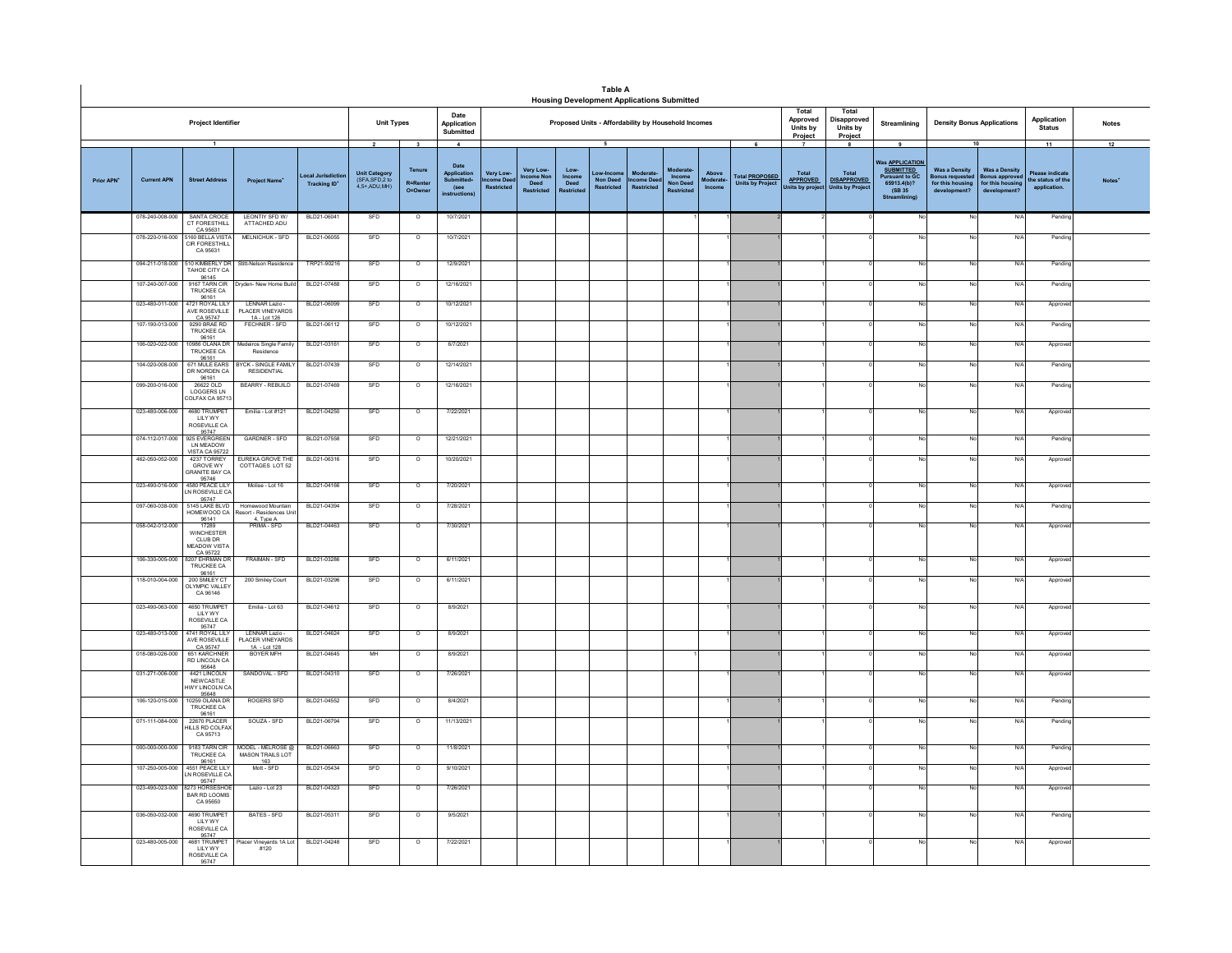|                        |                    |                                                                  |                                                                         |                                        |                                                                    |                                                                 |                                                                                    |                                                     |                                             |                        | Table A<br><b>Housing Development Applications Submitted</b> |                                           |                                           |                             |                                                       |                                           |                                                             |                                                                                                              |                                                                                         |                                                                          |                                                           |                    |
|------------------------|--------------------|------------------------------------------------------------------|-------------------------------------------------------------------------|----------------------------------------|--------------------------------------------------------------------|-----------------------------------------------------------------|------------------------------------------------------------------------------------|-----------------------------------------------------|---------------------------------------------|------------------------|--------------------------------------------------------------|-------------------------------------------|-------------------------------------------|-----------------------------|-------------------------------------------------------|-------------------------------------------|-------------------------------------------------------------|--------------------------------------------------------------------------------------------------------------|-----------------------------------------------------------------------------------------|--------------------------------------------------------------------------|-----------------------------------------------------------|--------------------|
|                        |                    | Project Identifier                                               |                                                                         |                                        | <b>Unit Types</b>                                                  |                                                                 | Date<br>Application<br>Submitted                                                   |                                                     |                                             |                        | Proposed Units - Affordability by Household Incomes          |                                           |                                           |                             |                                                       | Total<br>Approved<br>Units by<br>Project  | Total<br>Disapproved<br>Units by<br>Project                 | Streamlining                                                                                                 | <b>Density Bonus Applications</b>                                                       |                                                                          | Application<br><b>Status</b>                              | <b>Notes</b>       |
| Prior APN <sup>+</sup> | <b>Current APN</b> | $\mathbf{1}$<br><b>Street Address</b>                            | <b>Project Name</b>                                                     | ocal Jurisdictio<br><b>Tracking ID</b> | $\overline{2}$<br>Unit Category<br>(SFA,SFD,2 to<br>$4.5+$ ADU MH) | $\overline{\mathbf{3}}$<br>Tenure<br><b>R=Renter</b><br>O=Owner | $\overline{4}$<br>Date<br><b>Application</b><br>Submitted+<br>(see<br>instructions | <b>Very Low</b><br>.<br>me Dee<br><b>Restricted</b> | <b>Very Low</b><br>me No<br>Deed<br>stricte | Low-<br>Income<br>Deed | 5<br>Low-Incon<br><b>Non Deed</b><br><b>Restricted</b>       | Moderate<br>come Dee<br><b>Restricted</b> | Income<br><b>Non Deed</b><br><b>ricte</b> | Above<br>loderate<br>Income | 6<br><b>Total PROPOSED</b><br><b>Units by Project</b> | Total<br><b>APPROVED</b><br>Units by proj | 8<br>Total<br><b>DISAPPROVED</b><br><b>Units by Project</b> | 9<br>Vas APPLICATION<br><b>SUBMITTED</b><br><b>Pursuant to GC.</b><br>65913.4(b)?<br>(SB 35)<br>Streamlining | <b>Was a Density</b><br>sonus requested<br>for this housing<br>development <sup>®</sup> | <b>Was a Density</b><br>onus approve<br>for this housing<br>development? | 11<br>lease indicate<br>the status of the<br>application. | 12<br><b>Notes</b> |
|                        | 078-240-008-000    | SANTA CROCE<br>CT FORESTHILL<br>CA 95631                         | LEONTIY SFD W/<br>ATTACHED ADU                                          | BLD21-06041                            | SFD                                                                | $\circ$                                                         | 10/7/2021                                                                          |                                                     |                                             |                        |                                                              |                                           |                                           |                             |                                                       |                                           |                                                             |                                                                                                              | No                                                                                      | N                                                                        | Pending                                                   |                    |
|                        | 078-220-016-000    | 5160 BELLA VISTA<br>CIR FORESTHILL<br>CA 95631                   | MELNICHUK - SFD                                                         | BLD21-06055                            | SFD                                                                | $\circ$                                                         | 10/7/2021                                                                          |                                                     |                                             |                        |                                                              |                                           |                                           |                             |                                                       |                                           |                                                             |                                                                                                              | Z                                                                                       | N/4                                                                      | Pending                                                   |                    |
|                        | 094-211-018-000    | 10 KIMBERLY DF<br>TAHOE CITY CA                                  | Stitt-Nelson Residence                                                  | TRP21-90216                            | SFD                                                                | $\circ$                                                         | 12/9/2021                                                                          |                                                     |                                             |                        |                                                              |                                           |                                           |                             |                                                       |                                           |                                                             |                                                                                                              | No                                                                                      | N/4                                                                      | Pendin                                                    |                    |
|                        | 107-240-007-000    | 96145<br>9167 TARN CIR<br>TRUCKEE CA<br>96161                    | Dryden- New Home Build                                                  | BLD21-07488                            | SFD                                                                | $\overline{0}$                                                  | 12/16/2021                                                                         |                                                     |                                             |                        |                                                              |                                           |                                           |                             |                                                       |                                           |                                                             |                                                                                                              | No                                                                                      | N/I                                                                      | Pendin                                                    |                    |
|                        | 023-480-011-000    | 4721 ROYAL LIL<br>AVE ROSEVILLE<br>CA 95747                      | LENNAR Lazio -<br>PLACER VINEYARDS<br>1A - Lot 126                      | BLD21-06099                            | SFD                                                                | $\circ$                                                         | 10/12/2021                                                                         |                                                     |                                             |                        |                                                              |                                           |                                           |                             |                                                       |                                           |                                                             |                                                                                                              | No                                                                                      | N/f                                                                      | Approve                                                   |                    |
|                        | 107-190-013-000    | 9290 BRAE RD<br>TRUCKEE CA<br>96161                              | FECHNER - SFD                                                           | BLD21-06112                            | SFD                                                                | $\circ$                                                         | 10/12/2021                                                                         |                                                     |                                             |                        |                                                              |                                           |                                           |                             |                                                       |                                           |                                                             |                                                                                                              | No.                                                                                     | N/                                                                       | Pendin                                                    |                    |
|                        | 106-020-022-000    | 10986 OLANA DR<br>TRUCKEE CA<br>96161                            | Medeiros Single Family<br>Residence                                     | BLD21-03161                            | SFD                                                                | $\overline{\circ}$                                              | 6/7/2021                                                                           |                                                     |                                             |                        |                                                              |                                           |                                           |                             |                                                       |                                           |                                                             |                                                                                                              | No                                                                                      | N/4                                                                      | Approv                                                    |                    |
|                        | 104-020-008-000    | 671 MULE FARS<br>DR NORDEN CA<br>96161                           | BYCK - SINGLE FAMILY<br>RESIDENTIAL                                     | BLD21-07439                            | SED                                                                | $\Omega$                                                        | 12/14/2021                                                                         |                                                     |                                             |                        |                                                              |                                           |                                           |                             |                                                       |                                           |                                                             | No                                                                                                           | No                                                                                      | N/l                                                                      | Pendin                                                    |                    |
|                        | 099-200-016-000    | 26622 OLD<br>LOGGERS LN<br>COLFAX CA 9571                        | <b>BEARRY - REBUILD</b>                                                 | BLD21-07469                            | SFD                                                                | $\circ$                                                         | 12/16/2021                                                                         |                                                     |                                             |                        |                                                              |                                           |                                           |                             |                                                       |                                           |                                                             |                                                                                                              | No                                                                                      | N/                                                                       | Pendin                                                    |                    |
|                        | 023-480-006-000    | 4680 TRUMPET<br><b>LILY WY</b><br>ROSEVILLE CA                   | Emilia - Lot #121                                                       | BLD21-04250                            | SFD                                                                | $\circ$                                                         | 7/22/2021                                                                          |                                                     |                                             |                        |                                                              |                                           |                                           |                             |                                                       |                                           |                                                             |                                                                                                              | No                                                                                      | $N$ /                                                                    | Approv                                                    |                    |
|                        | 074-112-017-000    | 95747<br>925 EVERGREEN<br>LN MEADOW<br>/ISTA CA 95722            | GARDNER - SFD                                                           | BLD21-07558                            | SFD                                                                | $\overline{0}$                                                  | 12/21/2021                                                                         |                                                     |                                             |                        |                                                              |                                           |                                           |                             |                                                       |                                           |                                                             |                                                                                                              | No                                                                                      | N/                                                                       | Pendin                                                    |                    |
|                        | 462-050-052-000    | 4237 TORREY<br><b>GROVE WY</b><br><b>GRANITE BAY CA</b><br>95746 | <b>FUREKA GROVE THE</b><br>COTTAGES LOT 52                              | BLD21-06316                            | SFD                                                                | $\overline{0}$                                                  | 10/20/2021                                                                         |                                                     |                                             |                        |                                                              |                                           |                                           |                             |                                                       |                                           |                                                             |                                                                                                              | <b>No</b>                                                                               | N/A                                                                      | Approve                                                   |                    |
|                        | 023-490-016-000    | 4580 PEACE LILY<br>LN ROSEVILLE CA<br>95747                      | Molise - Lot 16                                                         | BLD21-04166                            | SFD                                                                | $\circ$                                                         | 7/20/2021                                                                          |                                                     |                                             |                        |                                                              |                                           |                                           |                             |                                                       |                                           |                                                             |                                                                                                              | No                                                                                      | N/4                                                                      | Approv                                                    |                    |
|                        | 097-060-038-000    | 5145   AKE BI VD<br>HOMEWOOD CA<br>$\frac{96141}{17289}$         | Homewood Mountain<br>esort - Residences Uni<br>4. Type A<br>PRIMA - SFD | BLD21-04394                            | SFD                                                                | $\circ$                                                         | 7/28/2021                                                                          |                                                     |                                             |                        |                                                              |                                           |                                           |                             |                                                       |                                           |                                                             |                                                                                                              | No                                                                                      | N/l                                                                      | Pendin                                                    |                    |
|                        | 058-042-012-000    | WINCHESTER<br>CLUB DR<br>MEADOW VISTA<br>CA 95722                |                                                                         | BLD21-04463                            | SFD                                                                | $\circ$                                                         | 7/30/2021                                                                          |                                                     |                                             |                        |                                                              |                                           |                                           |                             |                                                       |                                           |                                                             |                                                                                                              | No                                                                                      | N/                                                                       | Approv                                                    |                    |
|                        | 106-330-005-000    | 8207 EHRMAN D<br>TRUCKEE CA                                      | FRAIMAN - SFD                                                           | BLD21-03286                            | SFD                                                                | $\overline{\circ}$                                              | 6/11/2021                                                                          |                                                     |                                             |                        |                                                              |                                           |                                           |                             |                                                       |                                           |                                                             |                                                                                                              | No                                                                                      | N/                                                                       | Approve                                                   |                    |
|                        | 118-010-004-000    | 96161<br>200 SMILEY CT<br>OLYMPIC VALLEY<br>CA 96146             | 200 Smiley Court                                                        | BLD21-03296                            | <b>SED</b>                                                         | $\overline{\circ}$                                              | 6/11/2021                                                                          |                                                     |                                             |                        |                                                              |                                           |                                           |                             |                                                       |                                           |                                                             |                                                                                                              | No                                                                                      | N/l                                                                      | Approv                                                    |                    |
|                        | 023-490-063-000    | 4650 TRUMPET<br>LILY WY<br>ROSEVILLE CA                          | Emilia - Lot 63                                                         | BLD21-04612                            | SFD                                                                | $\overline{\circ}$                                              | 8/9/2021                                                                           |                                                     |                                             |                        |                                                              |                                           |                                           |                             |                                                       |                                           |                                                             |                                                                                                              | No                                                                                      | N                                                                        | Approve                                                   |                    |
|                        | 023-480-013-000    | 95747<br>4741 ROYAL LILY<br>AVE ROSEVILLE                        | LENNAR Lazio -<br><b>PLACER VINEYARDS</b>                               | BLD21-04624                            | SFD                                                                | $\circ$                                                         | 8/9/2021                                                                           |                                                     |                                             |                        |                                                              |                                           |                                           |                             |                                                       |                                           |                                                             |                                                                                                              | No                                                                                      | N/                                                                       | Approve                                                   |                    |
|                        | 018-080-026-000    | CA 95747<br>651 KARCHNE<br>RD LINCOLN CA<br>95648                | 1A - Lot 128<br>BOYER MFH                                               | BLD21-04645                            | MH                                                                 | $\overline{\circ}$                                              | 8/9/2021                                                                           |                                                     |                                             |                        |                                                              |                                           |                                           |                             |                                                       |                                           |                                                             |                                                                                                              | No                                                                                      | N/                                                                       | Approve                                                   |                    |
|                        | 031-271-006-000    | 4421 LINCOLN<br>NEWCASTLE<br><b>IWY LINCOLN CA</b><br>95648      | SANDOVAL - SFD                                                          | BLD21-04310                            | SFD                                                                | $\circ$                                                         | 7/26/2021                                                                          |                                                     |                                             |                        |                                                              |                                           |                                           |                             |                                                       |                                           |                                                             |                                                                                                              | No.                                                                                     | N/f                                                                      | Approve                                                   |                    |
|                        | 106-120-015-000    | 10259 OLANA DI<br>TRUCKEE CA<br>96161                            | ROGERS SFD                                                              | BLD21-04552                            | SFD                                                                | $\circ$                                                         | 8/4/2021                                                                           |                                                     |                                             |                        |                                                              |                                           |                                           |                             |                                                       |                                           |                                                             |                                                                                                              | No.                                                                                     | N                                                                        | Pending                                                   |                    |
|                        | 071-111-084-000    | 22670 PLACER<br>HILLS RD COLFAX<br>CA 95713                      | SOUZA - SFD                                                             | BLD21-06794                            | SFD                                                                | $\overline{\circ}$                                              | 11/13/2021                                                                         |                                                     |                                             |                        |                                                              |                                           |                                           |                             |                                                       |                                           |                                                             |                                                                                                              | <b>No</b>                                                                               | N/l                                                                      | Pending                                                   |                    |
|                        | 000-000-000-000    | 9183 TARN CIF<br>TRUCKEE CA<br>96161                             | ODEL - MELROSE @<br>MASON TRAILS LOT<br>163                             | BLD21-06663                            | SFD                                                                | $\overline{\circ}$                                              | 11/8/2021                                                                          |                                                     |                                             |                        |                                                              |                                           |                                           |                             |                                                       |                                           |                                                             |                                                                                                              | <b>No</b>                                                                               | N/                                                                       | Pending                                                   |                    |
|                        | 107-250-005-000    | 4551 PEACE LILY<br>LN ROSEVILLE CA<br>95747                      | Mott - SFD                                                              | BLD21-05434                            | SFD                                                                | $\overline{\circ}$                                              | 9/10/2021                                                                          |                                                     |                                             |                        |                                                              |                                           |                                           |                             |                                                       |                                           |                                                             |                                                                                                              | No                                                                                      | $N$ /                                                                    | Approv                                                    |                    |
|                        | 023-490-023-000    | 8273 HORSESHOE<br><b>BAR RD LOOMIS</b><br>CA 95650               | Lazio - Lot 23                                                          | BLD21-04323                            | SFD                                                                | $\circ$                                                         | 7/26/2021                                                                          |                                                     |                                             |                        |                                                              |                                           |                                           |                             |                                                       |                                           |                                                             |                                                                                                              | No                                                                                      | $N$ /                                                                    | Approv                                                    |                    |
|                        | 036-050-032-000    | 4690 TRUMPET<br><b>LILY WY</b><br>ROSEVILLE CA<br>95747          | BATES - SFD                                                             | BLD21-05311                            | SFD                                                                | $\circ$                                                         | 9/5/2021                                                                           |                                                     |                                             |                        |                                                              |                                           |                                           |                             |                                                       |                                           |                                                             |                                                                                                              | No.                                                                                     | N/f                                                                      | Pending                                                   |                    |
|                        | 023-480-005-000    | 4681 TRUMPET<br><b>LILY WY</b><br>ROSEVILLE CA<br>95747          | Placer Vineyards 1A Lot<br>#120                                         | BLD21-04248                            | SFD                                                                | $\circ$                                                         | 7/22/2021                                                                          |                                                     |                                             |                        |                                                              |                                           |                                           |                             |                                                       |                                           |                                                             |                                                                                                              | No.                                                                                     | N/                                                                       | Approve                                                   |                    |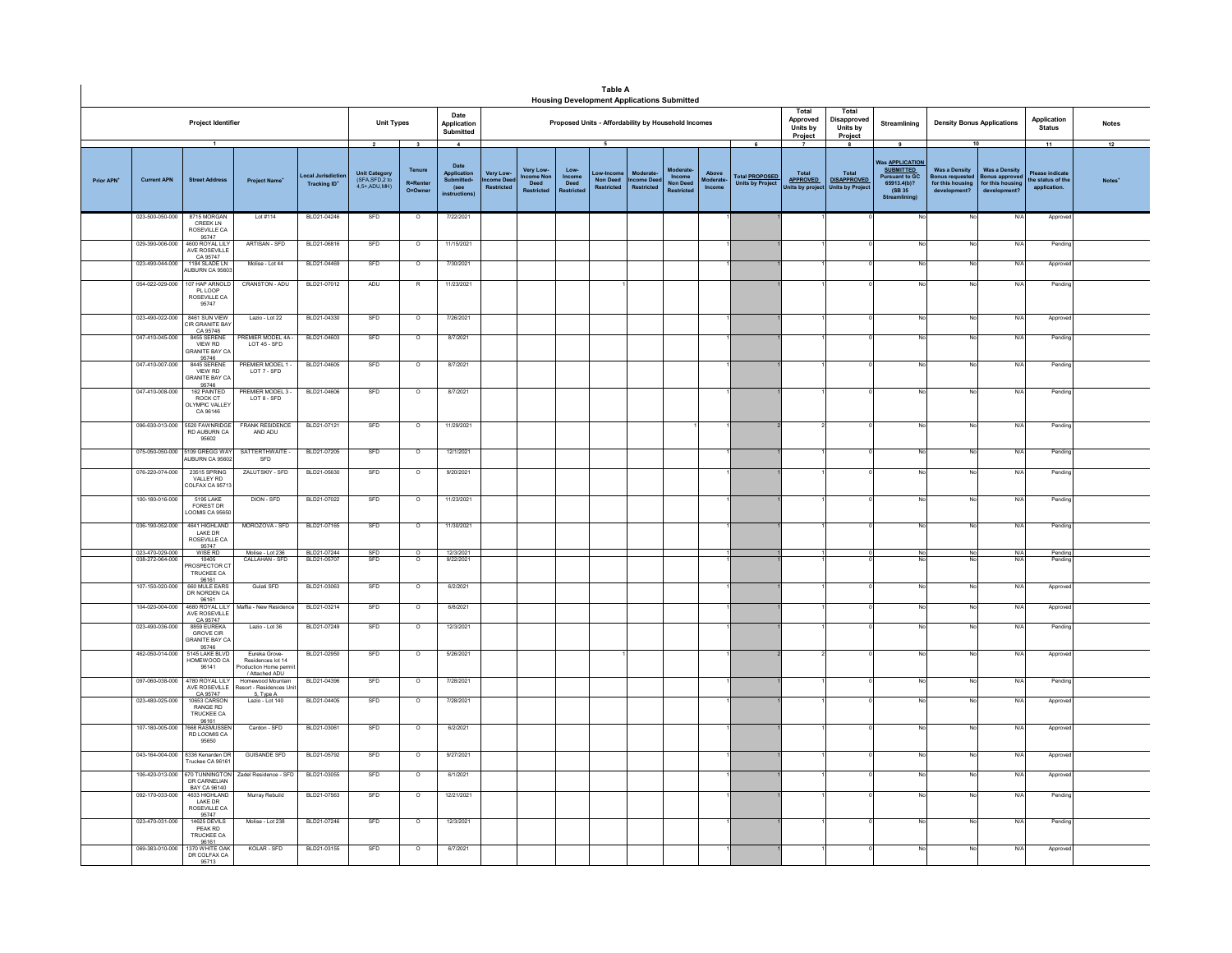|                        |                                    |                                                                          |                                                                               |                                        |                                                                             |                                        |                                                                                    |                                          |                                                    |                                             | <b>Table A</b><br><b>Housing Development Applications Submitted</b> |                               |                                                   |                             |                                                  |                                                    |                                                             |                                                                                                                    |                                                                                    |                                                                                |                                                          |              |
|------------------------|------------------------------------|--------------------------------------------------------------------------|-------------------------------------------------------------------------------|----------------------------------------|-----------------------------------------------------------------------------|----------------------------------------|------------------------------------------------------------------------------------|------------------------------------------|----------------------------------------------------|---------------------------------------------|---------------------------------------------------------------------|-------------------------------|---------------------------------------------------|-----------------------------|--------------------------------------------------|----------------------------------------------------|-------------------------------------------------------------|--------------------------------------------------------------------------------------------------------------------|------------------------------------------------------------------------------------|--------------------------------------------------------------------------------|----------------------------------------------------------|--------------|
|                        |                                    | Project Identifier                                                       |                                                                               |                                        | <b>Unit Types</b>                                                           |                                        | Date<br>Application<br>Submitted                                                   |                                          |                                                    |                                             | Proposed Units - Affordability by Household Incomes                 |                               |                                                   |                             |                                                  | Total<br>Approved<br>Units by<br>Project           | Total<br>Disapproved<br>Units by<br>Project                 | Streamlining                                                                                                       | <b>Density Bonus Applications</b>                                                  |                                                                                | Application<br><b>Status</b>                             | <b>Notes</b> |
| Prior APN <sup>+</sup> | <b>Current APN</b>                 | $\overline{1}$<br><b>Street Address</b>                                  | <b>Project Name</b>                                                           | ocal Jurisdictio<br><b>Tracking ID</b> | $\overline{\mathbf{2}}$<br>Unit Category<br>(SFA, SFD, 2 to<br>4.5+ ADU.MH) | 3<br>Tenure<br>R=Rente<br>$Q = Q$ wner | $\overline{4}$<br>Date<br>Application<br>Submitted+<br>(see<br><b>Instructions</b> | Very Low-<br>me Dee<br><b>Restricted</b> | Very Low-<br>come Nor<br>Deed<br><b>Restricted</b> | Low-<br>Income<br>Deed<br><b>Cestrictes</b> | 5<br><b>Non Deed</b><br><b>Restricted</b>                           | come Dee<br><b>Restricted</b> | Moderat<br>Income<br>Non Deed<br><b>Restricte</b> | Above<br>Moderate<br>Income | <b>Total PROPOSED</b><br><b>Units by Project</b> | Total<br><b>APPROVED</b><br><b>Jnits by projec</b> | 8<br>Total<br><b>DISAPPROVED</b><br><b>Units by Project</b> | 9<br>Vas <b>APPLICATION</b><br><b>SUBMITTED</b><br><b>Pursuant to GC</b><br>65913.4(b)?<br>(SB 35<br>Streamlining) | <b>Was a Density</b><br><b>Bonus requested</b><br>for this housing<br>development? | 10<br><b>Was a Density</b><br>onus approver<br>or this housing<br>development? | 11<br>lease indicat<br>the status of the<br>application. | 12           |
|                        | 023-500-050-000                    | 8715 MORGAN<br>CREEK LN<br>ROSEVILLE CA                                  | Lot #114                                                                      | BLD21-04246                            | SFD                                                                         | $\circ$                                | 7/22/2021                                                                          |                                          |                                                    |                                             |                                                                     |                               |                                                   |                             |                                                  |                                                    |                                                             |                                                                                                                    | No                                                                                 | N/f                                                                            | Appro                                                    |              |
|                        | 029-390-006-000                    | 95747<br>4600 ROYAL LILY<br>AVE ROSEVILLE<br>CA 95747                    | ARTISAN - SFD                                                                 | BLD21-06816                            | SFD                                                                         | $\circ$                                | 11/15/2021                                                                         |                                          |                                                    |                                             |                                                                     |                               |                                                   |                             |                                                  |                                                    |                                                             |                                                                                                                    | No                                                                                 | N/                                                                             | Pendin                                                   |              |
|                        | 023-490-044-000                    | 1184 SLADE LN<br>UBURN CA 95603                                          | Molise - Lot 44                                                               | BLD21-04469                            | SFD                                                                         | $\circ$                                | 7/30/2021                                                                          |                                          |                                                    |                                             |                                                                     |                               |                                                   |                             |                                                  |                                                    |                                                             |                                                                                                                    | No                                                                                 | N                                                                              | Appro                                                    |              |
|                        | 054-022-029-000                    | 107 HAP ARNOLD<br>PL LOOP<br>ROSEVILLE CA<br>95747                       | CRANSTON - ADU                                                                | BLD21-07012                            | ADU                                                                         | $\mathbb{R}$                           | 11/23/2021                                                                         |                                          |                                                    |                                             |                                                                     |                               |                                                   |                             |                                                  |                                                    |                                                             |                                                                                                                    | No                                                                                 | $N$ /                                                                          | Pendin                                                   |              |
|                        | 023-490-022-000                    | 8461 SUN VIEW<br><b>IR GRANITE BAY</b><br>CA 95746                       | Lazio - Lot 22                                                                | BLD21-04330                            | SFD                                                                         | $\circ$                                | 7/26/2021                                                                          |                                          |                                                    |                                             |                                                                     |                               |                                                   |                             |                                                  |                                                    |                                                             | Nr                                                                                                                 | No                                                                                 | N/                                                                             | Approv                                                   |              |
|                        | 047-410-045-000                    | 8455 SERENE<br>VIEW RD<br><b>SRANITE BAY CA</b>                          | <b>PREMIER MODEL 4A</b><br>LOT 45 - SFD                                       | BLD21-04603                            | SFD                                                                         | $\circ$                                | 8/7/2021                                                                           |                                          |                                                    |                                             |                                                                     |                               |                                                   |                             |                                                  |                                                    |                                                             |                                                                                                                    | No.                                                                                | N/f                                                                            | Pendin                                                   |              |
|                        | 047-410-007-000                    | 95746<br>8445 SERENE<br><b>VIEW RD</b><br><b>GRANITE BAY CA</b><br>95746 | PREMIER MODEL 1 -<br>LOT 7 - SFD                                              | BLD21-04605                            | SFD                                                                         | $\circ$                                | 8/7/2021                                                                           |                                          |                                                    |                                             |                                                                     |                               |                                                   |                             |                                                  |                                                    |                                                             | No                                                                                                                 | No                                                                                 | N/f                                                                            | Pending                                                  |              |
|                        | 047-410-008-000                    | 162 PAINTED<br>ROCK CT<br>LYMPIC VALLEY<br>CA 96146                      | PREMIER MODEL 3-<br>LOT 8 - SFD                                               | BLD21-04606                            | SFD                                                                         | $\circ$                                | 8/7/2021                                                                           |                                          |                                                    |                                             |                                                                     |                               |                                                   |                             |                                                  |                                                    |                                                             |                                                                                                                    | No                                                                                 | N/l                                                                            | Pending                                                  |              |
|                        | 096-630-013-000                    | 5520 FAWNRIDGE<br>RD AUBURN CA<br>95602                                  | <b>FRANK RESIDENCE</b><br>AND ADU                                             | BLD21-07121                            | SFD                                                                         | $\circ$                                | 11/29/2021                                                                         |                                          |                                                    |                                             |                                                                     |                               |                                                   |                             |                                                  |                                                    |                                                             |                                                                                                                    | No                                                                                 | N/f                                                                            | Pendine                                                  |              |
|                        | 075-050-050-000                    | 5109 GREGG WAY<br>AUBURN CA 95602                                        | SATTERTHWAITE -<br>SFD                                                        | BLD21-07205                            | SFD                                                                         | $\circ$                                | 12/1/2021                                                                          |                                          |                                                    |                                             |                                                                     |                               |                                                   |                             |                                                  |                                                    |                                                             |                                                                                                                    | No                                                                                 | N/f                                                                            | Pending                                                  |              |
|                        | 076-220-074-000                    | 23515 SPRING<br>VALLEY RD<br>COLFAX CA 9571                              | ZALUTSKIY - SFD                                                               | BLD21-05630                            | SFD                                                                         | $\overline{0}$                         | 9/20/2021                                                                          |                                          |                                                    |                                             |                                                                     |                               |                                                   |                             |                                                  |                                                    |                                                             |                                                                                                                    | No                                                                                 | N/I                                                                            | Pending                                                  |              |
|                        | 100-180-016-000                    | <b>5195 LAKE</b><br><b>FOREST DR</b><br>OOMIS CA 9565                    | DION - SFD                                                                    | BLD21-07022                            | SFD                                                                         | $\circ$                                | 11/23/2021                                                                         |                                          |                                                    |                                             |                                                                     |                               |                                                   |                             |                                                  |                                                    |                                                             |                                                                                                                    | No                                                                                 | N/f                                                                            | Pending                                                  |              |
|                        | 036-190-052-000                    | 4641 HIGHLAND<br>I AKE DR<br>ROSEVILLE CA<br>95747                       | MOROZOVA - SFD                                                                | BLD21-07165                            | SFD                                                                         | $\circ$                                | 11/30/2021                                                                         |                                          |                                                    |                                             |                                                                     |                               |                                                   |                             |                                                  |                                                    |                                                             |                                                                                                                    | No                                                                                 | N                                                                              | Pending                                                  |              |
|                        | 023-470-029-000<br>038-272-064-000 | WISE RD<br>10405<br><b>ROSPECTOR C</b>                                   | Molise - Lot 236<br>CALLAHAN - SFD                                            | BLD21-07244<br>BLD21-0570              | $rac{\text{SFD}}{\text{SFD}}$                                               | $\circ$<br>$\circ$                     | 12/3/2021<br>9/22/2021                                                             |                                          |                                                    |                                             |                                                                     |                               |                                                   |                             |                                                  |                                                    |                                                             | No                                                                                                                 | $\frac{N}{N}$                                                                      | N/A<br>N                                                                       | Pending<br>Pendin                                        |              |
|                        |                                    | TRUCKEE CA<br>96161                                                      |                                                                               |                                        |                                                                             |                                        |                                                                                    |                                          |                                                    |                                             |                                                                     |                               |                                                   |                             |                                                  |                                                    |                                                             |                                                                                                                    |                                                                                    |                                                                                |                                                          |              |
|                        | 107-150-020-000                    | 660 MULE EARS<br>DR NORDEN CA<br>96161<br>4680 ROYAL LILY                | Gulati SFD                                                                    | BLD21-03063                            | SFD                                                                         | $\circ$                                | 6/2/2021                                                                           |                                          |                                                    |                                             |                                                                     |                               |                                                   |                             |                                                  |                                                    |                                                             |                                                                                                                    | No                                                                                 | N/f                                                                            | Approve                                                  |              |
|                        | 104-020-004-000                    | AVE ROSEVILLE<br>CA 95747                                                | Maffia - New Residenc                                                         | BLD21-03214                            | SFD                                                                         | $\overline{\circ}$                     | 6/8/2021                                                                           |                                          |                                                    |                                             |                                                                     |                               |                                                   |                             |                                                  |                                                    |                                                             |                                                                                                                    | No                                                                                 | N/f                                                                            | Approv                                                   |              |
|                        | 023-490-036-000                    | 8859 EUREKA<br>GROVE CIR<br><b>GRANITE BAY CA</b><br>95746               | Lazio - Lot 36                                                                | BLD21-07249                            | SFD                                                                         | $\overline{\circ}$                     | 12/3/2021                                                                          |                                          |                                                    |                                             |                                                                     |                               |                                                   |                             |                                                  |                                                    |                                                             |                                                                                                                    | No                                                                                 | N/f                                                                            | Pending                                                  |              |
|                        | 462-050-014-000                    | 145 LAKE BLVD<br>HOMEWOOD CA                                             | Eureka Grove-<br>Residences lot 14<br>roduction Home permit<br>/ Attached ADU | BLD21-02950                            | SFD                                                                         | $\overline{\circ}$                     | 5/26/2021                                                                          |                                          |                                                    |                                             |                                                                     |                               |                                                   |                             |                                                  |                                                    |                                                             |                                                                                                                    | No                                                                                 | N                                                                              | Approve                                                  |              |
|                        | 097-060-038-000                    | 4780 ROYAL LILY<br>AVE ROSEVILLE                                         | Homewood Mountain<br>sort - Residences Unit                                   | BLD21-04396                            | SFD                                                                         | $\circ$                                | 7/28/2021                                                                          |                                          |                                                    |                                             |                                                                     |                               |                                                   |                             |                                                  |                                                    |                                                             |                                                                                                                    | No                                                                                 | N/                                                                             | Pending                                                  |              |
|                        | 023-480-025-000                    | CA 95747<br>10653 CARSON<br>RANGE RD<br>TRUCKEE CA<br>96161              | 5. Type A<br>Lazio - Lot 140                                                  | BLD21-04405                            | SFD                                                                         | $\overline{\circ}$                     | 7/28/2021                                                                          |                                          |                                                    |                                             |                                                                     |                               |                                                   |                             |                                                  |                                                    |                                                             |                                                                                                                    | No.                                                                                | N                                                                              | Approve                                                  |              |
|                        | 107-180-005-000                    | 7668 RASMUSSEN<br>RD LOOMIS CA<br>95650                                  | Cardon - SFD                                                                  | BLD21-03061                            | SFD                                                                         | $\circ$                                | 6/2/2021                                                                           |                                          |                                                    |                                             |                                                                     |                               |                                                   |                             |                                                  |                                                    |                                                             |                                                                                                                    | No                                                                                 | N/f                                                                            | Approve                                                  |              |
|                        | 043-164-004-000                    | 8336 Kenarden DR<br>Truckee CA 96161                                     | <b>GUISANDE SFD</b>                                                           | BLD21-05792                            | SFD                                                                         | $\circ$                                | 9/27/2021                                                                          |                                          |                                                    |                                             |                                                                     |                               |                                                   |                             |                                                  |                                                    |                                                             |                                                                                                                    | No                                                                                 | N/                                                                             | Appro                                                    |              |
|                        | 106-420-013-000                    | 670 TUNNINGTON<br>DR CARNELIAN<br>BAY CA 96140                           | Zadel Residence - SFD                                                         | BLD21-03055                            | SFD                                                                         | $\circ$                                | 6/1/2021                                                                           |                                          |                                                    |                                             |                                                                     |                               |                                                   |                             |                                                  |                                                    |                                                             |                                                                                                                    | No                                                                                 | N/                                                                             | Approv                                                   |              |
|                        | 092-170-033-000                    | 4633 HIGHLAND<br>I AKE DR<br>ROSEVILLE CA                                | Murray Rebuild                                                                | BLD21-07563                            | SFD                                                                         | $\circ$                                | 12/21/2021                                                                         |                                          |                                                    |                                             |                                                                     |                               |                                                   |                             |                                                  |                                                    |                                                             |                                                                                                                    | No                                                                                 | N/f                                                                            | Pending                                                  |              |
|                        | 023-470-031-000                    | 95747<br><b>14625 DEVILS</b><br>PEAK RD<br>TRUCKEE CA                    | Molise - Lot 238                                                              | BLD21-07246                            | SFD                                                                         | $\circ$                                | 12/3/2021                                                                          |                                          |                                                    |                                             |                                                                     |                               |                                                   |                             |                                                  |                                                    |                                                             |                                                                                                                    | No                                                                                 | N/f                                                                            | Pending                                                  |              |
|                        | 069-383-010-000                    | 96161<br>1370 WHITE OAK<br>DR COLFAX CA<br>95713                         | KOLAR - SFD                                                                   | BLD21-03155                            | SFD                                                                         | $\circ$                                | 6/7/2021                                                                           |                                          |                                                    |                                             |                                                                     |                               |                                                   |                             |                                                  |                                                    |                                                             |                                                                                                                    | No                                                                                 | N/f                                                                            | Approv                                                   |              |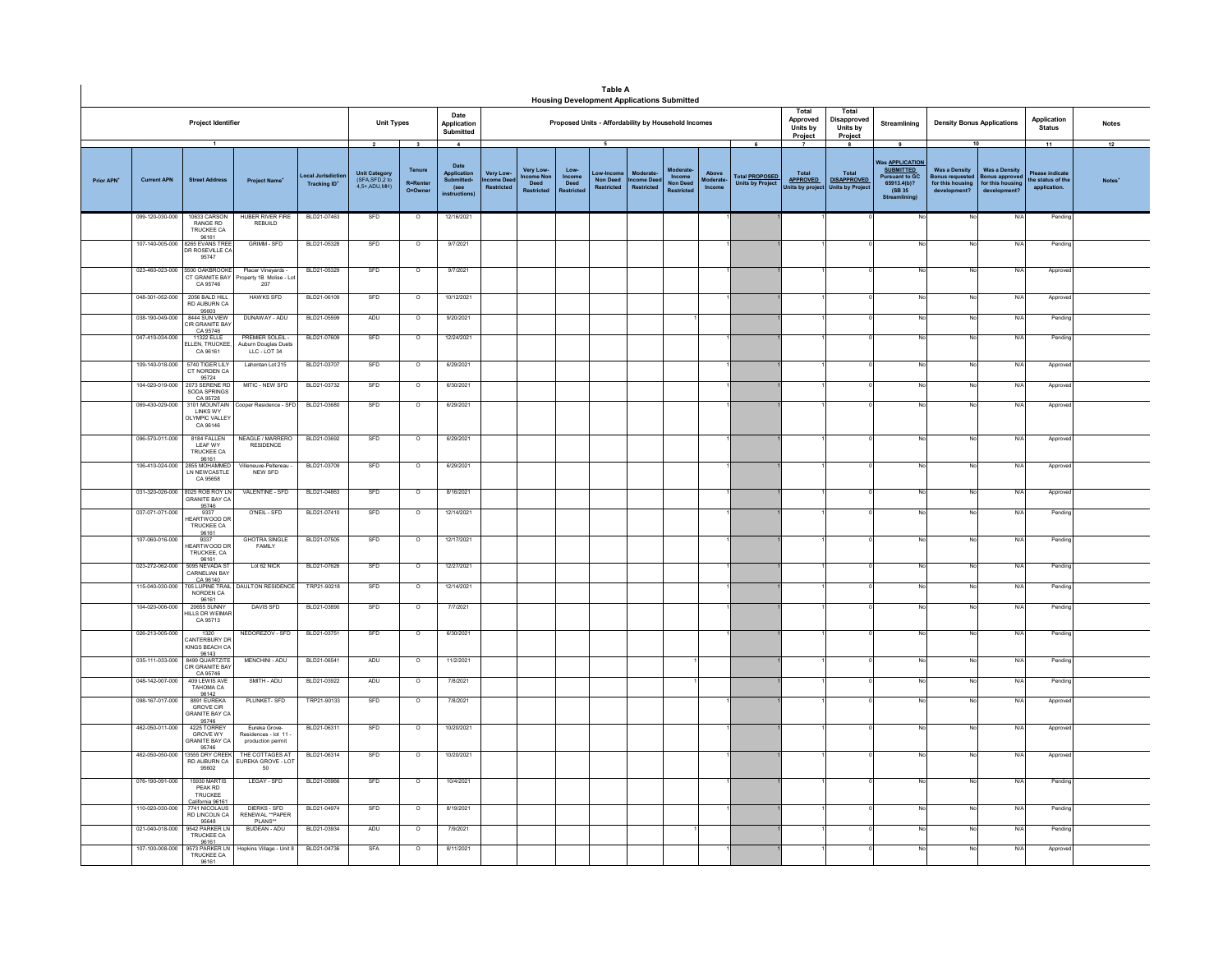|                        |                                                                                                                                                                                                      |                                                                                            |                                                           |                            |            |                               |                                                                            |                                                |                                                   |                                     | <b>Table A</b><br><b>Housing Development Applications Submitted</b> |                                                  |                                                  |                             |                                                       |                                                 |                                                             |                                                                                                                   |                                                                                       |                                                                                  |                                                           |                    |
|------------------------|------------------------------------------------------------------------------------------------------------------------------------------------------------------------------------------------------|--------------------------------------------------------------------------------------------|-----------------------------------------------------------|----------------------------|------------|-------------------------------|----------------------------------------------------------------------------|------------------------------------------------|---------------------------------------------------|-------------------------------------|---------------------------------------------------------------------|--------------------------------------------------|--------------------------------------------------|-----------------------------|-------------------------------------------------------|-------------------------------------------------|-------------------------------------------------------------|-------------------------------------------------------------------------------------------------------------------|---------------------------------------------------------------------------------------|----------------------------------------------------------------------------------|-----------------------------------------------------------|--------------------|
|                        | <b>Project Identifier</b><br><b>Unit Types</b><br>$\overline{\mathbf{2}}$<br>$\mathbf{3}$                                                                                                            |                                                                                            |                                                           |                            |            |                               | Date<br>Application<br>Submitted                                           |                                                |                                                   |                                     | Proposed Units - Affordability by Household Incomes                 |                                                  |                                                  |                             |                                                       | Total<br>Approved<br>Units by<br><b>Project</b> | Total<br>Disapproved<br>Units by<br>Project                 | Streamlining                                                                                                      | <b>Density Bonus Applications</b>                                                     |                                                                                  | Application<br><b>Status</b>                              | <b>Notes</b>       |
| Prior APN <sup>+</sup> | Unit Category<br>(SFA, SFD, 2 to<br>ocal Jurisdictio<br><b>Current APN</b><br><b>Street Address</b><br><b>Project Name</b><br><b>Tracking ID*</b><br>4.5+ ADU.MH)<br>099-120-030-000<br>10633 CARSON |                                                                                            |                                                           |                            |            |                               | $\overline{4}$<br>Date<br>Application<br>Submitted+<br>(see<br>nstructions | <b>Very Low</b><br>me Dee<br><b>Restricted</b> | Very Lov<br><b>come Nor</b><br>Deed<br>Doctrictor | Low-<br>Income<br>Deed<br>Restricte | 5<br>ow-Incom<br><b>Non Deed</b><br><b>Restricted</b>               | Moderat<br><b>ncome Dee</b><br><b>Restricted</b> | Modera<br>Income<br>Non Dee<br><b>Restricted</b> | Above<br>loderate<br>Income | 6<br>Total <b>PROPOSED</b><br><b>Units by Project</b> | Total<br><b>APPROVED</b><br>Units by projec     | 8<br>Total<br><b>DISAPPROVED</b><br><b>Units by Project</b> | 9<br>as <b>APPLICATION</b><br><b>SUBMITTED</b><br><b>Pursuant to GC</b><br>65913.4(b)?<br>(SB 35<br>Streamlining) | <b>Was a Density</b><br><b>Bonus requested</b><br>for this housing<br>develop<br>ont? | <b>Was a Density</b><br><b>Bonus approve</b><br>for this housing<br>development' | 11<br>Please indicat<br>the status of the<br>application. | 12<br><b>Notes</b> |
|                        |                                                                                                                                                                                                      | RANGE RD<br>TRUCKEE CA<br>96161                                                            | <b>HUBER RIVER FIRE</b><br>REBUILD                        | BLD21-07463                | SFD        | $\circ$                       | 12/16/2021                                                                 |                                                |                                                   |                                     |                                                                     |                                                  |                                                  |                             |                                                       |                                                 |                                                             |                                                                                                                   | No                                                                                    | N/A                                                                              | Pendin                                                    |                    |
|                        | 107-140-005-000                                                                                                                                                                                      | 8265 EVANS TREE<br>DR ROSEVILLE CA<br>95747                                                | <b>GRIMM - SFD</b>                                        | BLD21-05328                | SFD        | $\circ$                       | 9/7/2021                                                                   |                                                |                                                   |                                     |                                                                     |                                                  |                                                  |                             |                                                       |                                                 |                                                             |                                                                                                                   |                                                                                       | N/A                                                                              | Pendin                                                    |                    |
|                        | 023-460-023-000                                                                                                                                                                                      | 5500 OAKBROOKE<br>CT GRANITE BAY<br>CA 95746                                               | Placer Vineyards -<br>roperty 1B Molise - Lot<br>207      | BLD21-05329                | SFD        | $\circ$                       | 9/7/2021                                                                   |                                                |                                                   |                                     |                                                                     |                                                  |                                                  |                             |                                                       |                                                 |                                                             |                                                                                                                   |                                                                                       | N/A                                                                              | Approve                                                   |                    |
|                        | 048-301-052-000                                                                                                                                                                                      | 2056 BALD HILL<br>RD AUBURN CA<br>95603<br>8444 SUN VIEW                                   | HAWKS SFD                                                 | BLD21-06109                | SFD        | $\circ$                       | 10/12/2021                                                                 |                                                |                                                   |                                     |                                                                     |                                                  |                                                  |                             |                                                       |                                                 |                                                             | Nr                                                                                                                | No                                                                                    | N/A                                                                              | Approve                                                   |                    |
|                        | 038-190-049-000                                                                                                                                                                                      | CIR GRANITE BAT<br>CA 95746                                                                | DUNAWAY - ADU                                             | BLD21-05599                | ADU        | $\circ$                       | 9/20/2021                                                                  |                                                |                                                   |                                     |                                                                     |                                                  |                                                  |                             |                                                       |                                                 |                                                             |                                                                                                                   | N                                                                                     | N/A                                                                              | Pendin                                                    |                    |
|                        | 047-410-034-000                                                                                                                                                                                      | 11322 ELLE<br><b>ELLEN, TRUCKEE</b><br>CA 96161                                            | PREMIER SOLEIL -<br>Auburn Douglas Duets<br>LLC - LOT 34  | BLD21-07609                | SFD        | $\circ$                       | 12/24/2021                                                                 |                                                |                                                   |                                     |                                                                     |                                                  |                                                  |                             |                                                       |                                                 |                                                             | No                                                                                                                | No                                                                                    | N/A                                                                              | Pendin                                                    |                    |
|                        | 109-140-018-000<br>104-020-019-000                                                                                                                                                                   | 5740 TIGER LILY<br>CT NORDEN CA<br>95724<br>2073 SERENE RD                                 | Lahontan Lot 215<br>MITIC - NEW SFD                       | BLD21-03707<br>BLD21-03732 | SFD<br>SFD | $\circ$<br>$\circ$            | 6/29/2021<br>6/30/2021                                                     |                                                |                                                   |                                     |                                                                     |                                                  |                                                  |                             |                                                       |                                                 |                                                             | No<br>No                                                                                                          | No                                                                                    | N/A<br>N/A                                                                       | Approve<br>Approv                                         |                    |
|                        | 069-430-029-000                                                                                                                                                                                      | SODA SPRINGS<br>CA 95728<br>3101 MOUNTAIN<br>LINKS WY<br><b>DLYMPIC VALLEY</b><br>CA 96146 | ooper Residence - SFD                                     | BLD21-03680                | SFD        | $\overline{0}$                | 6/29/2021                                                                  |                                                |                                                   |                                     |                                                                     |                                                  |                                                  |                             |                                                       |                                                 |                                                             | No                                                                                                                | No                                                                                    | N/A                                                                              | Approve                                                   |                    |
|                        | 096-570-011-000                                                                                                                                                                                      | 8184 FALLEN<br>LEAF WY<br><b>TRUCKEE CA</b>                                                | NEAGLE / MARRERO<br>RESIDENCE                             | BLD21-03692                | SFD        | $\circ$                       | 6/29/2021                                                                  |                                                |                                                   |                                     |                                                                     |                                                  |                                                  |                             |                                                       |                                                 |                                                             |                                                                                                                   |                                                                                       | N/A                                                                              | Approve                                                   |                    |
|                        | 106-410-024-000                                                                                                                                                                                      | 96161<br>2855 MOHAMMED<br>LN NEW CASTLE<br>CA 95658                                        | /illeneuve-Peltereau<br>NEW SFD                           | BLD21-03709                | SFD        | $\circ$                       | 6/29/2021                                                                  |                                                |                                                   |                                     |                                                                     |                                                  |                                                  |                             |                                                       |                                                 |                                                             |                                                                                                                   | No                                                                                    | N/A                                                                              | Approve                                                   |                    |
|                        | 031-320-026-000                                                                                                                                                                                      | 8025 ROB ROY LN<br><b>GRANITE BAY CA</b><br>95746                                          | VALENTINE - SFD                                           | BLD21-04863                | SFD        | $\circ$                       | 8/16/2021                                                                  |                                                |                                                   |                                     |                                                                     |                                                  |                                                  |                             |                                                       |                                                 |                                                             | No                                                                                                                | No                                                                                    | N/A                                                                              | Approve                                                   |                    |
|                        | 037-071-071-000                                                                                                                                                                                      | 9337<br>EARTWOOD DR<br>TRUCKEE CA<br>96161                                                 | O'NEIL - SFD                                              | BLD21-07410                | SFD        | $\circ$                       | 12/14/2021                                                                 |                                                |                                                   |                                     |                                                                     |                                                  |                                                  |                             |                                                       |                                                 |                                                             | No                                                                                                                | No                                                                                    | N/A                                                                              | Pending                                                   |                    |
|                        | 107-060-016-000                                                                                                                                                                                      | 9337<br><b>HEARTWOOD DR</b><br>TRUCKEE, CA<br>96161                                        | <b>GHOTRA SINGLE</b><br>FAMILY                            | BLD21-07505                | SFD        | $\overline{\circ}$            | 12/17/2021                                                                 |                                                |                                                   |                                     |                                                                     |                                                  |                                                  |                             |                                                       |                                                 |                                                             | No                                                                                                                | No                                                                                    | N/A                                                                              | Pendin                                                    |                    |
|                        | 023-272-062-000                                                                                                                                                                                      | 5095 NEVADA ST<br><b>CARNELIAN BAY</b><br>CA 96140                                         | Lot 62 NICK                                               | BLD21-07626                | SFD        | $\overline{\circ}$            | 12/27/2021                                                                 |                                                |                                                   |                                     |                                                                     |                                                  |                                                  |                             |                                                       |                                                 |                                                             | No                                                                                                                | No                                                                                    | N/A                                                                              | Pendin                                                    |                    |
|                        | 115-040-030-000<br>104-020-006-000                                                                                                                                                                   | <b>705 LUPINE TRAIL</b><br>NORDEN CA<br>96161<br>20655 SUNNY                               | DAULTON RESIDENCE<br>DAVIS SFD                            | TRP21-90218<br>BLD21-03890 | SFD<br>SFD | $\overline{\circ}$<br>$\circ$ | 12/14/2021<br>7/7/2021                                                     |                                                |                                                   |                                     |                                                                     |                                                  |                                                  |                             |                                                       |                                                 |                                                             | No.<br>No                                                                                                         | No<br>No                                                                              | N/A<br>N/A                                                                       | Pendin<br>Pending                                         |                    |
|                        | 026-213-005-000                                                                                                                                                                                      | <b>IILLS DR WEIMA</b><br>CA 95713<br>1320                                                  | NEDOREZOV - SED                                           | BLD21-03751                | <b>SED</b> | $\Omega$                      | 6/30/2021                                                                  |                                                |                                                   |                                     |                                                                     |                                                  |                                                  |                             |                                                       |                                                 |                                                             | No                                                                                                                | No                                                                                    | N/A                                                                              | Pending                                                   |                    |
|                        |                                                                                                                                                                                                      | CANTERBURY DI<br>KINGS BEACH CA<br>96143                                                   | MENCHINI - ADU                                            | BLD21-06541                | ADU        | $\circ$                       | 11/2/2021                                                                  |                                                |                                                   |                                     |                                                                     |                                                  |                                                  |                             |                                                       |                                                 |                                                             | No                                                                                                                | No                                                                                    | N/A                                                                              |                                                           |                    |
|                        | 035-111-033-000<br>048-142-007-000                                                                                                                                                                   | 8499 QUARTZITE<br>CIR GRANITE BAY<br>CA 95746<br>409 I FWIS AVE                            | SMITH - ADU                                               | BI D21-03922               | ADII       | $\Omega$                      | 7/8/2021                                                                   |                                                |                                                   |                                     |                                                                     |                                                  |                                                  |                             |                                                       |                                                 |                                                             | No                                                                                                                | No                                                                                    | N/A                                                                              | Pending<br>Pending                                        |                    |
|                        | 098-167-017-000                                                                                                                                                                                      | TAHOMA CA<br>96142<br>8891 EUREKA<br><b>GROVE CIR</b><br><b>GRANITE BAY C.</b>             | PLUNKET-SFD                                               | TRP21-90133                | SFD        | $\circ$                       | 7/8/2021                                                                   |                                                |                                                   |                                     |                                                                     |                                                  |                                                  |                             |                                                       |                                                 |                                                             | No                                                                                                                | No                                                                                    | N/A                                                                              | Approve                                                   |                    |
|                        | 462-050-011-000                                                                                                                                                                                      | 95746<br>4225 TORREY<br>GROVE WY<br><b>GRANITE BAY C.</b>                                  | Fureka Grove-<br>Residences - lot 11<br>production permit | BLD21-06311                | SFD        | $\overline{0}$                | 10/20/2021                                                                 |                                                |                                                   |                                     |                                                                     |                                                  |                                                  |                             |                                                       |                                                 |                                                             | No                                                                                                                | No                                                                                    | N/A                                                                              | Approve                                                   |                    |
|                        | 462-050-050-000                                                                                                                                                                                      | 95746<br>13555 DRY CREEK<br>RD AUBURN CA<br>95602                                          | THE COTTAGES AT<br>UREKA GROVE - LOT<br>50                | BLD21-06314                | SFD        | $\overline{\circ}$            | 10/20/2021                                                                 |                                                |                                                   |                                     |                                                                     |                                                  |                                                  |                             |                                                       |                                                 |                                                             | No                                                                                                                | N <sub>c</sub>                                                                        | N/A                                                                              | Approve                                                   |                    |
|                        | 076-190-091-000                                                                                                                                                                                      | 15930 MARTI<br>PEAK RD<br>TRUCKEE                                                          | LEGAY - SFD                                               | BLD21-05966                | SFD        | $\overline{\circ}$            | 10/4/2021                                                                  |                                                |                                                   |                                     |                                                                     |                                                  |                                                  |                             |                                                       |                                                 |                                                             | No                                                                                                                | No                                                                                    | N/A                                                                              | Pending                                                   |                    |
|                        | 110-020-030-000                                                                                                                                                                                      | California 96161<br>7741 NICOLAUS<br>RD LINCOLN CA<br>95648                                | DIERKS - SFD<br>RENEWAL ** PAPER<br>PLANS**               | BLD21-04974                | SFD        | $\circ$                       | 8/19/2021                                                                  |                                                |                                                   |                                     |                                                                     |                                                  |                                                  |                             |                                                       |                                                 |                                                             | No                                                                                                                | No                                                                                    | N/A                                                                              | Pending                                                   |                    |
|                        | 021-040-018-000                                                                                                                                                                                      | 9542 PARKER LI<br><b>TRUCKEE CA</b><br>96161                                               | <b>BUDEAN - ADU</b>                                       | BLD21-03934                | ADU        | $\overline{\circ}$            | 7/9/2021                                                                   |                                                |                                                   |                                     |                                                                     |                                                  |                                                  |                             |                                                       |                                                 |                                                             | No                                                                                                                | No                                                                                    | N/A                                                                              | Pending                                                   |                    |
|                        | 107-100-008-000                                                                                                                                                                                      | TRUCKEE CA<br>96161                                                                        | 9573 PARKER LN Hopkins Village - Unit 8                   | BLD21-04736                | <b>SFA</b> | $\overline{0}$                | 8/11/2021                                                                  |                                                |                                                   |                                     |                                                                     |                                                  |                                                  |                             |                                                       |                                                 |                                                             | No                                                                                                                | No                                                                                    | N/A                                                                              | Approved                                                  |                    |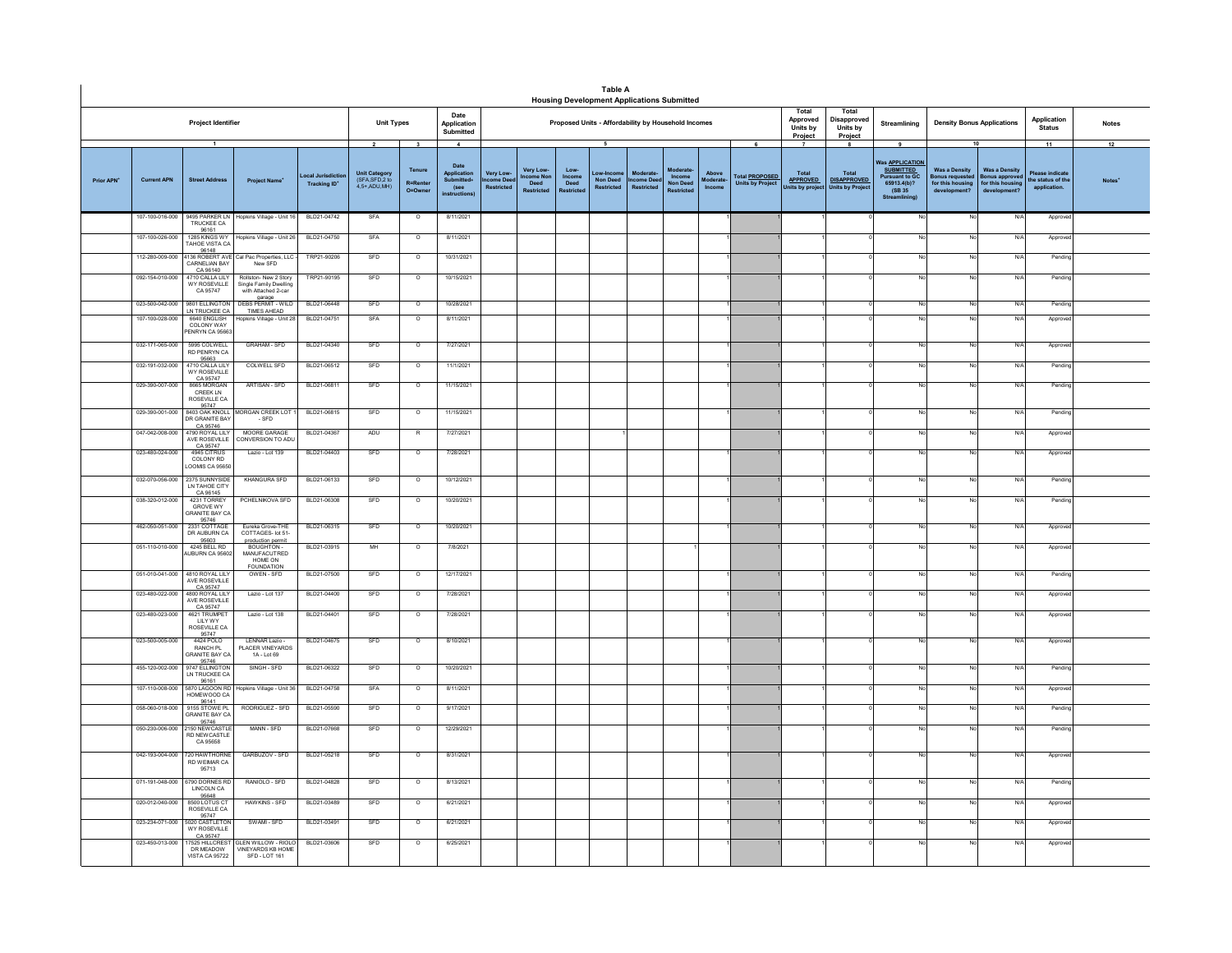|                        |                    |                                                                            |                                                                                  |                                 |                                                                             |                                           |                                                            |                                                |                               |                        | <b>Table A</b><br><b>Housing Development Applications Submitted</b> |                                           |                              |                                    |                                                       |                                          |                                                                     |                                                                                         |                                                                   |                                                          |                                                           |                    |
|------------------------|--------------------|----------------------------------------------------------------------------|----------------------------------------------------------------------------------|---------------------------------|-----------------------------------------------------------------------------|-------------------------------------------|------------------------------------------------------------|------------------------------------------------|-------------------------------|------------------------|---------------------------------------------------------------------|-------------------------------------------|------------------------------|------------------------------------|-------------------------------------------------------|------------------------------------------|---------------------------------------------------------------------|-----------------------------------------------------------------------------------------|-------------------------------------------------------------------|----------------------------------------------------------|-----------------------------------------------------------|--------------------|
|                        |                    | Project Identifier                                                         |                                                                                  |                                 | <b>Unit Types</b>                                                           |                                           | Date<br>Application<br>Submitted                           |                                                |                               |                        | Proposed Units - Affordability by Household Incomes                 |                                           |                              |                                    |                                                       | Total<br>Approved<br>Units by<br>Project | Total<br>Disapproved<br>Units by<br>Project                         | Streamlining                                                                            | <b>Density Bonus Applications</b>                                 |                                                          | Application<br><b>Status</b>                              | <b>Notes</b>       |
| Prior APN <sup>+</sup> | <b>Current APN</b> | $\overline{1}$<br><b>Street Address</b>                                    | <b>Project Name</b>                                                              | ocal Jurisdictio<br>Tracking ID | $\overline{\mathbf{2}}$<br>Unit Category<br>(SFA,SFD,2 to<br>$4.5+$ ADU MH) | $\mathbf{3}$<br>Tenure<br><b>R=Renter</b> | $\overline{4}$<br>Date<br>Application<br>Submitted<br>(see | <b>Very Low</b><br>me Dee<br><b>Restricted</b> | Very Low-<br>come Non<br>Deed | Low-<br>Income<br>Deed | 5<br>Low-Incon<br><b>Non Deed</b><br><b>Restricted</b>              | Moderate<br>ome Dee:<br><b>Restricted</b> | $In come$<br><b>Non Deed</b> | Above<br><b>foderate</b><br>Income | 6<br><b>Total PROPOSED</b><br><b>Units by Project</b> | Total<br><b>APPROVED</b>                 | -8<br><b>Total</b><br><b>DISAPPROVED</b><br><b>Units by Project</b> | 9<br><b>Was APPLICATION</b><br><b>SUBMITTED</b><br><b>Pursuant to GC</b><br>65913.4(b)? | 10<br><b>Was a Density</b><br>Bonus requested<br>for this housing | <b>Was a Density</b><br>onus approve<br>for this housing | 11<br>Please indicate<br>he status of the<br>application. | 12<br><b>Notes</b> |
|                        |                    |                                                                            |                                                                                  |                                 |                                                                             | O=Owne                                    | <b>instructions</b>                                        |                                                |                               | estricte               |                                                                     |                                           | Restricte                    |                                    |                                                       | Units by proje                           |                                                                     | (SB 35)<br><b>Streamlining</b>                                                          | development <sup>®</sup>                                          | development?                                             |                                                           |                    |
|                        | 107-100-016-000    | TRUCKEE CA<br>96161                                                        | 9495 PARKER LN Hopkins Village - Unit 16                                         | BLD21-04742                     | SFA                                                                         | $\circ$                                   | 8/11/2021                                                  |                                                |                               |                        |                                                                     |                                           |                              |                                    |                                                       |                                          |                                                                     |                                                                                         | No                                                                | N/4                                                      | Appro                                                     |                    |
|                        | 107-100-026-000    | 1285 KINGS WT<br>TAHOE VISTA CA                                            | Hopkins Village - Unit 26                                                        | BLD21-04750                     | SFA                                                                         | $\circ$                                   | 8/11/2021                                                  |                                                |                               |                        |                                                                     |                                           |                              |                                    |                                                       |                                          |                                                                     |                                                                                         | No                                                                | N/                                                       | Approv                                                    |                    |
|                        | 112-280-009-000    | 96148<br>1136 ROBERT AVE<br>CARNELIAN BAY                                  | Cal Pac Properties, LLC<br>New SFD                                               | TRP21-90206                     | SFD                                                                         | $\circ$                                   | 10/31/2021                                                 |                                                |                               |                        |                                                                     |                                           |                              |                                    |                                                       |                                          |                                                                     |                                                                                         | No                                                                | $N$ /                                                    | Pendine                                                   |                    |
|                        | 092-154-010-000    | CA 96140<br>4710 CALLA LILY<br>WY ROSEVILLE<br>CA 95747                    | Rollston-New 2 Story<br>Single Family Dwelling<br>with Attached 2-car<br>garage  | TRP21-90195                     | SFD                                                                         | $\circ$                                   | 10/15/2021                                                 |                                                |                               |                        |                                                                     |                                           |                              |                                    |                                                       |                                          |                                                                     |                                                                                         | No                                                                | N/                                                       | Pending                                                   |                    |
|                        | 023-500-042-000    | LN TRUCKEE CA                                                              | 9801 ELLINGTON DEBS PERMIT - WILD<br>TIMES AHEAD                                 | BLD21-06448                     | SFD                                                                         | $\circ$                                   | 10/28/2021                                                 |                                                |                               |                        |                                                                     |                                           |                              |                                    |                                                       |                                          |                                                                     |                                                                                         | No                                                                | $N$ /                                                    | Pending                                                   |                    |
|                        | 107-100-028-000    | 6640 ENGLISH<br>COLONY WAY<br><b>ENRYN CA 95663</b>                        | Hopkins Village - Unit 28                                                        | BLD21-04751                     | SFA                                                                         | $\circ$                                   | 8/11/2021                                                  |                                                |                               |                        |                                                                     |                                           |                              |                                    |                                                       |                                          |                                                                     |                                                                                         | No                                                                | N/                                                       | Approv                                                    |                    |
|                        | 032-171-065-000    | 5995 COLWELL<br>RD PENRYN CA                                               | <b>GRAHAM - SFD</b>                                                              | BLD21-04340                     | SFD                                                                         | $\circ$                                   | 7/27/2021                                                  |                                                |                               |                        |                                                                     |                                           |                              |                                    |                                                       |                                          |                                                                     |                                                                                         | No                                                                | N/                                                       | Approve                                                   |                    |
|                        | 032-191-032-000    | 4710 CALLA LIL'<br><b>WY ROSEVILLE</b>                                     | <b>COLWELL SFD</b>                                                               | BLD21-06512                     | SFD                                                                         | $\circ$                                   | 11/1/2021                                                  |                                                |                               |                        |                                                                     |                                           |                              |                                    |                                                       |                                          |                                                                     |                                                                                         | No                                                                | N                                                        | Pendin                                                    |                    |
|                        | 029-390-007-000    | CA 95747<br><b>RGGS MORGAN</b><br><b>CREEK LN</b><br>ROSEVILLE CA<br>95747 | ARTISAN - SFD                                                                    | BLD21-06811                     | SFD                                                                         | $\circ$                                   | 11/15/2021                                                 |                                                |                               |                        |                                                                     |                                           |                              |                                    |                                                       |                                          |                                                                     | No                                                                                      | No                                                                | N/A                                                      | Pending                                                   |                    |
|                        | 029-390-001-000    | <b>B403 OAK KNOLL</b><br>DR GRANITE BAY                                    | MORGAN CREEK LOT<br>$-SFD$                                                       | BLD21-06815                     | SFD                                                                         | $\circ$                                   | 11/15/2021                                                 |                                                |                               |                        |                                                                     |                                           |                              |                                    |                                                       |                                          |                                                                     |                                                                                         | No                                                                | N                                                        | Pending                                                   |                    |
|                        | 047-042-008-000    | CA 95746<br>4790 ROYAL LILY<br>AVE ROSEVILLE<br>CA 95747                   | MOORE GARAGE<br>CONVERSION TO ADU                                                | BLD21-04367                     | ADU                                                                         | R                                         | 7/27/2021                                                  |                                                |                               |                        |                                                                     |                                           |                              |                                    |                                                       |                                          |                                                                     |                                                                                         | No                                                                | N/l                                                      | Approv                                                    |                    |
|                        | 023-480-024-000    | 4945 CITRUS<br>COLONY RD<br>OOMIS CA 95650                                 | Lazio - Lot 139                                                                  | BLD21-04403                     | SFD                                                                         | $\circ$                                   | 7/28/2021                                                  |                                                |                               |                        |                                                                     |                                           |                              |                                    |                                                       |                                          |                                                                     |                                                                                         | No                                                                | N/f                                                      | Approve                                                   |                    |
|                        | 032-070-056-000    | 2375 SUNNYSIDE<br>LN TAHOE CITY                                            | <b>KHANGURA SFD</b>                                                              | BLD21-06133                     | SFD                                                                         | $\Omega$                                  | 10/12/2021                                                 |                                                |                               |                        |                                                                     |                                           |                              |                                    |                                                       |                                          |                                                                     |                                                                                         | No                                                                | N/l                                                      | Pending                                                   |                    |
|                        | 038-320-012-000    | CA 96145<br><b>GROVE WY</b><br><b>GRANITE BAY CA</b><br>95746              | PCHELNIKOVA SFD                                                                  | BLD21-06308                     | SFD                                                                         | $\circ$                                   | 10/20/2021                                                 |                                                |                               |                        |                                                                     |                                           |                              |                                    |                                                       |                                          |                                                                     |                                                                                         | No                                                                | N/                                                       | Pending                                                   |                    |
|                        | 462-050-051-000    | 2331 COTTAGE<br>DR AUBURN CA<br>95603                                      | Fureka Grove-THF<br>COTTAGES- lot 51-<br>production permit                       | BLD21-06315                     | SFD                                                                         | $\overline{0}$                            | 10/20/2021                                                 |                                                |                               |                        |                                                                     |                                           |                              |                                    |                                                       |                                          |                                                                     |                                                                                         | No                                                                | N/l                                                      | Approv                                                    |                    |
|                        | 051-110-010-000    | 4245 BELL RD<br>UBURN CA 95602                                             | BOUGHTON-<br>MANUFACUTRED<br>HOME ON<br><b>FOUNDATION</b>                        | BLD21-03915                     | MH                                                                          | $\circ$                                   | 7/8/2021                                                   |                                                |                               |                        |                                                                     |                                           |                              |                                    |                                                       |                                          |                                                                     |                                                                                         | No                                                                | N/                                                       | Approv                                                    |                    |
|                        | 051-010-041-000    | 4810 ROYAL LILY<br>AVE ROSEVILLE<br>CA 95747                               | OWEN - SFD                                                                       | BLD21-07500                     | SFD                                                                         | $\overline{0}$                            | 12/17/2021                                                 |                                                |                               |                        |                                                                     |                                           |                              |                                    |                                                       |                                          |                                                                     |                                                                                         | No                                                                | N/I                                                      | Pendin                                                    |                    |
|                        | 023-480-022-000    | 4800 ROYAL LILY<br>AVE ROSEVILLE                                           | Lazio - Lot 137                                                                  | BLD21-04400                     | SFD                                                                         | $\circ$                                   | 7/28/2021                                                  |                                                |                               |                        |                                                                     |                                           |                              |                                    |                                                       |                                          |                                                                     |                                                                                         | No                                                                | N/f                                                      | Approve                                                   |                    |
|                        | 023-480-023-000    | CA 95747<br>4621 TRUMPET<br><b>IIIYWY</b><br>ROSEVILLE CA                  | Lazio - Lot 138                                                                  | BLD21-04401                     | SFD                                                                         | $\overline{\circ}$                        | 7/28/2021                                                  |                                                |                               |                        |                                                                     |                                           |                              |                                    |                                                       |                                          |                                                                     |                                                                                         | No                                                                | N                                                        | Approv                                                    |                    |
|                        | 023-500-005-000    | 95747<br>4424 POLO<br>RANCH PL<br><b>GRANITE BAY CA</b><br>95746           | LENNAR Lazio -<br>PLACER VINEYARDS<br>1A-1 of 69                                 | BLD21-04675                     | SFD                                                                         | $\circ$                                   | 8/10/2021                                                  |                                                |                               |                        |                                                                     |                                           |                              |                                    |                                                       |                                          |                                                                     |                                                                                         | No                                                                | N/                                                       | Approv                                                    |                    |
|                        | 455-120-002-000    | 9747 ELLINGTON<br>LN TRUCKEE CA<br>96161                                   | SINGH - SED                                                                      | BLD21-06322                     | SFD                                                                         | $\overline{0}$                            | 10/20/2021                                                 |                                                |                               |                        |                                                                     |                                           |                              |                                    |                                                       |                                          |                                                                     |                                                                                         | No                                                                | N/l                                                      | Pendin                                                    |                    |
|                        | 107-110-008-000    | 5870 LAGOON RD<br><b>IOMEWOOD CA</b>                                       | Hopkins Village - Unit 36                                                        | BLD21-04758                     | SFA                                                                         | $\circ$                                   | 8/11/2021                                                  |                                                |                               |                        |                                                                     |                                           |                              |                                    |                                                       |                                          |                                                                     |                                                                                         | No                                                                | $N$ /                                                    | Approv                                                    |                    |
|                        | 058-060-018-000    | 96141<br>9155 STOWE PL<br><b>GRANITE BAY CA</b><br>95746                   | RODRIGUEZ - SFD                                                                  | BLD21-05590                     | SFD                                                                         | $\circ$                                   | 9/17/2021                                                  |                                                |                               |                        |                                                                     |                                           |                              |                                    |                                                       |                                          |                                                                     |                                                                                         | No                                                                | N                                                        | Pendin                                                    |                    |
|                        | 050-230-006-000    | 2150 NEWCASTLE<br>RD NEWCASTLE<br>CA 95658                                 | MANN - SFD                                                                       | BLD21-07668                     | SFD                                                                         | $\circ$                                   | 12/29/2021                                                 |                                                |                               |                        |                                                                     |                                           |                              |                                    |                                                       |                                          |                                                                     |                                                                                         | No                                                                | N/f                                                      | Pendin                                                    |                    |
|                        | 042-193-004-000    | 720 HAW THORNE<br>RD WEIMAR CA<br>95713                                    | GARBUZOV - SFD                                                                   | BLD21-05218                     | SFD                                                                         | $\circ$                                   | 8/31/2021                                                  |                                                |                               |                        |                                                                     |                                           |                              |                                    |                                                       |                                          |                                                                     |                                                                                         | No                                                                | N/                                                       | Approv                                                    |                    |
|                        | 071-191-048-000    | <b>3790 DORNES RD</b><br>LINCOLN CA<br>95648                               | RANIOLO - SFD                                                                    | BLD21-04828                     | SFD                                                                         | $\circ$                                   | 8/13/2021                                                  |                                                |                               |                        |                                                                     |                                           |                              |                                    |                                                       |                                          |                                                                     |                                                                                         | No                                                                | $N$ /                                                    | Pendine                                                   |                    |
|                        | 020-012-040-000    | 8500 LOTUS C'<br>ROSEVILLE CA<br>95747                                     | HAWKINS - SFD                                                                    | BLD21-03489                     | SFD                                                                         | $\circ$                                   | 6/21/2021                                                  |                                                |                               |                        |                                                                     |                                           |                              |                                    |                                                       |                                          |                                                                     |                                                                                         | No                                                                | N/                                                       | Approv                                                    |                    |
|                        | 023-234-071-000    | 5020 CASTLETON<br>WY ROSEVILLE<br>CA 95747                                 | SWAMI - SFD                                                                      | BLD21-03491                     | SFD                                                                         | $\overline{\circ}$                        | 6/21/2021                                                  |                                                |                               |                        |                                                                     |                                           |                              |                                    |                                                       |                                          |                                                                     |                                                                                         | No                                                                | N                                                        | Appro                                                     |                    |
|                        | 023-450-013-000    | DR MEADOW<br><b>VISTA CA 95722</b>                                         | 17525 HILLCREST GLEN WILLOW - RIOLO<br><b>VINEYARDS KB HOME</b><br>SFD - LOT 161 | BLD21-03606                     | SFD                                                                         | $\circ$                                   | 6/25/2021                                                  |                                                |                               |                        |                                                                     |                                           |                              |                                    |                                                       |                                          |                                                                     |                                                                                         | No                                                                | N/f                                                      | Approv                                                    |                    |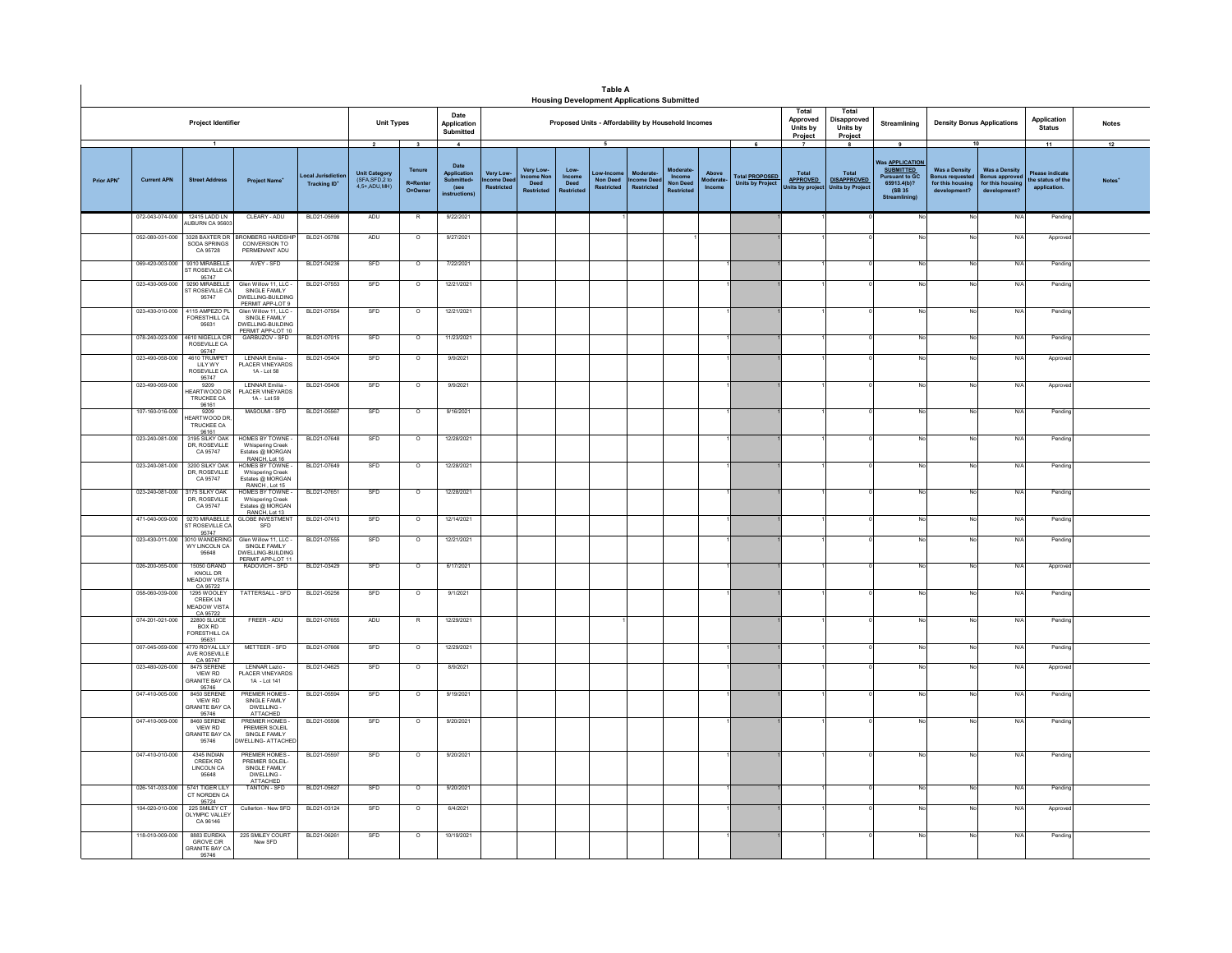|            |                                |                                                                   |                                                                                    |                                  |                                                                   |                                                    |                                                                                  |                                   |                                      |                       | <b>Table A</b>                                        | <b>Housing Development Applications Submitted</b> |                           |                            |                                                       |                                                             |                                                             |                                                                                                                               |                                                                                 |                                                                         |                                                          |                          |
|------------|--------------------------------|-------------------------------------------------------------------|------------------------------------------------------------------------------------|----------------------------------|-------------------------------------------------------------------|----------------------------------------------------|----------------------------------------------------------------------------------|-----------------------------------|--------------------------------------|-----------------------|-------------------------------------------------------|---------------------------------------------------|---------------------------|----------------------------|-------------------------------------------------------|-------------------------------------------------------------|-------------------------------------------------------------|-------------------------------------------------------------------------------------------------------------------------------|---------------------------------------------------------------------------------|-------------------------------------------------------------------------|----------------------------------------------------------|--------------------------|
|            |                                | <b>Project Identifier</b>                                         |                                                                                    | <b>Unit Types</b>                |                                                                   | Date<br>Application<br>Submitted                   |                                                                                  |                                   |                                      |                       | Proposed Units - Affordability by Household Incomes   |                                                   |                           |                            | Total<br>Approved<br>Units by<br>Project              | Total<br>Disapproved<br>Units by<br>Project                 | Streamlining                                                | <b>Density Bonus Applications</b>                                                                                             |                                                                                 | Application<br><b>Status</b>                                            | <b>Notes</b>                                             |                          |
| Prior APN' | <b>Current APN</b>             | $\overline{1}$<br><b>Street Address</b>                           | <b>Project Name</b>                                                                | Local Jurisdictio<br>Tracking ID | $\overline{2}$<br>Unit Category<br>(SFA, SFD, 2 to<br>4.5+ ADU MH | $\mathbf{3}$<br>Tenure<br><b>R=Rente</b><br>O=Owne | $\overline{4}$<br>Date<br>Application<br>Submitted<br>(see<br><i>instruction</i> | Very Low-<br>ome De<br>Restricted | <b>Very Low</b><br>ncome Nor<br>Deed | Low<br>Income<br>Deed | 5<br>ow-Incor<br><b>Non Deed</b><br><b>Restricted</b> | Moderate<br>ome Dee<br><b>Restricted</b>          | Income<br><b>Non Deed</b> | Above<br>oderate<br>Income | 6<br><b>Total PROPOSED</b><br><b>Units by Project</b> | $\overline{7}$<br>Total<br><b>APPROVED</b><br>Inits by proj | -8<br>Total<br><b>DISAPPROVED</b><br><b>Units by Projec</b> | 9<br><b>Nas APPLICATION</b><br><b>SUBMITTED</b><br><b>Pursuant to GC</b><br>65913.4(b)?<br>(SB 35)<br><b>Stre</b><br>amlining | 10<br><b>Was a Density</b><br>sonus requeste<br>for this housing<br>development | <b>Was a Density</b><br>Bonus approv<br>for this housing<br>development | 11<br>Please indicate<br>he status of the<br>application | 12<br>Notes <sup>*</sup> |
|            | 072-043-074-000                | 12415 LADD LN<br>ALIBURN CA 95603                                 | CLEARY - ADU                                                                       | BLD21-05699                      | ADU                                                               | R                                                  | 9/22/2021                                                                        |                                   |                                      |                       |                                                       |                                                   |                           |                            |                                                       |                                                             |                                                             |                                                                                                                               |                                                                                 | N/                                                                      | Pending                                                  |                          |
|            | 052-080-031-000                | 3328 BAXTER DR<br>SODA SPRINGS<br>CA 95728                        | ROMBERG HARDSHI<br>CONVERSION TO<br>PERMENANT ADU                                  | BLD21-05786                      | ADU                                                               | $\circ$                                            | 9/27/2021                                                                        |                                   |                                      |                       |                                                       |                                                   |                           |                            |                                                       |                                                             |                                                             |                                                                                                                               |                                                                                 | N/A                                                                     | Approver                                                 |                          |
|            | 069-420-003-000                | 9310 MIRABELLE<br>ST ROSEVILLE CA                                 | AVEY - SFD                                                                         | BLD21-04236                      | SFD                                                               | $\overline{\circ}$                                 | 7/22/2021                                                                        |                                   |                                      |                       |                                                       |                                                   |                           |                            |                                                       |                                                             |                                                             | No                                                                                                                            |                                                                                 | N/A                                                                     | Pendin                                                   |                          |
|            | 023-430-009-000                | 95747<br>9290 MIRABELLE<br>ST ROSEVILLE CA<br>95747               | Glen Willow 11, LLC -<br>SINGLE FAMILY<br>DWELLING-BUILDING                        | BLD21-07553                      | SFD                                                               | $\overline{\phantom{a}}$                           | 12/21/2021                                                                       |                                   |                                      |                       |                                                       |                                                   |                           |                            |                                                       |                                                             |                                                             | No                                                                                                                            |                                                                                 | N/A                                                                     | Pending                                                  |                          |
|            | 023-430-010-000                | 4115 AMPEZO PL<br>FORESTHILL CA<br>95631                          | PERMIT APP-LOT 9<br>Glen Willow 11, LLC -<br>SINGLE FAMILY<br>DWELLING-BUILDING    | BLD21-07554                      | SFD                                                               | $\circ$                                            | 12/21/2021                                                                       |                                   |                                      |                       |                                                       |                                                   |                           |                            |                                                       |                                                             |                                                             | No                                                                                                                            |                                                                                 | N/A                                                                     | Pending                                                  |                          |
|            | 078-240-023-000                | 4610 NIGELLA CIF<br>ROSEVILLE CA<br>95747                         | PERMIT APP-LOT 10<br>GARBUZOV - SFD                                                | BLD21-07015                      | SFD                                                               | $\circ$                                            | 11/23/2021                                                                       |                                   |                                      |                       |                                                       |                                                   |                           |                            |                                                       |                                                             |                                                             | No                                                                                                                            | No                                                                              | N/A                                                                     | Pending                                                  |                          |
|            | 023-490-058-000                | 1610 TRUMPET<br><b>IIIYWY</b><br>ROSEVILLE CA                     | LENNAR Emilia -<br>PLACER VINEYARDS<br>1A - Lot 58                                 | BLD21-05404                      | SFD                                                               | $\circ$                                            | 9/9/2021                                                                         |                                   |                                      |                       |                                                       |                                                   |                           |                            |                                                       |                                                             |                                                             |                                                                                                                               |                                                                                 | N/A                                                                     | Approve                                                  |                          |
|            | 023-490-059-000                | 95747<br>9209<br>EARTWOOD DF<br><b>TRUCKEE CA</b><br>96161        | LENNAR Emilia -<br><b>PLACER VINEYARDS</b><br>1A - Lot 59                          | BLD21-05406                      | SFD                                                               | $\circ$                                            | 9/9/2021                                                                         |                                   |                                      |                       |                                                       |                                                   |                           |                            |                                                       |                                                             |                                                             |                                                                                                                               |                                                                                 | N/A                                                                     | Approve                                                  |                          |
|            | 107-160-016-000                | 9209<br>EARTWOOD DR<br>TRUCKEE CA                                 | MASOUML-SED                                                                        | BLD21-05567                      | SFD                                                               | $\overline{\phantom{a}}$                           | 9/16/2021                                                                        |                                   |                                      |                       |                                                       |                                                   |                           |                            |                                                       |                                                             |                                                             | No                                                                                                                            |                                                                                 | N/A                                                                     | Pending                                                  |                          |
|            | 023-240-081-000                | 96161<br>3195 SILKY OAK<br>DR. ROSEVILLE<br>CA 95747              | <b>HOMES BY TOWNE -</b><br><b>Whispering Creek</b><br>Estates @ MORGAN             | BLD21-07648                      | SFD                                                               | $\overline{\circ}$                                 | 12/28/2021                                                                       |                                   |                                      |                       |                                                       |                                                   |                           |                            |                                                       |                                                             |                                                             |                                                                                                                               |                                                                                 | N/A                                                                     | Pendin                                                   |                          |
|            | 023-240-081-000                | 3200 SILKY OAK<br>DR, ROSEVILLE<br>CA 95747                       | RANCH, Lot 16<br>HOMES BY TOWNE<br><b>Whispering Creek</b><br>Estates @ MORGAN     | BLD21-07649                      | SFD                                                               | $\overline{\circ}$                                 | 12/28/2021                                                                       |                                   |                                      |                       |                                                       |                                                   |                           |                            |                                                       |                                                             |                                                             |                                                                                                                               |                                                                                 | N/A                                                                     | Pending                                                  |                          |
|            | 023-240-081-000 3175 SILKY OAK | DR, ROSEVILLE<br>CA 95747                                         | RANCH Lot 15<br>HOMES BY TOWNE -<br><b>Whispering Creek</b><br>Estates @ MORGAN    | BLD21-07651                      | SFD                                                               | $\circ$                                            | 12/28/2021                                                                       |                                   |                                      |                       |                                                       |                                                   |                           |                            |                                                       |                                                             |                                                             | No                                                                                                                            | No                                                                              | N/A                                                                     | Pending                                                  |                          |
|            | 471-040-009-000                | 9270 MIRABELLE<br>ST ROSEVILLE CA<br>95747                        | RANCH, Lot 13<br><b>GLOBE INVESTMENT</b><br>SFD                                    | BLD21-07413                      | SFD                                                               | $\circ$                                            | 12/14/2021                                                                       |                                   |                                      |                       |                                                       |                                                   |                           |                            |                                                       |                                                             |                                                             | No                                                                                                                            |                                                                                 | N/A                                                                     | Pending                                                  |                          |
|            | 023-430-011-000                | 3010 WANDERIN<br>WY LINCOLN CA<br>95648                           | Glen Willow 11, LLC -<br>SINGLE FAMILY<br>DWELLING-BUILDING<br>PERMIT APP-LOT 11   | BLD21-07555                      | SFD                                                               | $\circ$                                            | 12/21/2021                                                                       |                                   |                                      |                       |                                                       |                                                   |                           |                            |                                                       |                                                             |                                                             |                                                                                                                               |                                                                                 | N/A                                                                     | Pending                                                  |                          |
|            | 026-200-055-000                | <b>15050 GRAND</b><br>KNOLL DR<br><b>MEADOW VISTA</b>             | RADOVICH - SFD                                                                     | BLD21-03429                      | SFD                                                               | $\circ$                                            | 6/17/2021                                                                        |                                   |                                      |                       |                                                       |                                                   |                           |                            |                                                       |                                                             |                                                             |                                                                                                                               |                                                                                 | N/A                                                                     | Approve                                                  |                          |
|            | 058-060-039-000                | CA 95722<br>1295 WOOLEY<br>CREEK LN<br>MEADOW VISTA<br>CA 95722   | TATTERSALL - SFD                                                                   | BLD21-05256                      | SFD                                                               | $\circ$                                            | 9/1/2021                                                                         |                                   |                                      |                       |                                                       |                                                   |                           |                            |                                                       |                                                             |                                                             |                                                                                                                               |                                                                                 | N/A                                                                     | Pending                                                  |                          |
|            | 074-201-021-000                | <b>22800 SLUICE</b><br><b>BOX RD</b><br>FORESTHILL CA<br>95631    | FREER - ADU                                                                        | BLD21-07655                      | ADU                                                               | $\mathsf{R}$                                       | 12/29/2021                                                                       |                                   |                                      |                       |                                                       |                                                   |                           |                            |                                                       |                                                             |                                                             |                                                                                                                               |                                                                                 | N/A                                                                     | Pending                                                  |                          |
|            | 007-045-059-000                | 4770 ROYAL LILY<br>AVE ROSEVILLE<br>CA 95747                      | METTEER - SFD                                                                      | BLD21-07666                      | SFD                                                               | $\circ$                                            | 12/29/2021                                                                       |                                   |                                      |                       |                                                       |                                                   |                           |                            |                                                       |                                                             |                                                             | No                                                                                                                            |                                                                                 | N/A                                                                     | Pending                                                  |                          |
|            | 023-480-026-000                | 8475 SERENE<br><b>VIEW RD</b><br><b>RANITE BAY C.</b><br>95746    | LENNAR Lazio -<br><b>LACER VINEYARDS</b><br>1A - Lot 141                           | BLD21-04625                      | SFD                                                               | $\circ$                                            | 8/9/2021                                                                         |                                   |                                      |                       |                                                       |                                                   |                           |                            |                                                       |                                                             |                                                             |                                                                                                                               |                                                                                 | N/A                                                                     | Approver                                                 |                          |
|            | 047-410-005-000                | 8450 SERENE<br>VIEW RD<br><b>SRANITE BAY CA</b><br>95746          | PREMIER HOMES.<br>SINGLE FAMILY<br>DWELLING -<br><b>ATTACHED</b>                   | BLD21-05594                      | SFD                                                               | $\circ$                                            | 9/19/2021                                                                        |                                   |                                      |                       |                                                       |                                                   |                           |                            |                                                       |                                                             |                                                             | No                                                                                                                            |                                                                                 | N/A                                                                     | Pending                                                  |                          |
|            | 047-410-009-000                | 8460 SERENE<br>VIEW RD<br><b>GRANITE BAY CA</b><br>95746          | REMIER HOMES<br>PREMIER SOLEIL<br>SINGLE FAMILY<br>WELLING- ATTACHED               | BLD21-05596                      | SFD                                                               | $\circ$                                            | 9/20/2021                                                                        |                                   |                                      |                       |                                                       |                                                   |                           |                            |                                                       |                                                             |                                                             |                                                                                                                               |                                                                                 | N/A                                                                     | Pending                                                  |                          |
|            | 047-410-010-000                | 4345 INDIAN<br>CREEK RD<br>LINCOLN CA<br>95648                    | <b>PREMIER HOMES</b><br>PREMIER SOLEIL-<br>SINGLE FAMILY<br>DWELLING -<br>ATTACHED | BLD21-05597                      | SFD                                                               | $\circ$                                            | 9/20/2021                                                                        |                                   |                                      |                       |                                                       |                                                   |                           |                            |                                                       |                                                             |                                                             |                                                                                                                               |                                                                                 | N/A                                                                     | Pendin                                                   |                          |
|            | 026-141-033-000                | 5741 TIGER LILY<br>CT NORDEN CA<br>95724                          | <b>TANTON - SFD</b>                                                                | BLD21-05627                      | SFD                                                               | $\overline{\phantom{a}}$                           | 9/20/2021                                                                        |                                   |                                      |                       |                                                       |                                                   |                           |                            |                                                       |                                                             |                                                             | No                                                                                                                            |                                                                                 | N/A                                                                     | Pending                                                  |                          |
|            | 104-020-010-000                | 225 SMILEY CT<br><b>DLYMPIC VALLEY</b><br>CA 96146                | Cullerton - New SFD                                                                | BLD21-03124                      | SFD                                                               | $\circ$                                            | 6/4/2021                                                                         |                                   |                                      |                       |                                                       |                                                   |                           |                            |                                                       |                                                             |                                                             |                                                                                                                               |                                                                                 | N/A                                                                     | Approver                                                 |                          |
|            | 118-010-009-000                | 8883 FUREKA<br><b>GROVE CIR</b><br><b>GRANITE BAY CA</b><br>95746 | 225 SMILEY COURT<br>New SFD                                                        | BLD21-06261                      | SFD                                                               | $\overline{\phantom{a}}$                           | 10/19/2021                                                                       |                                   |                                      |                       |                                                       |                                                   |                           |                            |                                                       |                                                             |                                                             | No                                                                                                                            |                                                                                 | N/A                                                                     | Pending                                                  |                          |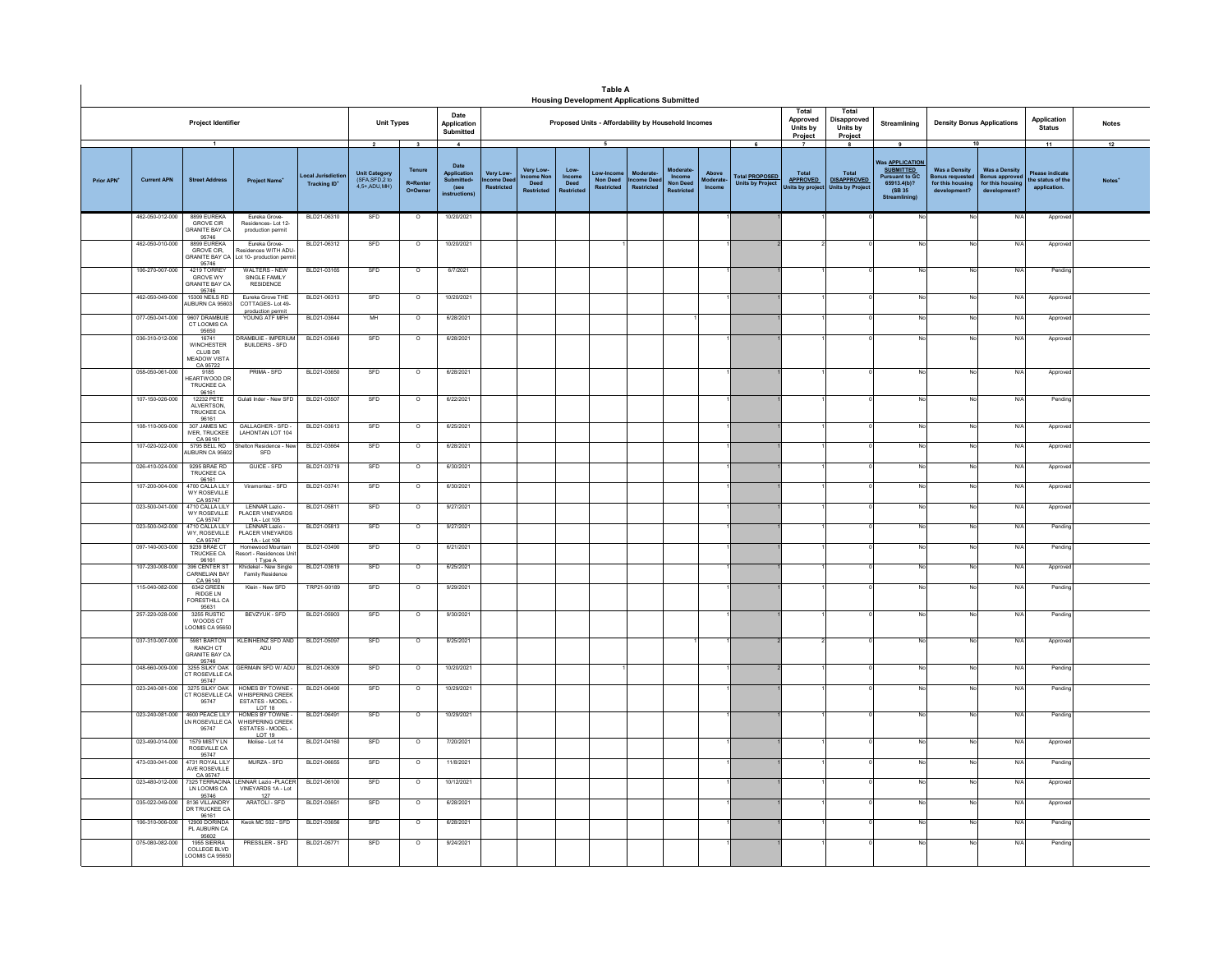|                        |                    |                                                                  |                                                                              |                                 |                                                                             |                                                     |                                                                                   |                                                |                               |                                    | <b>Table A</b><br><b>Housing Development Applications Submitted</b> |                                           |                                        |                                    |                                                       |                                            |                                                                     |                                                                                                                           |                                                                                               |                                                                          |                                                           |                    |
|------------------------|--------------------|------------------------------------------------------------------|------------------------------------------------------------------------------|---------------------------------|-----------------------------------------------------------------------------|-----------------------------------------------------|-----------------------------------------------------------------------------------|------------------------------------------------|-------------------------------|------------------------------------|---------------------------------------------------------------------|-------------------------------------------|----------------------------------------|------------------------------------|-------------------------------------------------------|--------------------------------------------|---------------------------------------------------------------------|---------------------------------------------------------------------------------------------------------------------------|-----------------------------------------------------------------------------------------------|--------------------------------------------------------------------------|-----------------------------------------------------------|--------------------|
|                        |                    | Project Identifier                                               |                                                                              |                                 | <b>Unit Types</b>                                                           |                                                     | Date<br>Application<br>Submitted                                                  |                                                |                               |                                    | Proposed Units - Affordability by Household Incomes                 |                                           |                                        |                                    |                                                       | Total<br>Approved<br>Units by<br>Project   | Total<br>Disapproved<br>Units by<br>Project                         | Streamlining                                                                                                              | <b>Density Bonus Applications</b>                                                             |                                                                          | Application<br><b>Status</b>                              | <b>Notes</b>       |
| Prior APN <sup>+</sup> | <b>Current APN</b> | $\overline{1}$<br><b>Street Address</b>                          | <b>Project Name</b>                                                          | ocal Jurisdictio<br>Tracking ID | $\overline{\mathbf{2}}$<br>Unit Category<br>(SFA,SFD,2 to<br>$4.5+$ ADU MH) | $\mathbf{3}$<br>Tenure<br><b>R=Renter</b><br>O=Owne | $\overline{4}$<br>Date<br>Application<br>Submitted<br>(see<br><b>instructions</b> | <b>Very Low</b><br>me Dee<br><b>Restricted</b> | Very Low-<br>come Non<br>Deed | Low-<br>Income<br>Deed<br>estricte | 5<br>Low-Incon<br><b>Non Deed</b><br><b>Restricted</b>              | Moderate<br>ome Dee:<br><b>Restricted</b> | <b>Income</b><br>Non Deed<br>Restricte | Above<br><b>foderate</b><br>Income | 6<br><b>Total PROPOSED</b><br><b>Units by Project</b> | Total<br><b>APPROVED</b><br>Units by proje | -8<br><b>Total</b><br><b>DISAPPROVED</b><br><b>Units by Project</b> | 9<br><b>Was APPLICATION</b><br><b>SUBMITTED</b><br><b>Pursuant to GC</b><br>65913.4(b)?<br>(SB 35)<br><b>Streamlining</b> | 10<br><b>Was a Density</b><br>Bonus requested<br>for this housing<br>development <sup>®</sup> | <b>Was a Density</b><br>onus approve<br>for this housing<br>development? | 11<br>Please indicate<br>he status of the<br>application. | 12<br><b>Notes</b> |
|                        | 462-050-012-000    | 8899 EUREKA<br>GROVE CIR<br><b>GRANITE BAY CA</b>                | Eureka Grove-<br>Residences-Lot 12-<br>production permit                     | BLD21-06310                     | SFD                                                                         | $\circ$                                             | 10/20/2021                                                                        |                                                |                               |                                    |                                                                     |                                           |                                        |                                    |                                                       |                                            |                                                                     |                                                                                                                           | No                                                                                            | N/f                                                                      | Appro                                                     |                    |
|                        | 462-050-010-000    | 95746<br>8899 EUREKA<br>GROVE CIR,<br><b>GRANITE BAY CA</b>      | Eureka Grove-<br>esidences WITH ADU-<br>Lot 10- production permi             | BLD21-06312                     | SFD                                                                         | $\circ$                                             | 10/20/2021                                                                        |                                                |                               |                                    |                                                                     |                                           |                                        |                                    |                                                       |                                            |                                                                     |                                                                                                                           | No                                                                                            | N/                                                                       | Approv                                                    |                    |
|                        | 106-270-007-000    | 95746<br>4219 TORREY<br><b>GROVE WY</b><br><b>GRANITE BAY CA</b> | <b>WALTERS - NEW</b><br>SINGLE FAMILY<br><b>RESIDENCE</b>                    | BLD21-03165                     | SED                                                                         | $\Omega$                                            | 6/7/2021                                                                          |                                                |                               |                                    |                                                                     |                                           |                                        |                                    |                                                       |                                            |                                                                     |                                                                                                                           | No                                                                                            | N/l                                                                      | Pendin                                                    |                    |
|                        | 462-050-049-000    | 95746<br>15300 NEILS RD<br>AUBURN CA 95603                       | Fureka Grove THE<br>COTTAGES-Lot 49-                                         | BLD21-06313                     | SFD                                                                         | $\overline{\circ}$                                  | 10/20/2021                                                                        |                                                |                               |                                    |                                                                     |                                           |                                        |                                    |                                                       |                                            |                                                                     |                                                                                                                           | <b>No</b>                                                                                     | N/l                                                                      | Approv                                                    |                    |
|                        | 077-050-041-000    | 9607 DRAMBUIF<br>CT LOOMIS CA                                    | production permit<br>YOUNG ATF MFH                                           | BLD21-03644                     | MH                                                                          | $\circ$                                             | 6/28/2021                                                                         |                                                |                               |                                    |                                                                     |                                           |                                        |                                    |                                                       |                                            |                                                                     |                                                                                                                           | <b>No</b>                                                                                     | N/A                                                                      | Approv                                                    |                    |
|                        | 036-310-012-000    | 95650<br>16741<br><b>WINCHESTER</b><br>CLUB DR<br>MEADOW VISTA   | RAMBUIF - IMPERIUM<br><b>BUILDERS - SFD</b>                                  | BLD21-03649                     | SFD                                                                         | $\Omega$                                            | 6/28/2021                                                                         |                                                |                               |                                    |                                                                     |                                           |                                        |                                    |                                                       |                                            |                                                                     |                                                                                                                           | No                                                                                            | N/l                                                                      | Approv                                                    |                    |
|                        | 058-050-061-000    | CA 95722<br>9185<br>EARTWOOD DR<br>TRUCKEE CA                    | PRIMA - SFD                                                                  | BLD21-03650                     | SFD                                                                         | $\circ$                                             | 6/28/2021                                                                         |                                                |                               |                                    |                                                                     |                                           |                                        |                                    |                                                       |                                            |                                                                     |                                                                                                                           | No                                                                                            | $N$ /                                                                    | Approve                                                   |                    |
|                        | 107-150-026-000    | 96161<br>12232 PETE<br>ALVERTSON.<br>TRUCKEE CA                  | Gulati Inder - New SFD                                                       | BLD21-03507                     | SFD                                                                         | $\overline{\circ}$                                  | 6/22/2021                                                                         |                                                |                               |                                    |                                                                     |                                           |                                        |                                    |                                                       |                                            |                                                                     |                                                                                                                           | No.                                                                                           | N/A                                                                      | Pending                                                   |                    |
|                        | 108-110-009-000    | 96161<br>307 JAMES MC<br><b>IVER. TRUCKEE</b>                    | GALLAGHER - SFD -<br>LAHONTAN LOT 104                                        | BLD21-03613                     | SFD                                                                         | $\circ$                                             | 6/25/2021                                                                         |                                                |                               |                                    |                                                                     |                                           |                                        |                                    |                                                       |                                            |                                                                     |                                                                                                                           | No.                                                                                           | N/f                                                                      | Approv                                                    |                    |
|                        | 107-020-022-000    | CA 96161<br>5795 BFLL RD<br><b>NUBURN CA 95602</b>               | elton Residence - Ne<br>SFD                                                  | BLD21-03664                     | SFD                                                                         | $\circ$                                             | 6/28/2021                                                                         |                                                |                               |                                    |                                                                     |                                           |                                        |                                    |                                                       |                                            |                                                                     |                                                                                                                           | No                                                                                            | N/4                                                                      | Approv                                                    |                    |
|                        | 026-410-024-000    | 9295 BRAF RD<br>TRUCKEE CA                                       | GUICE - SFD                                                                  | BLD21-03719                     | SFD                                                                         | $\Omega$                                            | 6/30/2021                                                                         |                                                |                               |                                    |                                                                     |                                           |                                        |                                    |                                                       |                                            |                                                                     |                                                                                                                           | No                                                                                            | N/I                                                                      | Approv                                                    |                    |
|                        | 107-200-004-000    | 96161<br>4700 CALLA LIL'<br>WY ROSEVILLE<br>CA 95747             | Viramontez - SFD                                                             | BLD21-03741                     | SFD                                                                         | $\circ$                                             | 6/30/2021                                                                         |                                                |                               |                                    |                                                                     |                                           |                                        |                                    |                                                       |                                            |                                                                     |                                                                                                                           | No                                                                                            | N                                                                        | Approve                                                   |                    |
|                        | 023-500-041-000    | 4710 CALLA LIL<br><b>WY ROSEVILLE</b><br>CA 95747                | LENNAR Lazio -<br>PLACER VINEYARDS<br>1A - Lot 105                           | BLD21-05811                     | SFD                                                                         | $\circ$                                             | 9/27/2021                                                                         |                                                |                               |                                    |                                                                     |                                           |                                        |                                    |                                                       |                                            |                                                                     |                                                                                                                           | No                                                                                            | N/                                                                       | Approv                                                    |                    |
|                        | 023-500-042-000    | 4710 CALLATILY<br>WY, ROSEVILLE<br>CA 95747                      | I FNNAR Lazio -<br>PLACER VINEYARDS<br>1A - Lot 106                          | BLD21-05813                     | <b>SFD</b>                                                                  | $\Omega$                                            | 9/27/2021                                                                         |                                                |                               |                                    |                                                                     |                                           |                                        |                                    |                                                       |                                            |                                                                     |                                                                                                                           | No                                                                                            | N/l                                                                      | Pendin                                                    |                    |
|                        | 097-140-003-000    | 9239 BRAE CT<br>TRUCKEE CA<br>96161                              | Homewood Mountain<br>esort - Residences Unit<br>1 Type A                     | BLD21-03490                     | SFD                                                                         | $\circ$                                             | 6/21/2021                                                                         |                                                |                               |                                    |                                                                     |                                           |                                        |                                    |                                                       |                                            |                                                                     |                                                                                                                           | No                                                                                            | N/                                                                       | Pendin                                                    |                    |
|                        | 107-230-008-000    | 396 CENTER ST<br>CARNELIAN BAY<br>CA 96140<br>6342 GREEN         | Khidekel - New Single<br>Family Residence                                    | BLD21-03619                     | SFD                                                                         | $\circ$                                             | 6/25/2021                                                                         |                                                |                               |                                    |                                                                     |                                           |                                        |                                    |                                                       |                                            |                                                                     |                                                                                                                           | No.                                                                                           | N/                                                                       | Approv                                                    |                    |
|                        | 115-040-082-000    | <b>RIDGE LN</b><br>ORESTHILL CA                                  | Klein - New SFD                                                              | TRP21-90189                     | SFD                                                                         | $\circ$                                             | 9/29/2021                                                                         |                                                |                               |                                    |                                                                     |                                           |                                        |                                    |                                                       |                                            |                                                                     |                                                                                                                           | No                                                                                            | N/4                                                                      | Pendin                                                    |                    |
|                        | 257-220-028-000    | 95631<br>3255 RUSTIC<br>WOODS CT<br>OOMIS CA 95650               | BEVZYUK - SFD                                                                | BLD21-05903                     | SFD                                                                         | $\overline{\circ}$                                  | 9/30/2021                                                                         |                                                |                               |                                    |                                                                     |                                           |                                        |                                    |                                                       |                                            |                                                                     |                                                                                                                           | No                                                                                            | N                                                                        | Pending                                                   |                    |
|                        | 037-310-007-000    | 5981 BARTON<br>RANCH CT<br><b>GRANITE BAY CA</b><br>95746        | <b>KLEINHEINZ SFD AND</b><br>ADU                                             | BLD21-05097                     | SFD                                                                         | $\circ$                                             | 8/25/2021                                                                         |                                                |                               |                                    |                                                                     |                                           |                                        |                                    |                                                       |                                            |                                                                     |                                                                                                                           | No                                                                                            | N/                                                                       | Approv                                                    |                    |
|                        | 048-660-009-000    | 3255 SILKY OAK<br>CT ROSEVILLE CA<br>95747                       | <b>GERMAIN SFD W/ ADU</b>                                                    | BLD21-06309                     | SFD                                                                         | $\Omega$                                            | 10/20/2021                                                                        |                                                |                               |                                    |                                                                     |                                           |                                        |                                    |                                                       |                                            |                                                                     |                                                                                                                           | No                                                                                            | N/l                                                                      | Pendin                                                    |                    |
|                        | 023-240-081-000    | 3275 SILKY OAK<br>T ROSEVILLE CA<br>95747                        | HOMES BY TOWNE<br>WHISPERING CREEK<br>ESTATES - MODEL -<br>LOT <sub>18</sub> | BLD21-06490                     | SFD                                                                         | $\circ$                                             | 10/29/2021                                                                        |                                                |                               |                                    |                                                                     |                                           |                                        |                                    |                                                       |                                            |                                                                     |                                                                                                                           | No                                                                                            | $N$ /                                                                    | Pending                                                   |                    |
|                        | 023-240-081-000    | 4600 PEACE LILY<br>IN ROSEVILLE CA<br>95747                      | HOMES BY TOWNE.<br>WHISPERING CREEK<br>ESTATES - MODEL -<br>LOT 19           | BLD21-06491                     | SFD                                                                         | $\circ$                                             | 10/29/2021                                                                        |                                                |                               |                                    |                                                                     |                                           |                                        |                                    |                                                       |                                            |                                                                     |                                                                                                                           | No                                                                                            | N/f                                                                      | Pending                                                   |                    |
|                        | 023-490-014-000    | 1579 MISTY LN<br>ROSEVILLE CA<br>95747                           | Molise - Lot 14                                                              | BLD21-04160                     | SFD                                                                         | $\circ$                                             | 7/20/2021                                                                         |                                                |                               |                                    |                                                                     |                                           |                                        |                                    |                                                       |                                            |                                                                     |                                                                                                                           | No                                                                                            | N/                                                                       | Approv                                                    |                    |
|                        | 473-030-041-000    | 4731 ROYAL LILY<br>AVE ROSEVILLE                                 | MURZA - SFD                                                                  | BLD21-06655                     | SFD                                                                         | $\overline{\circ}$                                  | 11/8/2021                                                                         |                                                |                               |                                    |                                                                     |                                           |                                        |                                    |                                                       |                                            |                                                                     |                                                                                                                           | No                                                                                            | N/                                                                       | Pending                                                   |                    |
|                        | 023-480-012-000    | CA 95747<br>7325 TERRACINA<br>LN LOOMIS CA<br>95746              | <b>LENNAR Lazio - PLACER</b><br>VINEYARDS 1A - Lot<br>127                    | BLD21-06100                     | SFD                                                                         | $\circ$                                             | 10/12/2021                                                                        |                                                |                               |                                    |                                                                     |                                           |                                        |                                    |                                                       |                                            |                                                                     |                                                                                                                           | No                                                                                            | $N$ /                                                                    | Approv                                                    |                    |
|                        | 035-022-049-000    | 8136 VILLANDRY<br>DR TRUCKEE CA<br>96161                         | ARATOLI - SFD                                                                | BLD21-03651                     | SFD                                                                         | $\circ$                                             | 6/28/2021                                                                         |                                                |                               |                                    |                                                                     |                                           |                                        |                                    |                                                       |                                            |                                                                     |                                                                                                                           | No                                                                                            | N/                                                                       | Approv                                                    |                    |
|                        | 106-310-006-000    | 12900 DORINDA<br>PLAUBURN CA<br>95602                            | Kwok MC 502 - SFD                                                            | BLD21-03656                     | SFD                                                                         | $\overline{\circ}$                                  | 6/28/2021                                                                         |                                                |                               |                                    |                                                                     |                                           |                                        |                                    |                                                       |                                            |                                                                     |                                                                                                                           | No                                                                                            | N                                                                        | Pending                                                   |                    |
|                        | 075-080-082-000    | <b>1955 SIFRRA</b><br>COLLEGE BLVD<br><b>LOOMIS CA 95650</b>     | PRESSLER - SFD                                                               | BLD21-05771                     | SFD                                                                         | $\circ$                                             | 9/24/2021                                                                         |                                                |                               |                                    |                                                                     |                                           |                                        |                                    |                                                       |                                            |                                                                     |                                                                                                                           | No                                                                                            | N/f                                                                      | Pendin                                                    |                    |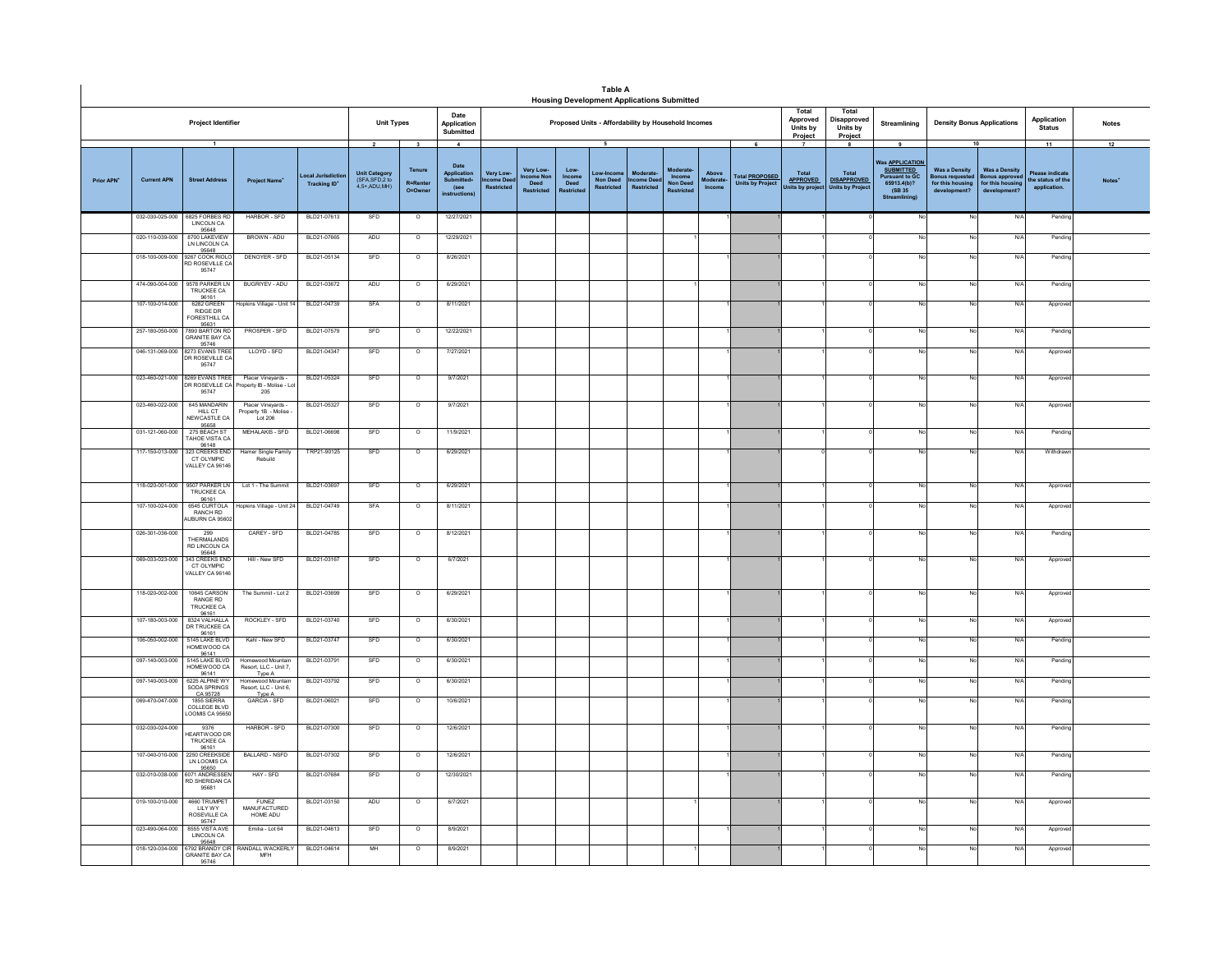|           |                    |                                                                             |                                                                           |                                        |                                                                 |                                                              |                                                              |                                           |                                                            |                                            | Table A<br><b>Housing Development Applications Submitted</b> |                                      |                                  |                                    |                                                  |                                                   |                                                                    |                                                                                                                    |                                                                                 |                                                                              |                                                        |                          |
|-----------|--------------------|-----------------------------------------------------------------------------|---------------------------------------------------------------------------|----------------------------------------|-----------------------------------------------------------------|--------------------------------------------------------------|--------------------------------------------------------------|-------------------------------------------|------------------------------------------------------------|--------------------------------------------|--------------------------------------------------------------|--------------------------------------|----------------------------------|------------------------------------|--------------------------------------------------|---------------------------------------------------|--------------------------------------------------------------------|--------------------------------------------------------------------------------------------------------------------|---------------------------------------------------------------------------------|------------------------------------------------------------------------------|--------------------------------------------------------|--------------------------|
|           |                    | Project Identifier                                                          |                                                                           |                                        | <b>Unit Types</b>                                               |                                                              | Date<br>Application<br>Submitted                             |                                           |                                                            |                                            | Proposed Units - Affordability by Household Incomes          |                                      |                                  |                                    |                                                  | Total<br>Approved<br>Units by<br>Project          | Total<br><b>Disapproved</b><br>Units by<br>Project                 | Streamlining                                                                                                       | <b>Density Bonus Applications</b>                                               |                                                                              | Application<br><b>Status</b>                           | <b>Notes</b>             |
| Prior APN | <b>Current APN</b> | $\mathbf{1}$<br><b>Street Address</b>                                       | <b>Project Name</b>                                                       | ocal Jurisdicti<br><b>Tracking ID*</b> | $\mathbf 2$<br>Unit Category<br>(SFA, SFD, 2 to<br>4,5+,ADU,MH) | $\overline{\mathbf{3}}$<br>Tenure<br>R=Rente<br>$Q = Q$ wner | $\boldsymbol{4}$<br>Date<br>Application<br>Submitted<br>(see | <b>Very Low</b><br>come Dee<br>Restricted | Very Low-<br><b>Icome Nor</b><br>Deed<br><b>Restricted</b> | Low-<br>Income<br>Deed<br><b>Restricte</b> | 5<br><b>Non Deed</b><br>Restricted                           | <b>come Dee</b><br><b>Restricted</b> | Income<br>Non Deed<br>Restricted | Above<br><b>Noderate</b><br>Income | <b>Total PROPOSED</b><br><b>Units by Project</b> | Total<br><b>APPROVED</b><br><b>Jnits by proje</b> | 8<br><b>Total</b><br><b>DISAPPROVED</b><br><b>Units by Project</b> | 9<br>as <b>APPLICATION</b><br><b>SUBMITTED</b><br><b>Pursuant to GC</b><br>65913.4(b)?<br>(SB 35)<br>Streamlining) | 10<br><b>Was a Density</b><br>Bonus requested<br>for this housi<br>development? | <b>Was a Density</b><br><b>Bonus approve</b><br>for this hou<br>development? | 11<br>ase indicat<br>the status of the<br>application. | 12<br>Notes <sup>*</sup> |
|           | 032-030-025-000    | 6825 FORRES RD<br>LINCOLN CA<br>95648                                       | HARBOR - SFD                                                              | BLD21-07613                            | SFD                                                             | $\overline{\phantom{a}}$                                     | 12/27/2021                                                   |                                           |                                                            |                                            |                                                              |                                      |                                  |                                    |                                                  |                                                   |                                                                    |                                                                                                                    | No                                                                              | N/A                                                                          | Pendin                                                 |                          |
|           | 020-110-039-000    | 8700 LAKEVIEV<br>LN LINCOLN CA                                              | BROWN - ADU                                                               | BLD21-07665                            | ADU                                                             | $\overline{\phantom{a}}$                                     | 12/29/2021                                                   |                                           |                                                            |                                            |                                                              |                                      |                                  |                                    |                                                  |                                                   |                                                                    | Nr                                                                                                                 | No                                                                              | N/A                                                                          | Pending                                                |                          |
|           | 018-100-009-000    | 95648<br>9267 COOK RIOLO<br>RD ROSEVILLE CA<br>95747                        | DENOYER - SFD                                                             | BLD21-05134                            | SFD                                                             | $\overline{\circ}$                                           | 8/26/2021                                                    |                                           |                                                            |                                            |                                                              |                                      |                                  |                                    |                                                  |                                                   |                                                                    |                                                                                                                    |                                                                                 | N/A                                                                          | Pending                                                |                          |
|           | 474-090-004-000    | 9578 PARKER LN<br>TRUCKEE CA<br>96161                                       | BUGRIYEV - ADU                                                            | BLD21-03672                            | ADU                                                             | $\overline{\circ}$                                           | 6/29/2021                                                    |                                           |                                                            |                                            |                                                              |                                      |                                  |                                    |                                                  |                                                   |                                                                    |                                                                                                                    | N                                                                               | N/A                                                                          | Pending                                                |                          |
|           | 107-100-014-000    | 6282 GREEN<br><b>RIDGE DR</b><br>FORESTHILL CA                              | lopkins Village - Unit 14                                                 | BLD21-04739                            | SFA                                                             | $\overline{\circ}$                                           | 8/11/2021                                                    |                                           |                                                            |                                            |                                                              |                                      |                                  |                                    |                                                  |                                                   |                                                                    | No                                                                                                                 |                                                                                 | N/A                                                                          | Approve                                                |                          |
|           | 257-180-050-000    | 95631<br>7890 BARTON RD<br><b>GRANITE BAY CA</b><br>95746                   | PROSPER - SFD                                                             | BLD21-07579                            | SFD                                                             | $\overline{\phantom{a}}$                                     | 12/22/2021                                                   |                                           |                                                            |                                            |                                                              |                                      |                                  |                                    |                                                  |                                                   |                                                                    |                                                                                                                    | N                                                                               | N/f                                                                          | Pending                                                |                          |
|           | 046-131-069-000    | 8273 EVANS TREE<br>DR ROSEVILLE CA<br>95747                                 | LLOYD - SFD                                                               | BLD21-04347                            | SFD                                                             | $\circ$                                                      | 7/27/2021                                                    |                                           |                                                            |                                            |                                                              |                                      |                                  |                                    |                                                  |                                                   |                                                                    | No                                                                                                                 | N                                                                               | N/A                                                                          | Approve                                                |                          |
|           | 023-460-022-000    | 023-460-021-000 8269 EVANS TREE<br>DR ROSEVILLE CA<br>95747<br>645 MANDARIN | Placer Vineyards -<br>operty IB - Molise - Lot<br>205<br>Placer Vinevards | BLD21-05324<br>BLD21-05327             | SFD<br>SFD                                                      | $\overline{\circ}$<br>$\circ$                                | 9/7/2021<br>9/7/2021                                         |                                           |                                                            |                                            |                                                              |                                      |                                  |                                    |                                                  |                                                   |                                                                    | No<br>No                                                                                                           | N<br>N                                                                          | N/A<br>N/A                                                                   | Approved<br>Approve                                    |                          |
|           | 031-121-060-000    | HILL CT<br>NEW CASTLE CA<br>95658<br>275 BEACH ST                           | Property 1B - Molise<br>Lot 206<br>MEHALAKIS - SFD                        | BLD21-06698                            | SFD                                                             | $\overline{\phantom{a}}$                                     |                                                              |                                           |                                                            |                                            |                                                              |                                      |                                  |                                    |                                                  |                                                   |                                                                    | No                                                                                                                 | No                                                                              | N/A                                                                          | Pendin                                                 |                          |
|           |                    | TAHOE VISTA CA<br>96148<br>323 CREEKS END                                   |                                                                           |                                        |                                                                 |                                                              | 11/9/2021                                                    |                                           |                                                            |                                            |                                                              |                                      |                                  |                                    |                                                  |                                                   |                                                                    |                                                                                                                    |                                                                                 |                                                                              |                                                        |                          |
|           | 117-150-013-000    | CT OLYMPIC<br>VALLEY CA 96146                                               | Hamer Single Family<br>Rebuild                                            | TRP21-90125                            | SFD                                                             | $\overline{\phantom{a}}$                                     | 6/29/2021                                                    |                                           |                                                            |                                            |                                                              |                                      |                                  |                                    |                                                  |                                                   |                                                                    | No                                                                                                                 | No                                                                              | N/f                                                                          | Withdraw                                               |                          |
|           | 118-020-001-000    | 9507 PARKER LN<br>TRUCKEE CA<br>96161                                       | Lot 1 - The Summit                                                        | BLD21-03697                            | SFD                                                             | $\circ$                                                      | 6/29/2021                                                    |                                           |                                                            |                                            |                                                              |                                      |                                  |                                    |                                                  |                                                   |                                                                    | No                                                                                                                 | No                                                                              | N/A                                                                          | Approve                                                |                          |
|           | 107-100-024-000    | 6545 CURTOLA<br>RANCH RD<br>JBURN CA 95602                                  | Hopkins Village - Unit 24                                                 | BLD21-04749                            | SFA                                                             | $\circ$                                                      | 8/11/2021                                                    |                                           |                                                            |                                            |                                                              |                                      |                                  |                                    |                                                  |                                                   |                                                                    | No                                                                                                                 | N                                                                               | N/A                                                                          | Approve                                                |                          |
|           | 026-301-036-000    | 299<br>THERMAL ANDS<br>RD LINCOLN CA<br>95648                               | CAREY - SFD                                                               | BLD21-04785                            | SFD                                                             | $\circ$                                                      | 8/12/2021                                                    |                                           |                                                            |                                            |                                                              |                                      |                                  |                                    |                                                  |                                                   |                                                                    | No                                                                                                                 | No                                                                              | N/A                                                                          | Pending                                                |                          |
|           | 069-033-023-000    | 343 CREEKS END<br>CT OLYMPIC<br>VALLEY CA 9614                              | Hill - New SFD                                                            | BLD21-03167                            | SFD                                                             | $\circ$                                                      | 6/7/2021                                                     |                                           |                                                            |                                            |                                                              |                                      |                                  |                                    |                                                  |                                                   |                                                                    |                                                                                                                    | N.                                                                              | N/A                                                                          | Approve                                                |                          |
|           | 118-020-002-000    | 10645 CARSON<br><b>RANGE RD</b><br>TRUCKEE CA                               | The Summit - Lot 2                                                        | BLD21-03699                            | SFD                                                             | $\overline{\circ}$                                           | 6/29/2021                                                    |                                           |                                                            |                                            |                                                              |                                      |                                  |                                    |                                                  |                                                   |                                                                    |                                                                                                                    | No                                                                              | N/A                                                                          | Approved                                               |                          |
|           | 107-180-003-000    | 96161<br>8324 VALHALLA<br>DR TRUCKEE CA<br>96161                            | ROCKLEY - SFD                                                             | BLD21-03740                            | SFD                                                             | $\circ$                                                      | 6/30/2021                                                    |                                           |                                                            |                                            |                                                              |                                      |                                  |                                    |                                                  |                                                   |                                                                    | No                                                                                                                 | No                                                                              | N/A                                                                          | Approve                                                |                          |
|           | 106-050-002-000    | 5145 LAKE BLVD<br>HOMEWOOD CA<br>96141                                      | Kahl - New SFD                                                            | BLD21-03747                            | SFD                                                             | $\overline{\circ}$                                           | 6/30/2021                                                    |                                           |                                                            |                                            |                                                              |                                      |                                  |                                    |                                                  |                                                   |                                                                    | <b>No</b>                                                                                                          | N                                                                               | N/A                                                                          | Pending                                                |                          |
|           | 097-140-003-000    | 5145 LAKE BLVD<br>HOMEWOOD CA<br>96141                                      | Homewood Mountai<br>Resort. LLC - Unit 7.<br>Type A                       | BLD21-03791                            | SFD                                                             | $\circ$                                                      | 6/30/2021                                                    |                                           |                                                            |                                            |                                                              |                                      |                                  |                                    |                                                  |                                                   |                                                                    | No                                                                                                                 | N                                                                               | N/A                                                                          | Pending                                                |                          |
|           | 097-140-003-000    | 6225 ALPINE WY<br>SODA SPRINGS<br>CA 95728                                  | Homewood Mountain<br>Resort, LLC - Unit 6,<br>Type A                      | BLD21-03792                            | SFD                                                             | $\circ$                                                      | 6/30/2021                                                    |                                           |                                                            |                                            |                                                              |                                      |                                  |                                    |                                                  |                                                   |                                                                    | No                                                                                                                 | N.                                                                              | N/A                                                                          | Pending                                                |                          |
|           | 069-470-047-000    | 1855 SIERRA<br><b>COLLEGE BLVD</b><br>LOOMIS CA 9565                        | GARCIA - SFD                                                              | BLD21-06021                            | SFD                                                             | $\circ$                                                      | 10/6/2021                                                    |                                           |                                                            |                                            |                                                              |                                      |                                  |                                    |                                                  |                                                   |                                                                    | No                                                                                                                 | N <sub>1</sub>                                                                  | N/A                                                                          | Pending                                                |                          |
|           | 032-030-024-000    | 9376<br>EARTWOOD DF<br>TRUCKEE CA<br>96161                                  | HARBOR - SFD                                                              | BLD21-07300                            | SED                                                             | $\Omega$                                                     | 12/6/2021                                                    |                                           |                                                            |                                            |                                                              |                                      |                                  |                                    |                                                  |                                                   |                                                                    |                                                                                                                    | No                                                                              | N/A                                                                          | Pending                                                |                          |
|           | 107-040-010-000    | 2250 CREEKSIDE<br>LN LOOMIS CA                                              | BALLARD - NSFD                                                            | BLD21-07302                            | SFD                                                             | $\overline{\circ}$                                           | 12/6/2021                                                    |                                           |                                                            |                                            |                                                              |                                      |                                  |                                    |                                                  |                                                   |                                                                    |                                                                                                                    |                                                                                 | N/A                                                                          | Pending                                                |                          |
|           | 032-010-038-000    | 95650<br>6071 ANDRESSEN<br>RD SHERIDAN CA<br>95681                          | HAY - SFD                                                                 | BLD21-07684                            | SFD                                                             | $\circ$                                                      | 12/30/2021                                                   |                                           |                                                            |                                            |                                                              |                                      |                                  |                                    |                                                  |                                                   |                                                                    | No                                                                                                                 | N.                                                                              | N/A                                                                          | Pending                                                |                          |
|           | 019-100-010-000    | 4660 TRUMPE<br>LILY WY<br>ROSEVILLE CA                                      | FUNF7<br>MANUFACTURED<br>HOME ADU                                         | BLD21-03150                            | ADU                                                             | $\overline{\phantom{a}}$                                     | 6/7/2021                                                     |                                           |                                                            |                                            |                                                              |                                      |                                  |                                    |                                                  |                                                   |                                                                    | No                                                                                                                 | No                                                                              | N/A                                                                          | Approve                                                |                          |
|           | 023-490-064-000    | 95747<br>8555 VISTA AVE<br><b>LINCOLN CA</b>                                | Emilia - Lot 64                                                           | BLD21-04613                            | SFD                                                             | $\overline{\circ}$                                           | 8/9/2021                                                     |                                           |                                                            |                                            |                                                              |                                      |                                  |                                    |                                                  |                                                   |                                                                    | No                                                                                                                 |                                                                                 | N/A                                                                          | Approved                                               |                          |
|           | 018-120-034-000    | 95648<br>6792 BRANDY CIR<br><b>GRANITE BAY CA</b>                           | RANDALL WACKERLY<br>MFH                                                   | BLD21-04614                            | MH                                                              | $\overline{0}$                                               | 8/9/2021                                                     |                                           |                                                            |                                            |                                                              |                                      |                                  |                                    |                                                  |                                                   |                                                                    |                                                                                                                    |                                                                                 | N/A                                                                          | Approved                                               |                          |
|           |                    | 95746                                                                       |                                                                           |                                        |                                                                 |                                                              |                                                              |                                           |                                                            |                                            |                                                              |                                      |                                  |                                    |                                                  |                                                   |                                                                    |                                                                                                                    |                                                                                 |                                                                              |                                                        |                          |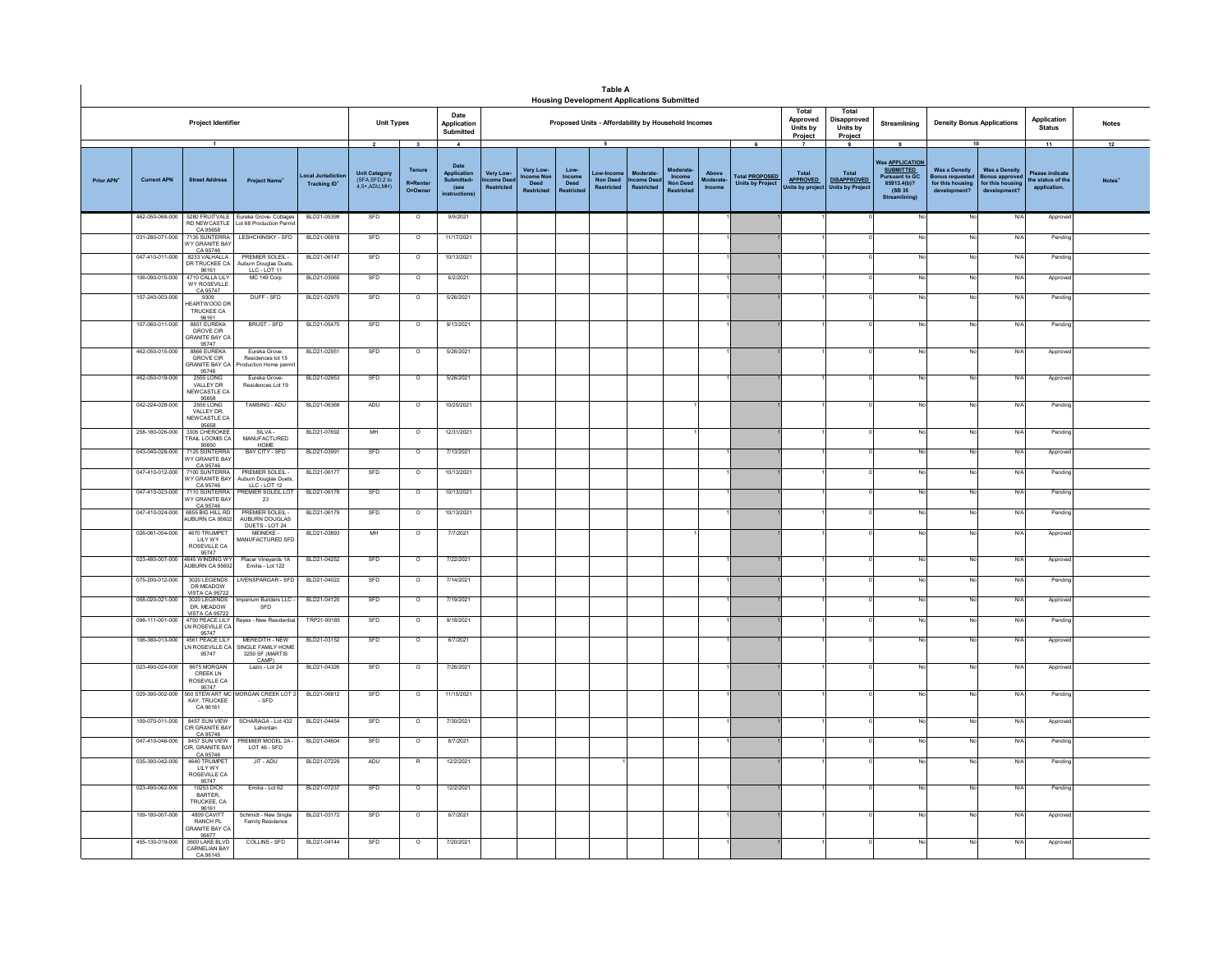|                        |                    |                                                                            |                                                                               |                                               |                                                                          |                                                                 |                                                                    |                                            |                                          | <b>Housing Development Applications Submitted</b>   | <b>Table A</b>                                  |                                                   |                                         |                              |                                                       |                                          |                                                          |                                                                                                                    |                                                                                          |                                                                         |                                                           |                          |
|------------------------|--------------------|----------------------------------------------------------------------------|-------------------------------------------------------------------------------|-----------------------------------------------|--------------------------------------------------------------------------|-----------------------------------------------------------------|--------------------------------------------------------------------|--------------------------------------------|------------------------------------------|-----------------------------------------------------|-------------------------------------------------|---------------------------------------------------|-----------------------------------------|------------------------------|-------------------------------------------------------|------------------------------------------|----------------------------------------------------------|--------------------------------------------------------------------------------------------------------------------|------------------------------------------------------------------------------------------|-------------------------------------------------------------------------|-----------------------------------------------------------|--------------------------|
|                        |                    | Project Identifier                                                         |                                                                               |                                               | <b>Unit Types</b>                                                        |                                                                 | Date<br>Application<br>Submitted                                   |                                            |                                          | Proposed Units - Affordability by Household Incomes |                                                 |                                                   |                                         |                              |                                                       | Total<br>Approved<br>Units by<br>Project | Total<br>Disapproved<br>Units by<br>Project              | Streamlining                                                                                                       | <b>Density Bonus Applications</b>                                                        |                                                                         | Application<br><b>Status</b>                              | <b>Notes</b>             |
| Prior APN <sup>+</sup> | <b>Current APN</b> | $\overline{1}$<br><b>Street Address</b>                                    | <b>Project Name</b>                                                           | ocal Jurisdiction<br>Tracking ID <sup>+</sup> | $\overline{\mathbf{z}}$<br>Unit Category<br>(SFA,SFD,2 to<br>4.5+.ADU.MH | $\overline{\mathbf{3}}$<br>Tenure<br><b>R=Renter</b><br>O=Owner | $\sim$<br>Date<br>Application<br>Submitted<br>(see<br>instructions | Very Low-<br>come Dee<br><b>Restricted</b> | Very Low<br>me Nor<br>Deed<br>Restricted | Low-<br>Income<br>Deed<br>Restricte                 | 5<br>Low-Incor<br>Non Deed<br><b>Restricted</b> | <b>Moderate</b><br>come Deed<br><b>Restricted</b> | Income<br><b>Non Deed</b><br>Restricter | Above<br>loderate-<br>Income | 6<br>Total <b>PROPOSED</b><br><b>Units by Project</b> | Total<br>APPROVED<br>Jnits by proje      | 8<br>Total<br><b>DISAPPROVED</b><br><b>Units by Proj</b> | 9<br>Vas <b>APPLICATION</b><br><b>SUBMITTED</b><br><b>Pursuant to GC</b><br>65913,4(b)?<br>(SB 35<br>Streamlining) | 10<br><b>Was a Density</b><br><b>Bonus requested</b><br>for this housing<br>development? | <b>Was a Density</b><br>Bonus appro<br>for this housing<br>development' | 11<br>Please indicate<br>he status of the<br>application. | 12<br>Notes <sup>®</sup> |
|                        | 462-050-068-000    | CA 95658                                                                   | 5280 FRUITVALE Eureka Grove- Cottages<br>RD NEWCASTLE Lot 68 Production Permi | BLD21-05399                                   | SFD                                                                      | $\circ$                                                         | 9/9/2021                                                           |                                            |                                          |                                                     |                                                 |                                                   |                                         |                              |                                                       |                                          |                                                          |                                                                                                                    | No                                                                                       | N/A                                                                     | Approv                                                    |                          |
|                        | 031-280-071-000    | 135 SUNTERR<br><b>WY GRANITE BAY</b><br>CA 95746                           | LESHCHINSKY - SFD                                                             | BLD21-06918                                   | SFD                                                                      | $\circ$                                                         | 11/17/2021                                                         |                                            |                                          |                                                     |                                                 |                                                   |                                         |                              |                                                       |                                          |                                                          |                                                                                                                    |                                                                                          | N/A                                                                     | Pendin                                                    |                          |
|                        | 047-410-011-000    | 8233 VALHALLA<br>DR TRUCKEE CA<br>96161                                    | <b>PREMIER SOLEIL-</b><br>Auburn Douglas Duets,<br>LLC - LOT 11               | BLD21-06147                                   | SFD                                                                      | $\overline{0}$                                                  | 10/13/2021                                                         |                                            |                                          |                                                     |                                                 |                                                   |                                         |                              |                                                       |                                          |                                                          | No                                                                                                                 | No                                                                                       | N/A                                                                     | Pendin                                                    |                          |
|                        | 106-090-015-000    | 4710 CALLA LIL'<br>WY ROSEVILLE                                            | MC 149 Corp                                                                   | BLD21-03065                                   | SFD                                                                      | $\circ$                                                         | 6/2/2021                                                           |                                            |                                          |                                                     |                                                 |                                                   |                                         |                              |                                                       |                                          |                                                          | No                                                                                                                 | No                                                                                       | N/A                                                                     | Approve                                                   |                          |
|                        | 107-240-003-000    | CA 95747<br>9309<br><b>IEARTWOOD DF</b><br><b>TRUCKEE CA</b>               | DUFF - SFD                                                                    | BLD21-02970                                   | SFD                                                                      | $\overline{\circ}$                                              | 5/26/2021                                                          |                                            |                                          |                                                     |                                                 |                                                   |                                         |                              |                                                       |                                          |                                                          | No                                                                                                                 | No                                                                                       | N/A                                                                     | Pending                                                   |                          |
|                        | 107-060-011-000    | 96161<br>8851 FUREKA<br>GROVE CIR<br><b>SRANITE BAY CA</b>                 | BRUST - SFD                                                                   | BLD21-05475                                   | SFD                                                                      | $\circ$                                                         | 9/13/2021                                                          |                                            |                                          |                                                     |                                                 |                                                   |                                         |                              |                                                       |                                          |                                                          | No                                                                                                                 | No                                                                                       | N/A                                                                     | Pendine                                                   |                          |
|                        | 462-050-015-000    | 95747<br>8866 EUREKA<br><b>GROVE CIR</b><br><b>SRANITE BAY CA</b><br>95746 | Eureka Grove<br>Residences lot 15<br>oduction Home perm                       | BLD21-02951                                   | SFD                                                                      | $\circ$                                                         | 5/26/2021                                                          |                                            |                                          |                                                     |                                                 |                                                   |                                         |                              |                                                       |                                          |                                                          | No                                                                                                                 | No                                                                                       | N/A                                                                     | Approv                                                    |                          |
|                        | 462-050-019-000    | <b>2555 LONG</b><br>VALLEY DR<br>NEW CASTLE CA<br>95658                    | Eureka Grove-<br>Residences Lot 19                                            | BLD21-02953                                   | SFD                                                                      | $\circ$                                                         | 5/26/2021                                                          |                                            |                                          |                                                     |                                                 |                                                   |                                         |                              |                                                       |                                          |                                                          | No                                                                                                                 | No                                                                                       | N/A                                                                     | Approve                                                   |                          |
|                        | 042-224-028-000    | 2555 LONG<br>VALLEY DR,<br>NEW CASTLE CA<br>95658                          | TAMSING - ADU                                                                 | BLD21-06368                                   | ADU                                                                      | $\circ$                                                         | 10/25/2021                                                         |                                            |                                          |                                                     |                                                 |                                                   |                                         |                              |                                                       |                                          |                                                          | No                                                                                                                 | No                                                                                       | N/A                                                                     | Pending                                                   |                          |
|                        | 258-180-026-000    | 3305 CHEROKER<br><b>FRAIL LOOMIS CA</b>                                    | $SIIVA -$<br>MANUFACTURED                                                     | BLD21-07692                                   | MH                                                                       | $\circ$                                                         | 12/31/2021                                                         |                                            |                                          |                                                     |                                                 |                                                   |                                         |                              |                                                       |                                          |                                                          | No                                                                                                                 | $\overline{N}$                                                                           | N/A                                                                     | Pendin                                                    |                          |
|                        | 043-040-028-000    | 95650<br>7125 SUNTERRA<br>VY GRANITE BAY<br>CA 95746                       | BAY CITY - SFD                                                                | BLD21-03991                                   | SFD                                                                      | $\circ$                                                         | 7/13/2021                                                          |                                            |                                          |                                                     |                                                 |                                                   |                                         |                              |                                                       |                                          |                                                          | No                                                                                                                 | No                                                                                       | N/A                                                                     | Approve                                                   |                          |
|                        | 047-410-012-000    | 7100 SUNTERRA<br>VY GRANITE BA'<br>CA 95746                                | PREMIER SOLEIL -<br>uburn Douglas Duets,<br>LLC - LOT 12                      | BLD21-06177                                   | SFD                                                                      | $\circ$                                                         | 10/13/2021                                                         |                                            |                                          |                                                     |                                                 |                                                   |                                         |                              |                                                       |                                          |                                                          | No                                                                                                                 | N.                                                                                       | N/A                                                                     | Pending                                                   |                          |
|                        | 047-410-023-000    | 7110 SUNTERRA<br><b>NY GRANITE BAY</b><br>CA 95746                         | <b>REMIER SOLEIL LOT</b><br>23                                                | BLD21-06178                                   | SFD                                                                      | $\overline{\circ}$                                              | 10/13/2021                                                         |                                            |                                          |                                                     |                                                 |                                                   |                                         |                              |                                                       |                                          |                                                          | No                                                                                                                 | No                                                                                       | N/A                                                                     | Pending                                                   |                          |
|                        | 047-410-024-000    | 6855 BIG HILL RD<br>AUBURN CA 95602                                        | <b>PREMIER SOLEIL-</b><br>AUBURN DOUGLAS<br>DUETS - LOT 24                    | BLD21-06179                                   | SFD                                                                      | $\overline{\phantom{a}}$                                        | 10/13/2021                                                         |                                            |                                          |                                                     |                                                 |                                                   |                                         |                              |                                                       |                                          |                                                          | No                                                                                                                 | No                                                                                       | N/A                                                                     | Pendin                                                    |                          |
|                        | 026-061-054-000    | 4670 TRUMPET<br>LILY WY<br>ROSEVILLE CA                                    | MFINEKE-<br>MANUFACTURED SFD                                                  | BLD21-03893                                   | MH                                                                       | $\circ$                                                         | 7/7/2021                                                           |                                            |                                          |                                                     |                                                 |                                                   |                                         |                              |                                                       |                                          |                                                          | No                                                                                                                 | No                                                                                       | N/A                                                                     | Approved                                                  |                          |
|                        | 023-480-007-000    | 4845 WINDING W<br><b>NUBURN CA 9560</b>                                    | Placer Vineyards 1A<br>Emilia - Lot 122                                       | BLD21-04252                                   | SFD                                                                      | $\overline{\circ}$                                              | 7/22/2021                                                          |                                            |                                          |                                                     |                                                 |                                                   |                                         |                              |                                                       |                                          |                                                          |                                                                                                                    | N.                                                                                       | N/A                                                                     | Approv                                                    |                          |
|                        | 075-200-012-000    | 3020 LEGENDS<br>DR MEADOW<br>VISTA CA 95722                                | LIVENSPARGAR - SFD                                                            | BLD21-04022                                   | SFD                                                                      | $\circ$                                                         | 7/14/2021                                                          |                                            |                                          |                                                     |                                                 |                                                   |                                         |                              |                                                       |                                          |                                                          |                                                                                                                    | No                                                                                       | N/A                                                                     | Pending                                                   |                          |
|                        | 058-020-021-000    | 3020 LEGENDS<br>DR, MEADOW<br>VISTA CA 95722<br>1750 PEACE LILY            | mperium Builders LLC -<br>${\tt SFD}$                                         | BLD21-04120                                   | SFD                                                                      | $\circ$                                                         | 7/19/2021                                                          |                                            |                                          |                                                     |                                                 |                                                   |                                         |                              |                                                       |                                          |                                                          |                                                                                                                    | No                                                                                       | N/A                                                                     | Approve                                                   |                          |
|                        | 098-111-001-000    | N ROSEVILLE CA<br>95747                                                    | <b>Reyes - New Residentia</b>                                                 | TRP21-90185                                   | SFD                                                                      | $\circ$                                                         | 9/18/2021                                                          |                                            |                                          |                                                     |                                                 |                                                   |                                         |                              |                                                       |                                          |                                                          |                                                                                                                    |                                                                                          | N/A                                                                     | Pending                                                   |                          |
|                        | 106-380-013-000    | 4561 PEACE LILY<br>IN ROSEVILLE CA<br>95747                                | MEREDITH - NEW<br>SINGLE FAMILY HOME<br>3250 SF (MARTIS<br>CAMP)              | BLD21-03152                                   | <b>SFD</b>                                                               | $\overline{\circ}$                                              | 6/7/2021                                                           |                                            |                                          |                                                     |                                                 |                                                   |                                         |                              |                                                       |                                          |                                                          |                                                                                                                    | N <sub>c</sub>                                                                           | N/A                                                                     | Approve                                                   |                          |
|                        | 023-490-024-000    | 8675 MORGAM<br>CREEK LN<br>ROSEVILLE CA<br>95747                           | Lazio - Lot 24                                                                | BLD21-04326                                   | SFD                                                                      | $\overline{\circ}$                                              | 7/26/2021                                                          |                                            |                                          |                                                     |                                                 |                                                   |                                         |                              |                                                       |                                          |                                                          | <b>No</b>                                                                                                          | No                                                                                       | N/A                                                                     | Approve                                                   |                          |
|                        | 029-390-002-000    | 560 STEWART MO<br>KAY, TRUCKEE<br>CA 96161                                 | <b>MORGAN CREEK LOT 2</b><br>$-SFD$                                           | BLD21-06812                                   | SFD                                                                      | $\circ$                                                         | 11/15/2021                                                         |                                            |                                          |                                                     |                                                 |                                                   |                                         |                              |                                                       |                                          |                                                          | No                                                                                                                 | No                                                                                       | N/A                                                                     | Pending                                                   |                          |
|                        | 109-070-011-000    | 8457 SUN VIEW<br>CIR GRANITE BAY<br>CA 95746                               | SCHARAGA - Lot 432<br>Lahontan                                                | BLD21-04454                                   | SFD                                                                      | $\overline{\phantom{a}}$                                        | 7/30/2021                                                          |                                            |                                          |                                                     |                                                 |                                                   |                                         |                              |                                                       |                                          |                                                          | No                                                                                                                 | No                                                                                       | N/A                                                                     | Approve                                                   |                          |
|                        | 047-410-046-000    | 8457 SUN VIEW<br>IR, GRANITE BAY                                           | REMIER MODEL 2A<br>LOT 46 - SFD                                               | BLD21-04604                                   | SFD                                                                      | $\overline{\phantom{a}}$                                        | 8/7/2021                                                           |                                            |                                          |                                                     |                                                 |                                                   |                                         |                              |                                                       |                                          |                                                          | No                                                                                                                 | No                                                                                       | N/A                                                                     | Pendin                                                    |                          |
|                        | 035-390-042-000    | CA 95746<br>4640 TRUMPET<br>LILY WY<br>ROSEVILLE CA<br>95747               | JIT - ADU                                                                     | BLD21-07229                                   | ADU                                                                      |                                                                 | 12/2/2021                                                          |                                            |                                          |                                                     |                                                 |                                                   |                                         |                              |                                                       |                                          |                                                          | No                                                                                                                 | No                                                                                       | N/A                                                                     | Pending                                                   |                          |
|                        | 023-490-062-000    | 10253 DICK<br>BARTER,<br>TRUCKEE, CA<br>96161                              | Emilia - Lot 62                                                               | BLD21-07237                                   | SFD                                                                      | $\circ$                                                         | 12/2/2021                                                          |                                            |                                          |                                                     |                                                 |                                                   |                                         |                              |                                                       |                                          |                                                          | No                                                                                                                 | No                                                                                       | N/A                                                                     | Pendine                                                   |                          |
|                        | 109-180-007-000    | 4809 CAVITT<br><b>RANCH PL</b><br><b>SRANITE BAY CA</b><br>95677           | Schmidt - New Single<br>Family Residence                                      | BLD21-03172                                   | SFD                                                                      | $\circ$                                                         | 6/7/2021                                                           |                                            |                                          |                                                     |                                                 |                                                   |                                         |                              |                                                       |                                          |                                                          | No                                                                                                                 | No                                                                                       | N/A                                                                     | Approve                                                   |                          |
|                        | 455-130-019-000    | 3600 LAKE BLVD<br>CARNELIAN BAY<br>CA 96145                                | COLLINS - SFD                                                                 | BLD21-04144                                   | SFD                                                                      | $\circ$                                                         | 7/20/2021                                                          |                                            |                                          |                                                     |                                                 |                                                   |                                         |                              |                                                       |                                          |                                                          | No                                                                                                                 | No                                                                                       | N/A                                                                     | Approve                                                   |                          |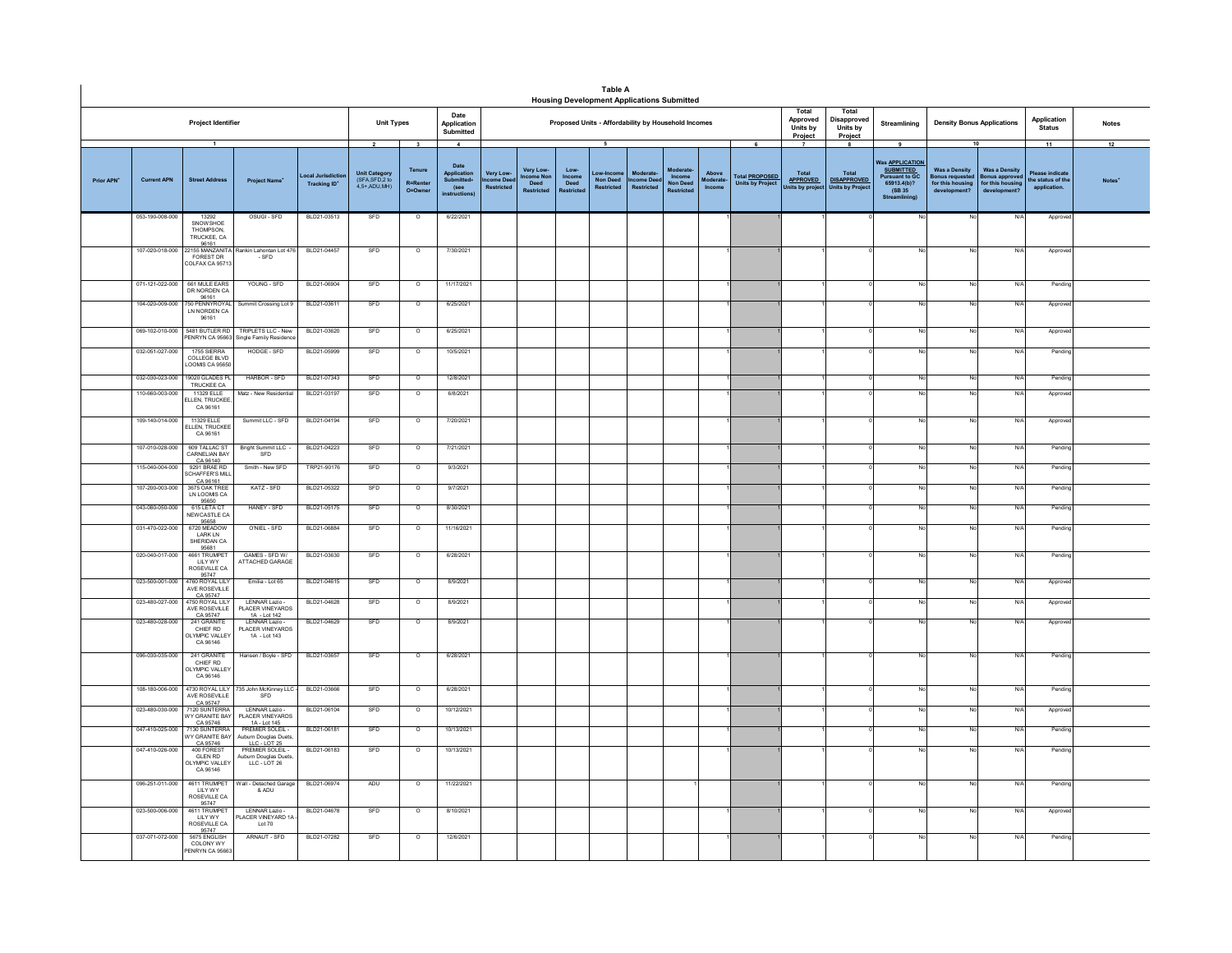|                        |                    |                                                                   |                                                                          |                                         |                                                                  |                                                                 |                                                                             |                                      |                                        |                                   | <b>Table A</b><br><b>Housing Development Applications Submitted</b> |                                     |                                                     |                              |                                                       |                                           |                                                                   |                                                                                                       |                                                                               |                                                                          |                                                                   |                    |
|------------------------|--------------------|-------------------------------------------------------------------|--------------------------------------------------------------------------|-----------------------------------------|------------------------------------------------------------------|-----------------------------------------------------------------|-----------------------------------------------------------------------------|--------------------------------------|----------------------------------------|-----------------------------------|---------------------------------------------------------------------|-------------------------------------|-----------------------------------------------------|------------------------------|-------------------------------------------------------|-------------------------------------------|-------------------------------------------------------------------|-------------------------------------------------------------------------------------------------------|-------------------------------------------------------------------------------|--------------------------------------------------------------------------|-------------------------------------------------------------------|--------------------|
|                        |                    | Project Identifier                                                |                                                                          |                                         | <b>Unit Types</b>                                                |                                                                 | Date<br>Application<br>Submitted                                            |                                      |                                        |                                   | Proposed Units - Affordability by Household Incomes                 |                                     |                                                     |                              |                                                       | Total<br>Approved<br>Units by<br>Project  | Total<br>Disapproved<br>Units by<br>Project                       | Streamlining                                                                                          | <b>Density Bonus Applications</b>                                             |                                                                          | Application<br><b>Status</b>                                      | <b>Notes</b>       |
| Prior APN <sup>+</sup> | <b>Current APN</b> | $\mathbf{1}$<br><b>Street Address</b>                             | <b>Project Name*</b>                                                     | ocal Jurisdictio<br><b>Tracking ID*</b> | $\overline{2}$<br>Unit Category<br>(SFA,SFD,2 to<br>4,5+,ADU,MH) | $\overline{\mathbf{3}}$<br>Tenure<br><b>R=Renter</b><br>O=Owner | $\overline{4}$<br>Date<br>Application<br>Submitted+<br>(see<br>instructions | Very Low-<br>ncome Dee<br>Restricted | Very Low-<br>Deed<br><b>Restricted</b> | Low-<br><b>Deed</b><br>Restricted | 5<br>Low-Incon<br><b>Non Deed</b><br>Restricted                     | Moderate<br>come Deec<br>Restricted | Moderate<br>Income<br><b>Non Deed</b><br>Restricted | Above<br>Moderate-<br>Income | 6<br>Total <b>PROPOSED</b><br><b>Units by Project</b> | Total<br><b>APPROVED</b><br>its by projed | 8<br><b>Total</b><br><b>DISAPPROVED</b><br><b>Inits by Projec</b> | 9<br>Was APPLICATION<br><b>SUBMITTED</b><br>rsuant to GC<br>65913,4(b)?<br>(SB 35)<br>Streaml<br>ing) | 10<br><b>Was a Density</b><br>onus reques<br>for this housing<br>development? | <b>Was a Density</b><br>onus approve<br>for this housing<br>development? | 11<br><b>Please indicate</b><br>the status of the<br>application. | 12<br><b>Notes</b> |
|                        | 053-190-008-000    | 13292<br>SNOWSHOE<br><b>THOMPSON</b><br>TRUCKEE, CA<br>96161      | OSUGI-SFD                                                                | BLD21-03513                             | SFD                                                              | $\circ$                                                         | 6/22/2021                                                                   |                                      |                                        |                                   |                                                                     |                                     |                                                     |                              |                                                       |                                           |                                                                   | No                                                                                                    | No                                                                            | N/f                                                                      | Approv                                                            |                    |
|                        | 107-020-018-000    | FOREST DR<br>COLFAX CA 95713                                      | 22155 MANZANITA Rankin Lahontan Lot 476<br>$-SFD$                        | BLD21-04457                             | SFD                                                              | $\circ$                                                         | 7/30/2021                                                                   |                                      |                                        |                                   |                                                                     |                                     |                                                     |                              |                                                       |                                           |                                                                   |                                                                                                       | No                                                                            | $N$ /                                                                    | Approve                                                           |                    |
|                        | 071-121-022-000    | 661 MULE EARS<br>DR NORDEN CA                                     | YOUNG - SFD                                                              | BLD21-06904                             | SFD                                                              | $\circ$                                                         | 11/17/2021                                                                  |                                      |                                        |                                   |                                                                     |                                     |                                                     |                              |                                                       |                                           |                                                                   |                                                                                                       | No                                                                            | N/                                                                       | Pendine                                                           |                    |
|                        | 104-020-009-000    | 96161<br>50 PENNYROYAL<br>LN NORDEN CA<br>96161                   | Summit Crossing Lot 9                                                    | BLD21-03611                             | SFD                                                              | $\circ$                                                         | 6/25/2021                                                                   |                                      |                                        |                                   |                                                                     |                                     |                                                     |                              |                                                       |                                           |                                                                   |                                                                                                       | No                                                                            | N/                                                                       | Approv                                                            |                    |
|                        | 069-102-010-000    | 5481 BUTLER RD<br>ENRYN CA 95663                                  | TRIPLETS LLC - New<br>Single Family Residence                            | BLD21-03620                             | SFD                                                              | $\Omega$                                                        | 6/25/2021                                                                   |                                      |                                        |                                   |                                                                     |                                     |                                                     |                              |                                                       |                                           |                                                                   |                                                                                                       | No                                                                            | N/L                                                                      | Approv                                                            |                    |
|                        | 032-051-027-000    | 1755 SIERRA<br>COLLEGE BLVD<br>LOOMIS CA 95650                    | HODGE - SFD                                                              | BLD21-05999                             | SFD                                                              | $\circ$                                                         | 10/5/2021                                                                   |                                      |                                        |                                   |                                                                     |                                     |                                                     |                              |                                                       |                                           |                                                                   |                                                                                                       | No                                                                            | N/f                                                                      | Pending                                                           |                    |
|                        | 032-030-023-000    | 19020 GLADES PL<br>TRUCKEE CA                                     | HARBOR - SFD                                                             | BLD21-07343                             | SFD                                                              | $\circ$                                                         | 12/8/2021                                                                   |                                      |                                        |                                   |                                                                     |                                     |                                                     |                              |                                                       |                                           |                                                                   |                                                                                                       | No                                                                            | N/l                                                                      | Pending                                                           |                    |
|                        | 110-660-003-000    | 11329 FLLE<br>LLEN. TRUCKEE<br>CA 96161                           | Matz - New Residential                                                   | BLD21-03197                             | SFD                                                              | $\circ$                                                         | 6/8/2021                                                                    |                                      |                                        |                                   |                                                                     |                                     |                                                     |                              |                                                       |                                           |                                                                   |                                                                                                       | No                                                                            | N/f                                                                      | Approv                                                            |                    |
|                        | 109-140-014-000    | 11329 ELLE<br>ELLEN, TRUCKEE<br>CA 96161                          | Summit LLC - SFD                                                         | BLD21-04194                             | SFD                                                              | $\circ$                                                         | 7/20/2021                                                                   |                                      |                                        |                                   |                                                                     |                                     |                                                     |                              |                                                       |                                           |                                                                   |                                                                                                       | No                                                                            | N/                                                                       | Approve                                                           |                    |
|                        | 107-010-028-000    | 609 TALLAC ST<br>CARNELIAN BAY                                    | Bright Summit LLC -<br>SFD                                               | BLD21-04223                             | SFD                                                              | $\circ$                                                         | 7/21/2021                                                                   |                                      |                                        |                                   |                                                                     |                                     |                                                     |                              |                                                       |                                           |                                                                   |                                                                                                       | No                                                                            | N/f                                                                      | Pending                                                           |                    |
|                        | 115-040-004-000    | CA 96140<br>9291 BRAE RD<br><b>CHAFFER'S MILL</b>                 | Smith - New SFD                                                          | TRP21-90176                             | SFD                                                              | $\circ$                                                         | 9/3/2021                                                                    |                                      |                                        |                                   |                                                                     |                                     |                                                     |                              |                                                       |                                           |                                                                   |                                                                                                       | No                                                                            | N/                                                                       | Pending                                                           |                    |
|                        | 107-200-003-000    | CA 96161<br>3675 OAK TREE<br>LN LOOMIS CA<br>95650                | KATZ - SFD                                                               | BLD21-05322                             | SFD                                                              | $\circ$                                                         | 9/7/2021                                                                    |                                      |                                        |                                   |                                                                     |                                     |                                                     |                              |                                                       |                                           |                                                                   |                                                                                                       | No.                                                                           | N                                                                        | Pending                                                           |                    |
|                        | 043-080-050-000    | 615 LETA CT<br>NEW CASTLE CA<br>95658                             | HANEY - SFD                                                              | BLD21-05175                             | SFD                                                              | $\overline{\circ}$                                              | 8/30/2021                                                                   |                                      |                                        |                                   |                                                                     |                                     |                                                     |                              |                                                       |                                           |                                                                   |                                                                                                       | No                                                                            | N/4                                                                      | Pending                                                           |                    |
|                        | 031-470-022-000    | 6720 MEADOW<br><b>LARK LN</b><br>SHERIDAN CA<br>95681             | O'NIEL - SFD                                                             | BLD21-06884                             | SFD                                                              | $\circ$                                                         | 11/16/2021                                                                  |                                      |                                        |                                   |                                                                     |                                     |                                                     |                              |                                                       |                                           |                                                                   | No                                                                                                    | No                                                                            | N/f                                                                      | Pending                                                           |                    |
|                        | 020-040-017-000    | 4661 TRUMP<br><b>IIIYWY</b><br>ROSEVILLE CA<br>95747              | GAMES - SFD W/<br>ATTACHED GARAGE                                        | BLD21-03630                             | SFD                                                              | $\circ$                                                         | 6/28/2021                                                                   |                                      |                                        |                                   |                                                                     |                                     |                                                     |                              |                                                       |                                           |                                                                   |                                                                                                       | No                                                                            | N                                                                        | Pending                                                           |                    |
|                        | 023-500-001-000    | 4760 ROYAL LIL'<br>AVE ROSEVILLE                                  | Emilia - Lot 65                                                          | BLD21-04615                             | SFD                                                              | $\circ$                                                         | 8/9/2021                                                                    |                                      |                                        |                                   |                                                                     |                                     |                                                     |                              |                                                       |                                           |                                                                   |                                                                                                       | No                                                                            | $N$ /                                                                    | Approv                                                            |                    |
|                        | 023-480-027-000    | CA 95747<br>1750 ROYAL LILY<br>AVE ROSEVILLE<br>CA 95747          | LENNAR Lazio -<br>PLACER VINEYARDS<br>1A - Lot 142                       | BLD21-04628                             | SFD                                                              | $\circ$                                                         | 8/9/2021                                                                    |                                      |                                        |                                   |                                                                     |                                     |                                                     |                              |                                                       |                                           |                                                                   |                                                                                                       | No                                                                            | N                                                                        | Approv                                                            |                    |
|                        | 023-480-028-000    | 241 GRANITE<br>CHIEF RD<br><b>ILYMPIC VALLEY</b><br>CA 96146      | LENNAR Lazio -<br>PLACER VINEYARDS<br>1A - Lot 143                       | BLD21-04629                             | SFD                                                              | $\circ$                                                         | 8/9/2021                                                                    |                                      |                                        |                                   |                                                                     |                                     |                                                     |                              |                                                       |                                           |                                                                   |                                                                                                       | No                                                                            | N/                                                                       | Approv                                                            |                    |
|                        | 096-030-035-000    | 241 GRANITE<br>CHIEF RD<br><b>ILYMPIC VALLEY</b><br>CA 96146      | Hansen / Boyle - SFD                                                     | BLD21-03657                             | SFD                                                              | $\circ$                                                         | 6/28/2021                                                                   |                                      |                                        |                                   |                                                                     |                                     |                                                     |                              |                                                       |                                           |                                                                   |                                                                                                       | No                                                                            | N/l                                                                      | Pending                                                           |                    |
|                        | 108-180-006-000    | 4730 ROYAL LILY<br>AVE ROSEVILLE                                  | 735 John McKinney LLC<br><b>SED</b>                                      | BLD21-03666                             | SFD                                                              | $\overline{\circ}$                                              | 6/28/2021                                                                   |                                      |                                        |                                   |                                                                     |                                     |                                                     |                              |                                                       |                                           |                                                                   |                                                                                                       | No                                                                            | N/4                                                                      | Pending                                                           |                    |
|                        | 023-480-030-000    | CA 95747<br>7120 SUNTERRA<br>WY GRANITE BAY<br>CA 95746           | LENNAR Lazio -<br>PLACER VINEYARDS<br>1A - Lot 145                       | BLD21-06104                             | SFD                                                              | $\circ$                                                         | 10/12/2021                                                                  |                                      |                                        |                                   |                                                                     |                                     |                                                     |                              |                                                       |                                           |                                                                   |                                                                                                       | No                                                                            | N/f                                                                      | Approv                                                            |                    |
|                        | 047-410-025-000    | 7130 SUNTERRA<br>Y GRANITE BAY<br>CA 95746                        | Auburn Douglas Duets,                                                    | BLD21-06181                             | SFD                                                              | $\circ$                                                         | 10/13/2021                                                                  |                                      |                                        |                                   |                                                                     |                                     |                                                     |                              |                                                       |                                           |                                                                   |                                                                                                       | No                                                                            | N/                                                                       | Pendin                                                            |                    |
|                        | 047-410-026-000    | 400 FOREST<br><b>GLEN RD</b><br><b>DLYMPIC VALLEY</b><br>CA 96146 | LLC - LOT 25<br>PREMIER SOLEIL -<br>Auburn Douglas Duets<br>LLC - LOT 26 | BLD21-06183                             | SFD                                                              | $\circ$                                                         | 10/13/2021                                                                  |                                      |                                        |                                   |                                                                     |                                     |                                                     |                              |                                                       |                                           |                                                                   |                                                                                                       | No                                                                            | N/                                                                       | Pending                                                           |                    |
|                        | 096-251-011-000    | 4611 TRUMPE<br>LILY WY<br>ROSEVILLE CA                            | Vall - Detached Garage<br>& ADU                                          | BLD21-06974                             | ADU                                                              | $\circ$                                                         | 11/22/2021                                                                  |                                      |                                        |                                   |                                                                     |                                     |                                                     |                              |                                                       |                                           |                                                                   |                                                                                                       | No                                                                            | N/                                                                       | Pending                                                           |                    |
|                        | 023-500-006-000    | 95747<br>4611 TRUMPET<br>LILY WY<br>ROSEVILLE CA<br>95747         | LENNAR Lazio -<br>LACER VINEYARD 1A<br>Lot 70                            | BLD21-04678                             | SFD                                                              | $\circ$                                                         | 8/10/2021                                                                   |                                      |                                        |                                   |                                                                     |                                     |                                                     |                              |                                                       |                                           |                                                                   |                                                                                                       | No                                                                            | N/f                                                                      | Approv                                                            |                    |
|                        | 037-071-072-000    | 5675 ENGLISH<br>COLONY WY<br>ENRYN CA 95663                       | ARNAUT - SFD                                                             | BLD21-07282                             | SFD                                                              | $\circ$                                                         | 12/6/2021                                                                   |                                      |                                        |                                   |                                                                     |                                     |                                                     |                              |                                                       |                                           |                                                                   |                                                                                                       | No                                                                            | N/f                                                                      | Pending                                                           |                    |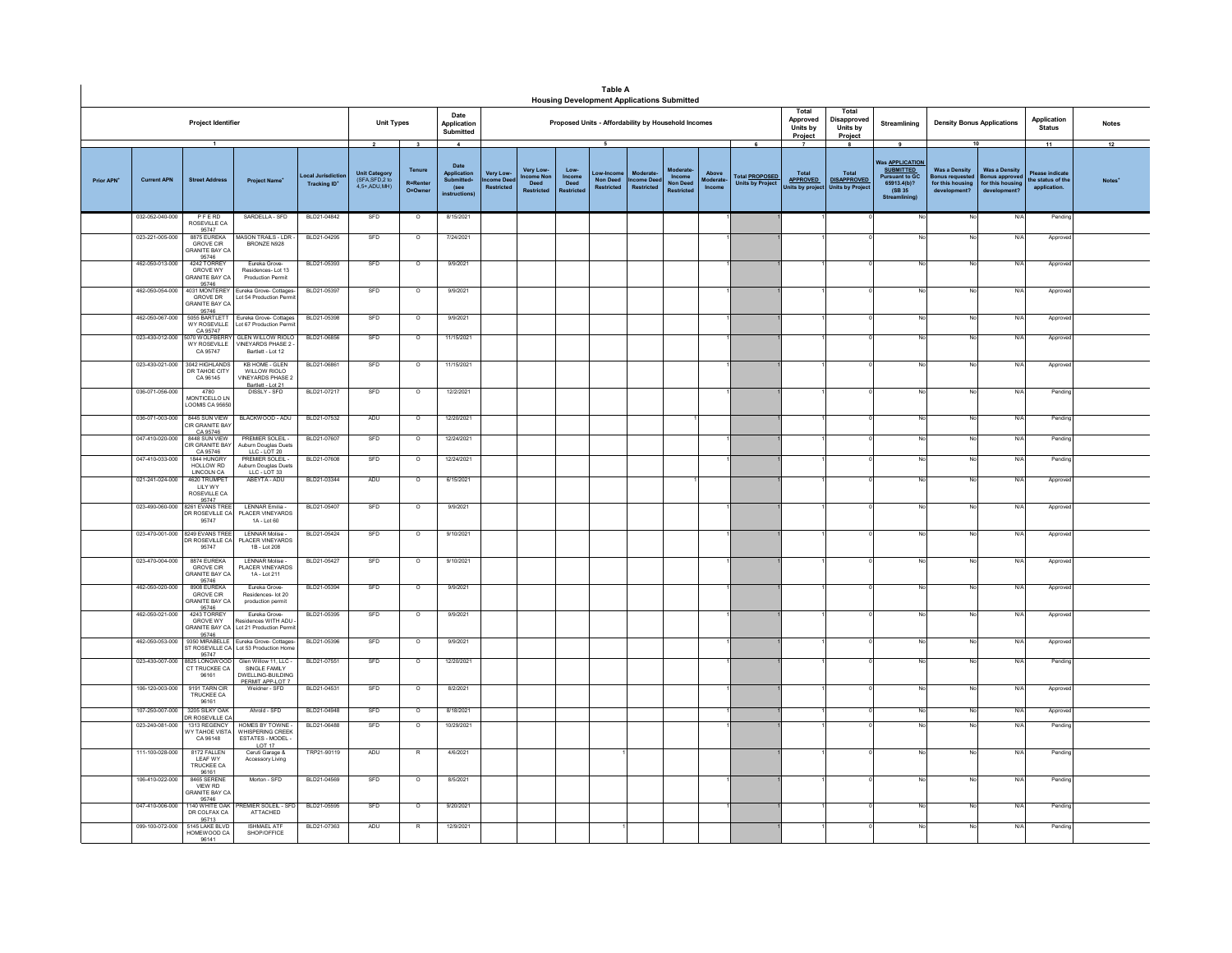|            |                    |                                                                    |                                                                                 |                                                      |                                                                  |                                                                 |                                                                                    |                                            |                                                  |                       | <b>Table A</b>                                                      | <b>Housing Development Applications Submitted</b>   |                                                    |                           |                                                       |                                                 |                                                    |                                                                                                                    |                                                                                  |                                                                                |                                                          |                          |
|------------|--------------------|--------------------------------------------------------------------|---------------------------------------------------------------------------------|------------------------------------------------------|------------------------------------------------------------------|-----------------------------------------------------------------|------------------------------------------------------------------------------------|--------------------------------------------|--------------------------------------------------|-----------------------|---------------------------------------------------------------------|-----------------------------------------------------|----------------------------------------------------|---------------------------|-------------------------------------------------------|-------------------------------------------------|----------------------------------------------------|--------------------------------------------------------------------------------------------------------------------|----------------------------------------------------------------------------------|--------------------------------------------------------------------------------|----------------------------------------------------------|--------------------------|
|            |                    | Project Identifier                                                 |                                                                                 |                                                      | <b>Unit Types</b>                                                |                                                                 | Date<br>Application<br>Submitted                                                   |                                            |                                                  |                       |                                                                     | Proposed Units - Affordability by Household Incomes |                                                    |                           |                                                       | Total<br>Approved<br><b>Units by</b><br>Project | Total<br>Disapproved<br><b>Units by</b><br>Project | Streamlining                                                                                                       | <b>Density Bonus Applications</b>                                                |                                                                                | Application<br><b>Status</b>                             | <b>Notes</b>             |
| Prior APN' | <b>Current APN</b> | $\overline{1}$<br><b>Street Address</b>                            | <b>Project Name</b>                                                             | <b>Local Jurisdictio</b><br>Tracking ID <sup>*</sup> | $\overline{2}$<br>Unit Category<br>(SFA,SFD,2 to<br>4.5+.ADU.MH) | $\overline{\mathbf{3}}$<br>Tenure<br><b>R=Renter</b><br>O=Owner | $\overline{A}$<br>Date<br>Application<br>Submitted+<br>(see<br><b>instructions</b> | Very Low-<br>come Dee<br><b>Restricted</b> | Very Low-<br>me Nor<br>Deed<br><b>Restricted</b> | Low<br>Income<br>Deed | $\overline{5}$<br>Low-Incom<br><b>Non Deed</b><br><b>Restricted</b> | Moderate<br>come Dee<br><b>Restricted</b>           | Moderat<br>Income<br><b>Non Deed</b><br>Restricted | Above<br>oderat<br>Income | 6<br><b>Total PROPOSED</b><br><b>Units by Project</b> | Total<br><b>APPROVED</b><br>nits by project     | Total<br><b>DISAPPROVED</b><br>Units by Project    | 9<br><b>Nas APPLICATION</b><br><b>SUBMITTED</b><br><b>Pursuant to GC</b><br>65913,4(b)?<br>(SB 35)<br><b>Strea</b> | <b>Was a Density</b><br><b>Bonus requeste</b><br>for this housing<br>development | 10<br><b>Was a Density</b><br>Bonus approv<br>for this housing<br>development' | 11<br>Please indicate<br>he status of th<br>application. | 12<br>Notes <sup>'</sup> |
|            | 032-052-040-000    | PFERD<br>ROSEVILLE CA<br>95747                                     | SARDELLA - SFD                                                                  | BLD21-04842                                          | SFD                                                              | $\circ$                                                         | 8/15/2021                                                                          |                                            |                                                  |                       |                                                                     |                                                     |                                                    |                           |                                                       |                                                 |                                                    | No                                                                                                                 | No                                                                               | N/A                                                                            | Pending                                                  |                          |
|            | 023-221-005-000    | 8875 EUREKA<br><b>GROVE CIR</b><br><b>GRANITE BAY CA</b><br>95746  | <b>MASON TRAILS - LDR</b><br>BRONZE N928                                        | BLD21-04295                                          | SFD                                                              | $\circ$                                                         | 7/24/2021                                                                          |                                            |                                                  |                       |                                                                     |                                                     |                                                    |                           |                                                       |                                                 |                                                    |                                                                                                                    | No                                                                               | N/f                                                                            | Approve                                                  |                          |
|            | 462-050-013-000    | 4242 TORREY<br><b>GROVE WY</b><br>SRANITE BAY CA                   | Eureka Grove<br>Residences-Lot 13<br><b>Production Permit</b>                   | BLD21-05393                                          | SFD                                                              | $\overline{\circ}$                                              | 9/9/2021                                                                           |                                            |                                                  |                       |                                                                     |                                                     |                                                    |                           |                                                       |                                                 |                                                    |                                                                                                                    | No                                                                               | N/A                                                                            | Appro                                                    |                          |
|            | 462-050-054-000    | 95746<br>4031 MONTEREY<br><b>GROVE DR</b><br><b>GRANITE BAY CA</b> | Eureka Grove- Cottages-<br>ot 54 Production Perr                                | BLD21-05397                                          | SFD                                                              | $\circ$                                                         | 9/9/2021                                                                           |                                            |                                                  |                       |                                                                     |                                                     |                                                    |                           |                                                       |                                                 |                                                    |                                                                                                                    | No                                                                               | N/f                                                                            | Approve                                                  |                          |
|            | 462-050-067-000    | 95746<br>5055 BARTLETT<br>WY ROSEVILLE                             | Eureka Grove- Cottages<br>ot 67 Production Perm                                 | BLD21-05398                                          | SFD                                                              | $\circ$                                                         | 9/9/2021                                                                           |                                            |                                                  |                       |                                                                     |                                                     |                                                    |                           |                                                       |                                                 |                                                    |                                                                                                                    | No                                                                               | N/f                                                                            | Approv                                                   |                          |
|            | 023-430-012-000    | CA 95747<br>5070 WOLFBERRY<br><b>WY ROSEVILLE</b><br>CA 95747      | GLEN WILLOW RIOLO<br><b>VINEYARDS PHASE 2</b><br>Bartlett - Lot 12              | BLD21-06856                                          | SFD                                                              | $\circ$                                                         | 11/15/2021                                                                         |                                            |                                                  |                       |                                                                     |                                                     |                                                    |                           |                                                       |                                                 |                                                    | No                                                                                                                 | No                                                                               | N/A                                                                            | Approve                                                  |                          |
|            |                    | 023-430-021-000 3042 HIGHLANDS<br>DR TAHOE CITY<br>CA 96145        | <b>KB HOME - GLEN</b><br>WILLOW RIOLO<br><b>VINEYARDS PHASE:</b>                | BLD21-06861                                          | SFD                                                              | $\circ$                                                         | 11/15/2021                                                                         |                                            |                                                  |                       |                                                                     |                                                     |                                                    |                           |                                                       |                                                 |                                                    | No                                                                                                                 | No                                                                               | N/A                                                                            | Approve                                                  |                          |
|            | 036-071-056-000    | 4780<br>MONTICELLO LN<br>LOOMIS CA 95650                           | Bartlett - Lot 21<br>DISSLY - SFD                                               | BLD21-07217                                          | SFD                                                              | $\circ$                                                         | 12/2/2021                                                                          |                                            |                                                  |                       |                                                                     |                                                     |                                                    |                           |                                                       |                                                 |                                                    |                                                                                                                    | No                                                                               | N/A                                                                            | Pendin                                                   |                          |
|            | 036-071-003-000    | 8445 SUN VIEW<br>CIR GRANITE BAY<br>CA 95746                       | BLACKWOOD - ADU                                                                 | BLD21-07532                                          | ADU                                                              | $\circ$                                                         | 12/20/2021                                                                         |                                            |                                                  |                       |                                                                     |                                                     |                                                    |                           |                                                       |                                                 |                                                    |                                                                                                                    | No                                                                               | N/f                                                                            | Pendin                                                   |                          |
|            | 047-410-020-000    | 8448 SUN VIEW<br>CIR GRANITE BAY<br>CA 95746                       | <b>PREMIER SOLEIL-</b><br>Auburn Douglas Duets                                  | BLD21-07607                                          | SFD                                                              | $\circ$                                                         | 12/24/2021                                                                         |                                            |                                                  |                       |                                                                     |                                                     |                                                    |                           |                                                       |                                                 |                                                    |                                                                                                                    | No                                                                               | N/A                                                                            | Pendin                                                   |                          |
|            | 047-410-033-000    | 1844 HUNGRY<br>HOLLOW RD<br>LINCOLN CA                             | PREMIER SOLEIL -<br>Auburn Douglas Duets                                        | BLD21-07608                                          | SFD                                                              | $\circ$                                                         | 12/24/2021                                                                         |                                            |                                                  |                       |                                                                     |                                                     |                                                    |                           |                                                       |                                                 |                                                    |                                                                                                                    | No                                                                               | N/A                                                                            | Pendin                                                   |                          |
|            | 021-241-024-000    | 4620 TRUMPET<br>LILY WY<br>ROSEVILLE CA<br>95747                   | ABEYTA - ADU                                                                    | BLD21-03344                                          | ADU                                                              | $\circ$                                                         | 6/15/2021                                                                          |                                            |                                                  |                       |                                                                     |                                                     |                                                    |                           |                                                       |                                                 |                                                    |                                                                                                                    | No                                                                               | N/f                                                                            | Approve                                                  |                          |
|            | 023-490-060-000    | 8261 EVANS TREE<br>DR ROSEVILLE CA<br>95747                        | LENNAR Emilia -<br>PLACER VINEYARDS<br>1A - Lot 60                              | BLD21-05407                                          | SFD                                                              | $\circ$                                                         | 9/9/2021                                                                           |                                            |                                                  |                       |                                                                     |                                                     |                                                    |                           |                                                       |                                                 |                                                    |                                                                                                                    | No                                                                               | N/f                                                                            | Approve                                                  |                          |
|            |                    | 023-470-001-000 8249 EVANS TREE<br>R ROSEVILLE CA<br>95747         | I FNNAR Molise-<br>PLACER VINEYARDS<br>1B - Lot 208                             | BLD21-05424                                          | SFD                                                              | $\circ$                                                         | 9/10/2021                                                                          |                                            |                                                  |                       |                                                                     |                                                     |                                                    |                           |                                                       |                                                 |                                                    | No                                                                                                                 | No                                                                               | N/A                                                                            | Approve                                                  |                          |
|            | 023-470-004-000    | 8874 EUREKA<br>GROVE CIR<br>GRANITE BAY CA<br>95746                | <b>LENNAR Molise-</b><br>PI ACER VINEYARDS<br>1A - Lot 211                      | BLD21-05427                                          | SFD                                                              | $\circ$                                                         | 9/10/2021                                                                          |                                            |                                                  |                       |                                                                     |                                                     |                                                    |                           |                                                       |                                                 |                                                    |                                                                                                                    | No                                                                               | N/A                                                                            | Approve                                                  |                          |
|            | 462-050-020-000    | 8908 FUREKA<br><b>GROVE CIR</b><br><b>GRANITE BAY CA</b>           | Fureka Grove-<br>Residences- lot 20<br>production permit                        | BLD21-05394                                          | SFD                                                              | $\circ$                                                         | 9/9/2021                                                                           |                                            |                                                  |                       |                                                                     |                                                     |                                                    |                           |                                                       |                                                 |                                                    |                                                                                                                    | No                                                                               | N/A                                                                            | Approved                                                 |                          |
|            | 462-050-021-000    | 95746<br>4243 TORREY<br>GROVE WY<br>GRANITE BAY CA<br>95746        | Eureka Grove-<br>sidences WITH ADU<br>Lot 21 Production Perm                    | BLD21-05395                                          | SFD                                                              | $\circ$                                                         | 9/9/2021                                                                           |                                            |                                                  |                       |                                                                     |                                                     |                                                    |                           |                                                       |                                                 |                                                    |                                                                                                                    | No                                                                               | N/f                                                                            | Approve                                                  |                          |
|            | 462-050-053-000    | 9350 MIRABELLE<br>ST ROSEVILLE CA<br>95747                         | Eureka Grove- Cottages-<br>Lot 53 Production Home                               | BLD21-05396                                          | SFD                                                              | $\circ$                                                         | 9/9/2021                                                                           |                                            |                                                  |                       |                                                                     |                                                     |                                                    |                           |                                                       |                                                 |                                                    |                                                                                                                    | No                                                                               | N/A                                                                            | Approved                                                 |                          |
|            | 023-430-007-000    | 8825 LONGWOOD<br>CT TRUCKEE CA<br>96161                            | Glen Willow 11, LLC -<br>SINGLE FAMILY<br>DWELLING-BUILDING<br>PERMIT APP-LOT 7 | BLD21-07551                                          | SFD                                                              | $\circ$                                                         | 12/20/2021                                                                         |                                            |                                                  |                       |                                                                     |                                                     |                                                    |                           |                                                       |                                                 |                                                    |                                                                                                                    | No                                                                               | N/A                                                                            | Pending                                                  |                          |
|            | 106-120-003-000    | 9191 TARN CIR<br>TRUCKEE CA<br>96161                               | Weidner - SFD                                                                   | BLD21-04531                                          | SFD                                                              | $\circ$                                                         | 8/2/2021                                                                           |                                            |                                                  |                       |                                                                     |                                                     |                                                    |                           |                                                       |                                                 |                                                    |                                                                                                                    | No                                                                               | N/A                                                                            | Approve                                                  |                          |
|            | 107-250-007-000    | 3205 SILKY 04K<br>DR ROSEVILLE C.                                  | Ahrold - SFD                                                                    | BLD21-04948                                          | SFD                                                              | $\circ$                                                         | 8/18/2021                                                                          |                                            |                                                  |                       |                                                                     |                                                     |                                                    |                           |                                                       |                                                 |                                                    |                                                                                                                    | No                                                                               | N/f                                                                            | Approve                                                  |                          |
|            | 023-240-081-000    | 1313 REGENCY<br>Y TAHOE VIST/<br>CA 96148                          | HOMES BY TOWNE<br>WHISPERING CREEK<br>ESTATES - MODEL -<br>LOT 17               | BLD21-06488                                          | SFD                                                              | $\circ$                                                         | 10/29/2021                                                                         |                                            |                                                  |                       |                                                                     |                                                     |                                                    |                           |                                                       |                                                 |                                                    |                                                                                                                    | No                                                                               | N/f                                                                            | Pendin                                                   |                          |
|            | 111-100-028-000    | 8172 FALLEN<br>LEAF WY<br>TRUCKEE CA                               | Ceruti Garage &<br>Accessory Living                                             | TRP21-90119                                          | ADU                                                              |                                                                 | 4/6/2021                                                                           |                                            |                                                  |                       |                                                                     |                                                     |                                                    |                           |                                                       |                                                 |                                                    |                                                                                                                    | No                                                                               | N/f                                                                            | Pendin                                                   |                          |
|            | 106-410-022-000    | 96161<br>8465 SERENE<br>VIEW RD<br><b>GRANITE BAY CA</b><br>95746  | Morton - SFD                                                                    | BLD21-04569                                          | SFD                                                              | $\circ$                                                         | 8/5/2021                                                                           |                                            |                                                  |                       |                                                                     |                                                     |                                                    |                           |                                                       |                                                 |                                                    |                                                                                                                    | No                                                                               | N/A                                                                            | Pending                                                  |                          |
|            | 047-410-006-000    | 1140 WHITE OAK<br>DR COLFAX CA<br>95713                            | <b>REMIER SOLEIL - SFD</b><br>ATTACHED                                          | BLD21-05595                                          | SFD                                                              | $\circ$                                                         | 9/20/2021                                                                          |                                            |                                                  |                       |                                                                     |                                                     |                                                    |                           |                                                       |                                                 |                                                    |                                                                                                                    | No                                                                               | N/f                                                                            | Pendin                                                   |                          |
|            | 099-100-072-000    | 5145 LAKE BLVD<br>HOMEWOOD CA<br>96141                             | <b>ISHMAEL ATF</b><br>SHOP/OFFICE                                               | BLD21-07363                                          | ADU                                                              | $\mathsf{R}$                                                    | 12/9/2021                                                                          |                                            |                                                  |                       |                                                                     |                                                     |                                                    |                           |                                                       |                                                 |                                                    |                                                                                                                    | No                                                                               | N/A                                                                            | Pending                                                  |                          |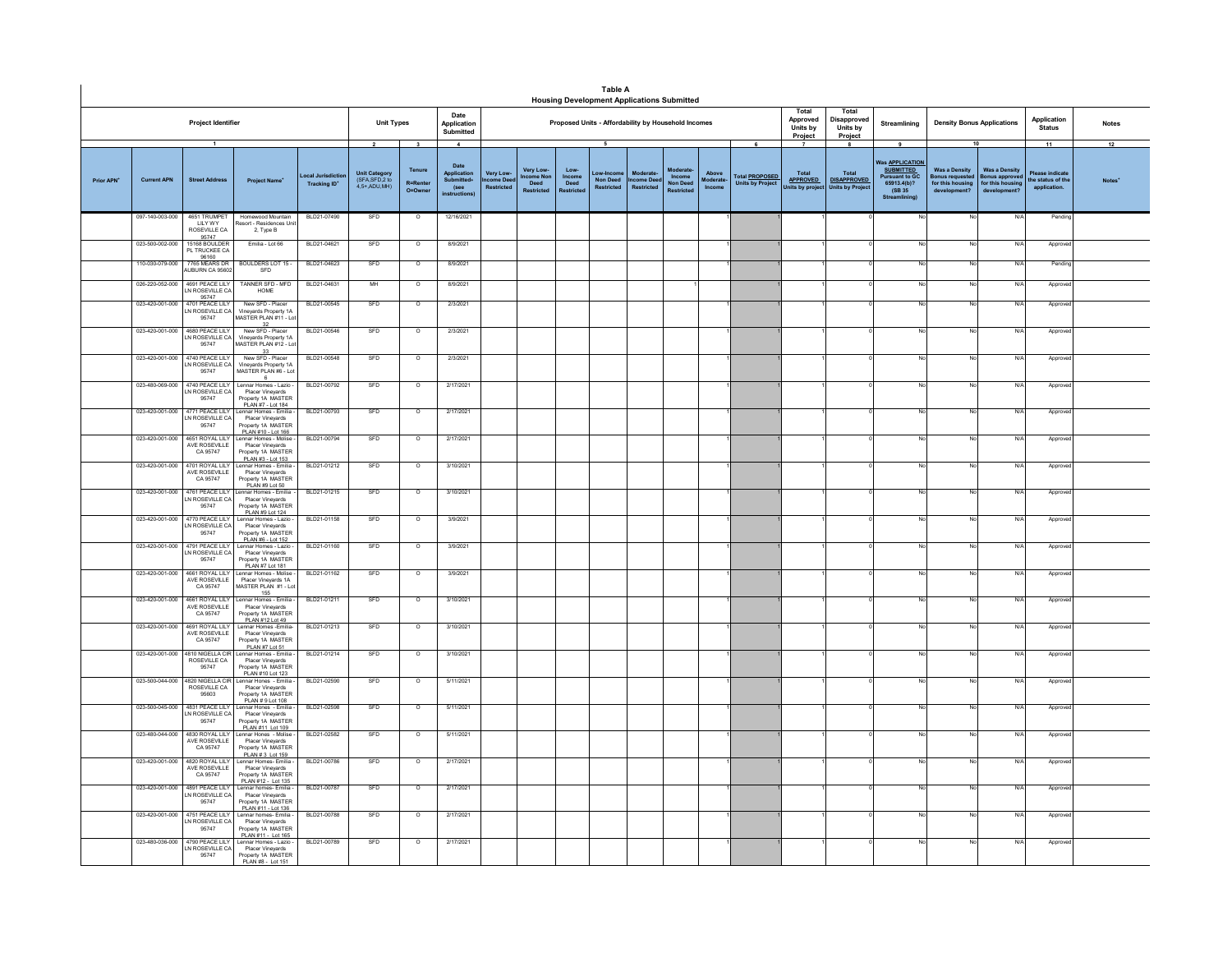|                  |                    |                                                                      |                                                                                                                   |                                              |                                                                  |                                                            |                                                                                   |                                                    |                                  |                       | Table A<br><b>Housing Development Applications Submitted</b> |                                           |                           |                             |                                                       |                                                  |                                                                   |                                                                                                             |                                                                                         |                                                                           |                                                          |                    |
|------------------|--------------------|----------------------------------------------------------------------|-------------------------------------------------------------------------------------------------------------------|----------------------------------------------|------------------------------------------------------------------|------------------------------------------------------------|-----------------------------------------------------------------------------------|----------------------------------------------------|----------------------------------|-----------------------|--------------------------------------------------------------|-------------------------------------------|---------------------------|-----------------------------|-------------------------------------------------------|--------------------------------------------------|-------------------------------------------------------------------|-------------------------------------------------------------------------------------------------------------|-----------------------------------------------------------------------------------------|---------------------------------------------------------------------------|----------------------------------------------------------|--------------------|
|                  |                    | Project Identifier                                                   |                                                                                                                   |                                              | <b>Unit Types</b>                                                |                                                            | Date<br>Application<br>Submitted                                                  |                                                    |                                  |                       | Proposed Units - Affordability by Household Incomes          |                                           |                           |                             |                                                       | Total<br>Approved<br>Units by<br>Project         | Total<br>Disapproved<br>Units by<br>Project                       | Streamlining                                                                                                | <b>Density Bonus Applications</b>                                                       |                                                                           | Application<br><b>Status</b>                             | <b>Notes</b>       |
| <b>Prior APN</b> | <b>Current APN</b> | $\mathbf{1}$<br><b>Street Address</b>                                | <b>Project Name</b>                                                                                               | ocal Jurisdictio<br>Tracking ID <sup>*</sup> | $\overline{2}$<br>Unit Category<br>(SFA,SFD,2 to<br>4.5+ ADU MH) | $\overline{\mathbf{3}}$<br>Tenure<br>R=Renter<br>$O = Own$ | $\overline{4}$<br>Date<br><b>Application</b><br>Submitted<br>(see<br>instructions | <b>Very Low</b><br>.<br>me De<br><b>Restricted</b> | <b>Very Low</b><br>ne No<br>Deed | Low<br>Income<br>Deed | Low-Incor<br><b>Non Deed</b><br><b>Restricted</b>            | Moderate<br>come Dee<br><b>Restricted</b> | Income<br><b>Non Dees</b> | Above<br>loderate<br>Income | 6<br><b>Total PROPOSED</b><br><b>Units by Project</b> | Total<br><b>APPROVED</b><br><b>Inits by proj</b> | 8<br><b>Total</b><br><b>DISAPPROVED</b><br><b>Units by Projec</b> | 9<br>Vas APPLICATION<br><b>SUBMITTED</b><br><b>Pursuant to GC</b><br>65913.4(b)?<br>(SB 35)<br>Streamlining | <b>Was a Density</b><br>lonus requested<br>for this housing<br>development <sup>®</sup> | <b>Was a Density</b><br>sonus approve<br>for this housing<br>development? | 11<br>lease indicate<br>he status of the<br>application. | 12<br><b>Notes</b> |
|                  | 097-140-003-000    | 4651 TRUMPET<br><b>IIIYWY</b>                                        | Homewood Mountain<br>Resort - Residences Unit                                                                     | BLD21-07490                                  | SFD                                                              | $\circ$                                                    | 12/16/2021                                                                        |                                                    |                                  |                       |                                                              |                                           |                           |                             |                                                       |                                                  |                                                                   |                                                                                                             | No                                                                                      | N/f                                                                       | Pendin                                                   |                    |
|                  | 023-500-002-000    | ROSEVILLE CA<br>95747<br>15168 BOULDER<br>PL TRUCKEE CA              | 2, Type B<br>Emilia - Lot 66                                                                                      | BLD21-04621                                  | SFD                                                              | $\circ$                                                    | 8/9/2021                                                                          |                                                    |                                  |                       |                                                              |                                           |                           |                             |                                                       |                                                  |                                                                   |                                                                                                             | No                                                                                      | N/                                                                        | Approv                                                   |                    |
|                  | 110-030-079-000    | 96160<br>7765 MEARS DR<br>AUBURN CA 95602                            | BOULDERS LOT 15 -<br>SFD                                                                                          | BLD21-04623                                  | SFD                                                              | $\circ$                                                    | 8/9/2021                                                                          |                                                    |                                  |                       |                                                              |                                           |                           |                             |                                                       |                                                  |                                                                   |                                                                                                             | No                                                                                      | N/                                                                        | Pendi                                                    |                    |
|                  | 026-220-052-000    | 4691 PEACE I II Y<br>LN ROSEVILLE CA                                 | TANNER SFD - MFD<br>HOME                                                                                          | BLD21-04631                                  | MH                                                               | $\overline{0}$                                             | 8/9/2021                                                                          |                                                    |                                  |                       |                                                              |                                           |                           |                             |                                                       |                                                  |                                                                   |                                                                                                             | No                                                                                      | N/l                                                                       | Approv                                                   |                    |
|                  |                    | 05747<br>023-420-001-000 4701 PEACE LILY<br>LN ROSEVILLE CA<br>95747 | New SFD - Placer<br>Vineyards Property 1A<br>MASTER PLAN #11 - Lo                                                 | BLD21-00545                                  | SFD                                                              | $\circ$                                                    | 2/3/2021                                                                          |                                                    |                                  |                       |                                                              |                                           |                           |                             |                                                       |                                                  |                                                                   |                                                                                                             | No                                                                                      | $N$ /                                                                     | Approv                                                   |                    |
|                  |                    | 023-420-001-000 4680 PEACE LILY<br>LN ROSEVILLE CA<br>95747          | 32<br>New SFD - Placer<br>Vinevards Property 1A<br>MASTER PLAN #12 - L                                            | BLD21-00546                                  | SFD                                                              | $\overline{0}$                                             | 2/3/2021                                                                          |                                                    |                                  |                       |                                                              |                                           |                           |                             |                                                       |                                                  |                                                                   |                                                                                                             | No                                                                                      | N/f                                                                       | Appro                                                    |                    |
|                  | 023-420-001-000    | 4740 PEACE LILY<br>LN ROSEVILLE CA<br>95747                          | 33<br>New SFD - Placer<br>Vinevards Property 1A<br>MASTER PLAN #6 - Lot                                           | BLD21-00548                                  | SFD                                                              | $\circ$                                                    | 2/3/2021                                                                          |                                                    |                                  |                       |                                                              |                                           |                           |                             |                                                       |                                                  |                                                                   |                                                                                                             | No                                                                                      | N/f                                                                       | Appro                                                    |                    |
|                  | 023-480-069-000    | 4740 PEACE LILY<br>LN ROSEVILLE CA<br>95747                          | Lennar Homes - Lazio<br>Placer Vineyards<br>Property 1A MASTER                                                    | BLD21-00792                                  | SFD                                                              | $\circ$                                                    | 2/17/2021                                                                         |                                                    |                                  |                       |                                                              |                                           |                           |                             |                                                       |                                                  |                                                                   |                                                                                                             | No                                                                                      | N/                                                                        | Approv                                                   |                    |
|                  | 023-420-001-000    | 4771 PEACE LILY<br>LN ROSEVILLE CA<br>95747                          | PLAN #7 - Lot 184<br>Lennar Homes - Emilia<br>Placer Vineyards<br>Property 1A MASTER                              | BLD21-00793                                  | SFD                                                              | $\circ$                                                    | 2/17/2021                                                                         |                                                    |                                  |                       |                                                              |                                           |                           |                             |                                                       |                                                  |                                                                   |                                                                                                             | No                                                                                      | $N$ /                                                                     | Appro                                                    |                    |
|                  | 023-420-001-000    | 4651 ROYAL LILY<br>AVE ROSEVILLE<br>CA 95747                         | PLAN #10 - Lot 166<br>ennar Homes - Molise<br>Placer Vinevards<br>Property 1A MASTER                              | BLD21-00794                                  | SFD                                                              | $\overline{0}$                                             | 2/17/2021                                                                         |                                                    |                                  |                       |                                                              |                                           |                           |                             |                                                       |                                                  |                                                                   |                                                                                                             | No                                                                                      | N/                                                                        | Approv                                                   |                    |
|                  | 023-420-001-000    | 4701 ROYAL LILY<br>AVE ROSEVILLE<br>CA 95747                         | PLAN #3 - Lot 153<br>ennar Homes - Emilia<br>Placer Vinevards<br>Property 1A MASTER                               | BLD21-01212                                  | SFD                                                              | $\overline{\circ}$                                         | 3/10/2021                                                                         |                                                    |                                  |                       |                                                              |                                           |                           |                             |                                                       |                                                  |                                                                   |                                                                                                             | No                                                                                      | N/                                                                        | Approv                                                   |                    |
|                  |                    | N ROSEVILLE CA<br>95747                                              | PLAN #9 Lot 50<br>023-420-001-000 4761 PEACE LILY Lennar Homes - Emilia<br>Placer Vineyards<br>Property 1A MASTER | BI D21-01215                                 | SED                                                              | $\Omega$                                                   | 3/10/2021                                                                         |                                                    |                                  |                       |                                                              |                                           |                           |                             |                                                       |                                                  |                                                                   | No                                                                                                          | No                                                                                      | N/L                                                                       | Approve                                                  |                    |
|                  |                    | 023-420-001-000 4770 PEACE LILY<br>LN ROSEVILLE CA<br>95747          | PLAN #9 Lot 124<br>Lennar Homes - Lazio<br>Placer Vineyards<br>Property 1A MASTER                                 | BLD21-01158                                  | SFD                                                              | $\circ$                                                    | 3/9/2021                                                                          |                                                    |                                  |                       |                                                              |                                           |                           |                             |                                                       |                                                  |                                                                   |                                                                                                             | No                                                                                      | N/f                                                                       | Appro                                                    |                    |
|                  | 023-420-001-000    | 4791 PEACE LILY<br>LN ROSEVILLE CA<br>95747                          | PLAN #6 - Lot 152<br>Lennar Homes - Lazio<br>Placer Vinevards<br>Property 1A MASTER                               | BLD21-01160                                  | SFD                                                              | $\circ$                                                    | 3/9/2021                                                                          |                                                    |                                  |                       |                                                              |                                           |                           |                             |                                                       |                                                  |                                                                   |                                                                                                             | No                                                                                      | N                                                                         | Approv                                                   |                    |
|                  | 023-420-001-000    | 4661 ROYAL LILY<br>AVE ROSEVILLE<br>CA 95747                         | PLAN #7 Lot 181<br>Lennar Homes - Molise<br>Placer Vineyards 1A<br>MASTER PLAN #1 - Lo                            | BLD21-01162                                  | SFD                                                              | $\circ$                                                    | 3/9/2021                                                                          |                                                    |                                  |                       |                                                              |                                           |                           |                             |                                                       |                                                  |                                                                   |                                                                                                             | No                                                                                      | N/                                                                        | Approv                                                   |                    |
|                  | 023-420-001-000    | 4661 ROYAL LILY<br>AVE ROSEVILLE<br>CA 95747                         | 155<br>Lennar Homes - Emilia<br>Placer Vineyards<br>Property 1A MASTER                                            | BLD21-01211                                  | SED                                                              | $\overline{0}$                                             | 3/10/2021                                                                         |                                                    |                                  |                       |                                                              |                                           |                           |                             |                                                       |                                                  |                                                                   |                                                                                                             | No                                                                                      | N/I                                                                       | Approv                                                   |                    |
|                  | 023-420-001-000    | 4691 ROYAL LILY<br>AVE ROSEVILLE<br>CA 95747                         | PLAN #12 Lot 49<br>Lennar Homes -Emilia<br>Placer Vinevards<br>Property 1A MASTER                                 | BLD21-01213                                  | SFD                                                              | $\overline{\circ}$                                         | 3/10/2021                                                                         |                                                    |                                  |                       |                                                              |                                           |                           |                             |                                                       |                                                  |                                                                   |                                                                                                             | No                                                                                      | N/4                                                                       | Appro                                                    |                    |
|                  | 023-420-001-000    | 4810 NIGELLA CIF<br>ROSEVILLE CA<br>95747                            | PLAN #7 Lot 51<br>Lennar Homes - Emilia<br>Placer Vineyards<br>Property 1A MASTER                                 | BLD21-01214                                  | SFD                                                              | $\overline{\circ}$                                         | 3/10/2021                                                                         |                                                    |                                  |                       |                                                              |                                           |                           |                             |                                                       |                                                  |                                                                   |                                                                                                             | No                                                                                      | N/                                                                        | Approve                                                  |                    |
|                  |                    | 023-500-044-000 4820 NIGELLA CIR<br>ROSEVILLE CA<br>95603            | PLAN #10 Lot 123<br>Lennar Hones - Emilia<br>Placer Vineyards<br>Property 1A MASTER                               | BLD21-02590                                  | SFD                                                              | $\circ$                                                    | 5/11/2021                                                                         |                                                    |                                  |                       |                                                              |                                           |                           |                             |                                                       |                                                  |                                                                   |                                                                                                             | No                                                                                      | $N$ /                                                                     | Approve                                                  |                    |
|                  |                    | 023-500-045-000 4831 PEACE LILY<br>LN ROSEVILLE CA<br>95747          | PLAN # 9 Lot 108<br>ennar Hones - Emilia<br>Placer Vinevards<br>Property 1A MASTER                                | BLD21-02598                                  | SFD                                                              | $\circ$                                                    | 5/11/2021                                                                         |                                                    |                                  |                       |                                                              |                                           |                           |                             |                                                       |                                                  |                                                                   |                                                                                                             | No                                                                                      | N/f                                                                       | Appro                                                    |                    |
|                  | 023-480-044-000    | 4830 ROYAL LILY<br>AVE ROSEVILLE<br>CA 95747                         | PLAN #11 Lot 109<br>nnar Hones - Molise<br>Placer Vinevards<br>Property 1A MASTER                                 | BLD21-02582                                  | SFD                                                              | $\circ$                                                    | 5/11/2021                                                                         |                                                    |                                  |                       |                                                              |                                           |                           |                             |                                                       |                                                  |                                                                   |                                                                                                             | No                                                                                      | $N$ /                                                                     | Appro                                                    |                    |
|                  | 023-420-001-000    | 4820 ROYAL LILY<br>AVE ROSEVILLE<br>CA 95747                         | PLAN #3 Lot 159<br>Lennar Homes- Emilia<br>Placer Vineyards<br>Property 1A MASTER                                 | BLD21-00786                                  | SFD                                                              | $\circ$                                                    | 2/17/2021                                                                         |                                                    |                                  |                       |                                                              |                                           |                           |                             |                                                       |                                                  |                                                                   |                                                                                                             | No                                                                                      | N/                                                                        | Approv                                                   |                    |
|                  | 023-420-001-000    | 4891 PEACE LILY<br>LN ROSEVILLE CA<br>95747                          | PLAN #12 - Lot 135<br>Lennar homes- Emilia -<br>Placer Vineyards<br>Property 1A MASTER                            | BLD21-00787                                  | SFD                                                              | $\circ$                                                    | 2/17/2021                                                                         |                                                    |                                  |                       |                                                              |                                           |                           |                             |                                                       |                                                  |                                                                   |                                                                                                             | No                                                                                      | $N$ /                                                                     | Approv                                                   |                    |
|                  | 023-420-001-000    | 4751 PEACE LILY<br>LN ROSEVILLE CA<br>95747                          | PLAN #11 - Lot 136<br>Lennar homes- Emilia<br>Placer Vinevards<br>Property 1A MASTER                              | BLD21-00788                                  | SFD                                                              | $\circ$                                                    | 2/17/2021                                                                         |                                                    |                                  |                       |                                                              |                                           |                           |                             |                                                       |                                                  |                                                                   |                                                                                                             | No.                                                                                     | N/l                                                                       | Approve                                                  |                    |
|                  | 023-480-036-000    | 4790 PEACE LILY<br>N ROSEVILLE CA<br>95747                           | PLAN #11 - Lot 165<br>Lennar Homes - Lazio<br>Placer Vinevards<br>Property 1A MASTER<br>PLAN #8 - Lot 151         | BLD21-00789                                  | SFD                                                              | $\circ$                                                    | 2/17/2021                                                                         |                                                    |                                  |                       |                                                              |                                           |                           |                             |                                                       |                                                  |                                                                   |                                                                                                             | No.                                                                                     | N/                                                                        | Approve                                                  |                    |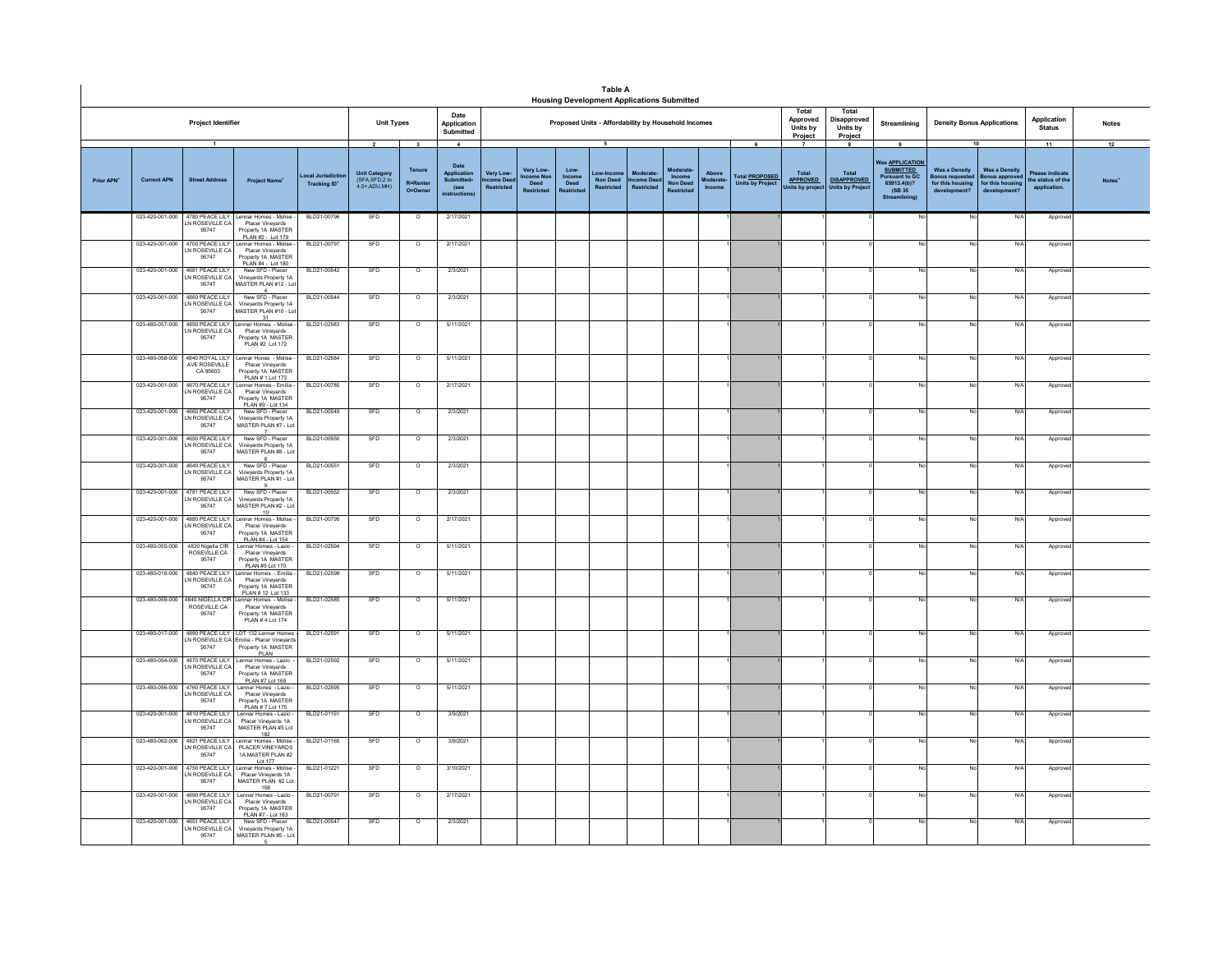|            |                    |                                                             |                                                                                                                                   |                                      |                                                                       |                                                              |                                                                                       |                                            |                                                     |                                               | <b>Table A</b>                     | <b>Housing Development Applications Submitted</b>   |                                                    |                             |                                                                |                                                    |                                                                        |                                                                                                                          |                                                                                          |                                                                              |                                                           |                          |
|------------|--------------------|-------------------------------------------------------------|-----------------------------------------------------------------------------------------------------------------------------------|--------------------------------------|-----------------------------------------------------------------------|--------------------------------------------------------------|---------------------------------------------------------------------------------------|--------------------------------------------|-----------------------------------------------------|-----------------------------------------------|------------------------------------|-----------------------------------------------------|----------------------------------------------------|-----------------------------|----------------------------------------------------------------|----------------------------------------------------|------------------------------------------------------------------------|--------------------------------------------------------------------------------------------------------------------------|------------------------------------------------------------------------------------------|------------------------------------------------------------------------------|-----------------------------------------------------------|--------------------------|
|            |                    | Project Identifier                                          |                                                                                                                                   |                                      | <b>Unit Types</b>                                                     |                                                              | Date<br>Application<br>Submitted                                                      |                                            |                                                     |                                               |                                    | Proposed Units - Affordability by Household Incomes |                                                    |                             |                                                                | Total<br>Approved<br>Units by<br>Project           | Total<br><b>Disapproved</b><br>Units by<br>Project                     | Streamlining                                                                                                             | <b>Density Bonus Applications</b>                                                        |                                                                              | Application<br><b>Status</b>                              | <b>Notes</b>             |
| Prior APN' | <b>Current APN</b> | $\overline{1}$<br><b>Street Address</b>                     | <b>Project Name</b>                                                                                                               | ocal Jurisdic<br><b>Tracking ID*</b> | $\overline{2}$<br>Unit Category<br>(SFA, SFD, 2 to<br>$4,5+$ ADU, MH) | $\overline{\mathbf{3}}$<br>Tenure<br>R=Renter<br>$O = Owner$ | $\blacktriangle$<br>Date<br>Application<br>Submitted+<br>(see<br><i>instructions!</i> | Very Low<br>ncome Dee<br><b>Restricted</b> | Very Low-<br>ncome Nor<br>Deed<br><b>Restricted</b> | $Low -$<br>Income<br>Deed<br><b>Restricte</b> | 5<br>Non Deed<br><b>Restricted</b> | Mode<br><b>ncome Deed</b><br>Restricted             | Moderate<br>Income<br>Non Deed<br><b>Postricto</b> | Above<br>Moderate<br>Income | $\epsilon$<br><b>Total PROPOSED</b><br><b>Units by Project</b> | Total<br><b>APPROVED</b><br><b>Inits by projec</b> | $\mathbf{a}$<br>Total<br><b>DISAPPROVED</b><br><b>Units by Project</b> | 9<br>Vas <u>APPLICATION</u><br><b>SUBMITTED</b><br><b>Pursuant to GC</b><br>65913.4(b)?<br>(SB 35<br><b>Streamlining</b> | 10<br><b>Was a Density</b><br><b>Bonus requested</b><br>for this housing<br>development? | <b>Was a Density</b><br><b>Bonus approve</b><br>for this hous<br>development | 11<br>Please indicat<br>the status of the<br>application. | 12<br>Notes <sup>*</sup> |
|            |                    | LN ROSEVILLE CA<br>95747                                    | 023-420-001-000 4780 PEACE LILY Lennar Homes - Molise -<br>Placer Vinevards<br>Property 1A MASTER                                 | BLD21-00796                          | SFD                                                                   | $\circ$                                                      | 2/17/2021                                                                             |                                            |                                                     |                                               |                                    |                                                     |                                                    |                             |                                                                |                                                    |                                                                        |                                                                                                                          | No                                                                                       | N/A                                                                          | Approver                                                  |                          |
|            | 023-420-001-000    | 4700 PEACE LILY<br>LN ROSEVILLE CA<br>95747                 | PLAN #2 - Lot 179<br>Lennar Homes - Molise<br>Placer Vineyards<br>Property 1A MASTER<br>PLAN #4 - Lot 180                         | BLD21-00797                          | SFD                                                                   | $\overline{\circ}$                                           | 2/17/2021                                                                             |                                            |                                                     |                                               |                                    |                                                     |                                                    |                             |                                                                |                                                    |                                                                        |                                                                                                                          |                                                                                          | N/A                                                                          | Approve                                                   |                          |
|            | 023-420-001-000    | 4681 PEACE LILY<br>LN ROSEVILLE CA<br>95747                 | New SFD - Placer<br>Vinevards Property 1A<br>MASTER PLAN #12 - Lot                                                                | BLD21-00542                          | SFD                                                                   | $\overline{\circ}$                                           | 2/3/2021                                                                              |                                            |                                                     |                                               |                                    |                                                     |                                                    |                             |                                                                |                                                    |                                                                        |                                                                                                                          |                                                                                          | N/A                                                                          | Approve                                                   |                          |
|            | 023-420-001-000    | 4860 PEACE LILY<br>N ROSEVILLE CA<br>95747                  | New SFD - Placer<br>Vineyards Property 1A<br>MASTER PLAN #10 - Lot<br>31                                                          | BLD21-00544                          | SFD                                                                   | $\circ$                                                      | 2/3/2021                                                                              |                                            |                                                     |                                               |                                    |                                                     |                                                    |                             |                                                                |                                                    |                                                                        |                                                                                                                          |                                                                                          | N/A                                                                          | Approve                                                   |                          |
|            | 023-480-057-000    | LN ROSEVILLE CA<br>95747                                    | 4850 PEACE LILY Lennar Homes - Molise<br>Placer Vinevards<br>Property 1A MASTER<br>PLAN #2 Lot 172                                | BLD21-02583                          | SFD                                                                   | $\circ$                                                      | 5/11/2021                                                                             |                                            |                                                     |                                               |                                    |                                                     |                                                    |                             |                                                                |                                                    |                                                                        |                                                                                                                          |                                                                                          | N/A                                                                          | Approve                                                   |                          |
|            | 023-480-058-000    | 4840 ROYAL LILY<br>AVE ROSEVILLE<br>CA 95603                | Lennar Hones - Molise<br>Placer Vineyards<br>Property 1A MASTER                                                                   | BLD21-02584                          | SFD                                                                   | $\overline{\circ}$                                           | 5/11/2021                                                                             |                                            |                                                     |                                               |                                    |                                                     |                                                    |                             |                                                                |                                                    |                                                                        |                                                                                                                          |                                                                                          | N/A                                                                          | Approv                                                    |                          |
|            | 023-420-001-000    | 4670 PEACE LILY<br>N ROSEVILLE CA<br>95747                  | PLAN # 1 Lot 173<br>Lennar Homes - Emilia -<br>Placer Vineyards<br>Property 1A MASTER<br>PLAN #9 - Lot 134                        | BLD21-00785                          | SFD                                                                   | $\circ$                                                      | 2/17/2021                                                                             |                                            |                                                     |                                               |                                    |                                                     |                                                    |                             |                                                                |                                                    |                                                                        |                                                                                                                          |                                                                                          | N/A                                                                          | Approve                                                   |                          |
|            | 023-420-001-000    | 4660 PEACE LILY<br>LN ROSEVILLE CA<br>95747                 | New SFD - Placer<br>Vinevards Property 1A<br>MASTER PLAN #7 - Lot                                                                 | BLD21-00549                          | SFD                                                                   | $\overline{\circ}$                                           | 2/3/2021                                                                              |                                            |                                                     |                                               |                                    |                                                     |                                                    |                             |                                                                |                                                    |                                                                        |                                                                                                                          |                                                                                          | N/A                                                                          | Approv                                                    |                          |
|            |                    | 023-420-001-000 4650 PEACE LILY<br>LN ROSEVILLE CA<br>95747 | New SFD - Placer<br>Vineyards Property 1A<br>MASTER PLAN #8 - Lot                                                                 | BLD21-00550                          | SFD                                                                   | $\overline{\phantom{0}}$                                     | 2/3/2021                                                                              |                                            |                                                     |                                               |                                    |                                                     |                                                    |                             |                                                                |                                                    |                                                                        |                                                                                                                          |                                                                                          | N/A                                                                          | Approver                                                  |                          |
|            | 023-420-001-000    | 4640 PEACE LILY<br>LN ROSEVILLE CA<br>95747                 | New SFD - Placer<br>Vineyards Property 1A<br>MASTER PLAN #1 - Lot                                                                 | BLD21-00551                          | SFD                                                                   | $\overline{\circ}$                                           | 2/3/2021                                                                              |                                            |                                                     |                                               |                                    |                                                     |                                                    |                             |                                                                |                                                    |                                                                        |                                                                                                                          |                                                                                          | N/A                                                                          | Approve                                                   |                          |
|            | 023-420-001-000    | 4781 PEACE LILY<br>N ROSEVILLE CA<br>95747                  | New SED - Placer<br>Vineyards Property 1A<br>MASTER PLAN #2 - Lot<br>10                                                           | BLD21-00552                          | SED                                                                   | $\Omega$                                                     | 2/3/2021                                                                              |                                            |                                                     |                                               |                                    |                                                     |                                                    |                             |                                                                |                                                    |                                                                        |                                                                                                                          | No                                                                                       | N/A                                                                          | Approver                                                  |                          |
|            | 023-420-001-000    | 4880 PEACE LILY<br>LN ROSEVILLE CA<br>95747                 | Lennar Homes - Molise<br>Placer Vinevards<br>Property 1A MASTER<br>PLAN #4 - Lot 154                                              | BLD21-00795                          | SFD                                                                   | $\circ$                                                      | 2/17/2021                                                                             |                                            |                                                     |                                               |                                    |                                                     |                                                    |                             |                                                                |                                                    |                                                                        |                                                                                                                          |                                                                                          | N/A                                                                          | Approve                                                   |                          |
|            | 023-480-055-000    | 4830 Nigella CIR<br>ROSEVILLE CA<br>95747                   | Lennar Homes - Lazio -<br>Placer Vineyards<br>Property 1A MASTER<br>PLAN #5 Lot 170                                               | BLD21-02594                          | SFD                                                                   | $\circ$                                                      | 5/11/2021                                                                             |                                            |                                                     |                                               |                                    |                                                     |                                                    |                             |                                                                |                                                    |                                                                        |                                                                                                                          | No                                                                                       | N/A                                                                          | Approver                                                  |                          |
|            | 023-480-018-000    | 4840 PEACE LILY<br>LN ROSEVILLE CA<br>95747                 | nnar Homes  - Emilia<br>Placer Vinevards<br>Property 1A MASTER<br>PLAN # 12 Lot 133                                               | BLD21-02599                          | SFD                                                                   | $\circ$                                                      | 5/11/2021                                                                             |                                            |                                                     |                                               |                                    |                                                     |                                                    |                             |                                                                |                                                    |                                                                        |                                                                                                                          |                                                                                          | N/A                                                                          | Approve                                                   |                          |
|            | 023-480-059-000    | 4840 NIGELLA CIR<br>ROSEVILLE CA<br>95747                   | ennar Homes - Molise<br>Placer Vineyards<br>Property 1A MASTER<br>PLAN # 4 Lot 174                                                | BLD21-02585                          | SFD                                                                   | $\overline{\circ}$                                           | 5/11/2021                                                                             |                                            |                                                     |                                               |                                    |                                                     |                                                    |                             |                                                                |                                                    |                                                                        |                                                                                                                          |                                                                                          | N/A                                                                          | Approve                                                   |                          |
|            |                    | 95747                                                       | 023-480-017-000 4890 PEACE LILY LOT 132 Lennar Homes -<br>LN ROSEVILLE CA Emilia - Placer Vineyards<br>Property 1A MASTER<br>PLAN | BLD21-02591                          | SFD                                                                   | $\overline{\phantom{0}}$                                     | 5/11/2021                                                                             |                                            |                                                     |                                               |                                    |                                                     |                                                    |                             |                                                                |                                                    |                                                                        |                                                                                                                          |                                                                                          | N/A                                                                          | Approve                                                   |                          |
|            | 023-480-054-000    | 4870 PEACE LILY<br>IN ROSEVILLE CA<br>95747                 | Lennar Homes - Lazio<br>Placer Vinevards<br>Property 1A MASTER<br>PLAN #7 Lot 169                                                 | BLD21-02592                          | SFD                                                                   | $\circ$                                                      | 5/11/2021                                                                             |                                            |                                                     |                                               |                                    |                                                     |                                                    |                             |                                                                |                                                    |                                                                        |                                                                                                                          |                                                                                          | N/A                                                                          | Approve                                                   |                          |
|            | 023-480-056-000    | N ROSEVILLE CA<br>95747                                     | 4760 PEACE LILY Lennar Hones - Lazio -<br>Placer Vineyards<br>Property 1A MASTER<br>PLAN # 7 Lot 170                              | BLD21-02595                          | SFD                                                                   | $\circ$                                                      | 5/11/2021                                                                             |                                            |                                                     |                                               |                                    |                                                     |                                                    |                             |                                                                |                                                    |                                                                        | No                                                                                                                       | No                                                                                       | N/A                                                                          | Approver                                                  |                          |
|            | 023-420-001-000    | 4810 PEACE LILY<br>LN ROSEVILLE CA<br>95747                 | Lennar Homes - Lazio -<br>Placer Vinevards 1A<br>MASTER PLAN #5 Lot<br>182                                                        | BLD21-01161                          | SFD                                                                   | $\circ$                                                      | 3/9/2021                                                                              |                                            |                                                     |                                               |                                    |                                                     |                                                    |                             |                                                                |                                                    |                                                                        |                                                                                                                          |                                                                                          | N/A                                                                          | Approve                                                   |                          |
|            | 023-480-062-000    | N ROSEVILLE CA<br>95747                                     | 4821 PEACE LILY Lennar Homes - Molise -<br>PLACER VINEYARDS<br>1A MASTER PLAN #2<br>Lot 177                                       | BLD21-01165                          | SFD                                                                   | $\circ$                                                      | 3/9/2021                                                                              |                                            |                                                     |                                               |                                    |                                                     |                                                    |                             |                                                                |                                                    |                                                                        |                                                                                                                          |                                                                                          | N/A                                                                          | Approver                                                  |                          |
|            | 023-420-001-000    | 4750 PEACE LILY<br>LN ROSEVILLE CA<br>95747                 | Lennar Homes - Molise<br>Placer Vinevards 1A<br>MASTER PLAN #2 Lot<br>158                                                         | BLD21-01221                          | SFD                                                                   | $\overline{\circ}$                                           | 3/10/2021                                                                             |                                            |                                                     |                                               |                                    |                                                     |                                                    |                             |                                                                |                                                    |                                                                        |                                                                                                                          |                                                                                          | N/A                                                                          | Approv                                                    |                          |
|            | 023-420-001-000    | 4690 PEACE LILY<br>N ROSEVILLE CA<br>95747                  | Lennar Homes - Lazio -<br>Placer Vineyards<br>Property 1A MASTER<br>PLAN #7 - Lot 183                                             | BLD21-00791                          | SFD                                                                   | $\circ$                                                      | 2/17/2021                                                                             |                                            |                                                     |                                               |                                    |                                                     |                                                    |                             |                                                                |                                                    |                                                                        |                                                                                                                          |                                                                                          | N/A                                                                          | Approve                                                   |                          |
|            | 023-420-001-000    | 4651 PEACE LILY<br>LN ROSEVILLE CA<br>95747                 | New SFD - Placer<br>Vineyards Property 1A<br>MASTER PLAN #5 - Lot                                                                 | BLD21-00547                          | SFD                                                                   | $\circ$                                                      | 2/3/2021                                                                              |                                            |                                                     |                                               |                                    |                                                     |                                                    |                             |                                                                |                                                    |                                                                        |                                                                                                                          | No                                                                                       | N/A                                                                          | Approve                                                   |                          |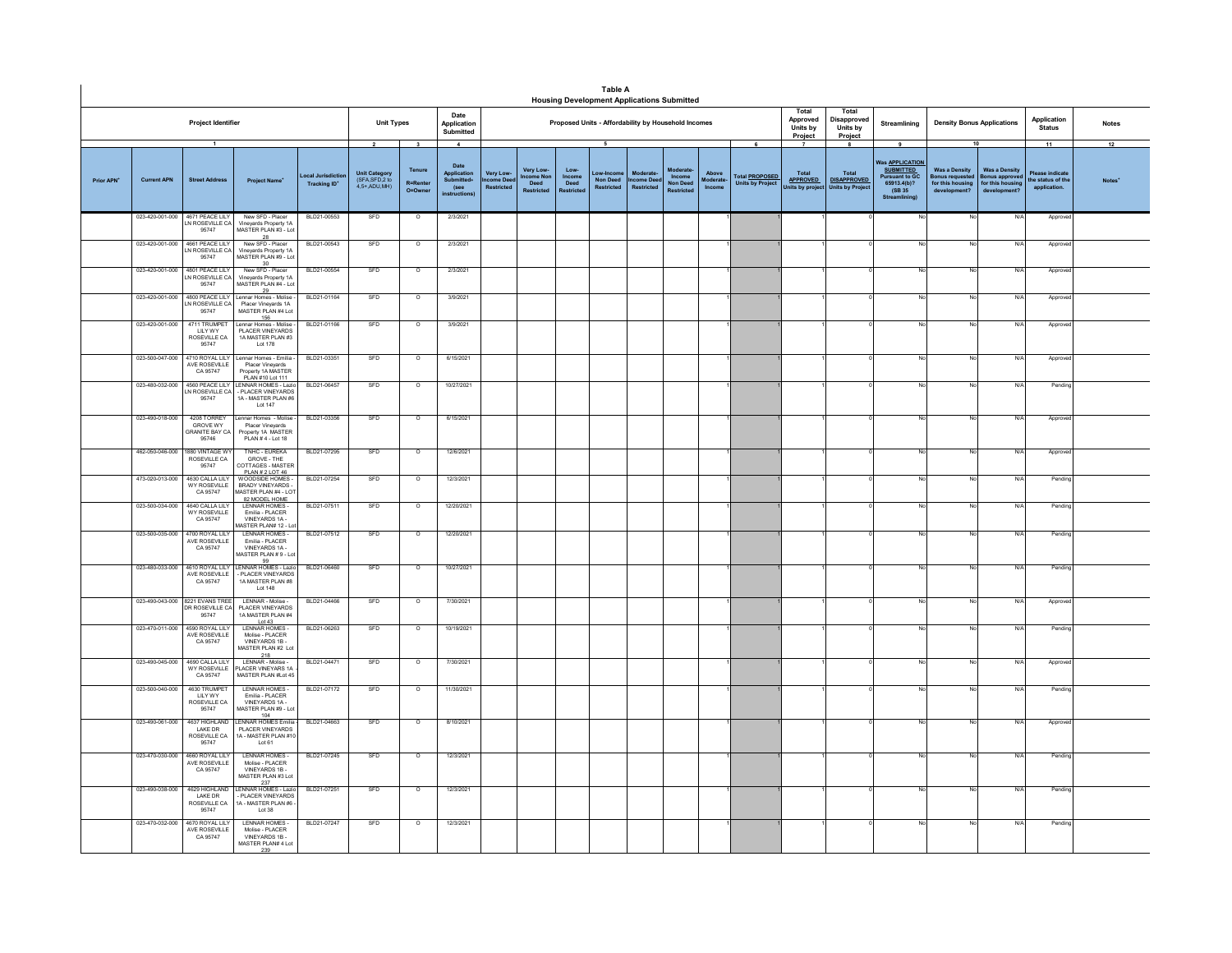|                        |                    |                                                                  |                                                                                                                       |                                             |                                                                    |                                                                  |                                                                                    |                                             |                                                   |                                             | <b>Table A</b><br><b>Housing Development Applications Submitted</b> |                                                    |                                                     |                              |                                                       |                                                               |                                                                        |                                                                                                              |                                                                                 |                                                                          |                                                            |                    |
|------------------------|--------------------|------------------------------------------------------------------|-----------------------------------------------------------------------------------------------------------------------|---------------------------------------------|--------------------------------------------------------------------|------------------------------------------------------------------|------------------------------------------------------------------------------------|---------------------------------------------|---------------------------------------------------|---------------------------------------------|---------------------------------------------------------------------|----------------------------------------------------|-----------------------------------------------------|------------------------------|-------------------------------------------------------|---------------------------------------------------------------|------------------------------------------------------------------------|--------------------------------------------------------------------------------------------------------------|---------------------------------------------------------------------------------|--------------------------------------------------------------------------|------------------------------------------------------------|--------------------|
|                        |                    | Project Identifier                                               |                                                                                                                       |                                             |                                                                    | Date<br><b>Unit Types</b><br>Application<br>Submitted            |                                                                                    |                                             |                                                   |                                             | Proposed Units - Affordability by Household Incomes                 |                                                    |                                                     |                              |                                                       | Total<br>Approved<br>Units by<br>Project                      | Total<br>Disapproved<br><b>Units by</b><br>Project                     | Streamlining                                                                                                 | <b>Density Bonus Applications</b>                                               |                                                                          | Application<br><b>Status</b>                               | <b>Notes</b>       |
| Prior APN <sup>+</sup> | <b>Current APN</b> | $\overline{1}$<br><b>Street Address</b>                          | <b>Project Name</b>                                                                                                   | <b>pcal Jurisdict</b><br><b>Tracking ID</b> | $\overline{2}$<br>Unit Category<br>(SFA, SFD, 2 to<br>4,5+,ADU,MH) | $\overline{\mathbf{3}}$<br>Tenure<br>$R =$ Rente<br>$O = Q$ wner | $\blacktriangle$<br>Date<br>Application<br><b>Submitted</b><br>(see<br>nstructions | Very Low-<br>ncome Dee<br><b>Restricted</b> | Very Low-<br>come No<br>Deed<br><b>Restricted</b> | Low-<br>Income<br>Deed<br><b>Restricted</b> | 5<br>ow-locol<br><b>Non Deed</b><br><b>Restricted</b>               | <b>Moderate</b><br><b>Icome Deed</b><br>Restricted | Moderate<br>Income<br>Non Deed<br><b>Restricted</b> | Above<br>Moderate-<br>Income | 6<br><b>Total PROPOSED</b><br><b>Units by Project</b> | $\overline{7}$<br>Total<br><b>APPROVED</b><br>Inits by projec | $\mathbf{a}$<br>Total<br><b>DISAPPROVED</b><br><b>Units by Project</b> | 9<br>Was <b>APPLICATION</b><br><b>SUBMITTED</b><br>Pursuant to GC<br>65913.4(b)?<br>(SB 35)<br>Streamlining) | 10<br><b>Was a Density</b><br>onus requeste<br>for this housing<br>development? | <b>Was a Density</b><br>onus approve<br>for this housing<br>development? | 11<br>Please indicate<br>the status of the<br>application. | 12<br><b>Notes</b> |
|                        |                    | 023-420-001-000 4671 PEACE LILY<br>IN ROSEVILLE CA<br>95747      | New SFD - Placer<br>Vinevards Property 1A<br>MASTER PLAN #3 - Lot                                                     | BLD21-00553                                 | SFD                                                                | $\circ$                                                          | 2/3/2021                                                                           |                                             |                                                   |                                             |                                                                     |                                                    |                                                     |                              |                                                       |                                                               |                                                                        | No                                                                                                           | No                                                                              | N/A                                                                      | Approve                                                    |                    |
|                        | 023-420-001-000    | 4661 PEACE LILY<br>N ROSEVILLE CA<br>95747                       | New SFD - Placer<br>Vineyards Property 1A<br>MASTER PLAN #9 - Lot                                                     | BLD21-00543                                 | SFD                                                                | $\circ$                                                          | 2/3/2021                                                                           |                                             |                                                   |                                             |                                                                     |                                                    |                                                     |                              |                                                       |                                                               |                                                                        |                                                                                                              | No                                                                              | N/                                                                       | Approve                                                    |                    |
|                        | 023-420-001-000    | 4801 PEACE I II Y<br>N ROSEVILLE CA<br>95747                     | New SED - Placer<br>Vinevards Property 1A<br>MASTER PLAN #4 - Lot<br>29                                               | BLD21-00554                                 | SFD                                                                | $\overline{0}$                                                   | 2/3/2021                                                                           |                                             |                                                   |                                             |                                                                     |                                                    |                                                     |                              |                                                       |                                                               |                                                                        | Nr                                                                                                           | No                                                                              | N/f                                                                      | Approv                                                     |                    |
|                        | 023-420-001-000    | 4800 PEACE LILY<br>N ROSEVILLE CA<br>95747                       | ennar Homes - Molise<br>Placer Vineyards 1A<br>MASTER PLAN #4 Lot                                                     | BLD21-01164                                 | SFD                                                                | $\circ$                                                          | 3/9/2021                                                                           |                                             |                                                   |                                             |                                                                     |                                                    |                                                     |                              |                                                       |                                                               |                                                                        |                                                                                                              | No                                                                              | N/4                                                                      | Approv                                                     |                    |
|                        | 023-420-001-000    | 4711 TRUMPET<br>LILY WY<br>ROSEVILLE CA<br>95747                 | 156<br>Lennar Homes - Molise -<br>PLACER VINEYARDS<br>1A MASTER PLAN #3<br>Lot 178                                    | BLD21-01166                                 | SFD                                                                | $\circ$                                                          | 3/9/2021                                                                           |                                             |                                                   |                                             |                                                                     |                                                    |                                                     |                              |                                                       |                                                               |                                                                        | No                                                                                                           | No                                                                              | N/L                                                                      | Approv                                                     |                    |
|                        |                    | AVE ROSEVILLE<br>CA 95747                                        | 023-500-047-000 4710 ROYAL LILY Lennar Homes - Emilia -<br>Placer Vinevards<br>Property 1A MASTER<br>PLAN #10 Lot 111 | BLD21-03351                                 | SFD                                                                | $\circ$                                                          | 6/15/2021                                                                          |                                             |                                                   |                                             |                                                                     |                                                    |                                                     |                              |                                                       |                                                               |                                                                        |                                                                                                              | No                                                                              | N/L                                                                      | Approv                                                     |                    |
|                        | 023-480-032-000    | 4560 PEACE LILY<br>N ROSEVILLE CA<br>95747                       | ENNAR HOMES - Lazio<br>- PLACER VINEYARDS<br>1A - MASTER PLAN #6<br>Lot 147                                           | BLD21-06457                                 | SFD                                                                | $\circ$                                                          | 10/27/2021                                                                         |                                             |                                                   |                                             |                                                                     |                                                    |                                                     |                              |                                                       |                                                               |                                                                        |                                                                                                              | No                                                                              | N/                                                                       | Pendin                                                     |                    |
|                        | 023-490-018-000    | 4208 TORREY<br><b>GROVE WY</b><br><b>GRANITE BAY CA</b><br>95746 | ennar Homes - Molise<br>Placer Vineyards<br>Property 1A MASTER<br>PLAN #4 - Lot 18                                    | BLD21-03356                                 | SFD                                                                | $\circ$                                                          | 6/15/2021                                                                          |                                             |                                                   |                                             |                                                                     |                                                    |                                                     |                              |                                                       |                                                               |                                                                        |                                                                                                              | No                                                                              | N                                                                        | Approve                                                    |                    |
|                        | 462-050-046-000    | 1880 VINTAGE WY<br>ROSEVILLE CA<br>95747                         | TNHC - EUREKA<br>GROVE - THE<br>COTTAGES - MASTER<br>PLAN # 2 LOT 46                                                  | BLD21-07295                                 | SFD                                                                | $\circ$                                                          | 12/6/2021                                                                          |                                             |                                                   |                                             |                                                                     |                                                    |                                                     |                              |                                                       |                                                               |                                                                        |                                                                                                              | No                                                                              | N/                                                                       | Approv                                                     |                    |
|                        | 473-020-013-000    | 4630 CALLATILY<br>WY ROSEVILLE<br>CA 95747                       | WOODSIDE HOMES -<br><b>BRADY VINEYARDS-</b><br><b>IASTER PLAN #4 - LOT</b><br>82 MODEL HOME                           | BLD21-07254                                 | SFD                                                                | $\circ$                                                          | 12/3/2021                                                                          |                                             |                                                   |                                             |                                                                     |                                                    |                                                     |                              |                                                       |                                                               |                                                                        | No                                                                                                           | No                                                                              | N/L                                                                      | Pending                                                    |                    |
|                        | 023-500-034-000    | 4640 CALLA LILY<br><b>WY ROSEVILLE</b><br>CA 95747               | LENNAR HOMES-<br>Fmilia - PLACER<br>VINEYARDS 1A -<br>ASTER PLAN# 12 - Lo                                             | BLD21-07511                                 | SFD                                                                | $\circ$                                                          | 12/20/2021                                                                         |                                             |                                                   |                                             |                                                                     |                                                    |                                                     |                              |                                                       |                                                               |                                                                        |                                                                                                              | No                                                                              | N                                                                        | Pending                                                    |                    |
|                        | 023-500-035-000    | 4700 ROYAL LILY<br>AVE ROSEVILLE<br>CA 95747                     | LENNAR HOMES-<br>Fmilia - PLACER<br>VINEYARDS 1A-<br>IASTER PLAN #9 - Lot<br>99                                       | BLD21-07512                                 | SFD                                                                | $\circ$                                                          | 12/20/2021                                                                         |                                             |                                                   |                                             |                                                                     |                                                    |                                                     |                              |                                                       |                                                               |                                                                        |                                                                                                              | No                                                                              | N/                                                                       | Pendin                                                     |                    |
|                        | 023-480-033-000    | 4610 ROYAL LILY<br>AVE ROSEVILLE<br>CA 95747                     | ENNAR HOMES - Lazio<br>- PLACER VINEYARDS<br>1A MASTER PLAN #8<br>Lot 148                                             | BLD21-06460                                 | SFD                                                                | $\overline{\circ}$                                               | 10/27/2021                                                                         |                                             |                                                   |                                             |                                                                     |                                                    |                                                     |                              |                                                       |                                                               |                                                                        |                                                                                                              | No                                                                              | N/                                                                       | Pending                                                    |                    |
|                        | 023-490-043-000    | 8221 EVANS TREE<br>DR ROSEVILLE CA<br>95747                      | LENNAR - Molise -<br>PLACER VINEYARDS<br>1A MASTER PLAN #4<br>Lot 43                                                  | BLD21-04466                                 | SFD                                                                | $\circ$                                                          | 7/30/2021                                                                          |                                             |                                                   |                                             |                                                                     |                                                    |                                                     |                              |                                                       |                                                               |                                                                        |                                                                                                              | No                                                                              | N                                                                        | Approv                                                     |                    |
|                        | 023-470-011-000    | 4590 ROYAL LILY<br>AVE ROSEVILLE<br>CA 95747                     | <b>I FNNAR HOMES-</b><br>Molise - PLACER<br>VINEYARDS 1B-<br>MASTER PLAN #2 Lot                                       | BLD21-06263                                 | SFD                                                                | $\circ$                                                          | 10/19/2021                                                                         |                                             |                                                   |                                             |                                                                     |                                                    |                                                     |                              |                                                       |                                                               |                                                                        |                                                                                                              | No                                                                              | N/L                                                                      | Pending                                                    |                    |
|                        | 023-490-045-000    | 4690 CALLATILY<br>WY ROSEVILLE<br>CA 95747                       | 218<br>I FNNAR - Molise<br>PLACER VINEYARS 1A<br>MASTER PLAN #Lot 45                                                  | BLD21-04471                                 | SFD                                                                | $\overline{0}$                                                   | 7/30/2021                                                                          |                                             |                                                   |                                             |                                                                     |                                                    |                                                     |                              |                                                       |                                                               |                                                                        |                                                                                                              | No                                                                              | N/l                                                                      | Approv                                                     |                    |
|                        | 023-500-040-000    | 4630 TRUMPET<br><b>IIIYWY</b><br>ROSEVILLE CA<br>95747           | LENNAR HOMES<br>Fmilia - PLACER<br>VINEYARDS 1A-<br>MASTER PLAN #9 - Lot<br>104                                       | BLD21-07172                                 | SFD                                                                | $\overline{\circ}$                                               | 11/30/2021                                                                         |                                             |                                                   |                                             |                                                                     |                                                    |                                                     |                              |                                                       |                                                               |                                                                        |                                                                                                              | No                                                                              | N/                                                                       | Pendin                                                     |                    |
|                        | 023-490-061-000    | 4637 HIGHLAND<br>I AKE DR<br>ROSEVILLE CA<br>95747               | LENNAR HOMES Emilia<br>PLACER VINEYARDS<br>1A - MASTER PLAN #10<br>Lot 61                                             | BLD21-04663                                 | SFD                                                                | $\overline{\circ}$                                               | 8/10/2021                                                                          |                                             |                                                   |                                             |                                                                     |                                                    |                                                     |                              |                                                       |                                                               |                                                                        |                                                                                                              | No                                                                              | N/                                                                       | Approve                                                    |                    |
|                        | 023-470-030-000    | 4660 ROYAL LILY<br>AVE ROSEVILLE<br>CA 95747                     | LENNAR HOMES<br>Molise - PLACER<br>VINEYARDS 1B -<br>MASTER PLAN #3 Lot<br>237                                        | BLD21-07245                                 | SFD                                                                | $\overline{\circ}$                                               | 12/3/2021                                                                          |                                             |                                                   |                                             |                                                                     |                                                    |                                                     |                              |                                                       |                                                               |                                                                        |                                                                                                              | No                                                                              | N                                                                        | Pendin                                                     |                    |
|                        | 023-490-038-000    | 4629 HIGHLAND<br>LAKE DR<br>ROSEVILLE CA<br>95747                | ENNAR HOMES - Lazio<br>PLACER VINEYARDS<br>A - MASTER PLAN #6<br>Lot 38                                               | BLD21-07251                                 | SFD                                                                | $\circ$                                                          | 12/3/2021                                                                          |                                             |                                                   |                                             |                                                                     |                                                    |                                                     |                              |                                                       |                                                               |                                                                        |                                                                                                              | No                                                                              | N/4                                                                      | Pending                                                    |                    |
|                        | 023-470-032-000    | 4670 ROYAL LILY<br>AVE ROSEVILLE<br>CA 95747                     | LENNAR HOMES<br>Molise - PLACER<br>VINEYARDS 1R-<br>MASTER PLAN# 4 Lot                                                | BLD21-07247                                 | SFD                                                                | $\circ$                                                          | 12/3/2021                                                                          |                                             |                                                   |                                             |                                                                     |                                                    |                                                     |                              |                                                       |                                                               |                                                                        | No                                                                                                           | <b>No</b>                                                                       | N/                                                                       | Pending                                                    |                    |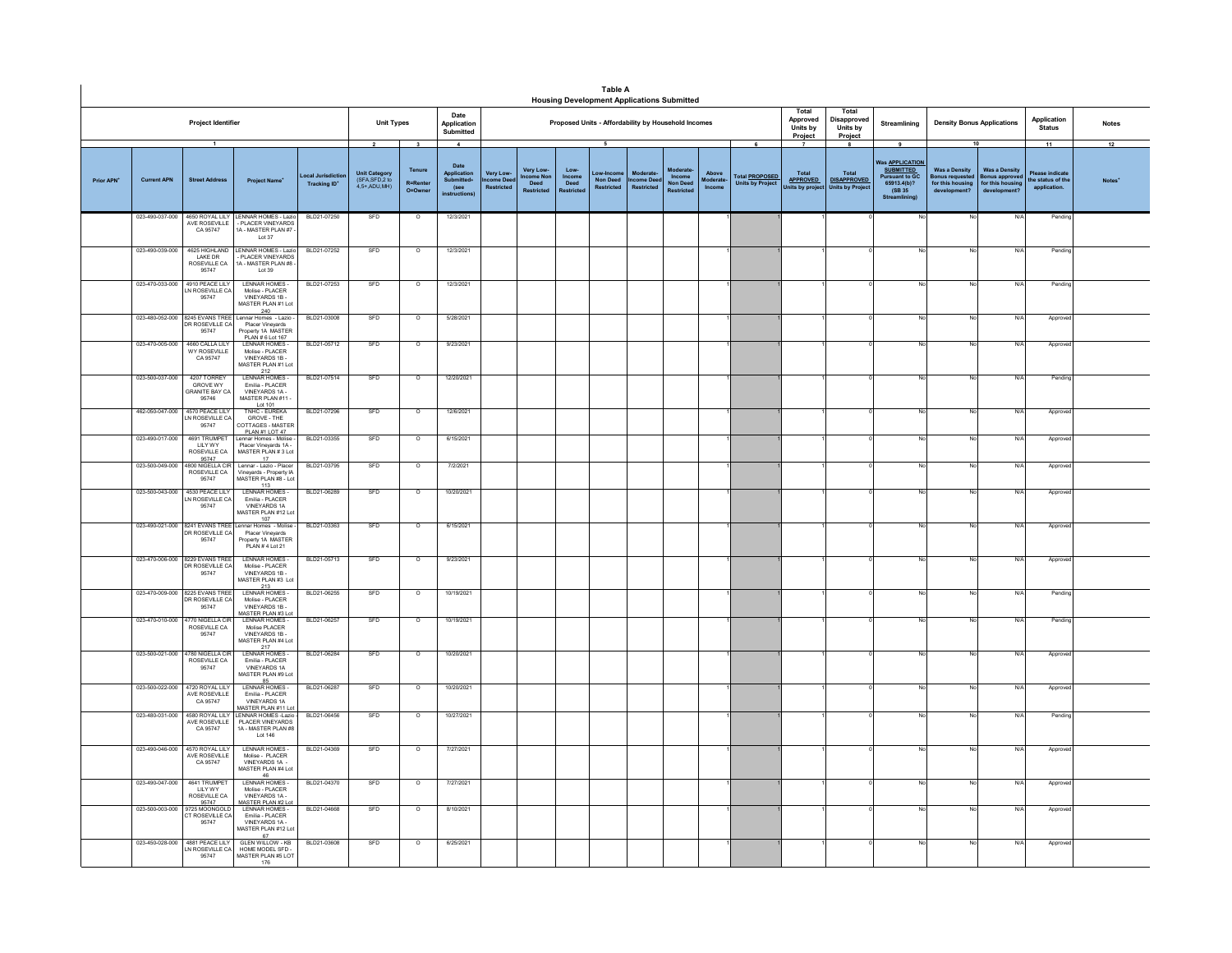|                        |                                    |                                                             |                                                                                                           |                                         |                                                                              |                                        |                                                                          |                                                |                                                    |                                             | <b>Table A</b><br><b>Housing Development Applications Submitted</b> |                                |                                        |                                    |                                                  |                                                    |                                                        |                                                                                                                                                |                                                                                  |                                                                               |                                                           |              |
|------------------------|------------------------------------|-------------------------------------------------------------|-----------------------------------------------------------------------------------------------------------|-----------------------------------------|------------------------------------------------------------------------------|----------------------------------------|--------------------------------------------------------------------------|------------------------------------------------|----------------------------------------------------|---------------------------------------------|---------------------------------------------------------------------|--------------------------------|----------------------------------------|------------------------------------|--------------------------------------------------|----------------------------------------------------|--------------------------------------------------------|------------------------------------------------------------------------------------------------------------------------------------------------|----------------------------------------------------------------------------------|-------------------------------------------------------------------------------|-----------------------------------------------------------|--------------|
|                        |                                    | Project Identifier                                          |                                                                                                           |                                         | <b>Unit Types</b>                                                            |                                        | Date<br>Application<br>Submitted                                         |                                                |                                                    |                                             | Proposed Units - Affordability by Household Incomes                 |                                |                                        |                                    |                                                  | Total<br>Approved<br>Units by<br>Project           | Total<br>Disapproved<br>Units by<br>Project            | Streamlining                                                                                                                                   | Application<br><b>Density Bonus Applications</b><br><b>Status</b>                |                                                                               |                                                           | <b>Notes</b> |
| Prior APN <sup>+</sup> | <b>Current APN</b>                 | $\overline{1}$<br><b>Street Address</b>                     | <b>Project Name</b>                                                                                       | ocal Jurisdictio<br><b>Tracking ID*</b> | $\overline{\mathbf{2}}$<br>Unit Category<br>(SFA, SFD, 2 to<br>$4,5+ADU,MH)$ | 3<br>Tenure<br>R=Rente<br>$O = Q$ wner | $\overline{4}$<br>Date<br>Applicati<br>Submitted-<br>(see<br>nstructions | <b>Very Low</b><br>me Dee<br><b>Restricted</b> | Very Low-<br>come Nor<br>Deed<br><b>Restricted</b> | Low-<br>Income<br>Deed<br><b>Restricter</b> | $\overline{\phantom{a}}$<br><b>Non Deed</b><br><b>Restricted</b>    | come Deed<br><b>Restricted</b> | Income<br><b>Non Dee</b><br>Restricter | Above<br><b>Aoderate</b><br>Income | <b>Total PROPOSED</b><br><b>Units by Project</b> | Total<br><b>APPROVED</b><br><b>Jnits by projec</b> | Total<br><b>DISAPPROVED</b><br><b>Units by Project</b> | $\overline{\mathbf{g}}$<br>as <b>APPLICATION</b><br><b>SUBMITTED</b><br><b>Pursuant to GC</b><br>65913.4(b)?<br>(SB 35)<br><b>Streamlining</b> | 10<br><b>Was a Density</b><br>onus requested<br>for this housing<br>development? | <b>Was a Density</b><br><b>Sonus approver</b><br>for this hou<br>development? | 11<br>Please indicat<br>the status of the<br>application. | 12           |
|                        | 023-490-037-000                    | CA 95747                                                    | 4650 ROYAL LILY LENNAR HOMES - Lazio<br>AVE ROSEVILLE - PLACER VINEYARDS<br>1A - MASTER PLAN #7<br>Lot 37 | BLD21-07250                             | SFD                                                                          | $\circ$                                | 12/3/2021                                                                |                                                |                                                    |                                             |                                                                     |                                |                                        |                                    |                                                  |                                                    |                                                        |                                                                                                                                                | No.                                                                              | N/A                                                                           | Pend                                                      |              |
|                        | 023-490-039-000                    | LAKE DR<br>ROSEVILLE CA<br>95747                            | 4625 HIGHLAND LENNAR HOMES - Lazio<br>PLACER VINEYARDS<br>IA - MASTER PLAN #8 -<br>Lot 39                 | BLD21-07252                             | SFD                                                                          | $\Omega$                               | 12/3/2021                                                                |                                                |                                                    |                                             |                                                                     |                                |                                        |                                    |                                                  |                                                    |                                                        |                                                                                                                                                | No.                                                                              | N/A                                                                           | Pendin                                                    |              |
|                        | 023-470-033-000                    | 4910 PEACE LILY<br><b>N ROSEVILLE CA</b><br>95747           | LENNAR HOMES -<br>Molise - PLACER<br>VINEYARDS 1B -<br>MASTER PLAN #1 Lot                                 | BLD21-07253                             | SFD                                                                          | $\circ$                                | 12/3/2021                                                                |                                                |                                                    |                                             |                                                                     |                                |                                        |                                    |                                                  |                                                    |                                                        |                                                                                                                                                | No                                                                               | N/A                                                                           | Pendin                                                    |              |
|                        | 023-480-052-000                    | 8245 EVANS TREE<br>DR ROSEVILLE CA<br>95747                 | 240<br>240<br>Lennar Homes - Lazio -<br>Placer Vineyards<br>Property 1A MASTER<br>PLAN # 6 Lot 167        | BLD21-03008                             | SFD                                                                          | $\circ$                                | 5/28/2021                                                                |                                                |                                                    |                                             |                                                                     |                                |                                        |                                    |                                                  |                                                    |                                                        |                                                                                                                                                | No                                                                               | N/f                                                                           | Approv                                                    |              |
|                        | 023-470-005-000                    | 4660 CALLATILY<br>WY ROSEVILLE<br>CA 95747                  | I FNNAR HOMES.<br>Molise - PLACER<br>VINEYARDS 1B-<br>MASTER PLAN #1 Lot                                  | BI D21-05712                            | SFD                                                                          | $\Omega$                               | 9/23/2021                                                                |                                                |                                                    |                                             |                                                                     |                                |                                        |                                    |                                                  |                                                    |                                                        |                                                                                                                                                | No                                                                               | N/A                                                                           | Approv                                                    |              |
|                        | 023-500-037-000                    | 4207 TORREY<br><b>GROVE WY</b><br>GRANITE BAY CA<br>95746   | LENNAR HOMES<br>Emilia - PLACER<br>VINEYARDS 1A -<br>MASTER PLAN #11                                      | BLD21-07514                             | SFD                                                                          | $\circ$                                | 12/20/2021                                                               |                                                |                                                    |                                             |                                                                     |                                |                                        |                                    |                                                  |                                                    |                                                        |                                                                                                                                                | No                                                                               | N/A                                                                           | Pendin                                                    |              |
|                        | 462-050-047-000<br>023-490-017-000 | 4570 PEACE LILY<br>N ROSEVILLE CA<br>95747<br>4691 TRUMPET  | Lot 101<br>TNHC - EUREKA<br>GROVE - THE<br>COTTAGES - MASTER<br>PLAN #1 LOT 47                            | BLD21-07296<br>BLD21-03355              | SFD<br>SFD                                                                   | $\overline{\circ}$                     | 12/6/2021                                                                |                                                |                                                    |                                             |                                                                     |                                |                                        |                                    |                                                  |                                                    |                                                        |                                                                                                                                                | No                                                                               | N/A                                                                           | Approv                                                    |              |
|                        | 023-500-049-000                    | LILY WY<br>ROSEVILLE CA<br>95747<br>4800 NIGELLA CIR        | Lennar Homes - Molise<br>Placer Vineyards 1A -<br>MASTER PLAN # 3 Lot<br>17                               | BLD21-03795                             | SFD                                                                          | $\circ$<br>$\Omega$                    | 6/15/2021<br>7/2/2021                                                    |                                                |                                                    |                                             |                                                                     |                                |                                        |                                    |                                                  |                                                    |                                                        |                                                                                                                                                | No<br>No                                                                         | N/A<br>N/A                                                                    | Approv                                                    |              |
|                        | 023-500-043-000                    | ROSEVILLE CA<br>95747<br>4530 PEACE LILY                    | Lennar - Lazio - Placer<br>Vineyards - Property IA<br>MASTER PLAN #8 - Lot<br>113<br><b>LENNAR HOMES</b>  | BLD21-06289                             | SFD                                                                          | $\circ$                                | 10/20/2021                                                               |                                                |                                                    |                                             |                                                                     |                                |                                        |                                    |                                                  |                                                    |                                                        |                                                                                                                                                | No                                                                               | N/A                                                                           | Approv<br>Approve                                         |              |
|                        |                                    | <b>N ROSEVILLE CA</b><br>95747                              | Fmilia - PLACER<br>VINEYARDS 1A<br>MASTER PLAN #12 Lot<br>107                                             |                                         |                                                                              |                                        |                                                                          |                                                |                                                    |                                             |                                                                     |                                |                                        |                                    |                                                  |                                                    |                                                        |                                                                                                                                                |                                                                                  |                                                                               |                                                           |              |
|                        |                                    | 023-490-021-000 8241 EVANS TREE<br>DR ROSEVILLE CA<br>95747 | nnar Homes - Molise<br>Placer Vineyards<br>Property 1A MASTER<br>PLAN # 4 Lot 21                          | BLD21-03363                             | SFD                                                                          | $\circ$                                | 6/15/2021                                                                |                                                |                                                    |                                             |                                                                     |                                |                                        |                                    |                                                  |                                                    |                                                        |                                                                                                                                                | No                                                                               | N/A                                                                           | Appro                                                     |              |
|                        | 023-470-006-000                    | 8229 EVANS TREE<br>DR ROSEVILLE CA<br>95747                 | I FNNAR HOMES-<br>Molise - PLACER<br>VINEYARDS 1B-<br>MASTER PLAN #3 Lot<br>213                           | BLD21-05713                             | SFD                                                                          | $\circ$                                | 9/23/2021                                                                |                                                |                                                    |                                             |                                                                     |                                |                                        |                                    |                                                  |                                                    |                                                        |                                                                                                                                                | No                                                                               | N/A                                                                           | Approv                                                    |              |
|                        |                                    | 023-470-009-000 8225 EVANS TREE<br>DR ROSEVILLE CA<br>95747 | <b>I FNNAR HOMES</b><br>Molise - PLACER<br>VINEYARDS 1B -<br>MASTER PLAN #3 Lot                           | BLD21-06255                             | SFD                                                                          | $\Omega$                               | 10/19/2021                                                               |                                                |                                                    |                                             |                                                                     |                                |                                        |                                    |                                                  |                                                    |                                                        |                                                                                                                                                | No                                                                               | N/A                                                                           | Pendin                                                    |              |
|                        | 023-470-010-000                    | 1770 NIGELLA CII<br>ROSEVILLE CA<br>95747                   | LENNAR HOMES<br>Molise PLACER<br>VINEYARDS 1B<br>MASTER PLAN #4 Lot<br>217                                | BLD21-06257                             | SFD                                                                          | $\circ$                                | 10/19/2021                                                               |                                                |                                                    |                                             |                                                                     |                                |                                        |                                    |                                                  |                                                    |                                                        |                                                                                                                                                | No                                                                               | N/                                                                            | Pendin                                                    |              |
|                        | 023-500-021-000                    | 4780 NIGELLA CIR<br>ROSEVILLE CA<br>95747                   | LENNAR HOMES -<br>Emilia - PLACER<br><b>VINEYARDS 1A</b><br>MASTER PLAN #9 Lot                            | BLD21-06284                             | SFD                                                                          | $\circ$                                | 10/20/2021                                                               |                                                |                                                    |                                             |                                                                     |                                |                                        |                                    |                                                  |                                                    |                                                        |                                                                                                                                                | No                                                                               | N/A                                                                           | Approv                                                    |              |
|                        | 023-500-022-000                    | 4720 ROYAL LILY<br>AVE ROSEVILLE<br>CA 95747                | 85<br>LENNAR HOMES<br>Emilia - PLACER<br>VINEYARDS 1A<br><b>MASTER PLAN #11 Lo</b>                        | BLD21-06287                             | SFD                                                                          | $\circ$                                | 10/20/2021                                                               |                                                |                                                    |                                             |                                                                     |                                |                                        |                                    |                                                  |                                                    |                                                        |                                                                                                                                                | No                                                                               | N/A                                                                           | Appro                                                     |              |
|                        | 023-480-031-000                    | 4580 ROYAL LILY<br>AVE ROSEVILLE<br>CA 95747                | <b>LENNAR HOMES - Lazio</b><br>PLACER VINEYARDS<br>1A - MASTER PLAN #8<br>Lot 146                         | BLD21-06456                             | SFD                                                                          | $\circ$                                | 10/27/2021                                                               |                                                |                                                    |                                             |                                                                     |                                |                                        |                                    |                                                  |                                                    |                                                        |                                                                                                                                                | No                                                                               | N/A                                                                           | Pendin                                                    |              |
|                        | 023-490-046-000                    | 4570 ROYAL LILY<br>AVE ROSEVILLE<br>CA 95747                | <b>LENNAR HOMES</b><br>Molise - PLACER<br>VINEYARDS 1A -<br>MASTER PLAN #4 Lot<br>46                      | BLD21-04369                             | SFD                                                                          | $\overline{\circ}$                     | 7/27/2021                                                                |                                                |                                                    |                                             |                                                                     |                                |                                        |                                    |                                                  |                                                    |                                                        |                                                                                                                                                | No                                                                               | N/A                                                                           | Approve                                                   |              |
|                        | 023-490-047-000                    | 4641 TRUMPET<br>LILY WY<br>ROSEVILLE CA                     | <b>LENNAR HOMES</b><br>Molise - PLACER<br>VINEYARDS 1A<br><b>ASTER PLAN #2 Lo</b>                         | BLD21-04370                             | SFD                                                                          | $\circ$                                | 7/27/2021                                                                |                                                |                                                    |                                             |                                                                     |                                |                                        |                                    |                                                  |                                                    |                                                        |                                                                                                                                                | No                                                                               | N/                                                                            | Approv                                                    |              |
|                        | 023-500-003-000                    | 95747<br>725 MOONGOLD<br><b>T ROSEVILLE CA</b><br>95747     | LENNAR HOMES<br>Emilia - PLACER<br>VINEYARDS 1A -<br>MASTER PLAN #12 Lot<br>67                            | BLD21-04668                             | SFD                                                                          | $\overline{\circ}$                     | 8/10/2021                                                                |                                                |                                                    |                                             |                                                                     |                                |                                        |                                    |                                                  |                                                    |                                                        |                                                                                                                                                | No                                                                               | N                                                                             | Approv                                                    |              |
|                        | 023-450-028-000                    | 4881 PEACE LILY<br>IN ROSEVILLE CA<br>95747                 | <b>GLEN WILLOW - KB</b><br>HOME MODEL SFD-<br>MASTER PLAN #5 LOT<br>176                                   | BLD21-03608                             | SFD                                                                          | $\circ$                                | 6/25/2021                                                                |                                                |                                                    |                                             |                                                                     |                                |                                        |                                    |                                                  |                                                    |                                                        |                                                                                                                                                | No                                                                               | N/A                                                                           | Approv                                                    |              |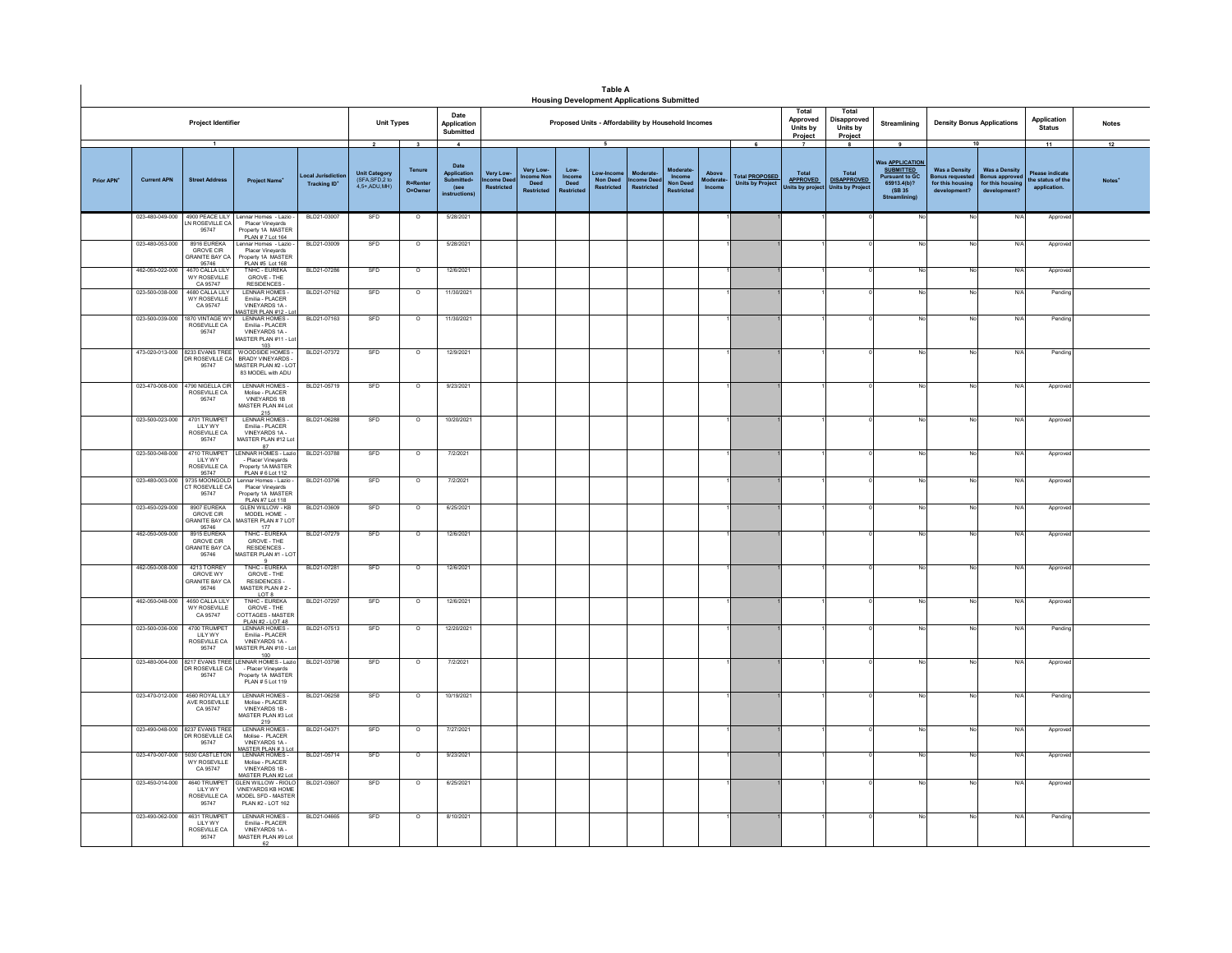|                        |                                    |                                                                                                |                                                                                                                       |                                             |                                                                    |                                                         |                                                                              |                                           |                                                                                                                                                |                        | <b>Table A</b><br><b>Housing Development Applications Submitted</b> |                                                  |                                |                                    |                                                                    |                                            |                                                        |                                                                                                                    |                                                                                              |                                                                            |                                                           |              |
|------------------------|------------------------------------|------------------------------------------------------------------------------------------------|-----------------------------------------------------------------------------------------------------------------------|---------------------------------------------|--------------------------------------------------------------------|---------------------------------------------------------|------------------------------------------------------------------------------|-------------------------------------------|------------------------------------------------------------------------------------------------------------------------------------------------|------------------------|---------------------------------------------------------------------|--------------------------------------------------|--------------------------------|------------------------------------|--------------------------------------------------------------------|--------------------------------------------|--------------------------------------------------------|--------------------------------------------------------------------------------------------------------------------|----------------------------------------------------------------------------------------------|----------------------------------------------------------------------------|-----------------------------------------------------------|--------------|
|                        |                                    | Project Identifier                                                                             |                                                                                                                       |                                             | <b>Unit Types</b>                                                  |                                                         | Date<br>Application<br>Submitted                                             |                                           | Total<br>Total<br>Approved<br>Disapproved<br>Proposed Units - Affordability by Household Incomes<br>Units by<br>Units by<br>Project<br>Project |                        |                                                                     |                                                  |                                |                                    |                                                                    |                                            |                                                        | Streamlining                                                                                                       | <b>Density Bonus Applications</b>                                                            |                                                                            |                                                           | <b>Notes</b> |
| Prior APN <sup>+</sup> | <b>Current APN</b>                 | $\overline{1}$<br><b>Street Address</b>                                                        | <b>Project Name®</b>                                                                                                  | ocal Jurisdicti<br>Tracking ID <sup>®</sup> | $\overline{2}$<br>Unit Category<br>(SFA, SFD, 2 to<br>4.5+ ADU MH) | $\overline{\mathbf{3}}$<br>Tenure<br>R=Renter<br>O=Owne | $\overline{4}$<br>Date<br>Application<br>Submitted+<br>(see<br>instructions) | Very Low-<br>ome Dee<br><b>Restricted</b> | Very Low-<br><b>Icome No</b><br>Deed<br><b>Restricted</b>                                                                                      | Low-<br>Income<br>Deed | $\overline{5}$<br>Low-Incon<br><b>Non Deed</b><br><b>Restricted</b> | <b>Moderate</b><br>come Dee<br><b>Restricted</b> | Moderate<br>Income<br>Non Deed | Above<br><b>Aoderate</b><br>Income | $\overline{6}$<br><b>Total PROPOSED</b><br><b>Units by Project</b> | Total<br><b>APPROVED</b><br>Units by proje | Total<br><b>DISAPPROVED</b><br><b>Units by Project</b> | 9<br>as <b>APPLICATION</b><br><b>SUBMITTED</b><br><b>Pursuant to GC</b><br>65913.4(b)?<br>(SB 35)<br>Streamlining) | 10<br><b>Was a Density</b><br>lonus requeste<br>for this housing<br>development <sup>®</sup> | <b>Was a Density</b><br>sonus approver<br>for this housing<br>development? | 11<br>lease indicate<br>the status of the<br>application. | 12           |
|                        |                                    | N ROSEVILLE CA<br>95747                                                                        | 023-480-049-000 4900 PEACE LILY Lennar Homes - Lazio -<br>Placer Vineya<br>Property 1A MASTER<br>PLAN # 7 Lot 164     | BLD21-03007                                 | SFD                                                                | $\circ$                                                 | 5/28/2021                                                                    |                                           |                                                                                                                                                |                        |                                                                     |                                                  |                                |                                    |                                                                    |                                            |                                                        | No                                                                                                                 | No                                                                                           | N/4                                                                        | Approve                                                   |              |
|                        | 023-480-053-000                    | 8916 EURFKA<br><b>GROVE CIR</b><br>GRANITE BAY CA                                              | ennar Homes - Lazio<br>Placer Vinevards<br>Property 1A MASTER                                                         | BLD21-03009                                 | SFD                                                                | $\overline{\circ}$                                      | 5/28/2021                                                                    |                                           |                                                                                                                                                |                        |                                                                     |                                                  |                                |                                    |                                                                    |                                            |                                                        |                                                                                                                    | No                                                                                           | N/                                                                         | Appro                                                     |              |
|                        | 462-050-022-000<br>023-500-038-000 | 95746<br>4670 CALLA LILY<br>WY ROSEVILLE<br>CA 95747<br>4680 CALLA LILY<br><b>WY ROSEVILLE</b> | PLAN #5 Lot 168<br>TNHC - EUREKA<br>GROVE - THE<br>RESIDENCES-<br>LENNAR HOMES -<br>Emilia - PLACER                   | BLD21-07286<br>BLD21-07162                  | SFD<br>SFD                                                         | $\circ$<br>$\circ$                                      | 12/6/2021<br>11/30/2021                                                      |                                           |                                                                                                                                                |                        |                                                                     |                                                  |                                |                                    |                                                                    |                                            |                                                        |                                                                                                                    | No<br>No.                                                                                    | N/<br>$N$ /                                                                | Approv<br>Pending                                         |              |
|                        | 023-500-039-000                    | CA 95747<br>1870 VINTAGE W'<br>ROSEVILLE CA<br>95747                                           | VINEYARDS 1A -<br>ASTER PLAN #12 - L<br><b>LENNAR HOMES</b><br>Emilia - PLACER<br>VINEYARDS 1A -                      | BLD21-07163                                 | SFD                                                                | $\overline{\circ}$                                      | 11/30/2021                                                                   |                                           |                                                                                                                                                |                        |                                                                     |                                                  |                                |                                    |                                                                    |                                            |                                                        |                                                                                                                    | No                                                                                           | N/                                                                         | Pending                                                   |              |
|                        |                                    | 473-020-013-000 8233 EVANS TREE<br>DR ROSEVILLE CA<br>95747                                    | MASTER PLAN #11 - Lo<br>$\frac{103}{WOODSIDE}$<br><b>BRADY VINEYARDS</b><br>MASTER PLAN #2 - LOT<br>83 MODEL with ADU | BLD21-07372                                 | SFD                                                                | $\circ$                                                 | 12/9/2021                                                                    |                                           |                                                                                                                                                |                        |                                                                     |                                                  |                                |                                    |                                                                    |                                            |                                                        | No                                                                                                                 | No                                                                                           | $N$ /                                                                      | Pending                                                   |              |
|                        |                                    | 023-470-008-000 4790 NIGELLA CIR<br>ROSEVILLE CA<br>95747                                      | <b>I FNNAR HOMES</b><br>Molise - PLACER<br>VINEYARDS 1B<br>MASTER PLAN #4 Lo                                          | BLD21-05719                                 | <b>SED</b>                                                         | $\Omega$                                                | 9/23/2021                                                                    |                                           |                                                                                                                                                |                        |                                                                     |                                                  |                                |                                    |                                                                    |                                            |                                                        |                                                                                                                    | No                                                                                           | N/L                                                                        | Approv                                                    |              |
|                        | 023-500-023-000                    | 4701 TRUMPET<br>LILY WY<br>ROSEVILLE CA<br>95747                                               | 215<br>LENNAR HOMES -<br>Emilia - PLACER<br>VINEYARDS 1A<br>MASTER PLAN #12 Lo<br>87                                  | BLD21-06288                                 | SFD                                                                | $\Omega$                                                | 10/20/2021                                                                   |                                           |                                                                                                                                                |                        |                                                                     |                                                  |                                |                                    |                                                                    |                                            |                                                        |                                                                                                                    | No                                                                                           | N/l                                                                        | Approv                                                    |              |
|                        | 023-500-048-000                    | 4710 TRUMPET<br><b>IIIYWY</b><br>ROSEVILLE CA<br>95747                                         | LENNAR HOMES - Lazi<br>- Placer Vinevards<br>Property 1A MASTER<br>PLAN # 6 Lot 112                                   | BLD21-03788                                 | SFD                                                                | $\overline{\circ}$                                      | 7/2/2021                                                                     |                                           |                                                                                                                                                |                        |                                                                     |                                                  |                                |                                    |                                                                    |                                            |                                                        |                                                                                                                    | No                                                                                           | N/4                                                                        | Appro                                                     |              |
|                        | 023-480-003-000                    | 9735 MOONGOLD<br>CT ROSEVILLE CA<br>95747                                                      | Lennar Homes - Lazio -<br>Placer Vinevards<br>Property 1A MASTER<br>PLAN #7 Lot 118                                   | BLD21-03796                                 | SED                                                                | $\Omega$                                                | 7/2/2021                                                                     |                                           |                                                                                                                                                |                        |                                                                     |                                                  |                                |                                    |                                                                    |                                            |                                                        |                                                                                                                    | No                                                                                           | N/L                                                                        | Approv                                                    |              |
|                        | 023-450-029-000                    | 8907 EUREKA<br><b>GROVE CIR</b><br><b>GRANITE BAY CA</b><br>95746                              | <b>GLEN WILLOW - KB</b><br>MODEL HOME<br>MASTER PLAN # 7 LOT<br>177                                                   | BLD21-03609                                 | SFD                                                                | $\overline{\circ}$                                      | 6/25/2021                                                                    |                                           |                                                                                                                                                |                        |                                                                     |                                                  |                                |                                    |                                                                    |                                            |                                                        |                                                                                                                    | No                                                                                           | N/                                                                         | Approve                                                   |              |
|                        | 462-050-009-000                    | 8915 FURFKA<br><b>GROVE CIR</b><br><b>GRANITE BAY CA</b><br>95746                              | TNHC - FUREKA<br>GROVE - THE<br>RESIDENCES<br>(ASTER PLAN #1 - LOT                                                    | BLD21-07279                                 | SFD                                                                | $\overline{0}$                                          | 12/6/2021                                                                    |                                           |                                                                                                                                                |                        |                                                                     |                                                  |                                |                                    |                                                                    |                                            |                                                        |                                                                                                                    | No                                                                                           | N/I                                                                        | Approv                                                    |              |
|                        | 462-050-008-000                    | 4213 TORREY<br><b>GROVE WY</b><br>GRANITE BAY CA<br>95746                                      | TNHC - EUREKA<br>GROVE - THE<br>RESIDENCES -<br>MASTER PLAN #2<br>LOT 8                                               | BLD21-07281                                 | SFD                                                                | $\circ$                                                 | 12/6/2021                                                                    |                                           |                                                                                                                                                |                        |                                                                     |                                                  |                                |                                    |                                                                    |                                            |                                                        |                                                                                                                    | No                                                                                           | N/f                                                                        | Approv                                                    |              |
|                        | 462-050-048-000                    | 4650 CALLA LILY<br><b>WY ROSEVILLE</b><br>CA 95747                                             | <b>TNHC - EUREKA</b><br>GROVE - THE<br>COTTAGES - MASTER<br>PLAN #2 - LOT 48                                          | BLD21-07297                                 | SFD                                                                | $\circ$                                                 | 12/6/2021                                                                    |                                           |                                                                                                                                                |                        |                                                                     |                                                  |                                |                                    |                                                                    |                                            |                                                        |                                                                                                                    | No                                                                                           | $N$ /                                                                      | Appro                                                     |              |
|                        | 023-500-036-000                    | 4700 TRUMPET<br><b>LILY WY</b><br>ROSEVILLE CA<br>95747                                        | I FNNAR HOMES-<br>Emilia - PLACER<br>VINEYARDS 1A<br>MASTER PLAN #10 - Lo<br>100                                      | BLD21-07513                                 | SFD                                                                | $\circ$                                                 | 12/20/2021                                                                   |                                           |                                                                                                                                                |                        |                                                                     |                                                  |                                |                                    |                                                                    |                                            |                                                        |                                                                                                                    | No                                                                                           | N/L                                                                        | Pending                                                   |              |
|                        |                                    | DR ROSEVILLE CA<br>95747                                                                       | 023-480-004-000 8217 EVANS TREE LENNAR HOMES - Lazio<br>- Placer Vinevards<br>Property 1A MÁSTER<br>PLAN #5 Lot 119   | BLD21-03798                                 | SFD                                                                | $\overline{\phantom{0}}$                                | 7/2/2021                                                                     |                                           |                                                                                                                                                |                        |                                                                     |                                                  |                                |                                    |                                                                    |                                            |                                                        |                                                                                                                    | No                                                                                           | N/f                                                                        | Approv                                                    |              |
|                        | 023-470-012-000                    | 4560 ROYAL LILY<br>AVE ROSEVILLE<br>CA 95747                                                   | LENNAR HOMES-<br>Molise - PLACER<br>VINEYARDS 1B-<br>MASTER PLAN #3 Lo<br>219                                         | BLD21-06258                                 | SFD                                                                | $\circ$                                                 | 10/19/2021                                                                   |                                           |                                                                                                                                                |                        |                                                                     |                                                  |                                |                                    |                                                                    |                                            |                                                        | No                                                                                                                 | No.                                                                                          | N/l                                                                        | Pending                                                   |              |
|                        |                                    | 023-490-048-000 8237 EVANS TREE<br>DR ROSEVILLE CA<br>95747                                    | <b>LENNAR HOMES-</b><br>Molise - PLACER<br>VINEYARDS 1A -<br>ASTER PLAN #31                                           | BLD21-04371                                 | SFD                                                                | $\circ$                                                 | 7/27/2021                                                                    |                                           |                                                                                                                                                |                        |                                                                     |                                                  |                                |                                    |                                                                    |                                            |                                                        |                                                                                                                    | No                                                                                           | $N$ /                                                                      | Approv                                                    |              |
|                        | 023-470-007-000                    | 5030 CASTLETON<br>WY ROSEVILLE<br>CA 95747                                                     | LENNAR HOMES-<br>Molise - PLACER<br>VINEYARDS 1B-<br>MASTER PLAN #2 Lot                                               | BLD21-05714                                 | SFD                                                                | $\circ$                                                 | 9/23/2021                                                                    |                                           |                                                                                                                                                |                        |                                                                     |                                                  |                                |                                    |                                                                    |                                            |                                                        |                                                                                                                    | No                                                                                           | N/                                                                         | Approv                                                    |              |
|                        | 023-450-014-000                    | 4640 TRUMPET<br>LILY WY<br>ROSEVILLE CA<br>95747                                               | <b>GLEN WILLOW - RIOLO</b><br><b>VINEYARDS KB HOME</b><br>MODEL SFD - MASTER<br>PLAN #2 - LOT 162                     | BLD21-03607                                 | SFD                                                                | $\circ$                                                 | 6/25/2021                                                                    |                                           |                                                                                                                                                |                        |                                                                     |                                                  |                                |                                    |                                                                    |                                            |                                                        |                                                                                                                    | No                                                                                           | N/                                                                         | Approve                                                   |              |
|                        | 023-490-062-000                    | 4631 TRUMPET<br><b>LILY WY</b><br>ROSEVILLE CA<br>95747                                        | <b>LENNAR HOMES-</b><br>Emilia - PLACER<br>VINEYARDS 1A -<br>MASTER PLAN #9 Lot                                       | BLD21-04665                                 | SFD                                                                | $\circ$                                                 | 8/10/2021                                                                    |                                           |                                                                                                                                                |                        |                                                                     |                                                  |                                |                                    |                                                                    |                                            |                                                        |                                                                                                                    | No                                                                                           | N/                                                                         | Pending                                                   |              |